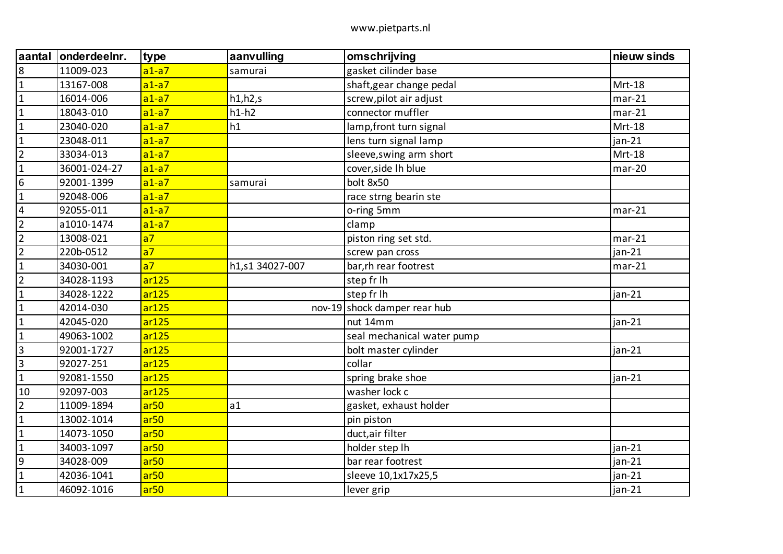| aantal                  | onderdeelnr. | type             | aanvulling      | omschrijving                 | nieuw sinds   |
|-------------------------|--------------|------------------|-----------------|------------------------------|---------------|
| $\bf 8$                 | 11009-023    | $a1-a7$          | samurai         | gasket cilinder base         |               |
| $\mathbf{1}$            | 13167-008    | $a1-a7$          |                 | shaft, gear change pedal     | Mrt-18        |
| $\mathbf{1}$            | 16014-006    | $a1-a7$          | h1,h2,s         | screw, pilot air adjust      | $mar-21$      |
| $\mathbf{1}$            | 18043-010    | $a1-a7$          | $h1-h2$         | connector muffler            | $mar-21$      |
| $\mathbf{1}$            | 23040-020    | $a1-a7$          | h1              | lamp, front turn signal      | Mrt-18        |
| $\mathbf{1}$            | 23048-011    | $a1-a7$          |                 | lens turn signal lamp        | jan-21        |
| $\overline{2}$          | 33034-013    | $a1-a7$          |                 | sleeve, swing arm short      | <b>Mrt-18</b> |
| $\mathbf{1}$            | 36001-024-27 | $a1-a7$          |                 | cover, side Ih blue          | $mar-20$      |
| $\boldsymbol{6}$        | 92001-1399   | $a1-a7$          | samurai         | bolt 8x50                    |               |
| $\mathbf{1}$            | 92048-006    | $a1-a7$          |                 | race strng bearin ste        |               |
| $\overline{\mathbf{4}}$ | 92055-011    | $a1-a7$          |                 | o-ring 5mm                   | $mar-21$      |
| $\overline{2}$          | a1010-1474   | $a1-a7$          |                 | clamp                        |               |
| $\overline{2}$          | 13008-021    | a <sub>7</sub>   |                 | piston ring set std.         | $mar-21$      |
| $\overline{2}$          | 220b-0512    | a <sub>7</sub>   |                 | screw pan cross              | $jan-21$      |
| $\mathbf{1}$            | 34030-001    | a <sub>7</sub>   | h1,s1 34027-007 | bar, rh rear footrest        | $mar-21$      |
| $\overline{2}$          | 34028-1193   | ar125            |                 | step fr lh                   |               |
| $\mathbf{1}$            | 34028-1222   | ar125            |                 | step fr lh                   | jan-21        |
| $\mathbf{1}$            | 42014-030    | ar125            |                 | nov-19 shock damper rear hub |               |
| $\mathbf{1}$            | 42045-020    | ar125            |                 | nut 14mm                     | jan-21        |
| $\mathbf{1}$            | 49063-1002   | ar125            |                 | seal mechanical water pump   |               |
| $\overline{3}$          | 92001-1727   | ar125            |                 | bolt master cylinder         | $jan-21$      |
| $\mathbf{3}$            | 92027-251    | ar125            |                 | collar                       |               |
| $\mathbf 1$             | 92081-1550   | ar125            |                 | spring brake shoe            | jan-21        |
| 10                      | 92097-003    | ar125            |                 | washer lock c                |               |
| $\overline{2}$          | 11009-1894   | ar <sub>50</sub> | a1              | gasket, exhaust holder       |               |
| $\mathbf{1}$            | 13002-1014   | ar <sub>50</sub> |                 | pin piston                   |               |
| $\mathbf 1$             | 14073-1050   | ar <sub>50</sub> |                 | duct, air filter             |               |
| $\mathbf{1}$            | 34003-1097   | ar <sub>50</sub> |                 | holder step Ih               | $jan-21$      |
| $\overline{9}$          | 34028-009    | ar <sub>50</sub> |                 | bar rear footrest            | $jan-21$      |
| $\mathbf{1}$            | 42036-1041   | ar <sub>50</sub> |                 | sleeve 10,1x17x25,5          | jan-21        |
| $\mathbf 1$             | 46092-1016   | ar <sub>50</sub> |                 | lever grip                   | jan-21        |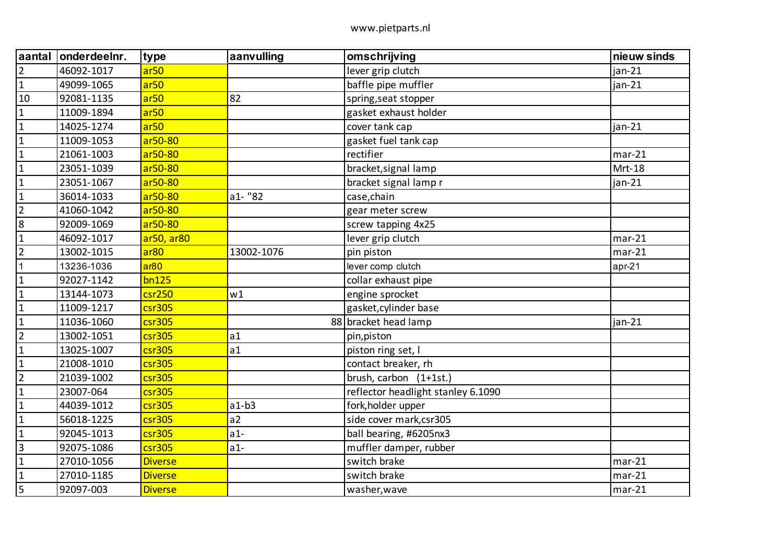| aantal         | onderdeelnr. | type             | aanvulling | omschrijving                       | nieuw sinds |
|----------------|--------------|------------------|------------|------------------------------------|-------------|
| $\overline{2}$ | 46092-1017   | ar <sub>50</sub> |            | lever grip clutch                  | $jan-21$    |
| $\mathbf{1}$   | 49099-1065   | ar <sub>50</sub> |            | baffle pipe muffler                | $jan-21$    |
| 10             | 92081-1135   | ar <sub>50</sub> | 82         | spring, seat stopper               |             |
| $\mathbf{1}$   | 11009-1894   | ar <sub>50</sub> |            | gasket exhaust holder              |             |
| $\mathbf{1}$   | 14025-1274   | ar <sub>50</sub> |            | cover tank cap                     | $jan-21$    |
| $\mathbf{1}$   | 11009-1053   | ar50-80          |            | gasket fuel tank cap               |             |
| $\mathbf{1}$   | 21061-1003   | ar50-80          |            | rectifier                          | $mar-21$    |
| $\mathbf{1}$   | 23051-1039   | ar50-80          |            | bracket, signal lamp               | Mrt-18      |
| $\mathbf{1}$   | 23051-1067   | ar50-80          |            | bracket signal lamp r              | $jan-21$    |
| $\mathbf{1}$   | 36014-1033   | ar50-80          | $a1 - "82$ | case, chain                        |             |
| $\overline{2}$ | 41060-1042   | ar50-80          |            | gear meter screw                   |             |
| 8              | 92009-1069   | ar50-80          |            | screw tapping 4x25                 |             |
| $\mathbf{1}$   | 46092-1017   | ar50, ar80       |            | lever grip clutch                  | $mar-21$    |
| $\overline{2}$ | 13002-1015   | ar <sub>80</sub> | 13002-1076 | pin piston                         | $mar-21$    |
| $\mathbf{1}$   | 13236-1036   | ar <sub>80</sub> |            | lever comp clutch                  | $apr-21$    |
| $\mathbf{1}$   | 92027-1142   | bn125            |            | collar exhaust pipe                |             |
| $\mathbf{1}$   | 13144-1073   | $c$ sr $250$     | w1         | engine sprocket                    |             |
| $\mathbf{1}$   | 11009-1217   | $c$ sr305        |            | gasket, cylinder base              |             |
| $\mathbf{1}$   | 11036-1060   | csr305           |            | 88 bracket head lamp               | jan-21      |
| $\overline{2}$ | 13002-1051   | csr305           | a1         | pin, piston                        |             |
| $\mathbf{1}$   | 13025-1007   | $c$ sr305        | a1         | piston ring set, I                 |             |
| $\mathbf{1}$   | 21008-1010   | $c$ sr305        |            | contact breaker, rh                |             |
| $\overline{2}$ | 21039-1002   | csr305           |            | brush, carbon (1+1st.)             |             |
| $\mathbf{1}$   | 23007-064    | $c$ sr305        |            | reflector headlight stanley 6.1090 |             |
| $\mathbf{1}$   | 44039-1012   | $c$ sr305        | $a1-b3$    | fork, holder upper                 |             |
| $\mathbf 1$    | 56018-1225   | csr305           | a2         | side cover mark, csr305            |             |
| $\mathbf{1}$   | 92045-1013   | $c$ sr305        | $a1-$      | ball bearing, #6205nx3             |             |
| $\mathbf{3}$   | 92075-1086   | $c$ sr $305$     | $a1-$      | muffler damper, rubber             |             |
| $\mathbf{1}$   | 27010-1056   | <b>Diverse</b>   |            | switch brake                       | $mar-21$    |
| $\mathbf{1}$   | 27010-1185   | <b>Diverse</b>   |            | switch brake                       | $mar-21$    |
| 5              | 92097-003    | <b>Diverse</b>   |            | washer, wave                       | $mar-21$    |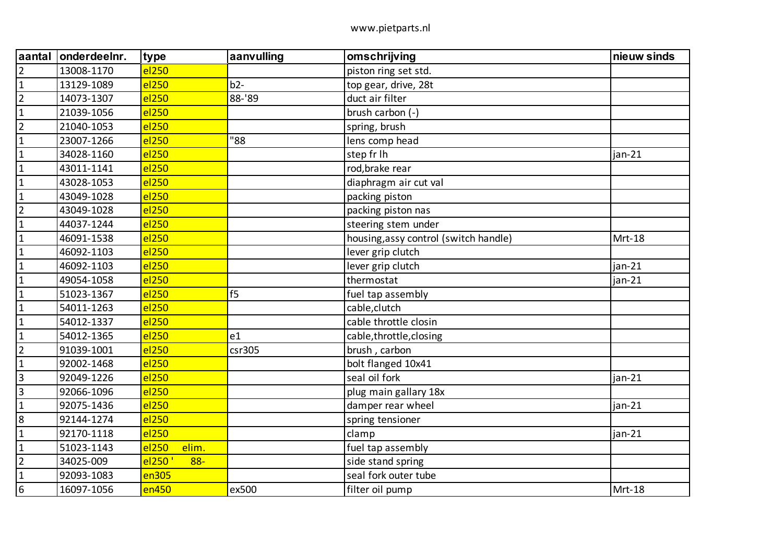| aantal          | onderdeelnr. | type              | aanvulling | omschrijving                          | nieuw sinds |
|-----------------|--------------|-------------------|------------|---------------------------------------|-------------|
| $\overline{2}$  | 13008-1170   | el <sub>250</sub> |            | piston ring set std.                  |             |
| $\mathbf{1}$    | 13129-1089   | el <sub>250</sub> | $b2-$      | top gear, drive, 28t                  |             |
| $\overline{2}$  | 14073-1307   | el <sub>250</sub> | 88-'89     | duct air filter                       |             |
| $\mathbf{1}$    | 21039-1056   | el250             |            | brush carbon (-)                      |             |
| $\overline{2}$  | 21040-1053   | el <sub>250</sub> |            | spring, brush                         |             |
| $\mathbf{1}$    | 23007-1266   | el250             | "88        | lens comp head                        |             |
| $\mathbf{1}$    | 34028-1160   | el <sub>250</sub> |            | step fr lh                            | jan-21      |
| $\mathbf{1}$    | 43011-1141   | el <sub>250</sub> |            | rod, brake rear                       |             |
| $\mathbf{1}$    | 43028-1053   | el <sub>250</sub> |            | diaphragm air cut val                 |             |
| $\mathbf{1}$    | 43049-1028   | el <sub>250</sub> |            | packing piston                        |             |
| $\overline{2}$  | 43049-1028   | el250             |            | packing piston nas                    |             |
| $\mathbf{1}$    | 44037-1244   | el <sub>250</sub> |            | steering stem under                   |             |
| $\mathbf{1}$    | 46091-1538   | el250             |            | housing, assy control (switch handle) | Mrt-18      |
| $\mathbf 1$     | 46092-1103   | el <sub>250</sub> |            | lever grip clutch                     |             |
| $\mathbf{1}$    | 46092-1103   | el <sub>250</sub> |            | lever grip clutch                     | $jan-21$    |
| $\mathbf{1}$    | 49054-1058   | el250             |            | thermostat                            | jan-21      |
| $\mathbf{1}$    | 51023-1367   | el <sub>250</sub> | f5         | fuel tap assembly                     |             |
| $\mathbf{1}$    | 54011-1263   | el <sub>250</sub> |            | cable, clutch                         |             |
| $\mathbf{1}$    | 54012-1337   | el250             |            | cable throttle closin                 |             |
| $\mathbf{1}$    | 54012-1365   | el <sub>250</sub> | e1         | cable, throttle, closing              |             |
| $\overline{2}$  | 91039-1001   | el250             | csc305     | brush, carbon                         |             |
| $\mathbf{1}$    | 92002-1468   | el250             |            | bolt flanged 10x41                    |             |
| $\overline{3}$  | 92049-1226   | el <sub>250</sub> |            | seal oil fork                         | jan-21      |
| $\overline{3}$  | 92066-1096   | el <sub>250</sub> |            | plug main gallary 18x                 |             |
| $\mathbf{1}$    | 92075-1436   | el250             |            | damper rear wheel                     | $jan-21$    |
| 8               | 92144-1274   | el <sub>250</sub> |            | spring tensioner                      |             |
| $\mathbf 1$     | 92170-1118   | el <sub>250</sub> |            | clamp                                 | $jan-21$    |
| $\mathbf{1}$    | 51023-1143   | elim.<br>el250    |            | fuel tap assembly                     |             |
| $\overline{2}$  | 34025-009    | el250<br>$88 -$   |            | side stand spring                     |             |
| $\mathbf 1$     | 92093-1083   | en305             |            | seal fork outer tube                  |             |
| $6\phantom{1}6$ | 16097-1056   | en450             | ex500      | filter oil pump                       | Mrt-18      |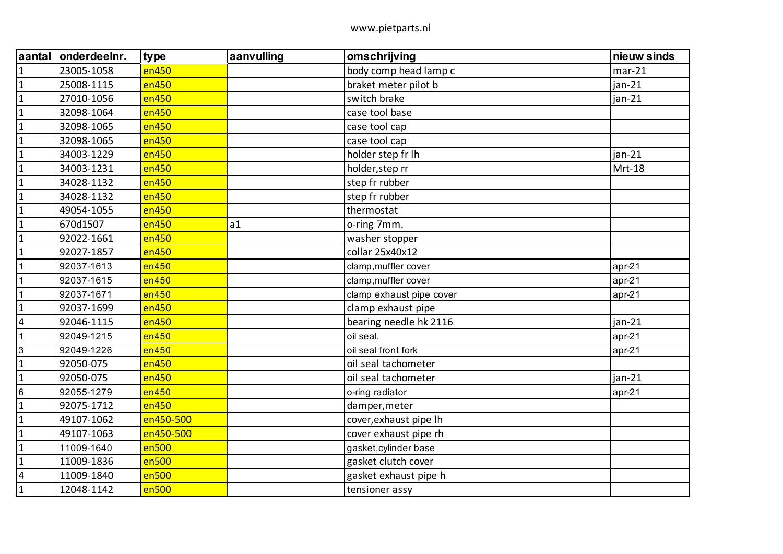| aantal                  | onderdeelnr. | type      | aanvulling | omschrijving             | nieuw sinds |
|-------------------------|--------------|-----------|------------|--------------------------|-------------|
| $\mathbf{1}$            | 23005-1058   | en450     |            | body comp head lamp c    | $mar-21$    |
| $\mathbf{1}$            | 25008-1115   | en450     |            | braket meter pilot b     | jan-21      |
| $\mathbf{1}$            | 27010-1056   | en450     |            | switch brake             | jan-21      |
| $\mathbf{1}$            | 32098-1064   | en450     |            | case tool base           |             |
| $\mathbf{1}$            | 32098-1065   | en450     |            | case tool cap            |             |
| $\mathbf{1}$            | 32098-1065   | en450     |            | case tool cap            |             |
| $\mathbf{1}$            | 34003-1229   | en450     |            | holder step fr Ih        | jan-21      |
| $\mathbf{1}$            | 34003-1231   | en450     |            | holder, step rr          | Mrt-18      |
| $\mathbf{1}$            | 34028-1132   | en450     |            | step fr rubber           |             |
| $\mathbf{1}$            | 34028-1132   | en450     |            | step fr rubber           |             |
| $\mathbf{1}$            | 49054-1055   | en450     |            | thermostat               |             |
| $\mathbf{1}$            | 670d1507     | en450     | a1         | o-ring 7mm.              |             |
| $\mathbf{1}$            | 92022-1661   | en450     |            | washer stopper           |             |
| $\mathbf{1}$            | 92027-1857   | en450     |            | collar 25x40x12          |             |
| 1                       | 92037-1613   | en450     |            | clamp, muffler cover     | $apr-21$    |
| 1                       | 92037-1615   | en450     |            | clamp, muffler cover     | $apr-21$    |
| 1                       | 92037-1671   | en450     |            | clamp exhaust pipe cover | $apr-21$    |
| $\mathbf{1}$            | 92037-1699   | en450     |            | clamp exhaust pipe       |             |
| $\overline{\mathbf{4}}$ | 92046-1115   | en450     |            | bearing needle hk 2116   | jan-21      |
| $\mathbf{1}$            | 92049-1215   | en450     |            | oil seal.                | $apr-21$    |
| $\sqrt{3}$              | 92049-1226   | en450     |            | oil seal front fork      | apr-21      |
| $\mathbf{1}$            | 92050-075    | en450     |            | oil seal tachometer      |             |
| $\mathbf{1}$            | 92050-075    | en450     |            | oil seal tachometer      | jan-21      |
| $\,6$                   | 92055-1279   | en450     |            | o-ring radiator          | $apr-21$    |
| $\mathbf{1}$            | 92075-1712   | en450     |            | damper, meter            |             |
| $\mathbf{1}$            | 49107-1062   | en450-500 |            | cover, exhaust pipe Ih   |             |
| $\mathbf{1}$            | 49107-1063   | en450-500 |            | cover exhaust pipe rh    |             |
| $\mathbf{1}$            | 11009-1640   | en500     |            | gasket, cylinder base    |             |
| $\mathbf{1}$            | 11009-1836   | en500     |            | gasket clutch cover      |             |
| $\overline{\mathbf{4}}$ | 11009-1840   | en500     |            | gasket exhaust pipe h    |             |
| $\mathbf{1}$            | 12048-1142   | en500     |            | tensioner assy           |             |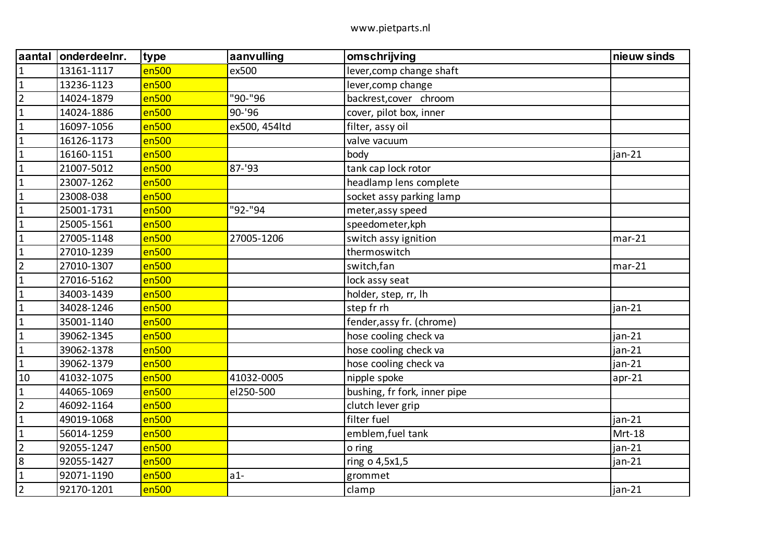| aantal         | onderdeelnr. | type  | aanvulling    | omschrijving                 | nieuw sinds |
|----------------|--------------|-------|---------------|------------------------------|-------------|
| $\mathbf{1}$   | 13161-1117   | en500 | ex500         | lever, comp change shaft     |             |
| $\mathbf 1$    | 13236-1123   | en500 |               | lever, comp change           |             |
| $\overline{2}$ | 14024-1879   | en500 | "90-"96       | backrest, cover chroom       |             |
| $\mathbf{1}$   | 14024-1886   | en500 | 90-'96        | cover, pilot box, inner      |             |
| $\mathbf{1}$   | 16097-1056   | en500 | ex500, 454ltd | filter, assy oil             |             |
| $\mathbf{1}$   | 16126-1173   | en500 |               | valve vacuum                 |             |
| $\mathbf{1}$   | 16160-1151   | en500 |               | body                         | jan-21      |
| $\mathbf{1}$   | 21007-5012   | en500 | 87-'93        | tank cap lock rotor          |             |
| $\mathbf{1}$   | 23007-1262   | en500 |               | headlamp lens complete       |             |
| $\mathbf{1}$   | 23008-038    | en500 |               | socket assy parking lamp     |             |
| $\mathbf{1}$   | 25001-1731   | en500 | "92-"94       | meter, assy speed            |             |
| $\mathbf{1}$   | 25005-1561   | en500 |               | speedometer, kph             |             |
| $\mathbf{1}$   | 27005-1148   | en500 | 27005-1206    | switch assy ignition         | $mar-21$    |
| $\mathbf{1}$   | 27010-1239   | en500 |               | thermoswitch                 |             |
| $\overline{2}$ | 27010-1307   | en500 |               | switch, fan                  | $mar-21$    |
| $\mathbf{1}$   | 27016-5162   | en500 |               | lock assy seat               |             |
| $\mathbf{1}$   | 34003-1439   | en500 |               | holder, step, rr, lh         |             |
| $\mathbf{1}$   | 34028-1246   | en500 |               | step fr rh                   | $jan-21$    |
| $\mathbf{1}$   | 35001-1140   | en500 |               | fender, assy fr. (chrome)    |             |
| $1\,$          | 39062-1345   | en500 |               | hose cooling check va        | jan-21      |
| $\mathbf{1}$   | 39062-1378   | en500 |               | hose cooling check va        | jan-21      |
| $\mathbf{1}$   | 39062-1379   | en500 |               | hose cooling check va        | $jan-21$    |
| 10             | 41032-1075   | en500 | 41032-0005    | nipple spoke                 | $apr-21$    |
| $\mathbf{1}$   | 44065-1069   | en500 | el250-500     | bushing, fr fork, inner pipe |             |
| $\overline{2}$ | 46092-1164   | en500 |               | clutch lever grip            |             |
| $\mathbf 1$    | 49019-1068   | en500 |               | filter fuel                  | $jan-21$    |
| $\mathbf 1$    | 56014-1259   | en500 |               | emblem, fuel tank            | Mrt-18      |
| $\overline{2}$ | 92055-1247   | en500 |               | o ring                       | $jan-21$    |
| $\overline{8}$ | 92055-1427   | en500 |               | ring o 4,5x1,5               | $jan-21$    |
| $\mathbf 1$    | 92071-1190   | en500 | $a1-$         | grommet                      |             |
| $\overline{2}$ | 92170-1201   | en500 |               | clamp                        | jan-21      |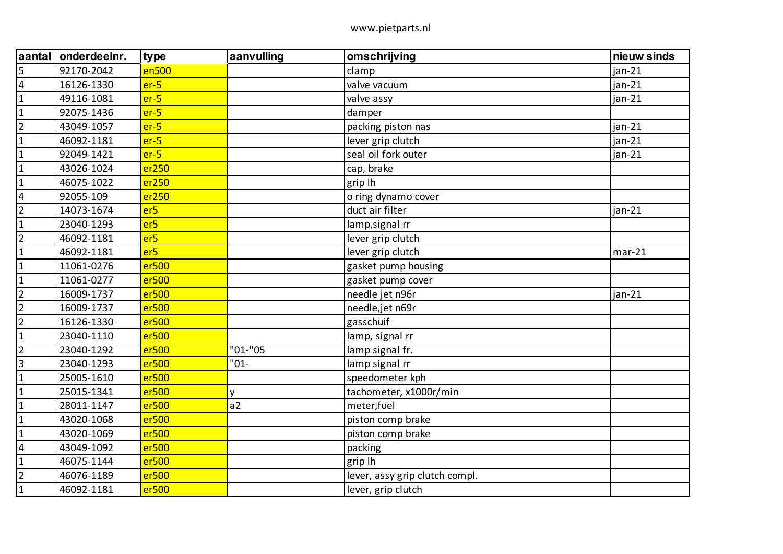| aantal         | onderdeelnr. | type              | aanvulling | omschrijving                   | nieuw sinds |
|----------------|--------------|-------------------|------------|--------------------------------|-------------|
| 5              | 92170-2042   | en500             |            | clamp                          | jan-21      |
| $\overline{4}$ | 16126-1330   | $er-5$            |            | valve vacuum                   | $jan-21$    |
| $\mathbf{1}$   | 49116-1081   | $er-5$            |            | valve assy                     | jan-21      |
| $\mathbf{1}$   | 92075-1436   | $er-5$            |            | damper                         |             |
| $\overline{2}$ | 43049-1057   | $er-5$            |            | packing piston nas             | $jan-21$    |
| $\mathbf{1}$   | 46092-1181   | $er-5$            |            | lever grip clutch              | jan-21      |
| $\mathbf{1}$   | 92049-1421   | $er-5$            |            | seal oil fork outer            | jan-21      |
| $\mathbf{1}$   | 43026-1024   | er250             |            | cap, brake                     |             |
| $\mathbf{1}$   | 46075-1022   | er250             |            | grip lh                        |             |
| $\overline{4}$ | 92055-109    | er250             |            | o ring dynamo cover            |             |
| $\overline{2}$ | 14073-1674   | er <sub>5</sub>   |            | duct air filter                | jan-21      |
| $\mathbf{1}$   | 23040-1293   | er <sub>5</sub>   |            | lamp, signal rr                |             |
| $\overline{2}$ | 46092-1181   | er <sub>5</sub>   |            | lever grip clutch              |             |
| $\mathbf{1}$   | 46092-1181   | er <sub>5</sub>   |            | lever grip clutch              | $mar-21$    |
| $\mathbf{1}$   | 11061-0276   | er500             |            | gasket pump housing            |             |
| $\mathbf{1}$   | 11061-0277   | er500             |            | gasket pump cover              |             |
| $\overline{2}$ | 16009-1737   | er500             |            | needle jet n96r                | $jan-21$    |
| $\overline{2}$ | 16009-1737   | er500             |            | needle,jet n69r                |             |
| $\overline{2}$ | 16126-1330   | er500             |            | gasschuif                      |             |
| $\mathbf{1}$   | 23040-1110   | er500             |            | lamp, signal rr                |             |
| $\overline{2}$ | 23040-1292   | er500             | $"01-"05"$ | lamp signal fr.                |             |
| $\overline{3}$ | 23040-1293   | er500             | $"01-$     | lamp signal rr                 |             |
| $\mathbf{1}$   | 25005-1610   | er500             |            | speedometer kph                |             |
| $\mathbf{1}$   | 25015-1341   | er500             | y          | tachometer, x1000r/min         |             |
| $\mathbf{1}$   | 28011-1147   | er500             | a2         | meter, fuel                    |             |
| $\mathbf{1}$   | 43020-1068   | er500             |            | piston comp brake              |             |
| $\mathbf{1}$   | 43020-1069   | er500             |            | piston comp brake              |             |
| $\overline{4}$ | 43049-1092   | er500             |            | packing                        |             |
| $\mathbf{1}$   | 46075-1144   | er500             |            | grip lh                        |             |
| $\overline{2}$ | 46076-1189   | er500             |            | lever, assy grip clutch compl. |             |
| $\mathbf{1}$   | 46092-1181   | er <sub>500</sub> |            | lever, grip clutch             |             |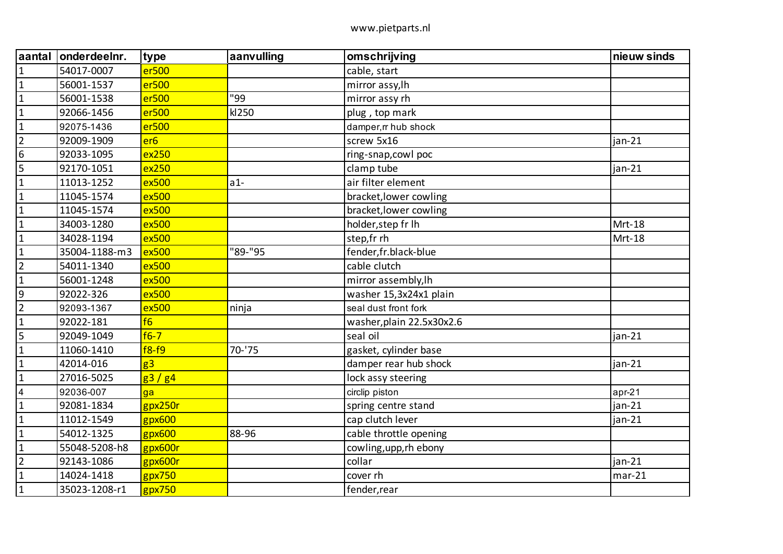| aantal                  | onderdeelnr.  | type            | aanvulling | omschrijving              | nieuw sinds |
|-------------------------|---------------|-----------------|------------|---------------------------|-------------|
| $\mathbf{1}$            | 54017-0007    | er500           |            | cable, start              |             |
| $\mathbf{1}$            | 56001-1537    | er500           |            | mirror assy, lh           |             |
| $\mathbf 1$             | 56001-1538    | er500           | "99        | mirror assy rh            |             |
| $\mathbf{1}$            | 92066-1456    | er500           | kl250      | plug, top mark            |             |
| $\mathbf{1}$            | 92075-1436    | er500           |            | damper, rr hub shock      |             |
| $\overline{2}$          | 92009-1909    | er <sub>6</sub> |            | screw 5x16                | $jan-21$    |
| $\boldsymbol{6}$        | 92033-1095    | ex250           |            | ring-snap, cowl poc       |             |
| 5                       | 92170-1051    | ex250           |            | clamp tube                | $jan-21$    |
| $\mathbf{1}$            | 11013-1252    | ex500           | $a1-$      | air filter element        |             |
| $\mathbf{1}$            | 11045-1574    | ex500           |            | bracket, lower cowling    |             |
| $\mathbf{1}$            | 11045-1574    | ex500           |            | bracket, lower cowling    |             |
| $\mathbf 1$             | 34003-1280    | ex500           |            | holder, step fr Ih        | Mrt-18      |
| $\mathbf{1}$            | 34028-1194    | ex500           |            | step,fr rh                | Mrt-18      |
| $\mathbf{1}$            | 35004-1188-m3 | ex500           | "89-"95    | fender,fr.black-blue      |             |
| $\overline{2}$          | 54011-1340    | ex500           |            | cable clutch              |             |
| $\mathbf{1}$            | 56001-1248    | ex500           |            | mirror assembly, lh       |             |
| $\overline{9}$          | 92022-326     | ex500           |            | washer 15,3x24x1 plain    |             |
| $\overline{2}$          | 92093-1367    | ex500           | ninja      | seal dust front fork      |             |
| $\mathbf{1}$            | 92022-181     | f6              |            | washer, plain 22.5x30x2.6 |             |
| 5                       | 92049-1049    | $f6-7$          |            | seal oil                  | $jan-21$    |
| $\mathbf{1}$            | 11060-1410    | $f8-f9$         | $70 - 75$  | gasket, cylinder base     |             |
| $\mathbf{1}$            | 42014-016     | g <sub>3</sub>  |            | damper rear hub shock     | $jan-21$    |
| $\mathbf{1}$            | 27016-5025    | g3/g4           |            | lock assy steering        |             |
| $\overline{\mathbf{4}}$ | 92036-007     | ga              |            | circlip piston            | $apr-21$    |
| $\mathbf{1}$            | 92081-1834    | gpx250r         |            | spring centre stand       | $jan-21$    |
| $\mathbf{1}$            | 11012-1549    | gpx600          |            | cap clutch lever          | jan-21      |
| $\mathbf{1}$            | 54012-1325    | gpx600          | 88-96      | cable throttle opening    |             |
| $\mathbf{1}$            | 55048-5208-h8 | gpx600r         |            | cowling, upp, rh ebony    |             |
| $\overline{2}$          | 92143-1086    | gpx600r         |            | collar                    | jan-21      |
| $\mathbf{1}$            | 14024-1418    | gpx750          |            | cover rh                  | $mar-21$    |
| $\mathbf 1$             | 35023-1208-r1 | gpx750          |            | fender, rear              |             |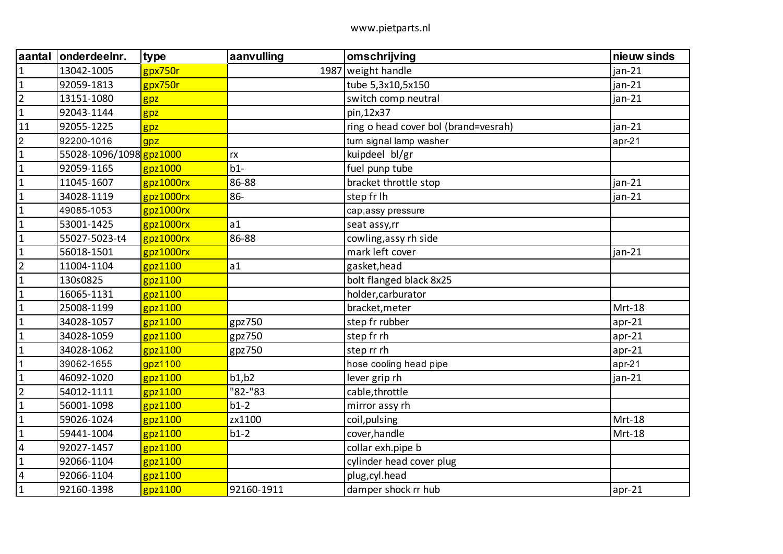| aantal                  | onderdeelnr.            | type         | aanvulling | omschrijving                         | nieuw sinds |
|-------------------------|-------------------------|--------------|------------|--------------------------------------|-------------|
| $\mathbf{1}$            | 13042-1005              | gpx750r      |            | 1987 weight handle                   | jan-21      |
| $\mathbf{1}$            | 92059-1813              | gpx750r      |            | tube 5,3x10,5x150                    | $jan-21$    |
| $\overline{2}$          | 13151-1080              | gpz          |            | switch comp neutral                  | jan-21      |
| $\mathbf{1}$            | 92043-1144              | gpz          |            | pin,12x37                            |             |
| 11                      | 92055-1225              | gpz          |            | ring o head cover bol (brand=vesrah) | jan-21      |
| $\overline{2}$          | 92200-1016              | gpz          |            | turn signal lamp washer              | $apr-21$    |
| $\mathbf{1}$            | 55028-1096/1098 gpz1000 |              | rx         | kuipdeel bl/gr                       |             |
| $\mathbf 1$             | 92059-1165              | $g$ pz1000   | $b1-$      | fuel punp tube                       |             |
| $\mathbf{1}$            | 11045-1607              | gpz1000rx    | 86-88      | bracket throttle stop                | jan-21      |
| $\mathbf{1}$            | 34028-1119              | gpz1000rx    | 86-        | step fr lh                           | jan-21      |
| $\mathbf{1}$            | 49085-1053              | gpz1000rx    |            | cap, assy pressure                   |             |
| $\mathbf{1}$            | 53001-1425              | gpz1000rx    | a1         | seat assy,rr                         |             |
| $\mathbf{1}$            | 55027-5023-t4           | $g$ pz1000rx | 86-88      | cowling, assy rh side                |             |
| $\mathbf{1}$            | 56018-1501              | gpz1000rx    |            | mark left cover                      | jan-21      |
| $\overline{2}$          | 11004-1104              | gpz1100      | a1         | gasket, head                         |             |
| $\mathbf{1}$            | 130s0825                | gpz1100      |            | bolt flanged black 8x25              |             |
| $\mathbf{1}$            | 16065-1131              | gpz1100      |            | holder, carburator                   |             |
| $\mathbf 1$             | 25008-1199              | gpz1100      |            | bracket, meter                       | Mrt-18      |
| $\mathbf{1}$            | 34028-1057              | gpz1100      | gpz750     | step fr rubber                       | $apr-21$    |
| $\mathbf{1}$            | 34028-1059              | gpz1100      | gpz750     | step fr rh                           | $apr-21$    |
| $\mathbf{1}$            | 34028-1062              | gpz1100      | gpz750     | step rr rh                           | $apr-21$    |
| $\mathbf 1$             | 39062-1655              | qpz1100      |            | hose cooling head pipe               | $apr-21$    |
| $\mathbf{1}$            | 46092-1020              | $g$ pz1100   | b1,b2      | lever grip rh                        | jan-21      |
| $\overline{2}$          | 54012-1111              | gpz1100      | "82-"83    | cable, throttle                      |             |
| $\mathbf{1}$            | 56001-1098              | gpz1100      | $b1-2$     | mirror assy rh                       |             |
| $\mathbf{1}$            | 59026-1024              | gpz1100      | zx1100     | coil, pulsing                        | Mrt-18      |
| $\mathbf{1}$            | 59441-1004              | gpz1100      | $b1-2$     | cover, handle                        | Mrt-18      |
| $\sqrt{4}$              | 92027-1457              | gpz1100      |            | collar exh.pipe b                    |             |
| $\mathbf{1}$            | 92066-1104              | gpz1100      |            | cylinder head cover plug             |             |
| $\overline{\mathbf{4}}$ | 92066-1104              | gpz1100      |            | plug, cyl.head                       |             |
| $\mathbf{1}$            | 92160-1398              | gpz1100      | 92160-1911 | damper shock rr hub                  | $apr-21$    |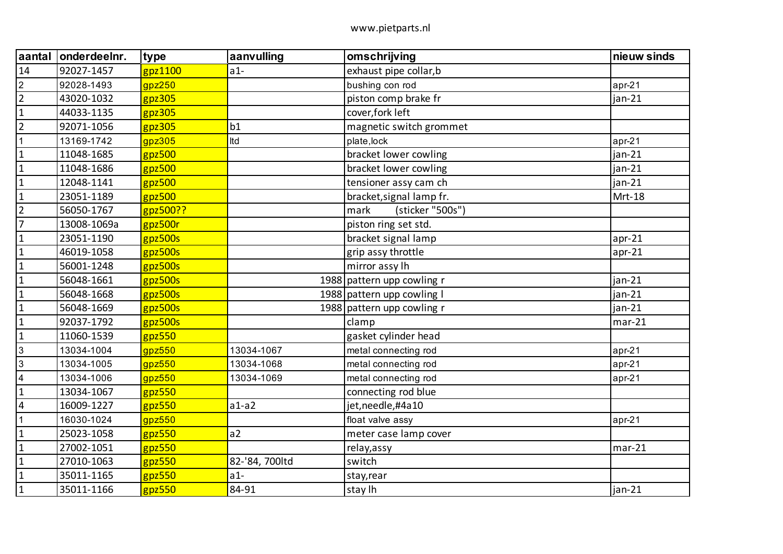| aantal         | onderdeelnr. | type       | aanvulling     | omschrijving               | nieuw sinds |
|----------------|--------------|------------|----------------|----------------------------|-------------|
| 14             | 92027-1457   | $g$ pz1100 | $a1-$          | exhaust pipe collar, b     |             |
| $\overline{2}$ | 92028-1493   | gpz250     |                | bushing con rod            | $apr-21$    |
| $\overline{2}$ | 43020-1032   | gpz305     |                | piston comp brake fr       | $jan-21$    |
| $\overline{1}$ | 44033-1135   | $g$ pz305  |                | cover, fork left           |             |
| $\overline{2}$ | 92071-1056   | $g$ pz305  | b1             | magnetic switch grommet    |             |
| $\mathbf{1}$   | 13169-1742   | gpz305     | Itd            | plate, lock                | $apr-21$    |
| $\overline{1}$ | 11048-1685   | gpz500     |                | bracket lower cowling      | $jan-21$    |
| $\overline{1}$ | 11048-1686   | gpz500     |                | bracket lower cowling      | jan-21      |
| $\overline{1}$ | 12048-1141   | gpz500     |                | tensioner assy cam ch      | $jan-21$    |
| $\mathbf{1}$   | 23051-1189   | gpz500     |                | bracket, signal lamp fr.   | Mrt-18      |
| $\overline{2}$ | 56050-1767   | gpz500??   |                | mark<br>(sticker "500s")   |             |
| $\overline{7}$ | 13008-1069a  | gpz500r    |                | piston ring set std.       |             |
| $\overline{1}$ | 23051-1190   | gpz500s    |                | bracket signal lamp        | $apr-21$    |
| $\mathbf 1$    | 46019-1058   | gpz500s    |                | grip assy throttle         | $apr-21$    |
| $\overline{1}$ | 56001-1248   | gpz500s    |                | mirror assy lh             |             |
| $\overline{1}$ | 56048-1661   | $g$ pz500s |                | 1988 pattern upp cowling r | $jan-21$    |
| $\mathbf 1$    | 56048-1668   | gpz500s    |                | 1988 pattern upp cowling I | $jan-21$    |
| $\overline{1}$ | 56048-1669   | gpz500s    |                | 1988 pattern upp cowling r | $jan-21$    |
| $\mathbf{1}$   | 92037-1792   | gpz500s    |                | clamp                      | $mar-21$    |
| $\overline{1}$ | 11060-1539   | $g$ pz550  |                | gasket cylinder head       |             |
| $\overline{3}$ | 13034-1004   | gpz550     | 13034-1067     | metal connecting rod       | $apr-21$    |
| 3              | 13034-1005   | $g$ pz550  | 13034-1068     | metal connecting rod       | $apr-21$    |
| $\overline{4}$ | 13034-1006   | gpz550     | 13034-1069     | metal connecting rod       | $apr-21$    |
| $\overline{1}$ | 13034-1067   | $g$ pz550  |                | connecting rod blue        |             |
| $\overline{4}$ | 16009-1227   | gpz550     | $a1-a2$        | jet, needle, #4a10         |             |
| $\overline{1}$ | 16030-1024   | gpz550     |                | float valve assy           | $apr-21$    |
| $\overline{1}$ | 25023-1058   | gpz550     | a2             | meter case lamp cover      |             |
| $\overline{1}$ | 27002-1051   | gpz550     |                | relay, assy                | $mar-21$    |
| $\overline{1}$ | 27010-1063   | $g$ pz550  | 82-'84, 700ltd | switch                     |             |
| $\overline{1}$ | 35011-1165   | gpz550     | $a1-$          | stay, rear                 |             |
| $\overline{1}$ | 35011-1166   | gpz550     | 84-91          | stay lh                    | jan-21      |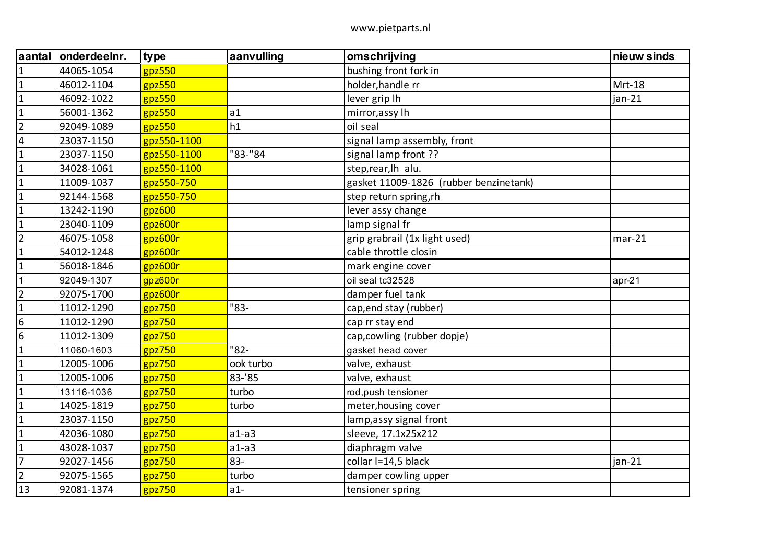| <b>aantal</b>    | onderdeelnr. | type        | aanvulling | omschrijving                           | nieuw sinds |
|------------------|--------------|-------------|------------|----------------------------------------|-------------|
| $\overline{1}$   | 44065-1054   | $g$ pz550   |            | bushing front fork in                  |             |
| $\overline{1}$   | 46012-1104   | gpz550      |            | holder, handle rr                      | Mrt-18      |
| $\overline{1}$   | 46092-1022   | gpz550      |            | lever grip lh                          | $jan-21$    |
| $\overline{1}$   | 56001-1362   | gpz550      | a1         | mirror, assy lh                        |             |
| $\overline{2}$   | 92049-1089   | $g$ pz550   | h1         | oil seal                               |             |
| $\overline{4}$   | 23037-1150   | gpz550-1100 |            | signal lamp assembly, front            |             |
| $\mathbf{1}$     | 23037-1150   | gpz550-1100 | "83-"84    | signal lamp front ??                   |             |
| $\mathbf{1}$     | 34028-1061   | gpz550-1100 |            | step,rear, lh alu.                     |             |
| $\overline{1}$   | 11009-1037   | gpz550-750  |            | gasket 11009-1826 (rubber benzinetank) |             |
| $\mathbf{1}$     | 92144-1568   | gpz550-750  |            | step return spring, rh                 |             |
| $\mathbf{1}$     | 13242-1190   | gpz600      |            | lever assy change                      |             |
| $\overline{1}$   | 23040-1109   | gpz600r     |            | lamp signal fr                         |             |
| $\overline{2}$   | 46075-1058   | gpz600r     |            | grip grabrail (1x light used)          | $mar-21$    |
| $\mathbf 1$      | 54012-1248   | gpz600r     |            | cable throttle closin                  |             |
| $\overline{1}$   | 56018-1846   | gpz600r     |            | mark engine cover                      |             |
| $\overline{1}$   | 92049-1307   | gpz600r     |            | oil seal tc32528                       | $apr-21$    |
| $\overline{2}$   | 92075-1700   | gpz600r     |            | damper fuel tank                       |             |
| $\overline{1}$   | 11012-1290   | gpz750      | "83-       | cap, end stay (rubber)                 |             |
| $\boldsymbol{6}$ | 11012-1290   | gpz750      |            | cap rr stay end                        |             |
| $6\overline{6}$  | 11012-1309   | gpz750      |            | cap, cowling (rubber dopje)            |             |
| $\overline{1}$   | 11060-1603   | gpz750      | "82-       | gasket head cover                      |             |
| $\mathbf 1$      | 12005-1006   | gpz750      | ook turbo  | valve, exhaust                         |             |
| $\overline{1}$   | 12005-1006   | $g$ pz750   | 83-'85     | valve, exhaust                         |             |
| $\overline{1}$   | 13116-1036   | gpz750      | turbo      | rod, push tensioner                    |             |
| $\mathbf{1}$     | 14025-1819   | gpz750      | turbo      | meter, housing cover                   |             |
| $\vert$ 1        | 23037-1150   | $g$ pz750   |            | lamp, assy signal front                |             |
| $\overline{1}$   | 42036-1080   | gpz750      | $a1-a3$    | sleeve, 17.1x25x212                    |             |
| $\mathbf{1}$     | 43028-1037   | gpz750      | $a1-a3$    | diaphragm valve                        |             |
| $\overline{7}$   | 92027-1456   | $g$ pz750   | 83-        | collar I=14,5 black                    | jan-21      |
| $\overline{2}$   | 92075-1565   | gpz750      | turbo      | damper cowling upper                   |             |
| 13               | 92081-1374   | gpz750      | $a1-$      | tensioner spring                       |             |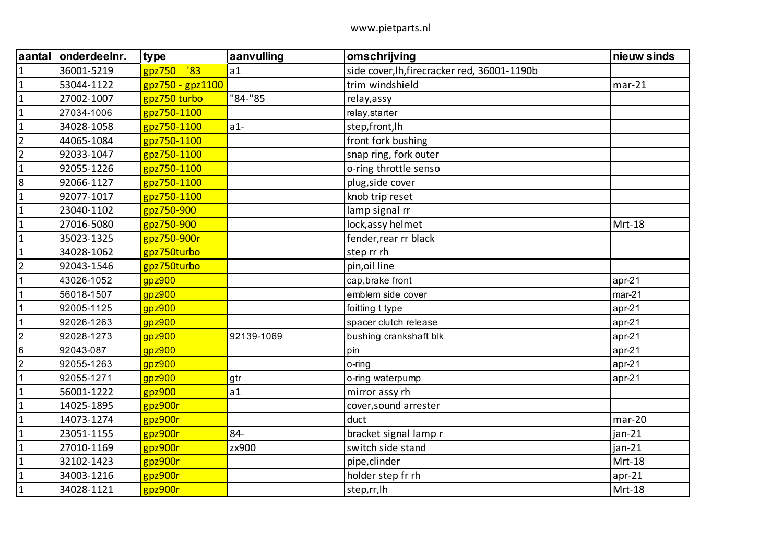| aantal         | onderdeelnr. | type                       | aanvulling | omschrijving                                 | nieuw sinds |
|----------------|--------------|----------------------------|------------|----------------------------------------------|-------------|
| $\overline{1}$ | 36001-5219   | $^{\prime}83$<br>$g$ pz750 | a1         | side cover, lh, firecracker red, 36001-1190b |             |
| $\overline{1}$ | 53044-1122   | gpz750 - gpz1100           |            | trim windshield                              | $mar-21$    |
| $\overline{1}$ | 27002-1007   | gpz750 turbo               | "84-"85    | relay, assy                                  |             |
| $\overline{1}$ | 27034-1006   | gpz750-1100                |            | relay, starter                               |             |
| $\overline{1}$ | 34028-1058   | gpz750-1100                | $a1-$      | step, front, lh                              |             |
| $\overline{2}$ | 44065-1084   | gpz750-1100                |            | front fork bushing                           |             |
| $\overline{2}$ | 92033-1047   | gpz750-1100                |            | snap ring, fork outer                        |             |
| $\mathbf 1$    | 92055-1226   | gpz750-1100                |            | o-ring throttle senso                        |             |
| 8              | 92066-1127   | gpz750-1100                |            | plug, side cover                             |             |
| $\overline{1}$ | 92077-1017   | gpz750-1100                |            | knob trip reset                              |             |
| $\mathbf{1}$   | 23040-1102   | gpz750-900                 |            | lamp signal rr                               |             |
| $\mathbf{1}$   | 27016-5080   | gpz750-900                 |            | lock, assy helmet                            | Mrt-18      |
| $\mathbf 1$    | 35023-1325   | gpz750-900r                |            | fender, rear rr black                        |             |
| $\mathbf{1}$   | 34028-1062   | gpz750turbo                |            | step rr rh                                   |             |
| $\overline{2}$ | 92043-1546   | gpz750turbo                |            | pin, oil line                                |             |
| $\mathbf{1}$   | 43026-1052   | gpz900                     |            | cap, brake front                             | $apr-21$    |
| $\overline{1}$ | 56018-1507   | gpz900                     |            | emblem side cover                            | $mar-21$    |
| $\mathbf 1$    | 92005-1125   | gpz900                     |            | foitting t type                              | $apr-21$    |
| $\overline{1}$ | 92026-1263   | gpz900                     |            | spacer clutch release                        | $apr-21$    |
| $\overline{2}$ | 92028-1273   | gpz900                     | 92139-1069 | bushing crankshaft blk                       | $apr-21$    |
| 6              | 92043-087    | gpz900                     |            | pin                                          | $apr-21$    |
| $\overline{2}$ | 92055-1263   | gpz900                     |            | o-ring                                       | $apr-21$    |
| $\overline{1}$ | 92055-1271   | gpz900                     | gtr        | o-ring waterpump                             | $apr-21$    |
| $\overline{1}$ | 56001-1222   | gpz900                     | a1         | mirror assy rh                               |             |
| $\mathbf{1}$   | 14025-1895   | gpz900r                    |            | cover, sound arrester                        |             |
| $\overline{1}$ | 14073-1274   | gpz900r                    |            | duct                                         | $mar-20$    |
| $\overline{1}$ | 23051-1155   | gpz900r                    | 84-        | bracket signal lamp r                        | $jan-21$    |
| $\mathbf{1}$   | 27010-1169   | gpz900r                    | zx900      | switch side stand                            | $jan-21$    |
| $\overline{1}$ | 32102-1423   | $g$ pz900r                 |            | pipe, clinder                                | Mrt-18      |
| $\overline{1}$ | 34003-1216   | gpz900r                    |            | holder step fr rh                            | $apr-21$    |
| $\overline{1}$ | 34028-1121   | gpz900r                    |            | step,rr, lh                                  | Mrt-18      |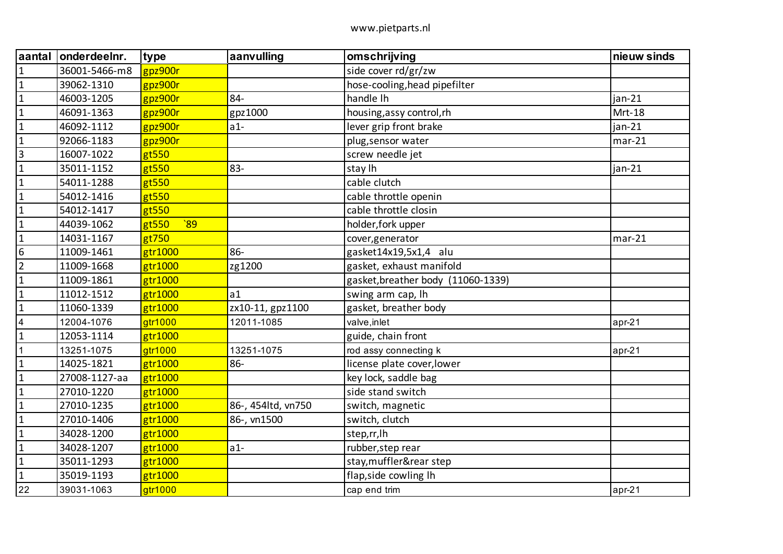| aantal                  | onderdeelnr.  | type                     | aanvulling         | omschrijving                       | nieuw sinds |
|-------------------------|---------------|--------------------------|--------------------|------------------------------------|-------------|
| $\mathbf{1}$            | 36001-5466-m8 | gpz900r                  |                    | side cover rd/gr/zw                |             |
| $\mathbf{1}$            | 39062-1310    | gpz900r                  |                    | hose-cooling, head pipefilter      |             |
| $\mathbf{1}$            | 46003-1205    | $g$ pz900r               | 84-                | handle Ih                          | jan-21      |
| $\mathbf 1$             | 46091-1363    | gpz900r                  | gpz1000            | housing, assy control, rh          | Mrt-18      |
| $\mathbf{1}$            | 46092-1112    | gpz900r                  | $a1-$              | lever grip front brake             | jan-21      |
| $\mathbf{1}$            | 92066-1183    | gpz900r                  |                    | plug, sensor water                 | $mar-21$    |
| $\overline{\mathbf{3}}$ | 16007-1022    | gt550                    |                    | screw needle jet                   |             |
| $\mathbf{1}$            | 35011-1152    | gt550                    | 83-                | stay lh                            | jan-21      |
| $\mathbf{1}$            | 54011-1288    | gt550                    |                    | cable clutch                       |             |
| $\mathbf{1}$            | 54012-1416    | gt550                    |                    | cable throttle openin              |             |
| $\mathbf{1}$            | 54012-1417    | gt550                    |                    | cable throttle closin              |             |
| $\mathbf 1$             | 44039-1062    | $\overline{89}$<br>gt550 |                    | holder, fork upper                 |             |
| $\mathbf{1}$            | 14031-1167    | gt750                    |                    | cover, generator                   | $mar-21$    |
| 6                       | 11009-1461    | gtr1000                  | 86-                | gasket14x19,5x1,4 alu              |             |
| $\overline{2}$          | 11009-1668    | gtr1000                  | zg1200             | gasket, exhaust manifold           |             |
| $\mathbf{1}$            | 11009-1861    | gtr1000                  |                    | gasket, breather body (11060-1339) |             |
| $\mathbf{1}$            | 11012-1512    | gtr1000                  | a1                 | swing arm cap, lh                  |             |
| $\mathbf 1$             | 11060-1339    | gtr1000                  | zx10-11, gpz1100   | gasket, breather body              |             |
| $\overline{4}$          | 12004-1076    | gtr1000                  | 12011-1085         | valve, inlet                       | $apr-21$    |
| $\mathbf{1}$            | 12053-1114    | gtr1000                  |                    | guide, chain front                 |             |
| 1                       | 13251-1075    | gtr1000                  | 13251-1075         | rod assy connecting k              | $apr-21$    |
| $\mathbf{1}$            | 14025-1821    | gtr1000                  | 86-                | license plate cover, lower         |             |
| $\mathbf{1}$            | 27008-1127-aa | gtr1000                  |                    | key lock, saddle bag               |             |
| $\mathbf{1}$            | 27010-1220    | gtr1000                  |                    | side stand switch                  |             |
| $\mathbf{1}$            | 27010-1235    | gtr1000                  | 86-, 454ltd, vn750 | switch, magnetic                   |             |
| $\mathbf{1}$            | 27010-1406    | gtr1000                  | 86-, vn1500        | switch, clutch                     |             |
| $\mathbf{1}$            | 34028-1200    | gtr1000                  |                    | step,rr, lh                        |             |
| $\mathbf{1}$            | 34028-1207    | gtr1000                  | $a1-$              | rubber, step rear                  |             |
| $\mathbf{1}$            | 35011-1293    | gtr1000                  |                    | stay, muffler&rear step            |             |
| $\mathbf{1}$            | 35019-1193    | gtr1000                  |                    | flap, side cowling lh              |             |
| 22                      | 39031-1063    | gtr1000                  |                    | cap end trim                       | $apr-21$    |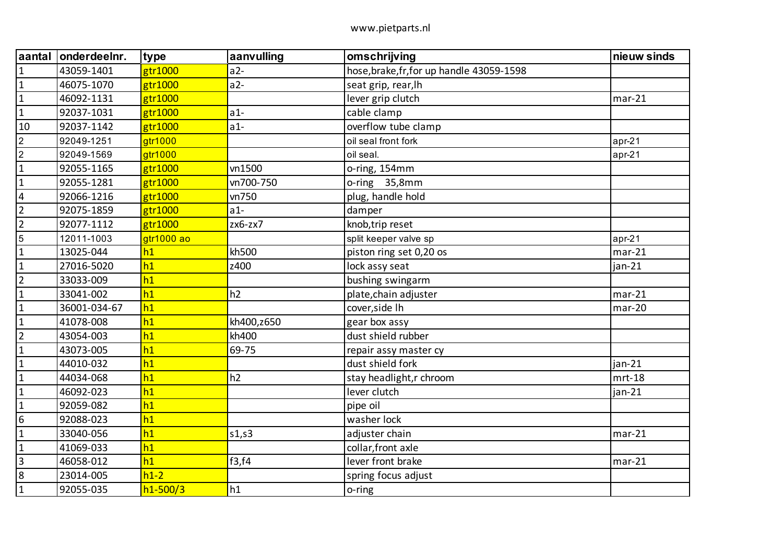| aantal           | onderdeelnr. | type         | aanvulling | omschrijving                              | nieuw sinds |
|------------------|--------------|--------------|------------|-------------------------------------------|-------------|
| $\mathbf{1}$     | 43059-1401   | gtr1000      | $a2-$      | hose, brake, fr, for up handle 43059-1598 |             |
| $\mathbf 1$      | 46075-1070   | gtr1000      | $a2-$      | seat grip, rear, lh                       |             |
| $\mathbf{1}$     | 46092-1131   | gtr1000      |            | lever grip clutch                         | $mar-21$    |
| $\mathbf 1$      | 92037-1031   | gtr1000      | $a1-$      | cable clamp                               |             |
| 10               | 92037-1142   | gtr1000      | $a1-$      | overflow tube clamp                       |             |
| $\overline{2}$   | 92049-1251   | gtr1000      |            | oil seal front fork                       | $apr-21$    |
| $\boldsymbol{2}$ | 92049-1569   | gtr1000      |            | oil seal.                                 | $apr-21$    |
| $\mathbf{1}$     | 92055-1165   | gtr1000      | vn1500     | o-ring, 154mm                             |             |
| $\mathbf 1$      | 92055-1281   | gtr1000      | vn700-750  | o-ring 35,8mm                             |             |
| $\overline{4}$   | 92066-1216   | gtr1000      | vn750      | plug, handle hold                         |             |
| $\overline{2}$   | 92075-1859   | gtr1000      | $a1-$      | damper                                    |             |
| $\overline{2}$   | 92077-1112   | gtr1000      | $zx6-zx7$  | knob, trip reset                          |             |
| 5                | 12011-1003   | gtr1000 ao   |            | split keeper valve sp                     | $apr-21$    |
| $\mathbf{1}$     | 13025-044    | h1           | kh500      | piston ring set 0,20 os                   | $mar-21$    |
| $\mathbf{1}$     | 27016-5020   | h1           | z400       | lock assy seat                            | jan-21      |
| $\overline{2}$   | 33033-009    | h1           |            | bushing swingarm                          |             |
| $\mathbf{1}$     | 33041-002    | h1           | h2         | plate, chain adjuster                     | $mar-21$    |
| $\mathbf 1$      | 36001-034-67 | h1           |            | cover, side Ih                            | $mar-20$    |
| $\mathbf{1}$     | 41078-008    | h1           | kh400,z650 | gear box assy                             |             |
| $\overline{2}$   | 43054-003    | h1           | kh400      | dust shield rubber                        |             |
| $1\,$            | 43073-005    | h1           | 69-75      | repair assy master cy                     |             |
| $\mathbf{1}$     | 44010-032    | h1           |            | dust shield fork                          | $jan-21$    |
| $\mathbf{1}$     | 44034-068    | h1           | h2         | stay headlight, r chroom                  | $mrt-18$    |
| $\mathbf 1$      | 46092-023    | h1           |            | lever clutch                              | jan-21      |
| $\mathbf{1}$     | 92059-082    | h1           |            | pipe oil                                  |             |
| $\boldsymbol{6}$ | 92088-023    | h1           |            | washer lock                               |             |
| $1\,$            | 33040-056    | h1           | s1,s3      | adjuster chain                            | $mar-21$    |
| $\mathbf 1$      | 41069-033    | h1           |            | collar, front axle                        |             |
| $\vert$ 3        | 46058-012    | h1           | f3,f4      | lever front brake                         | $mar-21$    |
| $\infty$         | 23014-005    | $h1-2$       |            | spring focus adjust                       |             |
| $\mathbf 1$      | 92055-035    | $h1 - 500/3$ | h1         | o-ring                                    |             |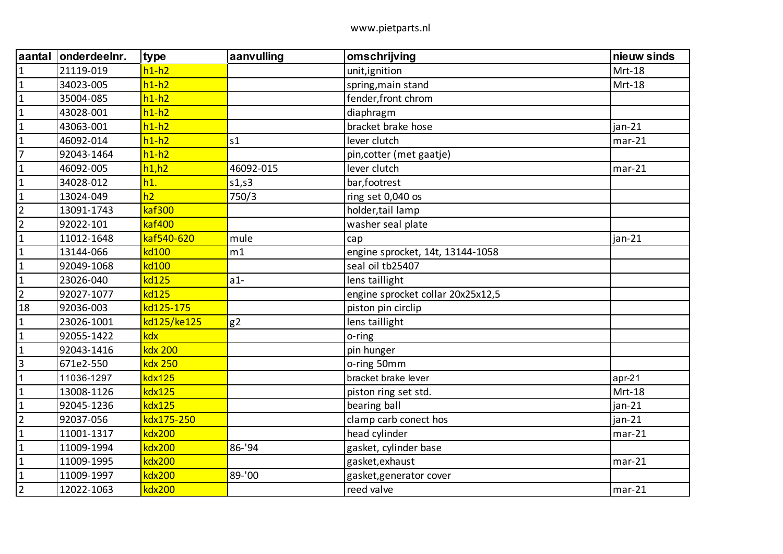| aantal         | onderdeelnr. | type           | aanvulling | omschrijving                      | nieuw sinds |
|----------------|--------------|----------------|------------|-----------------------------------|-------------|
| $\mathbf{1}$   | 21119-019    | $h1-h2$        |            | unit, ignition                    | Mrt-18      |
| $\overline{1}$ | 34023-005    | $h1-h2$        |            | spring, main stand                | Mrt-18      |
| $\vert$ 1      | 35004-085    | $h1-h2$        |            | fender, front chrom               |             |
| $\mathbf{1}$   | 43028-001    | $h1-h2$        |            | diaphragm                         |             |
| $\overline{1}$ | 43063-001    | $h1-h2$        |            | bracket brake hose                | $jan-21$    |
| $\mathbf{1}$   | 46092-014    | $h1-h2$        | s1         | lever clutch                      | $mar-21$    |
| $\overline{7}$ | 92043-1464   | $h1-h2$        |            | pin, cotter (met gaatje)          |             |
| $\vert$ 1      | 46092-005    | h1,h2          | 46092-015  | lever clutch                      | $mar-21$    |
| $\mathbf{1}$   | 34028-012    | h1.            | s1,s3      | bar, footrest                     |             |
| $\vert$ 1      | 13024-049    | h2             | 750/3      | ring set 0,040 os                 |             |
| $\overline{2}$ | 13091-1743   | kaf300         |            | holder,tail lamp                  |             |
| $\overline{2}$ | 92022-101    | kaf400         |            | washer seal plate                 |             |
| $\mathbf{1}$   | 11012-1648   | kaf540-620     | mule       | cap                               | jan-21      |
| $\overline{1}$ | 13144-066    | kd100          | m1         | engine sprocket, 14t, 13144-1058  |             |
| $\vert$ 1      | 92049-1068   | kd100          |            | seal oil tb25407                  |             |
| $\vert$ 1      | 23026-040    | kd125          | $a1-$      | lens taillight                    |             |
| $\overline{2}$ | 92027-1077   | kd125          |            | engine sprocket collar 20x25x12,5 |             |
| 18             | 92036-003    | kd125-175      |            | piston pin circlip                |             |
| $\mathbf{1}$   | 23026-1001   | kd125/ke125    | g2         | lens taillight                    |             |
| $\vert$ 1      | 92055-1422   | kdx            |            | o-ring                            |             |
| $\vert$ 1      | 92043-1416   | kdx 200        |            | pin hunger                        |             |
| 3              | 671e2-550    | <b>kdx 250</b> |            | o-ring 50mm                       |             |
| $\overline{1}$ | 11036-1297   | kdx125         |            | bracket brake lever               | $apr-21$    |
| $\mathbf{1}$   | 13008-1126   | $kdx$ 125      |            | piston ring set std.              | Mrt-18      |
| $\mathbf{1}$   | 92045-1236   | kdx125         |            | bearing ball                      | $jan-21$    |
| $\overline{2}$ | 92037-056    | kdx175-250     |            | clamp carb conect hos             | $jan-21$    |
| $\mathbf{1}$   | 11001-1317   | <b>kdx200</b>  |            | head cylinder                     | $mar-21$    |
| $\mathbf{1}$   | 11009-1994   | <b>kdx200</b>  | 86-'94     | gasket, cylinder base             |             |
| $\vert$ 1      | 11009-1995   | <b>kdx200</b>  |            | gasket, exhaust                   | $mar-21$    |
| $\mathbf{1}$   | 11009-1997   | <b>kdx200</b>  | 89-'00     | gasket, generator cover           |             |
| $\overline{2}$ | 12022-1063   | <b>kdx200</b>  |            | reed valve                        | $mar-21$    |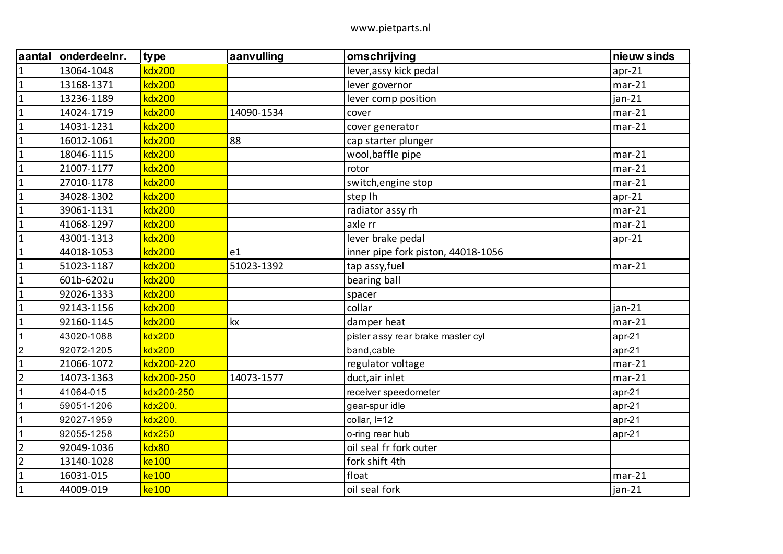| <b>aantal</b>  | onderdeelnr. | type          | aanvulling | omschrijving                       | nieuw sinds |
|----------------|--------------|---------------|------------|------------------------------------|-------------|
| $\overline{1}$ | 13064-1048   | kdx200        |            | lever, assy kick pedal             | $apr-21$    |
| $\overline{1}$ | 13168-1371   | kdx200        |            | lever governor                     | $mar-21$    |
| $\vert$ 1      | 13236-1189   | <b>kdx200</b> |            | lever comp position                | $jan-21$    |
| $\mathbf{1}$   | 14024-1719   | kdx200        | 14090-1534 | cover                              | $mar-21$    |
| $\overline{1}$ | 14031-1231   | kdx200        |            | cover generator                    | $mar-21$    |
| $\overline{1}$ | 16012-1061   | <b>kdx200</b> | 88         | cap starter plunger                |             |
| $\mathbf{1}$   | 18046-1115   | <b>kdx200</b> |            | wool, baffle pipe                  | $mar-21$    |
| $\mathbf{1}$   | 21007-1177   | <b>kdx200</b> |            | rotor                              | $mar-21$    |
| $\overline{1}$ | 27010-1178   | <b>kdx200</b> |            | switch, engine stop                | $mar-21$    |
| $\mathbf{1}$   | 34028-1302   | kdx200        |            | step lh                            | $apr-21$    |
| $\mathbf{1}$   | 39061-1131   | kdx200        |            | radiator assy rh                   | $mar-21$    |
| $\overline{1}$ | 41068-1297   | <b>kdx200</b> |            | axle rr                            | $mar-21$    |
| $\overline{1}$ | 43001-1313   | <b>kdx200</b> |            | lever brake pedal                  | $apr-21$    |
| $\mathbf{1}$   | 44018-1053   | <b>kdx200</b> | e1         | inner pipe fork piston, 44018-1056 |             |
| $\overline{1}$ | 51023-1187   | <b>kdx200</b> | 51023-1392 | tap assy, fuel                     | $mar-21$    |
| $\overline{1}$ | 601b-6202u   | kdx200        |            | bearing ball                       |             |
| $\mathbf{1}$   | 92026-1333   | kdx200        |            | spacer                             |             |
| $\overline{1}$ | 92143-1156   | <b>kdx200</b> |            | collar                             | $jan-21$    |
| $\overline{1}$ | 92160-1145   | <b>kdx200</b> | kχ         | damper heat                        | $mar-21$    |
| $\overline{1}$ | 43020-1088   | kdx200        |            | pister assy rear brake master cyl  | $apr-21$    |
| $\overline{2}$ | 92072-1205   | kdx200        |            | band, cable                        | $apr-21$    |
| $\overline{1}$ | 21066-1072   | kdx200-220    |            | regulator voltage                  | $mar-21$    |
| $\overline{2}$ | 14073-1363   | kdx200-250    | 14073-1577 | duct, air inlet                    | $mar-21$    |
| $\overline{1}$ | 41064-015    | kdx200-250    |            | receiver speedometer               | $apr-21$    |
| $\overline{1}$ | 59051-1206   | kdx200.       |            | gear-spur idle                     | $apr-21$    |
| $\overline{1}$ | 92027-1959   | kdx200.       |            | collar, I=12                       | $apr-21$    |
| $\overline{1}$ | 92055-1258   | kdx250        |            | o-ring rear hub                    | $apr-21$    |
| $\overline{2}$ | 92049-1036   | kdx80         |            | oil seal fr fork outer             |             |
| $\overline{2}$ | 13140-1028   | ke100         |            | fork shift 4th                     |             |
| $\overline{1}$ | 16031-015    | ke100         |            | float                              | $mar-21$    |
| $\mathbf{1}$   | 44009-019    | ke100         |            | oil seal fork                      | $jan-21$    |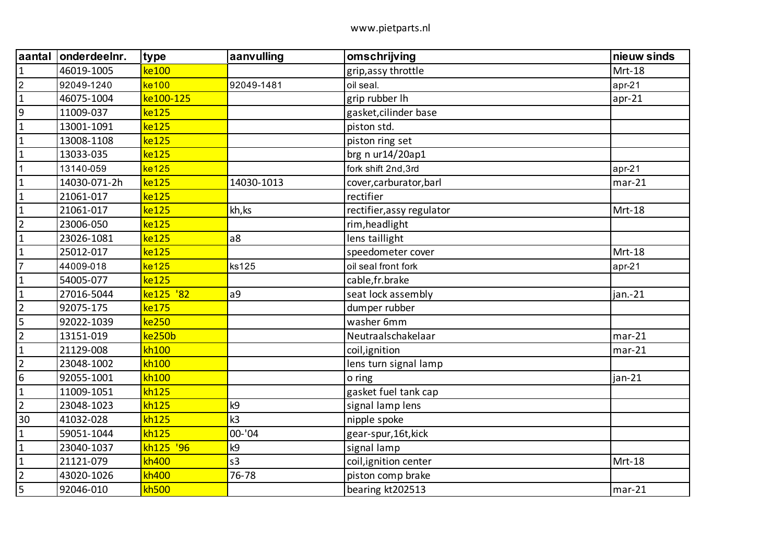| aantal           | onderdeelnr. | type      | aanvulling     | omschrijving              | nieuw sinds |
|------------------|--------------|-----------|----------------|---------------------------|-------------|
| $\mathbf{1}$     | 46019-1005   | ke100     |                | grip, assy throttle       | Mrt-18      |
| $\overline{2}$   | 92049-1240   | ke100     | 92049-1481     | oil seal.                 | $apr-21$    |
| $\mathbf{1}$     | 46075-1004   | ke100-125 |                | grip rubber lh            | $apr-21$    |
| $9\,$            | 11009-037    | ke125     |                | gasket, cilinder base     |             |
| $\mathbf{1}$     | 13001-1091   | ke125     |                | piston std.               |             |
| $\mathbf{1}$     | 13008-1108   | ke125     |                | piston ring set           |             |
| $\mathbf{1}$     | 13033-035    | ke125     |                | brg n ur14/20ap1          |             |
| $\mathbf{1}$     | 13140-059    | ke125     |                | fork shift 2nd, 3rd       | $apr-21$    |
| $\mathbf{1}$     | 14030-071-2h | ke125     | 14030-1013     | cover, carburator, barl   | $mar-21$    |
| $\mathbf{1}$     | 21061-017    | ke125     |                | rectifier                 |             |
| $\mathbf 1$      | 21061-017    | ke125     | kh, ks         | rectifier, assy regulator | Mrt-18      |
| $\overline{2}$   | 23006-050    | ke125     |                | rim, headlight            |             |
| $\mathbf{1}$     | 23026-1081   | ke125     | a8             | lens taillight            |             |
| $\mathbf{1}$     | 25012-017    | ke125     |                | speedometer cover         | Mrt-18      |
| $\overline{7}$   | 44009-018    | ke125     | ks125          | oil seal front fork       | $apr-21$    |
| $\mathbf{1}$     | 54005-077    | ke125     |                | cable, fr. brake          |             |
| $\mathbf{1}$     | 27016-5044   | ke125 '82 | a9             | seat lock assembly        | jan.-21     |
| $\overline{2}$   | 92075-175    | ke175     |                | dumper rubber             |             |
| 5                | 92022-1039   | ke250     |                | washer 6mm                |             |
| $\overline{2}$   | 13151-019    | ke250b    |                | Neutraalschakelaar        | $mar-21$    |
| $\mathbf{1}$     | 21129-008    | kh100     |                | coil, ignition            | $mar-21$    |
| $\overline{2}$   | 23048-1002   | kh100     |                | lens turn signal lamp     |             |
| $\boldsymbol{6}$ | 92055-1001   | kh100     |                | o ring                    | jan-21      |
| $\mathbf{1}$     | 11009-1051   | kh125     |                | gasket fuel tank cap      |             |
| $\overline{2}$   | 23048-1023   | kh125     | k9             | signal lamp lens          |             |
| 30               | 41032-028    | kh125     | k <sub>3</sub> | nipple spoke              |             |
| $\mathbf 1$      | 59051-1044   | kh125     | 00-'04         | gear-spur, 16t, kick      |             |
| $\mathbf{1}$     | 23040-1037   | kh125 '96 | k9             | signal lamp               |             |
| $\mathbf 1$      | 21121-079    | kh400     | s <sub>3</sub> | coil, ignition center     | Mrt-18      |
| $\overline{2}$   | 43020-1026   | kh400     | 76-78          | piston comp brake         |             |
| 5                | 92046-010    | kh500     |                | bearing kt202513          | $mar-21$    |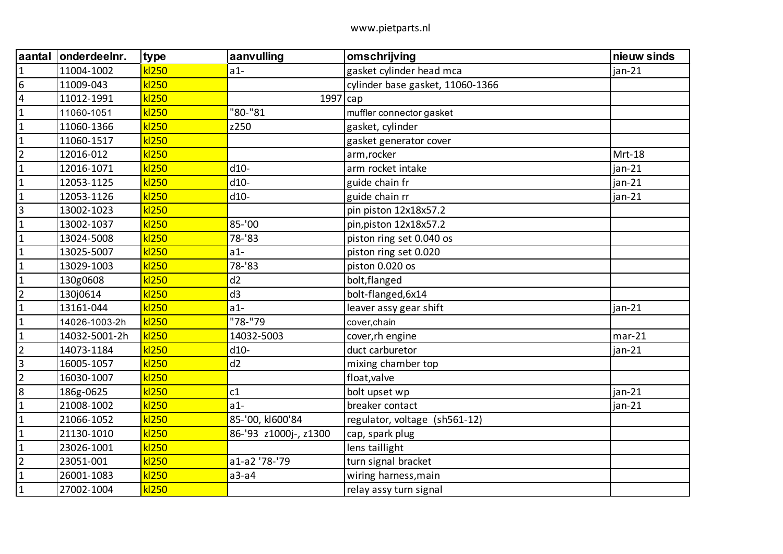| aantal         | onderdeelnr.  | type  | aanvulling            | omschrijving                     | nieuw sinds |
|----------------|---------------|-------|-----------------------|----------------------------------|-------------|
| $\mathbf{1}$   | 11004-1002    | kl250 | $a1-$                 | gasket cylinder head mca         | $jan-21$    |
| $6\,$          | 11009-043     | kl250 |                       | cylinder base gasket, 11060-1366 |             |
| $\overline{4}$ | 11012-1991    | kl250 | $1997$ cap            |                                  |             |
| $\mathbf{1}$   | 11060-1051    | kl250 | "80-"81               | muffler connector gasket         |             |
| $\mathbf{1}$   | 11060-1366    | kl250 | z250                  | gasket, cylinder                 |             |
| $\mathbf{1}$   | 11060-1517    | kl250 |                       | gasket generator cover           |             |
| $\overline{2}$ | 12016-012     | kl250 |                       | arm, rocker                      | Mrt-18      |
| $\mathbf{1}$   | 12016-1071    | kl250 | $d10-$                | arm rocket intake                | jan-21      |
| $\mathbf{1}$   | 12053-1125    | kl250 | $d10-$                | guide chain fr                   | jan-21      |
| $\mathbf{1}$   | 12053-1126    | kl250 | d10-                  | guide chain rr                   | jan-21      |
| $\overline{3}$ | 13002-1023    | kl250 |                       | pin piston 12x18x57.2            |             |
| $\mathbf{1}$   | 13002-1037    | kl250 | 85-'00                | pin, piston 12x18x57.2           |             |
| $\mathbf{1}$   | 13024-5008    | kl250 | 78-'83                | piston ring set 0.040 os         |             |
| $\mathbf{1}$   | 13025-5007    | kl250 | $a1-$                 | piston ring set 0.020            |             |
| $\mathbf{1}$   | 13029-1003    | kl250 | 78-'83                | piston 0.020 os                  |             |
| $\mathbf{1}$   | 130g0608      | kl250 | d2                    | bolt, flanged                    |             |
| $\overline{2}$ | 130j0614      | kl250 | d3                    | bolt-flanged, 6x14               |             |
| $\mathbf{1}$   | 13161-044     | kl250 | $a1-$                 | leaver assy gear shift           | jan-21      |
| $\mathbf{1}$   | 14026-1003-2h | kl250 | "78-"79               | cover, chain                     |             |
| $\mathbf{1}$   | 14032-5001-2h | kl250 | 14032-5003            | cover, rh engine                 | $mar-21$    |
| $\overline{2}$ | 14073-1184    | kl250 | $d10-$                | duct carburetor                  | jan-21      |
| $\overline{3}$ | 16005-1057    | kl250 | d2                    | mixing chamber top               |             |
| $\overline{2}$ | 16030-1007    | kl250 |                       | float, valve                     |             |
| 8              | 186g-0625     | kl250 | c1                    | bolt upset wp                    | jan-21      |
| $\mathbf{1}$   | 21008-1002    | kl250 | $a1-$                 | breaker contact                  | $jan-21$    |
| $\mathbf{1}$   | 21066-1052    | kl250 | 85-'00, kI600'84      | regulator, voltage (sh561-12)    |             |
| $\mathbf{1}$   | 21130-1010    | kl250 | 86-'93 z1000j-, z1300 | cap, spark plug                  |             |
| $\mathbf{1}$   | 23026-1001    | kl250 |                       | lens taillight                   |             |
| $\overline{2}$ | 23051-001     | kl250 | a1-a2 '78-'79         | turn signal bracket              |             |
| $\mathbf 1$    | 26001-1083    | kl250 | $a3-a4$               | wiring harness, main             |             |
| $\mathbf{1}$   | 27002-1004    | kl250 |                       | relay assy turn signal           |             |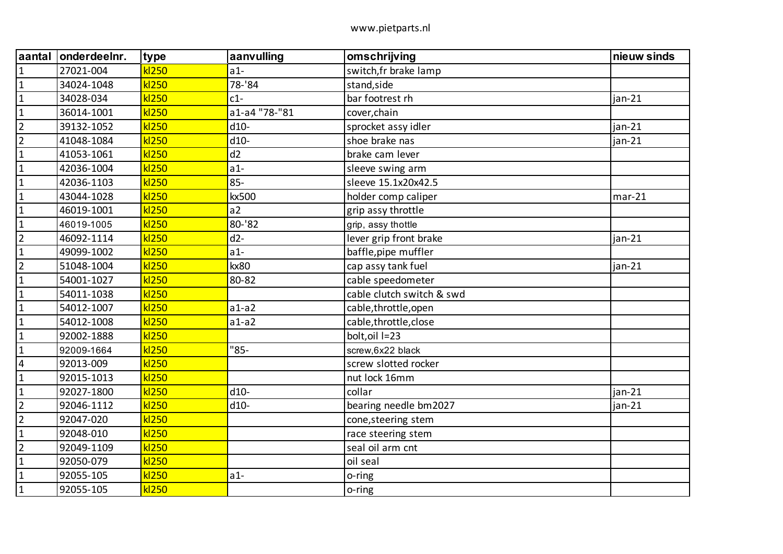| aantal         | onderdeelnr. | type  | aanvulling    | omschrijving              | nieuw sinds |
|----------------|--------------|-------|---------------|---------------------------|-------------|
| $\mathbf{1}$   | 27021-004    | kl250 | $a1-$         | switch, fr brake lamp     |             |
| $\mathbf{1}$   | 34024-1048   | kl250 | 78-'84        | stand, side               |             |
| $\mathbf{1}$   | 34028-034    | kl250 | $c1-$         | bar footrest rh           | $jan-21$    |
| $\mathbf{1}$   | 36014-1001   | kl250 | a1-a4 "78-"81 | cover, chain              |             |
| $\overline{2}$ | 39132-1052   | kl250 | $d10-$        | sprocket assy idler       | $jan-21$    |
| $\overline{2}$ | 41048-1084   | kl250 | $d10-$        | shoe brake nas            | $jan-21$    |
| $\mathbf{1}$   | 41053-1061   | kl250 | d2            | brake cam lever           |             |
| $\mathbf{1}$   | 42036-1004   | kl250 | $a1-$         | sleeve swing arm          |             |
| $\mathbf{1}$   | 42036-1103   | kl250 | $85 -$        | sleeve 15.1x20x42.5       |             |
| $\mathbf{1}$   | 43044-1028   | kl250 | kx500         | holder comp caliper       | $mar-21$    |
| $\mathbf{1}$   | 46019-1001   | kl250 | a2            | grip assy throttle        |             |
| $\mathbf{1}$   | 46019-1005   | kl250 | 80-'82        | grip, assy thottle        |             |
| $\overline{2}$ | 46092-1114   | kl250 | $d2-$         | lever grip front brake    | $jan-21$    |
| $\mathbf{1}$   | 49099-1002   | kl250 | $a1-$         | baffle, pipe muffler      |             |
| $\overline{2}$ | 51048-1004   | kl250 | kx80          | cap assy tank fuel        | $jan-21$    |
| $\mathbf{1}$   | 54001-1027   | kl250 | 80-82         | cable speedometer         |             |
| $\mathbf{1}$   | 54011-1038   | kl250 |               | cable clutch switch & swd |             |
| $\mathbf{1}$   | 54012-1007   | kl250 | $a1-a2$       | cable,throttle,open       |             |
| $\mathbf{1}$   | 54012-1008   | kl250 | $a1-a2$       | cable, throttle, close    |             |
| $\mathbf{1}$   | 92002-1888   | kl250 |               | bolt, oil I=23            |             |
| $\mathbf{1}$   | 92009-1664   | kl250 | $"85-$        | screw, 6x22 black         |             |
| 4              | 92013-009    | kl250 |               | screw slotted rocker      |             |
| $\mathbf{1}$   | 92015-1013   | kl250 |               | nut lock 16mm             |             |
| $\mathbf 1$    | 92027-1800   | kl250 | $d10-$        | collar                    | jan-21      |
| $\overline{2}$ | 92046-1112   | kl250 | $d10-$        | bearing needle bm2027     | $jan-21$    |
| $\overline{2}$ | 92047-020    | kl250 |               | cone, steering stem       |             |
| $\mathbf 1$    | 92048-010    | kl250 |               | race steering stem        |             |
| $\overline{2}$ | 92049-1109   | kl250 |               | seal oil arm cnt          |             |
| $\mathbf{1}$   | 92050-079    | kl250 |               | oil seal                  |             |
| $\mathbf{1}$   | 92055-105    | kl250 | $a1-$         | o-ring                    |             |
| $\mathbf{1}$   | 92055-105    | kl250 |               | o-ring                    |             |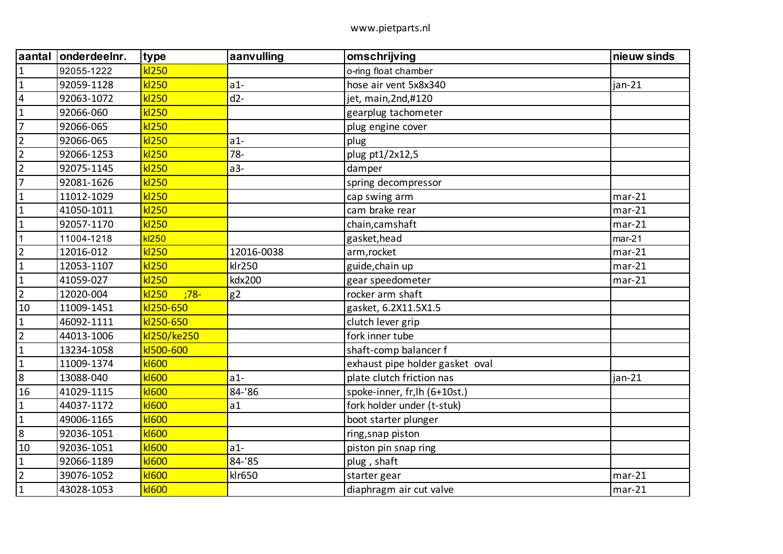| aantal         | onderdeelnr. | type            | aanvulling     | omschrijving                    | nieuw sinds |
|----------------|--------------|-----------------|----------------|---------------------------------|-------------|
| $\mathbf{1}$   | 92055-1222   | kl250           |                | o-ring float chamber            |             |
| $\mathbf{1}$   | 92059-1128   | kl250           | $a1-$          | hose air vent 5x8x340           | jan-21      |
| 4              | 92063-1072   | kl250           | $d2-$          | jet, main, 2nd, #120            |             |
| $\mathbf{1}$   | 92066-060    | kl250           |                | gearplug tachometer             |             |
| $\overline{7}$ | 92066-065    | kl250           |                | plug engine cover               |             |
| $\overline{2}$ | 92066-065    | kl250           | $a1-$          | plug                            |             |
| $\overline{2}$ | 92066-1253   | kl250           | $78 -$         | plug pt1/2x12,5                 |             |
| $\overline{2}$ | 92075-1145   | kl250           | $a3-$          | damper                          |             |
| 7              | 92081-1626   | kl250           |                | spring decompressor             |             |
| $\mathbf{1}$   | 11012-1029   | kl250           |                | cap swing arm                   | $mar-21$    |
| $\mathbf{1}$   | 41050-1011   | kl250           |                | cam brake rear                  | $mar-21$    |
| $\mathbf 1$    | 92057-1170   | kl250           |                | chain, camshaft                 | $mar-21$    |
| $\mathbf{1}$   | 11004-1218   | kl250           |                | gasket, head                    | $mar-21$    |
| $\overline{2}$ | 12016-012    | kl250           | 12016-0038     | arm, rocket                     | $mar-21$    |
| $\mathbf{1}$   | 12053-1107   | kl250           | klr250         | guide, chain up                 | $mar-21$    |
| $\mathbf 1$    | 41059-027    | kl250           | kdx200         | gear speedometer                | $mar-21$    |
| $\overline{2}$ | 12020-004    | kl250<br>$:78-$ | g <sub>2</sub> | rocker arm shaft                |             |
| 10             | 11009-1451   | kl250-650       |                | gasket, 6.2X11.5X1.5            |             |
| $\mathbf{1}$   | 46092-1111   | kl250-650       |                | clutch lever grip               |             |
| $\overline{2}$ | 44013-1006   | kl250/ke250     |                | fork inner tube                 |             |
| $\mathbf 1$    | 13234-1058   | kI500-600       |                | shaft-comp balancer f           |             |
| $\mathbf{1}$   | 11009-1374   | <b>kl600</b>    |                | exhaust pipe holder gasket oval |             |
| 8              | 13088-040    | <b>kl600</b>    | $a1-$          | plate clutch friction nas       | jan-21      |
| 16             | 41029-1115   | <b>kl600</b>    | 84-'86         | spoke-inner, fr, lh (6+10st.)   |             |
| $\mathbf{1}$   | 44037-1172   | <b>kl600</b>    | a1             | fork holder under (t-stuk)      |             |
| $\mathbf 1$    | 49006-1165   | <b>kl600</b>    |                | boot starter plunger            |             |
| $\bf 8$        | 92036-1051   | <b>kl600</b>    |                | ring, snap piston               |             |
| 10             | 92036-1051   | <b>kl600</b>    | $a1-$          | piston pin snap ring            |             |
| $\mathbf{1}$   | 92066-1189   | <b>kl600</b>    | 84-'85         | plug, shaft                     |             |
| $\overline{2}$ | 39076-1052   | kl600           | klr650         | starter gear                    | $mar-21$    |
| $\mathbf 1$    | 43028-1053   | <b>kl600</b>    |                | diaphragm air cut valve         | $mar-21$    |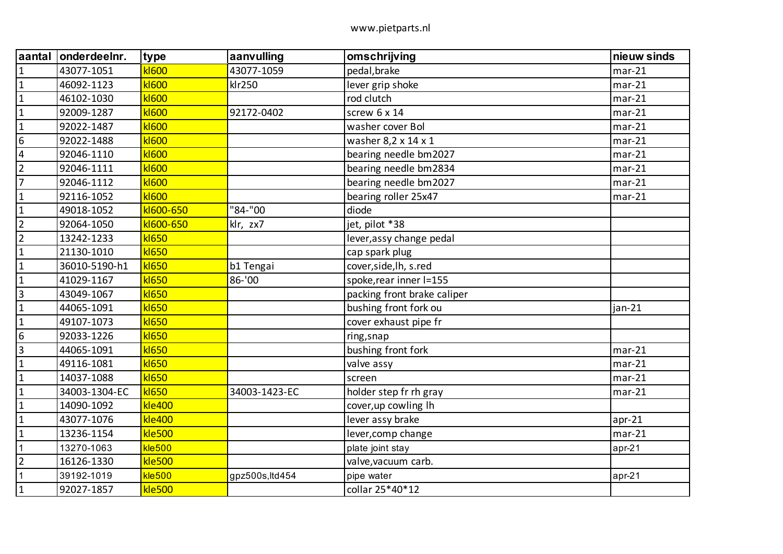| aantal         | onderdeelnr.  | type          | aanvulling     | omschrijving                | nieuw sinds |
|----------------|---------------|---------------|----------------|-----------------------------|-------------|
| $\mathbf{1}$   | 43077-1051    | <b>kl600</b>  | 43077-1059     | pedal, brake                | $mar-21$    |
| $\mathbf{1}$   | 46092-1123    | <b>kl600</b>  | klr250         | lever grip shoke            | $mar-21$    |
| $\mathbf{1}$   | 46102-1030    | <b>kl600</b>  |                | rod clutch                  | $mar-21$    |
| $\mathbf 1$    | 92009-1287    | <b>kl600</b>  | 92172-0402     | screw 6 x 14                | $mar-21$    |
| $\mathbf{1}$   | 92022-1487    | <b>kl600</b>  |                | washer cover Bol            | $mar-21$    |
| 6              | 92022-1488    | <b>kl600</b>  |                | washer 8,2 x 14 x 1         | $mar-21$    |
| $\overline{4}$ | 92046-1110    | <b>kl600</b>  |                | bearing needle bm2027       | $mar-21$    |
| $\overline{2}$ | 92046-1111    | <b>kl600</b>  |                | bearing needle bm2834       | $mar-21$    |
| $\overline{7}$ | 92046-1112    | <b>kl600</b>  |                | bearing needle bm2027       | $mar-21$    |
| $\mathbf 1$    | 92116-1052    | <b>kl600</b>  |                | bearing roller 25x47        | $mar-21$    |
| $\mathbf{1}$   | 49018-1052    | kI600-650     | "84-"00        | diode                       |             |
| $\overline{2}$ | 92064-1050    | kI600-650     | klr, zx7       | jet, pilot *38              |             |
| $\overline{2}$ | 13242-1233    | kl650         |                | lever, assy change pedal    |             |
| $\mathbf{1}$   | 21130-1010    | <b>kl650</b>  |                | cap spark plug              |             |
| $\mathbf{1}$   | 36010-5190-h1 | <b>kl650</b>  | b1 Tengai      | cover, side, lh, s.red      |             |
| $\overline{1}$ | 41029-1167    | <b>kl650</b>  | 86-'00         | spoke, rear inner I=155     |             |
| $\overline{3}$ | 43049-1067    | <b>kl650</b>  |                | packing front brake caliper |             |
| $\mathbf{1}$   | 44065-1091    | kl650         |                | bushing front fork ou       | $jan-21$    |
| $\mathbf{1}$   | 49107-1073    | <b>kl650</b>  |                | cover exhaust pipe fr       |             |
| $6\,$          | 92033-1226    | kl650         |                | ring, snap                  |             |
| $\overline{3}$ | 44065-1091    | kl650         |                | bushing front fork          | $mar-21$    |
| $\mathbf{1}$   | 49116-1081    | <b>kl650</b>  |                | valve assy                  | $mar-21$    |
| $\mathbf{1}$   | 14037-1088    | <b>kl650</b>  |                | screen                      | $mar-21$    |
| $\mathbf{1}$   | 34003-1304-EC | <b>kl650</b>  | 34003-1423-EC  | holder step fr rh gray      | $mar-21$    |
| $\mathbf{1}$   | 14090-1092    | kle400        |                | cover, up cowling lh        |             |
| $\mathbf{1}$   | 43077-1076    | kle400        |                | lever assy brake            | $apr-21$    |
| $\mathbf{1}$   | 13236-1154    | kle500        |                | lever, comp change          | $mar-21$    |
| $\mathbf{1}$   | 13270-1063    | <b>kle500</b> |                | plate joint stay            | $apr-21$    |
| $\overline{2}$ | 16126-1330    | <b>kle500</b> |                | valve, vacuum carb.         |             |
| $\mathbf 1$    | 39192-1019    | $kle$ 500     | gpz500s,ltd454 | pipe water                  | $apr-21$    |
| $\mathbf{1}$   | 92027-1857    | <b>kle500</b> |                | collar 25*40*12             |             |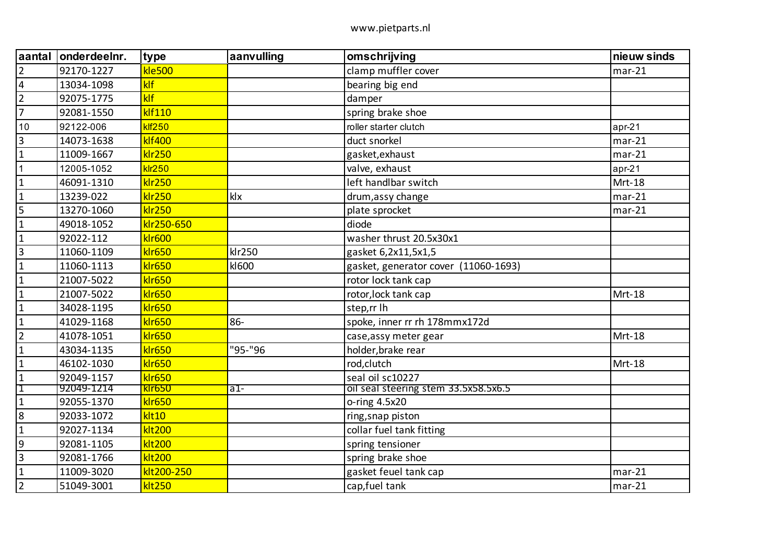| aantal         | onderdeelnr. | type          | aanvulling | omschrijving                         | nieuw sinds |
|----------------|--------------|---------------|------------|--------------------------------------|-------------|
| $\overline{2}$ | 92170-1227   | <b>kle500</b> |            | clamp muffler cover                  | $mar-21$    |
| $\overline{4}$ | 13034-1098   | klf           |            | bearing big end                      |             |
| $\overline{2}$ | 92075-1775   | klf           |            | damper                               |             |
| $\overline{7}$ | 92081-1550   | klf110        |            | spring brake shoe                    |             |
| 10             | 92122-006    | <b>klf250</b> |            | roller starter clutch                | $apr-21$    |
| 3              | 14073-1638   | <b>klf400</b> |            | duct snorkel                         | $mar-21$    |
| $\mathbf{1}$   | 11009-1667   | <b>klr250</b> |            | gasket, exhaust                      | $mar-21$    |
| $\mathbf{1}$   | 12005-1052   | $k$ Ir $250$  |            | valve, exhaust                       | $apr-21$    |
| $\mathbf{1}$   | 46091-1310   | <b>klr250</b> |            | left handlbar switch                 | Mrt-18      |
| $\mathbf{1}$   | 13239-022    | <b>klr250</b> | klx        | drum, assy change                    | $mar-21$    |
| 5              | 13270-1060   | klr250        |            | plate sprocket                       | $mar-21$    |
| $\mathbf{1}$   | 49018-1052   | klr250-650    |            | diode                                |             |
| $\mathbf{1}$   | 92022-112    | <b>klr600</b> |            | washer thrust 20.5x30x1              |             |
| $\overline{3}$ | 11060-1109   | <b>klr650</b> | klr250     | gasket 6,2x11,5x1,5                  |             |
| $\mathbf{1}$   | 11060-1113   | <b>klr650</b> | kI600      | gasket, generator cover (11060-1693) |             |
| $\mathbf{1}$   | 21007-5022   | <b>klr650</b> |            | rotor lock tank cap                  |             |
| $\mathbf{1}$   | 21007-5022   | <b>klr650</b> |            | rotor, lock tank cap                 | Mrt-18      |
| $\mathbf{1}$   | 34028-1195   | <b>klr650</b> |            | step,rr lh                           |             |
| $\mathbf{1}$   | 41029-1168   | <b>klr650</b> | $86 -$     | spoke, inner rr rh 178mmx172d        |             |
| $\overline{2}$ | 41078-1051   | <b>klr650</b> |            | case, assy meter gear                | Mrt-18      |
| $\mathbf{1}$   | 43034-1135   | <b>klr650</b> | "95-"96    | holder, brake rear                   |             |
| $\mathbf{1}$   | 46102-1030   | <b>klr650</b> |            | rod,clutch                           | Mrt-18      |
| $\mathbf{1}$   | 92049-1157   | <b>klr650</b> |            | seal oil sc10227                     |             |
| Ί              | 92049-1214   | <b>kir650</b> | $a1-$      | oil seal steering stem 33.5x58.5x6.5 |             |
| $\mathbf{1}$   | 92055-1370   | <b>klr650</b> |            | o-ring 4.5x20                        |             |
| 8              | 92033-1072   | klt10         |            | ring, snap piston                    |             |
| $\mathbf{1}$   | 92027-1134   | <b>klt200</b> |            | collar fuel tank fitting             |             |
| $9\,$          | 92081-1105   | <b>klt200</b> |            | spring tensioner                     |             |
| $\overline{3}$ | 92081-1766   | <b>klt200</b> |            | spring brake shoe                    |             |
| $\mathbf{1}$   | 11009-3020   | klt200-250    |            | gasket feuel tank cap                | $mar-21$    |
| $\overline{2}$ | 51049-3001   | <b>klt250</b> |            | cap, fuel tank                       | $mar-21$    |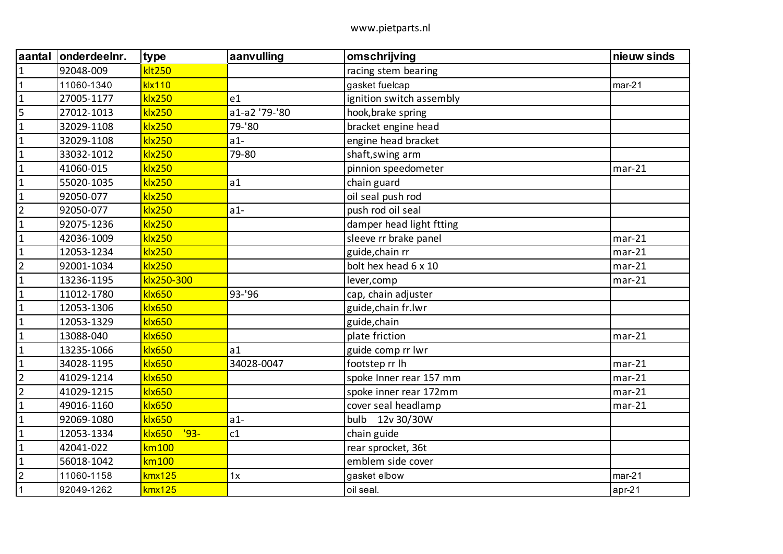| aantal         | onderdeelnr. | type                    | aanvulling    | omschrijving             | nieuw sinds |
|----------------|--------------|-------------------------|---------------|--------------------------|-------------|
| $\mathbf{1}$   | 92048-009    | <b>klt250</b>           |               | racing stem bearing      |             |
| $\mathbf{1}$   | 11060-1340   | <b>klx110</b>           |               | gasket fuelcap           | $mar-21$    |
| $\mathbf{1}$   | 27005-1177   | <b>klx250</b>           | e1            | ignition switch assembly |             |
| 5              | 27012-1013   | <b>klx250</b>           | a1-a2 '79-'80 | hook, brake spring       |             |
| $\mathbf{1}$   | 32029-1108   | <b>klx250</b>           | 79-'80        | bracket engine head      |             |
| $\mathbf{1}$   | 32029-1108   | <b>klx250</b>           | $a1-$         | engine head bracket      |             |
| $\mathbf{1}$   | 33032-1012   | <b>klx250</b>           | 79-80         | shaft, swing arm         |             |
| $\mathbf 1$    | 41060-015    | <b>klx250</b>           |               | pinnion speedometer      | $mar-21$    |
| $\mathbf{1}$   | 55020-1035   | <b>klx250</b>           | a1            | chain guard              |             |
| $\mathbf{1}$   | 92050-077    | <b>klx250</b>           |               | oil seal push rod        |             |
| $\overline{2}$ | 92050-077    | <b>klx250</b>           | $a1-$         | push rod oil seal        |             |
| $\mathbf{1}$   | 92075-1236   | <b>klx250</b>           |               | damper head light ftting |             |
| $\mathbf{1}$   | 42036-1009   | <b>klx250</b>           |               | sleeve rr brake panel    | $mar-21$    |
| $\mathbf{1}$   | 12053-1234   | <b>klx250</b>           |               | guide, chain rr          | $mar-21$    |
| $\overline{2}$ | 92001-1034   | <b>klx250</b>           |               | bolt hex head 6 x 10     | $mar-21$    |
| $\mathbf{1}$   | 13236-1195   | klx250-300              |               | lever, comp              | $mar-21$    |
| $\mathbf{1}$   | 11012-1780   | <b>klx650</b>           | 93-'96        | cap, chain adjuster      |             |
| $\mathbf{1}$   | 12053-1306   | <b>klx650</b>           |               | guide, chain fr. lwr     |             |
| $\mathbf{1}$   | 12053-1329   | <b>klx650</b>           |               | guide, chain             |             |
| $\mathbf{1}$   | 13088-040    | <b>klx650</b>           |               | plate friction           | $mar-21$    |
| $\mathbf{1}$   | 13235-1066   | <b>klx650</b>           | a1            | guide comp rr Iwr        |             |
| $\mathbf{1}$   | 34028-1195   | <b>klx650</b>           | 34028-0047    | footstep rr Ih           | $mar-21$    |
| $\overline{2}$ | 41029-1214   | <b>klx650</b>           |               | spoke Inner rear 157 mm  | $mar-21$    |
| $\overline{2}$ | 41029-1215   | <b>klx650</b>           |               | spoke inner rear 172mm   | $mar-21$    |
| $\mathbf{1}$   | 49016-1160   | <b>klx650</b>           |               | cover seal headlamp      | $mar-21$    |
| $\mathbf{1}$   | 92069-1080   | <b>klx650</b>           | $a1-$         | bulb 12v 30/30W          |             |
| $\mathbf{1}$   | 12053-1334   | $'93-$<br><b>klx650</b> | c1            | chain guide              |             |
| $\mathbf{1}$   | 42041-022    | km100                   |               | rear sprocket, 36t       |             |
| $\mathbf{1}$   | 56018-1042   | km100                   |               | emblem side cover        |             |
| $\overline{2}$ | 11060-1158   | kmx125                  | 1x            | gasket elbow             | $mar-21$    |
|                | 92049-1262   | kmx125                  |               | oil seal.                | apr-21      |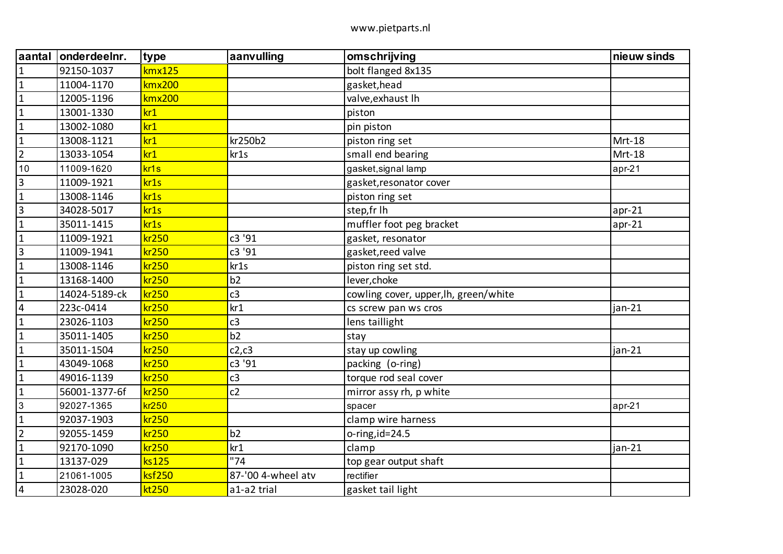| aantal                  | onderdeelnr.  | type             | aanvulling         | omschrijving                          | nieuw sinds |
|-------------------------|---------------|------------------|--------------------|---------------------------------------|-------------|
| $\mathbf{1}$            | 92150-1037    | kmx125           |                    | bolt flanged 8x135                    |             |
| $\mathbf 1$             | 11004-1170    | kmx200           |                    | gasket, head                          |             |
| $\mathbf{1}$            | 12005-1196    | kmx200           |                    | valve, exhaust Ih                     |             |
| $\mathbf{1}$            | 13001-1330    | kr1              |                    | piston                                |             |
| $\mathbf{1}$            | 13002-1080    | kr1              |                    | pin piston                            |             |
| $\mathbf{1}$            | 13008-1121    | kr1              | kr250b2            | piston ring set                       | Mrt-18      |
| $\overline{2}$          | 13033-1054    | kr1              | kr1s               | small end bearing                     | Mrt-18      |
| 10                      | 11009-1620    | kr <sub>1s</sub> |                    | gasket, signal lamp                   | apr-21      |
| $\overline{3}$          | 11009-1921    | kr1s             |                    | gasket, resonator cover               |             |
| $\mathbf{1}$            | 13008-1146    | kr1s             |                    | piston ring set                       |             |
| $\overline{3}$          | 34028-5017    | kr1s             |                    | step,fr lh                            | $apr-21$    |
| $\mathbf 1$             | 35011-1415    | kr1s             |                    | muffler foot peg bracket              | $apr-21$    |
| $\mathbf{1}$            | 11009-1921    | kr250            | c3 '91             | gasket, resonator                     |             |
| $\overline{\mathbf{3}}$ | 11009-1941    | kr250            | c3 '91             | gasket, reed valve                    |             |
| $\mathbf{1}$            | 13008-1146    | kr250            | kr1s               | piston ring set std.                  |             |
| $\mathbf{1}$            | 13168-1400    | kr250            | b2                 | lever, choke                          |             |
| $\mathbf{1}$            | 14024-5189-ck | kr250            | c3                 | cowling cover, upper, Ih, green/white |             |
| $\overline{4}$          | 223c-0414     | kr250            | kr1                | cs screw pan ws cros                  | $jan-21$    |
| $\mathbf{1}$            | 23026-1103    | kr250            | c3                 | lens taillight                        |             |
| $\mathbf{1}$            | 35011-1405    | kr250            | b2                 | stay                                  |             |
| $\mathbf{1}$            | 35011-1504    | kr250            | c2,c3              | stay up cowling                       | jan-21      |
| $\mathbf{1}$            | 43049-1068    | kr250            | c3 '91             | packing (o-ring)                      |             |
| $\mathbf{1}$            | 49016-1139    | kr250            | c3                 | torque rod seal cover                 |             |
| $\mathbf{1}$            | 56001-1377-6f | kr250            | c2                 | mirror assy rh, p white               |             |
| $\mathbf{3}$            | 92027-1365    | kr250            |                    | spacer                                | apr-21      |
| $\mathbf 1$             | 92037-1903    | kr250            |                    | clamp wire harness                    |             |
| $\overline{2}$          | 92055-1459    | kr250            | b2                 | o-ring,id=24.5                        |             |
| $\mathbf{1}$            | 92170-1090    | kr250            | kr1                | clamp                                 | $jan-21$    |
| $\mathbf{1}$            | 13137-029     | ks125            | "74"               | top gear output shaft                 |             |
| $\mathbf{1}$            | 21061-1005    | ksf250           | 87-'00 4-wheel atv | rectifier                             |             |
| 4                       | 23028-020     | kt250            | a1-a2 trial        | gasket tail light                     |             |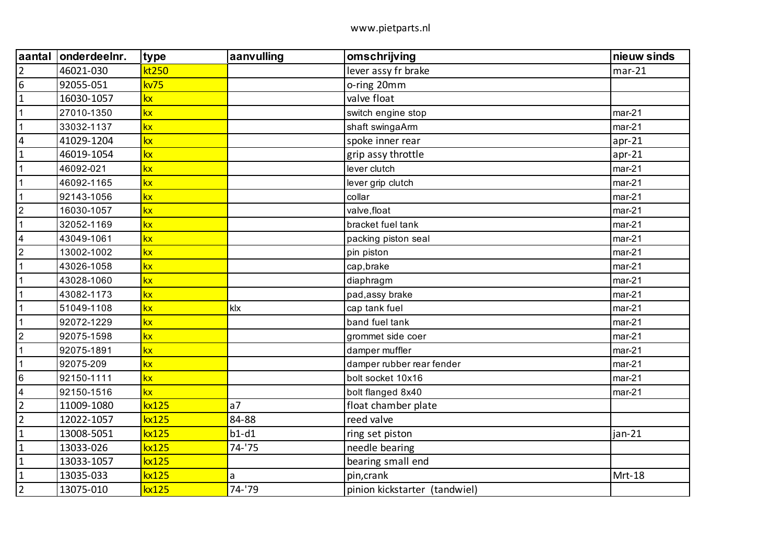| aantal                  | onderdeelnr. | type  | aanvulling     | omschrijving                  | nieuw sinds |
|-------------------------|--------------|-------|----------------|-------------------------------|-------------|
| $\overline{2}$          | 46021-030    | kt250 |                | lever assy fr brake           | $mar-21$    |
| 6                       | 92055-051    | kv75  |                | o-ring 20mm                   |             |
| $\mathbf{1}$            | 16030-1057   | kx    |                | valve float                   |             |
| $\mathbf 1$             | 27010-1350   | kx    |                | switch engine stop            | $mar-21$    |
| $\mathbf{1}$            | 33032-1137   | kx    |                | shaft swingaArm               | $mar-21$    |
| $\overline{4}$          | 41029-1204   | kx    |                | spoke inner rear              | $apr-21$    |
| $\mathbf 1$             | 46019-1054   | kx    |                | grip assy throttle            | $apr-21$    |
| $\mathbf{1}$            | 46092-021    | kx    |                | lever clutch                  | $mar-21$    |
|                         | 46092-1165   | kx    |                | lever grip clutch             | $mar-21$    |
| $\mathbf 1$             | 92143-1056   | kx    |                | collar                        | $mar-21$    |
| $\overline{2}$          | 16030-1057   | kx    |                | valve, float                  | $mar-21$    |
| $\overline{1}$          | 32052-1169   | kx    |                | bracket fuel tank             | $mar-21$    |
| $\overline{4}$          | 43049-1061   | kx    |                | packing piston seal           | $mar-21$    |
| $\overline{2}$          | 13002-1002   | kx    |                | pin piston                    | $mar-21$    |
| $\overline{1}$          | 43026-1058   | kx    |                | cap, brake                    | $mar-21$    |
| $\mathbf 1$             | 43028-1060   | kx    |                | diaphragm                     | $mar-21$    |
| $\mathbf 1$             | 43082-1173   | kx    |                | pad, assy brake               | $mar-21$    |
| $\overline{1}$          | 51049-1108   | kx    | klx            | cap tank fuel                 | $mar-21$    |
| 1                       | 92072-1229   | kx    |                | band fuel tank                | $mar-21$    |
| $\overline{2}$          | 92075-1598   | kx    |                | grommet side coer             | $mar-21$    |
| $\overline{1}$          | 92075-1891   | kx    |                | damper muffler                | $mar-21$    |
| $\mathbf 1$             | 92075-209    | kx    |                | damper rubber rear fender     | $mar-21$    |
| $\,6\,$                 | 92150-1111   | kx    |                | bolt socket 10x16             | $mar-21$    |
| $\overline{\mathbf{4}}$ | 92150-1516   | kx    |                | bolt flanged 8x40             | $mar-21$    |
| $\overline{2}$          | 11009-1080   | kx125 | a <sub>7</sub> | float chamber plate           |             |
| $\overline{2}$          | 12022-1057   | kx125 | 84-88          | reed valve                    |             |
| $\mathbf 1$             | 13008-5051   | kx125 | $b1-d1$        | ring set piston               | $jan-21$    |
| $\mathbf{1}$            | 13033-026    | kx125 | $74 - 75$      | needle bearing                |             |
| $\mathbf{1}$            | 13033-1057   | kx125 |                | bearing small end             |             |
| $\mathbf{1}$            | 13035-033    | kx125 | a              | pin, crank                    | Mrt-18      |
| $\overline{2}$          | 13075-010    | kx125 | 74-'79         | pinion kickstarter (tandwiel) |             |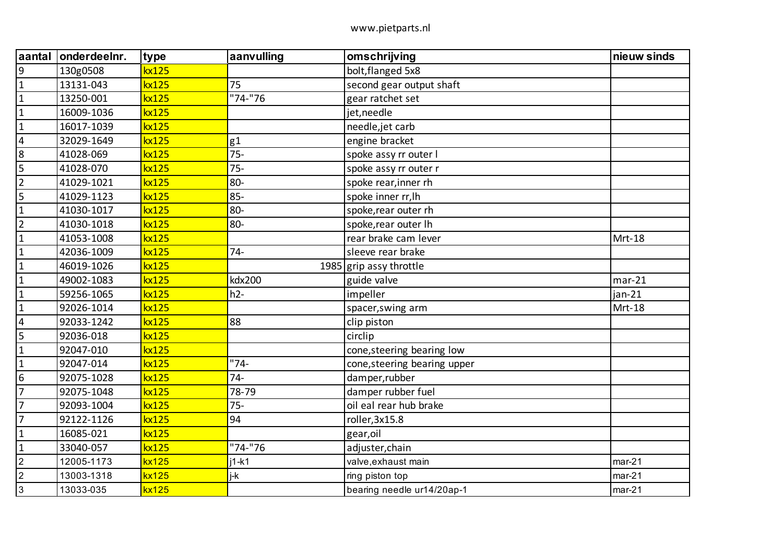| aantal                  | onderdeelnr. | type  | aanvulling | omschrijving                 | nieuw sinds |
|-------------------------|--------------|-------|------------|------------------------------|-------------|
| 9                       | 130g0508     | kx125 |            | bolt, flanged 5x8            |             |
| $\mathbf{1}$            | 13131-043    | kx125 | 75         | second gear output shaft     |             |
| $\mathbf{1}$            | 13250-001    | kx125 | "74-"76    | gear ratchet set             |             |
| $\mathbf{1}$            | 16009-1036   | kx125 |            | jet, needle                  |             |
| $\mathbf{1}$            | 16017-1039   | kx125 |            | needle, jet carb             |             |
| $\overline{\mathbf{4}}$ | 32029-1649   | kx125 | g1         | engine bracket               |             |
| 8                       | 41028-069    | kx125 | $75-$      | spoke assy rr outer I        |             |
| 5                       | 41028-070    | kx125 | $75 -$     | spoke assy rr outer r        |             |
| $\overline{2}$          | 41029-1021   | kx125 | 80-        | spoke rear, inner rh         |             |
| 5                       | 41029-1123   | kx125 | $85 -$     | spoke inner rr, lh           |             |
| $\mathbf{1}$            | 41030-1017   | kx125 | 80-        | spoke, rear outer rh         |             |
| $\overline{2}$          | 41030-1018   | kx125 | 80-        | spoke, rear outer Ih         |             |
| $\mathbf 1$             | 41053-1008   | kx125 |            | rear brake cam lever         | Mrt-18      |
| $\mathbf{1}$            | 42036-1009   | kx125 | $74 -$     | sleeve rear brake            |             |
| $\mathbf{1}$            | 46019-1026   | kx125 |            | 1985 $grip$ assy throttle    |             |
| $\mathbf{1}$            | 49002-1083   | kx125 | kdx200     | guide valve                  | $mar-21$    |
| $\mathbf{1}$            | 59256-1065   | kx125 | $h2-$      | impeller                     | $jan-21$    |
| $\mathbf{1}$            | 92026-1014   | kx125 |            | spacer, swing arm            | Mrt-18      |
| $\overline{4}$          | 92033-1242   | kx125 | 88         | clip piston                  |             |
| 5                       | 92036-018    | kx125 |            | circlip                      |             |
| $\mathbf 1$             | 92047-010    | kx125 |            | cone, steering bearing low   |             |
| $\mathbf{1}$            | 92047-014    | kx125 | $"74-$     | cone, steering bearing upper |             |
| 6                       | 92075-1028   | kx125 | $74-$      | damper, rubber               |             |
| $\overline{7}$          | 92075-1048   | kx125 | 78-79      | damper rubber fuel           |             |
| $\overline{7}$          | 92093-1004   | kx125 | $75 -$     | oil eal rear hub brake       |             |
| $\overline{7}$          | 92122-1126   | kx125 | 94         | roller, 3x15.8               |             |
| $\mathbf{1}$            | 16085-021    | kx125 |            | gear, oil                    |             |
| $\mathbf{1}$            | 33040-057    | kx125 | "74-"76    | adjuster, chain              |             |
| $\overline{2}$          | 12005-1173   | kx125 | $i1-k1$    | valve, exhaust main          | $mar-21$    |
| $\boldsymbol{2}$        | 13003-1318   | kx125 | j-k        | ring piston top              | $mar-21$    |
| $\mathbf{3}$            | 13033-035    | kx125 |            | bearing needle ur14/20ap-1   | $mar-21$    |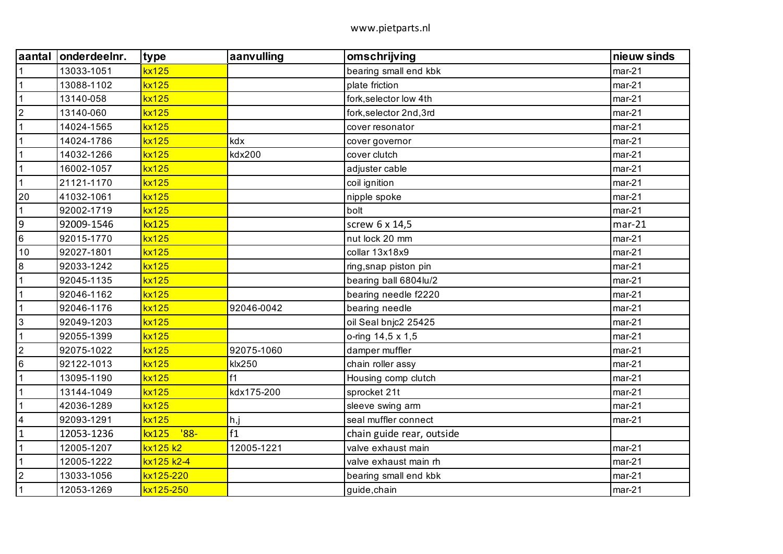|                  | aantal onderdeelnr. | type            | aanvulling | omschrijving              | nieuw sinds |
|------------------|---------------------|-----------------|------------|---------------------------|-------------|
| $\mathbf 1$      | 13033-1051          | kx125           |            | bearing small end kbk     | $mar-21$    |
| $\mathbf{1}$     | 13088-1102          | kx125           |            | plate friction            | $mar-21$    |
| $\mathbf{1}$     | 13140-058           | kx125           |            | fork, selector low 4th    | $mar-21$    |
| $\overline{2}$   | 13140-060           | kx125           |            | fork, selector 2nd, 3rd   | $mar-21$    |
| $\overline{1}$   | 14024-1565          | kx125           |            | cover resonator           | $mar-21$    |
| $\mathbf{1}$     | 14024-1786          | kx125           | kdx        | cover governor            | $mar-21$    |
| $\mathbf{1}$     | 14032-1266          | kx125           | kdx200     | cover clutch              | $mar-21$    |
| $\mathbf{1}$     | 16002-1057          | kx125           |            | adjuster cable            | $mar-21$    |
| $\mathbf{1}$     | 21121-1170          | kx125           |            | coil ignition             | $mar-21$    |
| 20               | 41032-1061          | kx125           |            | nipple spoke              | $mar-21$    |
| $\mathbf{1}$     | 92002-1719          | kx125           |            | bolt                      | $mar-21$    |
| $\boldsymbol{9}$ | 92009-1546          | kx125           |            | screw 6 x 14,5            | $mar-21$    |
| $\,6$            | 92015-1770          | kx125           |            | nut lock 20 mm            | $mar-21$    |
| 10               | 92027-1801          | kx125           |            | collar 13x18x9            | $mar-21$    |
| 8                | 92033-1242          | kx125           |            | ring, snap piston pin     | $mar-21$    |
| 1                | 92045-1135          | kx125           |            | bearing ball 6804lu/2     | $mar-21$    |
| $\mathbf{1}$     | 92046-1162          | kx125           |            | bearing needle f2220      | $mar-21$    |
| $\mathbf{1}$     | 92046-1176          | kx125           | 92046-0042 | bearing needle            | $mar-21$    |
| $\mathbf{3}$     | 92049-1203          | kx125           |            | oil Seal bnjc2 25425      | $mar-21$    |
| $\mathbf{1}$     | 92055-1399          | kx125           |            | o-ring 14,5 x 1,5         | $mar-21$    |
| $\overline{2}$   | 92075-1022          | kx125           | 92075-1060 | damper muffler            | $mar-21$    |
| $\,6$            | 92122-1013          | kx125           | klx250     | chain roller assy         | $mar-21$    |
| $\mathbf{1}$     | 13095-1190          | kx125           | f1         | Housing comp clutch       | $mar-21$    |
| $\mathbf 1$      | 13144-1049          | kx125           | kdx175-200 | sprocket 21t              | $mar-21$    |
| 1                | 42036-1289          | kx125           |            | sleeve swing arm          | $mar-21$    |
| $\overline{4}$   | 92093-1291          | kx125           | h,j        | seal muffler connect      | $mar-21$    |
| $\mathbf{1}$     | 12053-1236          | $'88-$<br>kx125 | f1         | chain guide rear, outside |             |
| $\mathbf{1}$     | 12005-1207          | kx125 k2        | 12005-1221 | valve exhaust main        | $mar-21$    |
| $\mathbf{1}$     | 12005-1222          | kx125 k2-4      |            | valve exhaust main rh     | $mar-21$    |
| $\overline{2}$   | 13033-1056          | kx125-220       |            | bearing small end kbk     | $mar-21$    |
| $\mathbf{1}$     | 12053-1269          | kx125-250       |            | guide, chain              | $mar-21$    |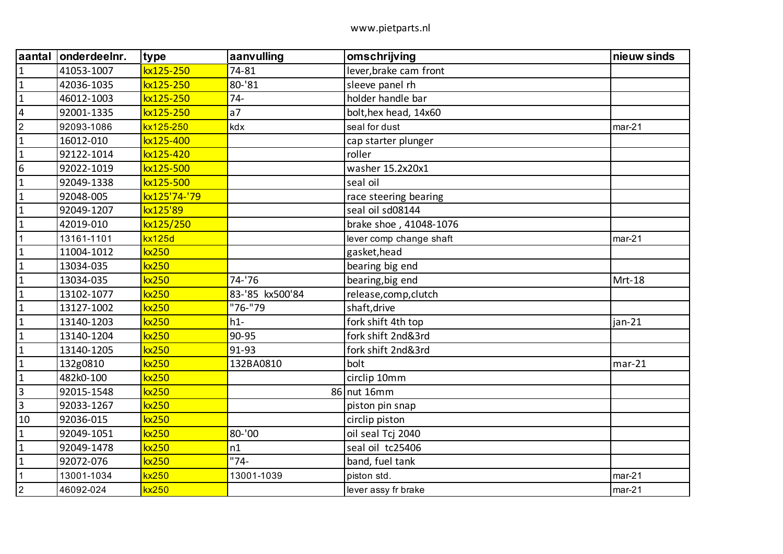| aantal                  | onderdeelnr. | type          | aanvulling      | omschrijving            | nieuw sinds |
|-------------------------|--------------|---------------|-----------------|-------------------------|-------------|
| $\mathbf{1}$            | 41053-1007   | kx125-250     | 74-81           | lever, brake cam front  |             |
| $\mathbf{1}$            | 42036-1035   | kx125-250     | 80-'81          | sleeve panel rh         |             |
| $\mathbf{1}$            | 46012-1003   | kx125-250     | $74 -$          | holder handle bar       |             |
| $\overline{\mathbf{4}}$ | 92001-1335   | kx125-250     | a <sub>7</sub>  | bolt, hex head, 14x60   |             |
| $\overline{2}$          | 92093-1086   | kx125-250     | kdx             | seal for dust           | $mar-21$    |
| $\mathbf{1}$            | 16012-010    | kx125-400     |                 | cap starter plunger     |             |
| $\mathbf{1}$            | 92122-1014   | kx125-420     |                 | roller                  |             |
| $6\phantom{1}6$         | 92022-1019   | kx125-500     |                 | washer 15.2x20x1        |             |
| $\mathbf 1$             | 92049-1338   | kx125-500     |                 | seal oil                |             |
| $\mathbf{1}$            | 92048-005    | kx125'74-'79  |                 | race steering bearing   |             |
| $\mathbf{1}$            | 92049-1207   | kx125'89      |                 | seal oil sd08144        |             |
| $\mathbf{1}$            | 42019-010    | kx125/250     |                 | brake shoe, 41048-1076  |             |
| $\mathbf{1}$            | 13161-1101   | <b>kx125d</b> |                 | lever comp change shaft | $mar-21$    |
| $\mathbf{1}$            | 11004-1012   | <b>kx250</b>  |                 | gasket, head            |             |
| $\mathbf{1}$            | 13034-035    | kx250         |                 | bearing big end         |             |
| $\mathbf{1}$            | 13034-035    | kx250         | 74-'76          | bearing, big end        | Mrt-18      |
| $\mathbf{1}$            | 13102-1077   | kx250         | 83-'85 kx500'84 | release, comp, clutch   |             |
| $\mathbf{1}$            | 13127-1002   | kx250         | "76-"79         | shaft, drive            |             |
| $\mathbf{1}$            | 13140-1203   | kx250         | $h1-$           | fork shift 4th top      | $jan-21$    |
| $\mathbf{1}$            | 13140-1204   | kx250         | 90-95           | fork shift 2nd&3rd      |             |
| $\mathbf{1}$            | 13140-1205   | kx250         | 91-93           | fork shift 2nd&3rd      |             |
| $\mathbf{1}$            | 132g0810     | kx250         | 132BA0810       | bolt                    | $mar-21$    |
| $\mathbf{1}$            | 482k0-100    | kx250         |                 | circlip 10mm            |             |
| $\overline{3}$          | 92015-1548   | kx250         |                 | 86 nut 16mm             |             |
| $\overline{3}$          | 92033-1267   | kx250         |                 | piston pin snap         |             |
| 10                      | 92036-015    | kx250         |                 | circlip piston          |             |
| $\mathbf{1}$            | 92049-1051   | kx250         | 80-'00          | oil seal Tcj 2040       |             |
| $\mathbf{1}$            | 92049-1478   | kx250         | n1              | seal oil tc25406        |             |
| $\mathbf{1}$            | 92072-076    | kx250         | $"74-$          | band, fuel tank         |             |
| $\mathbf{1}$            | 13001-1034   | kx250         | 13001-1039      | piston std.             | $mar-21$    |
| $\boldsymbol{2}$        | 46092-024    | kx250         |                 | lever assy fr brake     | $mar-21$    |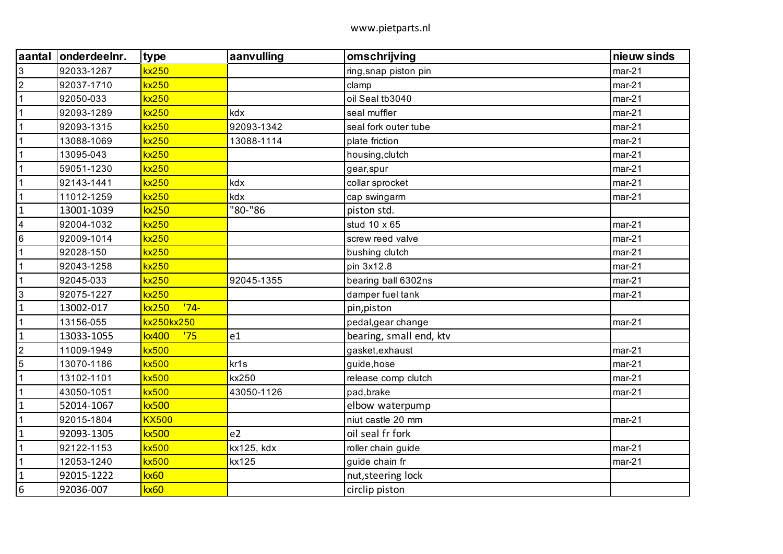| aantal          | onderdeelnr. | type            | aanvulling       | omschrijving            | nieuw sinds |
|-----------------|--------------|-----------------|------------------|-------------------------|-------------|
| $\mathfrak{S}$  | 92033-1267   | kx250           |                  | ring, snap piston pin   | $mar-21$    |
| $\overline{2}$  | 92037-1710   | <b>kx250</b>    |                  | clamp                   | $mar-21$    |
| $\mathbf{1}$    | 92050-033    | kx250           |                  | oil Seal tb3040         | $mar-21$    |
| $\mathbf 1$     | 92093-1289   | kx250           | kdx              | seal muffler            | $mar-21$    |
| $\mathbf{1}$    | 92093-1315   | <b>kx250</b>    | 92093-1342       | seal fork outer tube    | $mar-21$    |
| $\mathbf{1}$    | 13088-1069   | kx250           | 13088-1114       | plate friction          | $mar-21$    |
| 1               | 13095-043    | <b>kx250</b>    |                  | housing, clutch         | $mar-21$    |
| 1               | 59051-1230   | <b>kx250</b>    |                  | gear, spur              | $mar-21$    |
| $\mathbf{1}$    | 92143-1441   | <b>kx250</b>    | kdx              | collar sprocket         | $mar-21$    |
| 1               | 11012-1259   | kx250           | kdx              | cap swingarm            | $mar-21$    |
| $\mathbf{1}$    | 13001-1039   | kx250           | "80-"86          | piston std.             |             |
| $\overline{4}$  | 92004-1032   | kx250           |                  | stud 10 x 65            | $mar-21$    |
| $\,6$           | 92009-1014   | <b>kx250</b>    |                  | screw reed valve        | $mar-21$    |
| $\mathbf{1}$    | 92028-150    | <b>kx250</b>    |                  | bushing clutch          | $mar-21$    |
| $\mathbf{1}$    | 92043-1258   | <b>kx250</b>    |                  | pin 3x12.8              | $mar-21$    |
| $\mathbf{1}$    | 92045-033    | <b>kx250</b>    | 92045-1355       | bearing ball 6302ns     | $mar-21$    |
| 3               | 92075-1227   | kx250           |                  | damper fuel tank        | $mar-21$    |
| $\mathbf{1}$    | 13002-017    | $'74-$<br>kx250 |                  | pin, piston             |             |
| $\mathbf 1$     | 13156-055    | kx250kx250      |                  | pedal, gear change      | $mar-21$    |
| $\mathbf{1}$    | 13033-1055   | kx400<br>'75    | e1               | bearing, small end, ktv |             |
| $\overline{2}$  | 11009-1949   | kx500           |                  | gasket, exhaust         | $mar-21$    |
| 5               | 13070-1186   | <b>kx500</b>    | kr <sub>1s</sub> | guide, hose             | $mar-21$    |
| $\mathbf{1}$    | 13102-1101   | <b>kx500</b>    | kx250            | release comp clutch     | $mar-21$    |
| $\mathbf{1}$    | 43050-1051   | kx500           | 43050-1126       | pad, brake              | $mar-21$    |
| $\mathbf{1}$    | 52014-1067   | <b>kx500</b>    |                  | elbow waterpump         |             |
| $\mathbf{1}$    | 92015-1804   | <b>KX500</b>    |                  | niut castle 20 mm       | $mar-21$    |
| $\mathbf{1}$    | 92093-1305   | kx500           | e <sub>2</sub>   | oil seal fr fork        |             |
| $\mathbf{1}$    | 92122-1153   | <b>kx500</b>    | kx125, kdx       | roller chain guide      | $mar-21$    |
| $\mathbf{1}$    | 12053-1240   | <b>kx500</b>    | kx125            | guide chain fr          | $mar-21$    |
| $\mathbf{1}$    | 92015-1222   | kx60            |                  | nut, steering lock      |             |
| $6\phantom{1}6$ | 92036-007    | kx60            |                  | circlip piston          |             |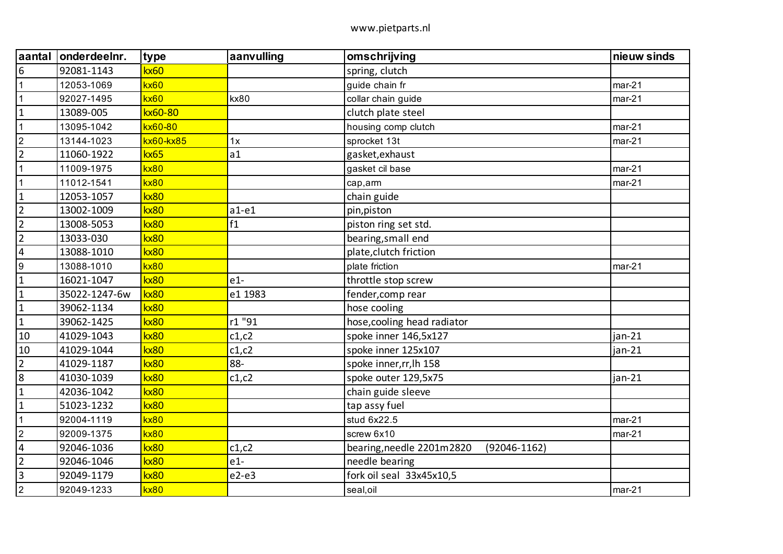| aantal           | onderdeelnr.  | type        | aanvulling | omschrijving                                  | nieuw sinds |
|------------------|---------------|-------------|------------|-----------------------------------------------|-------------|
| $\boldsymbol{6}$ | 92081-1143    | kx60        |            | spring, clutch                                |             |
| $\mathbf 1$      | 12053-1069    | kx60        |            | guide chain fr                                | $mar-21$    |
| $\mathbf{1}$     | 92027-1495    | kx60        | kx80       | collar chain guide                            | $mar-21$    |
| $\mathbf 1$      | 13089-005     | kx60-80     |            | clutch plate steel                            |             |
| $\mathbf{1}$     | 13095-1042    | kx60-80     |            | housing comp clutch                           | $mar-21$    |
| $\boldsymbol{2}$ | 13144-1023    | kx60-kx85   | 1x         | sprocket 13t                                  | $mar-21$    |
| $\overline{2}$   | 11060-1922    | kx65        | a1         | gasket, exhaust                               |             |
|                  | 11009-1975    | kx80        |            | gasket cil base                               | $mar-21$    |
| $\mathbf{1}$     | 11012-1541    | kx80        |            | cap, arm                                      | $mar-21$    |
| $\mathbf{1}$     | 12053-1057    | kx80        |            | chain guide                                   |             |
| $\overline{2}$   | 13002-1009    | kx80        | $a1-e1$    | pin, piston                                   |             |
| $\overline{2}$   | 13008-5053    | <b>kx80</b> | f1         | piston ring set std.                          |             |
| $\overline{2}$   | 13033-030     | kx80        |            | bearing, small end                            |             |
| $\overline{4}$   | 13088-1010    | kx80        |            | plate, clutch friction                        |             |
| $\boldsymbol{9}$ | 13088-1010    | <b>kx80</b> |            | plate friction                                | $mar-21$    |
| $\mathbf{1}$     | 16021-1047    | kx80        | $e1-$      | throttle stop screw                           |             |
| $\mathbf{1}$     | 35022-1247-6w | kx80        | e1 1983    | fender, comp rear                             |             |
| $\mathbf 1$      | 39062-1134    | kx80        |            | hose cooling                                  |             |
| $\mathbf{1}$     | 39062-1425    | kx80        | r1 "91     | hose, cooling head radiator                   |             |
| 10               | 41029-1043    | kx80        | c1, c2     | spoke inner 146,5x127                         | jan-21      |
| 10               | 41029-1044    | kx80        | c1, c2     | spoke inner 125x107                           | jan-21      |
| $\overline{2}$   | 41029-1187    | kx80        | 88-        | spoke inner, rr, lh 158                       |             |
| $\overline{8}$   | 41030-1039    | kx80        | c1, c2     | spoke outer 129,5x75                          | jan-21      |
| $\mathbf 1$      | 42036-1042    | kx80        |            | chain guide sleeve                            |             |
| $\mathbf 1$      | 51023-1232    | kx80        |            | tap assy fuel                                 |             |
| 1                | 92004-1119    | kx80        |            | stud 6x22.5                                   | $mar-21$    |
| $\sqrt{2}$       | 92009-1375    | <b>kx80</b> |            | screw 6x10                                    | $mar-21$    |
| $\sqrt{4}$       | 92046-1036    | kx80        | c1, c2     | bearing, needle 2201m2820<br>$(92046 - 1162)$ |             |
| $\overline{2}$   | 92046-1046    | kx80        | $e1-$      | needle bearing                                |             |
| $\overline{3}$   | 92049-1179    | kx80        | $e2-e3$    | fork oil seal 33x45x10,5                      |             |
| $\overline{2}$   | 92049-1233    | kx80        |            | seal, oil                                     | $mar-21$    |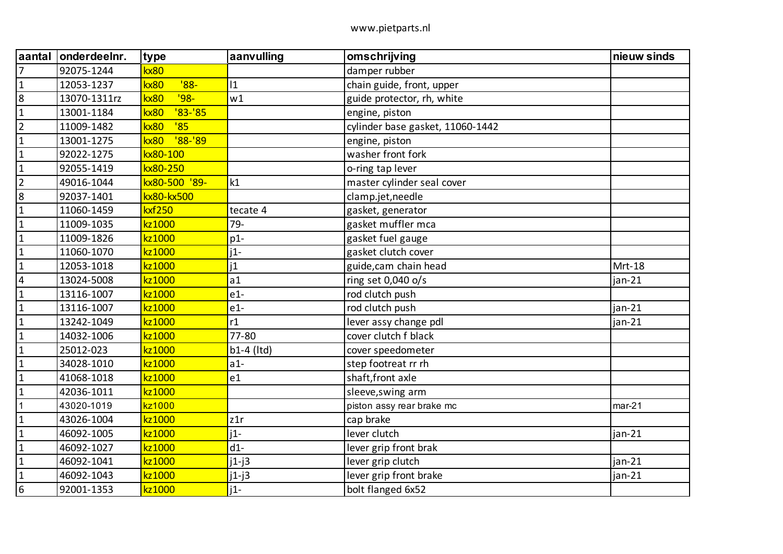| aantal                  | onderdeelnr. | type                | aanvulling   | omschrijving                     | nieuw sinds |
|-------------------------|--------------|---------------------|--------------|----------------------------------|-------------|
| $\overline{7}$          | 92075-1244   | kx80                |              | damper rubber                    |             |
| $\mathbf{1}$            | 12053-1237   | $'88-$<br>kx80      | $ 1\rangle$  | chain guide, front, upper        |             |
| 8                       | 13070-1311rz | $'98-$<br>kx80      | w1           | guide protector, rh, white       |             |
| $\mathbf{1}$            | 13001-1184   | $'83-'85$<br>kx80   |              | engine, piston                   |             |
| $\overline{2}$          | 11009-1482   | '85<br>kx80         |              | cylinder base gasket, 11060-1442 |             |
| $\mathbf{1}$            | 13001-1275   | $'88 - '89$<br>kx80 |              | engine, piston                   |             |
| $\mathbf{1}$            | 92022-1275   | kx80-100            |              | washer front fork                |             |
| $\mathbf{1}$            | 92055-1419   | kx80-250            |              | o-ring tap lever                 |             |
| $\overline{2}$          | 49016-1044   | kx80-500 '89-       | k1           | master cylinder seal cover       |             |
| $\bf 8$                 | 92037-1401   | kx80-kx500          |              | clamp.jet, needle                |             |
| $\mathbf{1}$            | 11060-1459   | <b>kxf250</b>       | tecate 4     | gasket, generator                |             |
| $\mathbf{1}$            | 11009-1035   | kz1000              | 79-          | gasket muffler mca               |             |
| $\mathbf{1}$            | 11009-1826   | kz1000              | $p1-$        | gasket fuel gauge                |             |
| $\mathbf{1}$            | 11060-1070   | kz1000              | $j1-$        | gasket clutch cover              |             |
| $\mathbf{1}$            | 12053-1018   | kz1000              | 1            | guide, cam chain head            | Mrt-18      |
| $\overline{\mathbf{4}}$ | 13024-5008   | kz1000              | a1           | ring set 0,040 o/s               | jan-21      |
| $\mathbf{1}$            | 13116-1007   | kz1000              | $e1-$        | rod clutch push                  |             |
| $\mathbf 1$             | 13116-1007   | kz1000              | $e1-$        | rod clutch push                  | jan-21      |
| $\mathbf{1}$            | 13242-1049   | kz1000              | r1           | lever assy change pdl            | jan-21      |
| $\mathbf{1}$            | 14032-1006   | kz1000              | 77-80        | cover clutch f black             |             |
| $\mathbf{1}$            | 25012-023    | kz1000              | $b1-4$ (Itd) | cover speedometer                |             |
| $\mathbf{1}$            | 34028-1010   | kz1000              | $a1-$        | step footreat rr rh              |             |
| $\mathbf{1}$            | 41068-1018   | kz1000              | e1           | shaft, front axle                |             |
| $\mathbf{1}$            | 42036-1011   | kz1000              |              | sleeve, swing arm                |             |
| 1                       | 43020-1019   | kz1000              |              | piston assy rear brake mc        | $mar-21$    |
| $\mathbf{1}$            | 43026-1004   | kz1000              | z1r          | cap brake                        |             |
| $\mathbf{1}$            | 46092-1005   | kz1000              | $j1-$        | lever clutch                     | jan-21      |
| $\mathbf{1}$            | 46092-1027   | kz1000              | $d1-$        | lever grip front brak            |             |
| $\mathbf{1}$            | 46092-1041   | kz1000              | $j1-j3$      | lever grip clutch                | jan-21      |
| $\mathbf{1}$            | 46092-1043   | kz1000              | $j1-j3$      | lever grip front brake           | jan-21      |
| $\boldsymbol{6}$        | 92001-1353   | kz1000              | $i1-$        | bolt flanged 6x52                |             |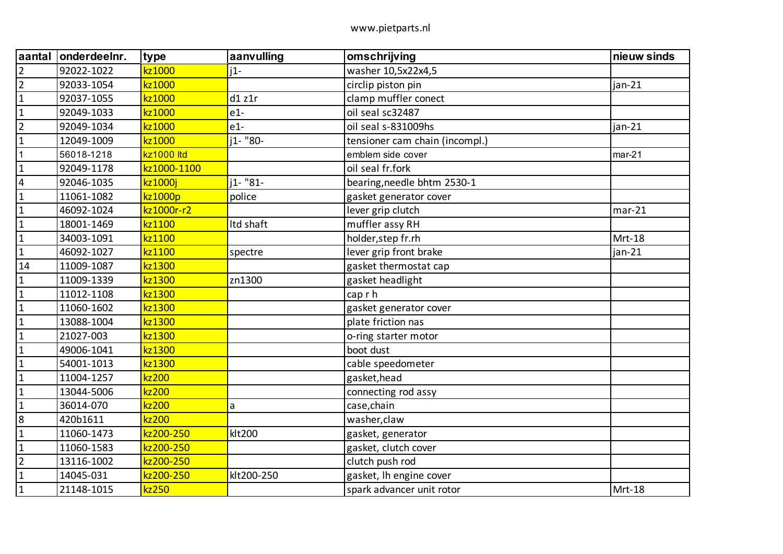| aantal                  | onderdeelnr. | type        | aanvulling | omschrijving                   | nieuw sinds |
|-------------------------|--------------|-------------|------------|--------------------------------|-------------|
| $\overline{2}$          | 92022-1022   | kz1000      | $i1-$      | washer 10,5x22x4,5             |             |
| $\overline{2}$          | 92033-1054   | kz1000      |            | circlip piston pin             | $jan-21$    |
| $\mathbf{1}$            | 92037-1055   | kz1000      | d1 z1r     | clamp muffler conect           |             |
| $\mathbf{1}$            | 92049-1033   | kz1000      | $e1-$      | oil seal sc32487               |             |
| $\overline{2}$          | 92049-1034   | kz1000      | $e1-$      | oil seal s-831009hs            | $jan-21$    |
| $\mathbf{1}$            | 12049-1009   | kz1000      | j1- "80-   | tensioner cam chain (incompl.) |             |
| $\mathbf 1$             | 56018-1218   | kz1000 ltd  |            | emblem side cover              | $mar-21$    |
| $\mathbf{1}$            | 92049-1178   | kz1000-1100 |            | oil seal fr.fork               |             |
| $\overline{\mathbf{4}}$ | 92046-1035   | kz1000j     | i1- "81-   | bearing, needle bhtm 2530-1    |             |
| $\mathbf{1}$            | 11061-1082   | kz1000p     | police     | gasket generator cover         |             |
| $\mathbf{1}$            | 46092-1024   | kz1000r-r2  |            | lever grip clutch              | $mar-21$    |
| $\mathbf 1$             | 18001-1469   | kz1100      | Itd shaft  | muffler assy RH                |             |
| $\mathbf{1}$            | 34003-1091   | kz1100      |            | holder, step fr.rh             | Mrt-18      |
| $\mathbf{1}$            | 46092-1027   | kz1100      | spectre    | lever grip front brake         | jan-21      |
| 14                      | 11009-1087   | kz1300      |            | gasket thermostat cap          |             |
| $\mathbf{1}$            | 11009-1339   | kz1300      | zn1300     | gasket headlight               |             |
| $\mathbf{1}$            | 11012-1108   | kz1300      |            | cap r h                        |             |
| $\mathbf{1}$            | 11060-1602   | kz1300      |            | gasket generator cover         |             |
| $\mathbf{1}$            | 13088-1004   | kz1300      |            | plate friction nas             |             |
| $\mathbf{1}$            | 21027-003    | kz1300      |            | o-ring starter motor           |             |
| $\mathbf{1}$            | 49006-1041   | kz1300      |            | boot dust                      |             |
| $\mathbf{1}$            | 54001-1013   | kz1300      |            | cable speedometer              |             |
| $\mathbf{1}$            | 11004-1257   | kz200       |            | gasket, head                   |             |
| $\mathbf{1}$            | 13044-5006   | kz200       |            | connecting rod assy            |             |
| $\mathbf{1}$            | 36014-070    | kz200       | a          | case, chain                    |             |
| $\bf 8$                 | 420b1611     | kz200       |            | washer, claw                   |             |
| $\mathbf{1}$            | 11060-1473   | kz200-250   | klt200     | gasket, generator              |             |
| $\mathbf{1}$            | 11060-1583   | kz200-250   |            | gasket, clutch cover           |             |
| $\overline{2}$          | 13116-1002   | kz200-250   |            | clutch push rod                |             |
| $\mathbf 1$             | 14045-031    | kz200-250   | klt200-250 | gasket, Ih engine cover        |             |
| $\mathbf 1$             | 21148-1015   | kz250       |            | spark advancer unit rotor      | Mrt-18      |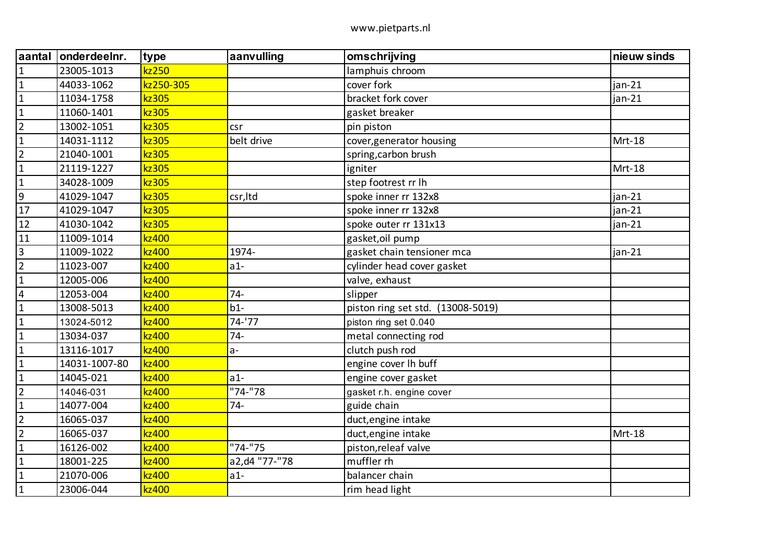| aantal                  | onderdeelnr.  | type      | aanvulling    | omschrijving                      | nieuw sinds |
|-------------------------|---------------|-----------|---------------|-----------------------------------|-------------|
| $\mathbf{1}$            | 23005-1013    | kz250     |               | lamphuis chroom                   |             |
| $\mathbf{1}$            | 44033-1062    | kz250-305 |               | cover fork                        | jan-21      |
| $\mathbf{1}$            | 11034-1758    | kz305     |               | bracket fork cover                | $jan-21$    |
| $\mathbf{1}$            | 11060-1401    | kz305     |               | gasket breaker                    |             |
| $\overline{2}$          | 13002-1051    | kz305     | csr           | pin piston                        |             |
| $\mathbf{1}$            | 14031-1112    | kz305     | belt drive    | cover, generator housing          | Mrt-18      |
| $\overline{2}$          | 21040-1001    | kz305     |               | spring, carbon brush              |             |
| $\mathbf 1$             | 21119-1227    | kz305     |               | igniter                           | Mrt-18      |
| $\mathbf{1}$            | 34028-1009    | kz305     |               | step footrest rr lh               |             |
| $\overline{9}$          | 41029-1047    | kz305     | csr, Itd      | spoke inner rr 132x8              | jan-21      |
| 17                      | 41029-1047    | kz305     |               | spoke inner rr 132x8              | $jan-21$    |
| 12                      | 41030-1042    | kz305     |               | spoke outer rr 131x13             | $jan-21$    |
| 11                      | 11009-1014    | kz400     |               | gasket, oil pump                  |             |
| $\overline{3}$          | 11009-1022    | kz400     | 1974-         | gasket chain tensioner mca        | jan-21      |
| $\overline{2}$          | 11023-007     | kz400     | $a1-$         | cylinder head cover gasket        |             |
| $\mathbf{1}$            | 12005-006     | kz400     |               | valve, exhaust                    |             |
| $\overline{\mathbf{4}}$ | 12053-004     | kz400     | $74-$         | slipper                           |             |
| $\mathbf{1}$            | 13008-5013    | kz400     | $b1-$         | piston ring set std. (13008-5019) |             |
| $\mathbf{1}$            | 13024-5012    | kz400     | 74-'77        | piston ring set 0.040             |             |
| $\mathbf{1}$            | 13034-037     | kz400     | $74 -$        | metal connecting rod              |             |
| $\mathbf{1}$            | 13116-1017    | kz400     | $a -$         | clutch push rod                   |             |
| $\mathbf{1}$            | 14031-1007-80 | kz400     |               | engine cover Ih buff              |             |
| $\mathbf{1}$            | 14045-021     | kz400     | $a1-$         | engine cover gasket               |             |
| $\overline{2}$          | 14046-031     | kz400     | "74-"78       | gasket r.h. engine cover          |             |
| $\mathbf{1}$            | 14077-004     | kz400     | $74-$         | guide chain                       |             |
| $\overline{2}$          | 16065-037     | kz400     |               | duct, engine intake               |             |
| $\overline{2}$          | 16065-037     | kz400     |               | duct, engine intake               | Mrt-18      |
| $\mathbf{1}$            | 16126-002     | kz400     | "74-"75       | piston, releaf valve              |             |
| $\mathbf{1}$            | 18001-225     | kz400     | a2,d4 "77-"78 | muffler rh                        |             |
| $\mathbf{1}$            | 21070-006     | kz400     | $a1-$         | balancer chain                    |             |
| $\mathbf{1}$            | 23006-044     | kz400     |               | rim head light                    |             |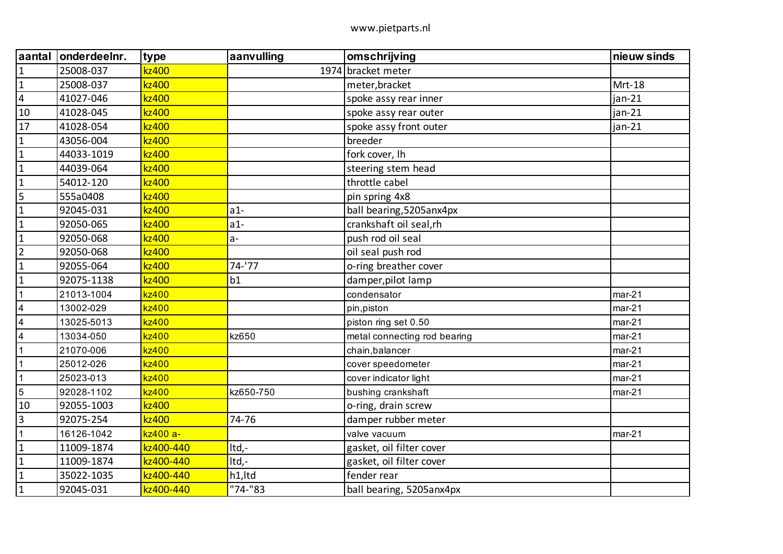| aantal                  | onderdeelnr. | type      | aanvulling | omschrijving                 | nieuw sinds |
|-------------------------|--------------|-----------|------------|------------------------------|-------------|
| $\mathbf{1}$            | 25008-037    | kz400     |            | 1974 bracket meter           |             |
| $\mathbf{1}$            | 25008-037    | kz400     |            | meter, bracket               | Mrt-18      |
| $\overline{\mathbf{4}}$ | 41027-046    | kz400     |            | spoke assy rear inner        | $jan-21$    |
| 10                      | 41028-045    | kz400     |            | spoke assy rear outer        | $jan-21$    |
| 17                      | 41028-054    | kz400     |            | spoke assy front outer       | jan-21      |
| $\mathbf{1}$            | 43056-004    | kz400     |            | breeder                      |             |
| $\mathbf{1}$            | 44033-1019   | kz400     |            | fork cover, Ih               |             |
| $\mathbf{1}$            | 44039-064    | kz400     |            | steering stem head           |             |
| $\mathbf{1}$            | 54012-120    | kz400     |            | throttle cabel               |             |
| 5                       | 555a0408     | kz400     |            | pin spring 4x8               |             |
| $\mathbf{1}$            | 92045-031    | kz400     | $a1-$      | ball bearing, 5205 anx4px    |             |
| $\mathbf{1}$            | 92050-065    | kz400     | $a1-$      | crankshaft oil seal,rh       |             |
| $\mathbf{1}$            | 92050-068    | kz400     | $a-$       | push rod oil seal            |             |
| $\overline{2}$          | 92050-068    | kz400     |            | oil seal push rod            |             |
| $\mathbf{1}$            | 92055-064    | kz400     | 74-'77     | o-ring breather cover        |             |
| $\mathbf{1}$            | 92075-1138   | kz400     | b1         | damper, pilot lamp           |             |
| $\overline{1}$          | 21013-1004   | kz400     |            | condensator                  | $mar-21$    |
| $\overline{\mathbf{4}}$ | 13002-029    | kz400     |            | pin, piston                  | $mar-21$    |
| $\overline{4}$          | 13025-5013   | kz400     |            | piston ring set 0.50         | $mar-21$    |
| $\overline{4}$          | 13034-050    | kz400     | kz650      | metal connecting rod bearing | $mar-21$    |
| $\overline{1}$          | 21070-006    | kz400     |            | chain, balancer              | $mar-21$    |
| $\mathbf{1}$            | 25012-026    | kz400     |            | cover speedometer            | $mar-21$    |
| $\mathbf{1}$            | 25023-013    | kz400     |            | cover indicator light        | $mar-21$    |
| $\overline{5}$          | 92028-1102   | kz400     | kz650-750  | bushing crankshaft           | $mar-21$    |
| 10                      | 92055-1003   | kz400     |            | o-ring, drain screw          |             |
| $\overline{3}$          | 92075-254    | kz400     | 74-76      | damper rubber meter          |             |
| $\mathbf{1}$            | 16126-1042   | kz400 a-  |            | valve vacuum                 | $mar-21$    |
| $\mathbf{1}$            | 11009-1874   | kz400-440 | Itd,-      | gasket, oil filter cover     |             |
| $\mathbf{1}$            | 11009-1874   | kz400-440 | Itd,-      | gasket, oil filter cover     |             |
| $\mathbf{1}$            | 35022-1035   | kz400-440 | h1,Itd     | fender rear                  |             |
| $\mathbf{1}$            | 92045-031    | kz400-440 | "74-"83    | ball bearing, 5205anx4px     |             |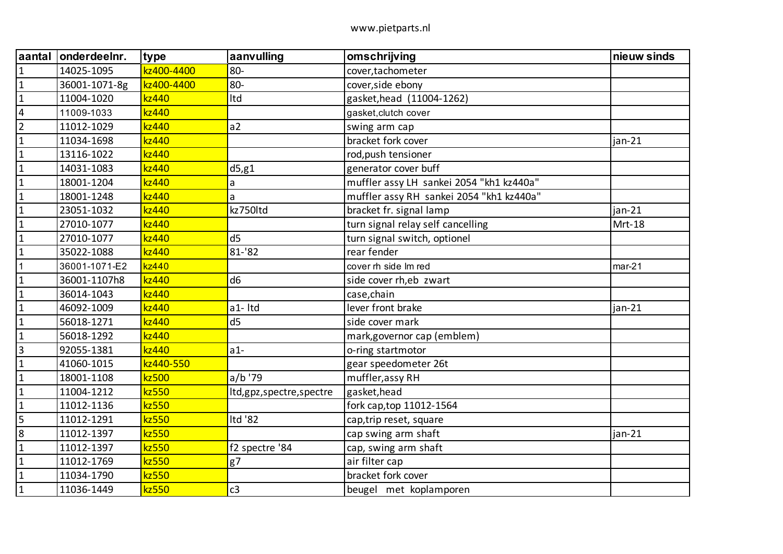| aantal         | onderdeelnr.  | type       | aanvulling              | omschrijving                             | nieuw sinds |
|----------------|---------------|------------|-------------------------|------------------------------------------|-------------|
| $\mathbf{1}$   | 14025-1095    | kz400-4400 | 80-                     | cover, tachometer                        |             |
| $\mathbf 1$    | 36001-1071-8g | kz400-4400 | 80-                     | cover, side ebony                        |             |
| $\mathbf{1}$   | 11004-1020    | kz440      | Itd                     | gasket, head (11004-1262)                |             |
| $\overline{4}$ | 11009-1033    | kz440      |                         | gasket, clutch cover                     |             |
| $\overline{2}$ | 11012-1029    | kz440      | a2                      | swing arm cap                            |             |
| $\mathbf{1}$   | 11034-1698    | kz440      |                         | bracket fork cover                       | $jan-21$    |
| $\mathbf{1}$   | 13116-1022    | kz440      |                         | rod, push tensioner                      |             |
| $\mathbf{1}$   | 14031-1083    | kz440      | d5, g1                  | generator cover buff                     |             |
| $\mathbf{1}$   | 18001-1204    | kz440      | a                       | muffler assy LH sankei 2054 "kh1 kz440a" |             |
| $\mathbf{1}$   | 18001-1248    | kz440      | a                       | muffler assy RH sankei 2054 "kh1 kz440a" |             |
| $\mathbf{1}$   | 23051-1032    | kz440      | kz750ltd                | bracket fr. signal lamp                  | jan-21      |
| $\mathbf 1$    | 27010-1077    | kz440      |                         | turn signal relay self cancelling        | Mrt-18      |
| $\mathbf{1}$   | 27010-1077    | kz440      | d <sub>5</sub>          | turn signal switch, optionel             |             |
| $\mathbf{1}$   | 35022-1088    | kz440      | 81-'82                  | rear fender                              |             |
| 1              | 36001-1071-E2 | kz440      |                         | cover rh side Im red                     | $mar-21$    |
| $\mathbf{1}$   | 36001-1107h8  | kz440      | d <sub>6</sub>          | side cover rh, eb zwart                  |             |
| $\mathbf{1}$   | 36014-1043    | kz440      |                         | case, chain                              |             |
| $\mathbf{1}$   | 46092-1009    | kz440      | a1-Itd                  | lever front brake                        | $jan-21$    |
| $\mathbf{1}$   | 56018-1271    | kz440      | d <sub>5</sub>          | side cover mark                          |             |
| $\mathbf 1$    | 56018-1292    | kz440      |                         | mark, governor cap (emblem)              |             |
| $\mathbf{3}$   | 92055-1381    | kz440      | $a1-$                   | o-ring startmotor                        |             |
| $\mathbf{1}$   | 41060-1015    | kz440-550  |                         | gear speedometer 26t                     |             |
| $\mathbf{1}$   | 18001-1108    | kz500      | a/b'79                  | muffler, assy RH                         |             |
| $\mathbf{1}$   | 11004-1212    | kz550      | Itd,gpz,spectre,spectre | gasket, head                             |             |
| $\mathbf{1}$   | 11012-1136    | kz550      |                         | fork cap, top 11012-1564                 |             |
| 5              | 11012-1291    | kz550      | Itd '82                 | cap, trip reset, square                  |             |
| 8              | 11012-1397    | kz550      |                         | cap swing arm shaft                      | $jan-21$    |
| $\mathbf{1}$   | 11012-1397    | kz550      | f2 spectre '84          | cap, swing arm shaft                     |             |
| $\mathbf 1$    | 11012-1769    | kz550      | g7                      | air filter cap                           |             |
| $\mathbf 1$    | 11034-1790    | kz550      |                         | bracket fork cover                       |             |
| $\mathbf 1$    | 11036-1449    | kz550      | c3                      | beugel met koplamporen                   |             |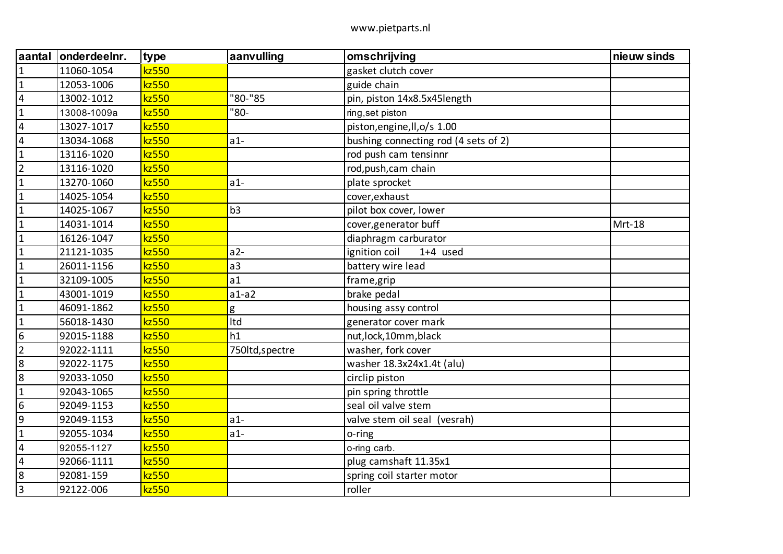| aantal           | onderdeelnr. | type  | aanvulling      | omschrijving                         | nieuw sinds |
|------------------|--------------|-------|-----------------|--------------------------------------|-------------|
| $\mathbf{1}$     | 11060-1054   | kz550 |                 | gasket clutch cover                  |             |
| $\mathbf{1}$     | 12053-1006   | kz550 |                 | guide chain                          |             |
| $\overline{4}$   | 13002-1012   | kz550 | "80-"85         | pin, piston 14x8.5x45length          |             |
| $\mathbf 1$      | 13008-1009a  | kz550 | "80-            | ring, set piston                     |             |
| $\overline{4}$   | 13027-1017   | kz550 |                 | piston, engine, Il, o/s 1.00         |             |
| $\overline{4}$   | 13034-1068   | kz550 | $a1-$           | bushing connecting rod (4 sets of 2) |             |
| $\mathbf{1}$     | 13116-1020   | kz550 |                 | rod push cam tensinnr                |             |
| $\overline{2}$   | 13116-1020   | kz550 |                 | rod, push, cam chain                 |             |
| $\mathbf{1}$     | 13270-1060   | kz550 | $a1-$           | plate sprocket                       |             |
| $\mathbf{1}$     | 14025-1054   | kz550 |                 | cover, exhaust                       |             |
| $\mathbf{1}$     | 14025-1067   | kz550 | b <sub>3</sub>  | pilot box cover, lower               |             |
| $\mathbf{1}$     | 14031-1014   | kz550 |                 | cover, generator buff                | Mrt-18      |
| $\mathbf 1$      | 16126-1047   | kz550 |                 | diaphragm carburator                 |             |
| $\mathbf{1}$     | 21121-1035   | kz550 | $a2-$           | ignition coil<br>$1+4$ used          |             |
| $\mathbf{1}$     | 26011-1156   | kz550 | a <sub>3</sub>  | battery wire lead                    |             |
| $\mathbf{1}$     | 32109-1005   | kz550 | a1              | frame, grip                          |             |
| $\mathbf{1}$     | 43001-1019   | kz550 | $a1-a2$         | brake pedal                          |             |
| $\mathbf 1$      | 46091-1862   | kz550 | g               | housing assy control                 |             |
| $\mathbf{1}$     | 56018-1430   | kz550 | Itd             | generator cover mark                 |             |
| $6\phantom{1}6$  | 92015-1188   | kz550 | h1              | nut, lock, 10mm, black               |             |
| $\overline{2}$   | 92022-1111   | kz550 | 750ltd, spectre | washer, fork cover                   |             |
| 8                | 92022-1175   | kz550 |                 | washer 18.3x24x1.4t (alu)            |             |
| $\boldsymbol{8}$ | 92033-1050   | kz550 |                 | circlip piston                       |             |
| $\mathbf{1}$     | 92043-1065   | kz550 |                 | pin spring throttle                  |             |
| 6                | 92049-1153   | kz550 |                 | seal oil valve stem                  |             |
| 9                | 92049-1153   | kz550 | $a1-$           | valve stem oil seal (vesrah)         |             |
| $\mathbf{1}$     | 92055-1034   | kz550 | $a1-$           | o-ring                               |             |
| $\overline{4}$   | 92055-1127   | kz550 |                 | o-ring carb.                         |             |
| $\overline{4}$   | 92066-1111   | kz550 |                 | plug camshaft 11.35x1                |             |
| $\boldsymbol{8}$ | 92081-159    | kz550 |                 | spring coil starter motor            |             |
| $\overline{3}$   | 92122-006    | kz550 |                 | roller                               |             |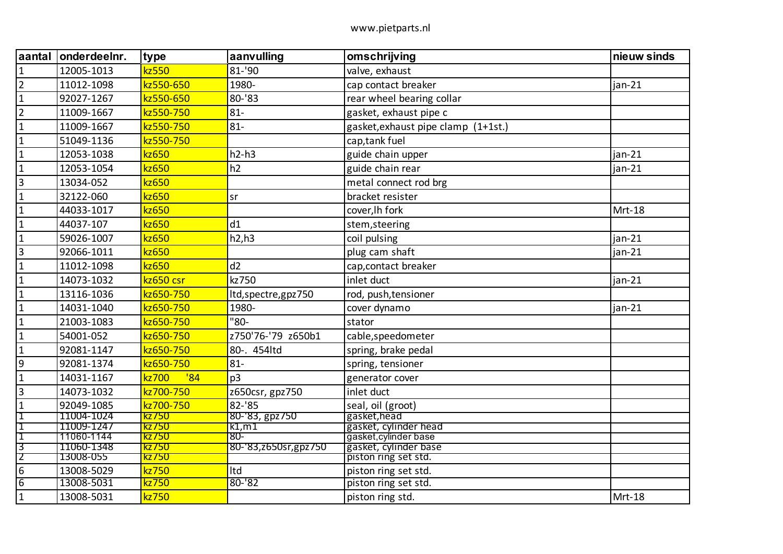| <b>aantal</b>   | onderdeelnr. | type         | aanvulling              | omschrijving                        | nieuw sinds |
|-----------------|--------------|--------------|-------------------------|-------------------------------------|-------------|
| $\overline{1}$  | 12005-1013   | kz550        | 81-'90                  | valve, exhaust                      |             |
| $\overline{2}$  | 11012-1098   | kz550-650    | 1980-                   | cap contact breaker                 | ian-21      |
| $\mathbf{1}$    | 92027-1267   | kz550-650    | 80-'83                  | rear wheel bearing collar           |             |
| $\overline{2}$  | 11009-1667   | kz550-750    | $81 -$                  | gasket, exhaust pipe c              |             |
| $\overline{1}$  | 11009-1667   | kz550-750    | $81 -$                  | gasket, exhaust pipe clamp (1+1st.) |             |
| $\overline{1}$  | 51049-1136   | kz550-750    |                         | cap, tank fuel                      |             |
| $\overline{1}$  | 12053-1038   | kz650        | $h2-h3$                 | guide chain upper                   | $jan-21$    |
| $\overline{1}$  | 12053-1054   | kz650        | h2                      | guide chain rear                    | $jan-21$    |
| $\vert$ 3       | 13034-052    | kz650        |                         | metal connect rod brg               |             |
| $\overline{1}$  | 32122-060    | kz650        | sr                      | bracket resister                    |             |
| $\mathbf{1}$    | 44033-1017   | kz650        |                         | cover, Ih fork                      | Mrt-18      |
| $\overline{1}$  | 44037-107    | kz650        | d1                      | stem, steering                      |             |
| $\overline{1}$  | 59026-1007   | kz650        | h2,h3                   | coil pulsing                        | $jan-21$    |
| $\overline{3}$  | 92066-1011   | kz650        |                         | plug cam shaft                      | jan-21      |
| $\mathbf{1}$    | 11012-1098   | kz650        | d2                      | cap, contact breaker                |             |
| $\mathbf{1}$    | 14073-1032   | kz650 csr    | kz750                   | inlet duct                          | $jan-21$    |
| $\overline{1}$  | 13116-1036   | kz650-750    | ltd, spectre, gpz 750   | rod, push, tensioner                |             |
| $\mathbf{1}$    | 14031-1040   | kz650-750    | 1980-                   | cover dynamo                        | $jan-21$    |
| $\overline{1}$  | 21003-1083   | kz650-750    | $^{\degree}80-$         | stator                              |             |
| $\overline{1}$  | 54001-052    | kz650-750    | z750'76-'79 z650b1      | cable, speedometer                  |             |
| $\overline{1}$  | 92081-1147   | kz650-750    | 80-. 454ltd             | spring, brake pedal                 |             |
| $\overline{9}$  | 92081-1374   | kz650-750    | $81 -$                  | spring, tensioner                   |             |
| $\overline{1}$  | 14031-1167   | '84<br>kz700 | p <sub>3</sub>          | generator cover                     |             |
| $\overline{3}$  | 14073-1032   | kz700-750    | z650csr, gpz750         | inlet duct                          |             |
| $\mathbf{1}$    | 92049-1085   | kz700-750    | 82-'85                  | seal, oil (groot)                   |             |
| 1               | 11004-1024   | kz/50        | 80-'83, gpz750          | gasket, head                        |             |
| $\mathbf 1$     | 11009-1247   | kz/50        | k1,m1                   | gasket, cylinder head               |             |
| 1               | 11060-1144   | kz750        | -80                     | gasket, cylinder base               |             |
| 3               | 11060-1348   | kz/50        | 80-'83, z650sr, gpz 750 | gasket, cylinder base               |             |
| 2               | 13008-055    | kz/50        |                         | piston ring set std.                |             |
| $6\phantom{1}6$ | 13008-5029   | kz750        | Itd                     | piston ring set std.                |             |
| $\overline{6}$  | 13008-5031   | kz750        | $80 - 82$               | piston ring set std.                |             |
| $\overline{1}$  | 13008-5031   | kz750        |                         | piston ring std.                    | Mrt-18      |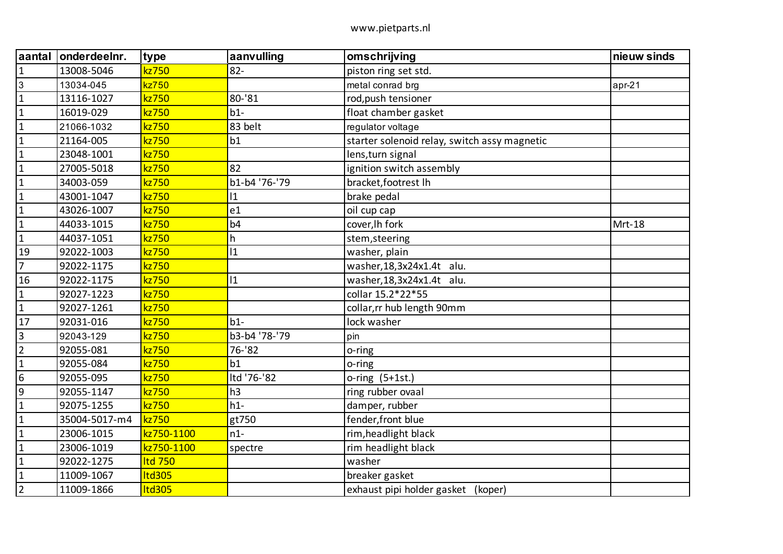| aantal          | onderdeelnr.  | type          | aanvulling     | omschrijving                                 | nieuw sinds |
|-----------------|---------------|---------------|----------------|----------------------------------------------|-------------|
| $\mathbf{1}$    | 13008-5046    | kz750         | $82 -$         | piston ring set std.                         |             |
| $\mathbf{3}$    | 13034-045     | kz750         |                | metal conrad brg                             | apr-21      |
| $\mathbf{1}$    | 13116-1027    | kz750         | 80-'81         | rod, push tensioner                          |             |
| $\mathbf{1}$    | 16019-029     | kz750         | $b1-$          | float chamber gasket                         |             |
| $\mathbf{1}$    | 21066-1032    | kz750         | 83 belt        | regulator voltage                            |             |
| $\mathbf{1}$    | 21164-005     | kz750         | b1             | starter solenoid relay, switch assy magnetic |             |
| $\mathbf 1$     | 23048-1001    | kz750         |                | lens, turn signal                            |             |
| $\mathbf{1}$    | 27005-5018    | kz750         | 82             | ignition switch assembly                     |             |
| $\mathbf{1}$    | 34003-059     | kz750         | b1-b4 '76-'79  | bracket, footrest Ih                         |             |
| $\mathbf{1}$    | 43001-1047    | kz750         | $ 1\rangle$    | brake pedal                                  |             |
| $\mathbf{1}$    | 43026-1007    | kz750         | e <sub>1</sub> | oil cup cap                                  |             |
| $\mathbf{1}$    | 44033-1015    | kz750         | b <sub>4</sub> | cover, Ih fork                               | Mrt-18      |
| $\mathbf{1}$    | 44037-1051    | kz750         | h              | stem, steering                               |             |
| 19              | 92022-1003    | kz750         | 11             | washer, plain                                |             |
| $\overline{7}$  | 92022-1175    | kz750         |                | washer, 18, 3x 24x 1.4t alu.                 |             |
| 16              | 92022-1175    | kz750         | $ 1\rangle$    | washer, 18, 3x 24x 1.4t alu.                 |             |
| $\mathbf{1}$    | 92027-1223    | kz750         |                | collar 15.2*22*55                            |             |
| $\mathbf{1}$    | 92027-1261    | kz750         |                | collar, rr hub length 90mm                   |             |
| 17              | 92031-016     | kz750         | $b1-$          | lock washer                                  |             |
| $\mathsf{3}$    | 92043-129     | kz750         | b3-b4 '78-'79  | pin                                          |             |
| $\overline{2}$  | 92055-081     | kz750         | 76-'82         | o-ring                                       |             |
| $\mathbf{1}$    | 92055-084     | kz750         | b1             | o-ring                                       |             |
| $6\phantom{1}6$ | 92055-095     | kz750         | Itd '76-'82    | $o$ -ring $(5+1st.)$                         |             |
| $9\,$           | 92055-1147    | kz750         | h3             | ring rubber ovaal                            |             |
| $\mathbf{1}$    | 92075-1255    | kz750         | $h1-$          | damper, rubber                               |             |
| $\mathbf{1}$    | 35004-5017-m4 | kz750         | gt750          | fender, front blue                           |             |
| $\mathbf{1}$    | 23006-1015    | kz750-1100    | $n1-$          | rim, headlight black                         |             |
| $\mathbf{1}$    | 23006-1019    | kz750-1100    | spectre        | rim headlight black                          |             |
| $\mathbf{1}$    | 92022-1275    | Itd 750       |                | washer                                       |             |
| $\mathbf{1}$    | 11009-1067    | Itd305        |                | breaker gasket                               |             |
| $\overline{2}$  | 11009-1866    | <b>Itd305</b> |                | exhaust pipi holder gasket (koper)           |             |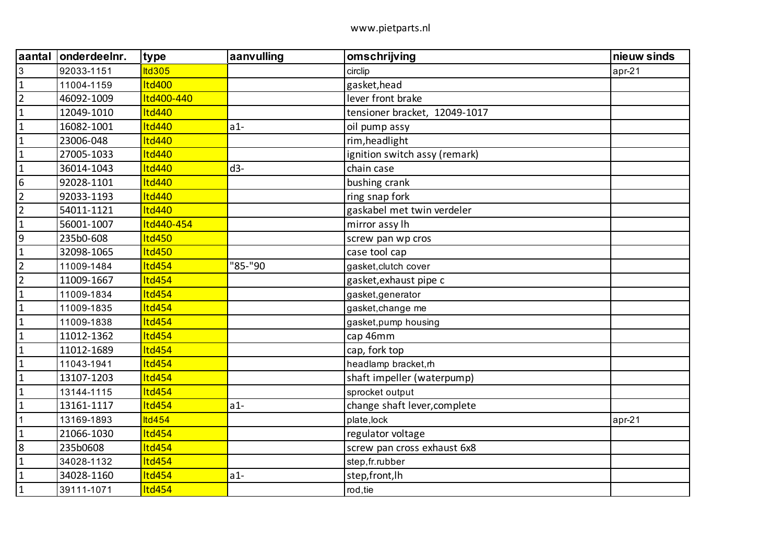| aantal           | onderdeelnr. | type          | aanvulling | omschrijving                  | nieuw sinds |
|------------------|--------------|---------------|------------|-------------------------------|-------------|
| 3                | 92033-1151   | <b>Itd305</b> |            | circlip                       | $apr-21$    |
| $\mathbf{1}$     | 11004-1159   | <b>Itd400</b> |            | gasket, head                  |             |
| $\overline{2}$   | 46092-1009   | Itd400-440    |            | lever front brake             |             |
| $\mathbf{1}$     | 12049-1010   | <b>Itd440</b> |            | tensioner bracket, 12049-1017 |             |
| $\mathbf{1}$     | 16082-1001   | <b>Itd440</b> | $a1-$      | oil pump assy                 |             |
| $\mathbf{1}$     | 23006-048    | <b>Itd440</b> |            | rim, headlight                |             |
| $\mathbf 1$      | 27005-1033   | <b>Itd440</b> |            | ignition switch assy (remark) |             |
| $\mathbf{1}$     | 36014-1043   | <b>Itd440</b> | $d3-$      | chain case                    |             |
| $\boldsymbol{6}$ | 92028-1101   | <b>Itd440</b> |            | bushing crank                 |             |
| $\overline{2}$   | 92033-1193   | <b>Itd440</b> |            | ring snap fork                |             |
| $\overline{2}$   | 54011-1121   | <b>Itd440</b> |            | gaskabel met twin verdeler    |             |
| $\mathbf{1}$     | 56001-1007   | Itd440-454    |            | mirror assy lh                |             |
| 9                | 235b0-608    | <b>Itd450</b> |            | screw pan wp cros             |             |
| $\mathbf{1}$     | 32098-1065   | <b>Itd450</b> |            | case tool cap                 |             |
| $\overline{2}$   | 11009-1484   | <b>Itd454</b> | "85-"90    | gasket, clutch cover          |             |
| $\overline{2}$   | 11009-1667   | <b>Itd454</b> |            | gasket, exhaust pipe c        |             |
| $\mathbf{1}$     | 11009-1834   | <b>Itd454</b> |            | gasket, generator             |             |
| $\mathbf 1$      | 11009-1835   | <b>Itd454</b> |            | gasket, change me             |             |
| $\mathbf{1}$     | 11009-1838   | <b>Itd454</b> |            | gasket, pump housing          |             |
| $\mathbf 1$      | 11012-1362   | <b>Itd454</b> |            | cap 46mm                      |             |
| $\mathbf{1}$     | 11012-1689   | <b>Itd454</b> |            | cap, fork top                 |             |
| $\mathbf{1}$     | 11043-1941   | <b>Itd454</b> |            | headlamp bracket, rh          |             |
| $\mathbf{1}$     | 13107-1203   | <b>Itd454</b> |            | shaft impeller (waterpump)    |             |
| $\mathbf{1}$     | 13144-1115   | <b>Itd454</b> |            | sprocket output               |             |
| $\mathbf{1}$     | 13161-1117   | <b>Itd454</b> | $a1-$      | change shaft lever, complete  |             |
| 1                | 13169-1893   | <b>ltd454</b> |            | plate, lock                   | $apr-21$    |
| $\mathbf{1}$     | 21066-1030   | <b>Itd454</b> |            | regulator voltage             |             |
| 8                | 235b0608     | Itd454        |            | screw pan cross exhaust 6x8   |             |
| $\mathbf{1}$     | 34028-1132   | <b>Itd454</b> |            | step, fr. rubber              |             |
| $\mathbf{1}$     | 34028-1160   | <b>Itd454</b> | $a1-$      | step, front, lh               |             |
| $\mathbf 1$      | 39111-1071   | <b>Itd454</b> |            | rod, tie                      |             |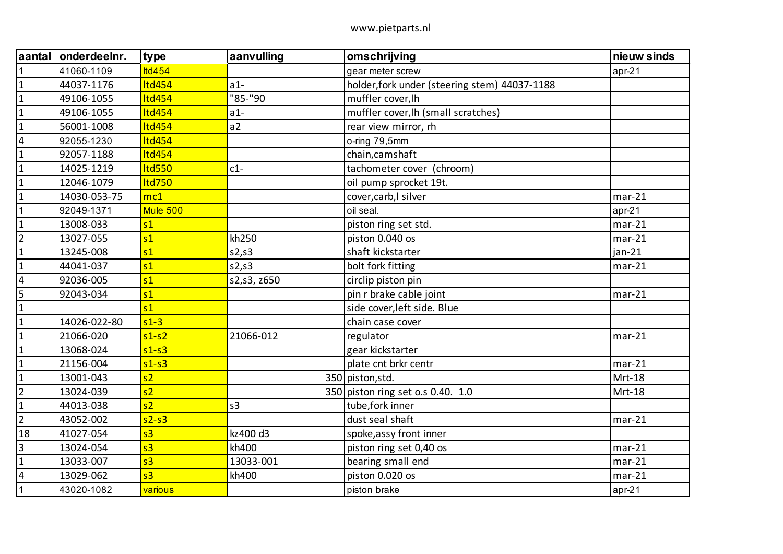| aantal                  | onderdeelnr. | type                                                    | aanvulling     | omschrijving                                  | nieuw sinds |
|-------------------------|--------------|---------------------------------------------------------|----------------|-----------------------------------------------|-------------|
| $\mathbf{1}$            | 41060-1109   | <b>Itd454</b>                                           |                | gear meter screw                              | $apr-21$    |
| $\mathbf 1$             | 44037-1176   | Itd454                                                  | $a1-$          | holder, fork under (steering stem) 44037-1188 |             |
| $\mathbf{1}$            | 49106-1055   | Itd454                                                  | "85-"90        | muffler cover, lh                             |             |
| $\mathbf{1}$            | 49106-1055   | <b>Itd454</b>                                           | $a1-$          | muffler cover, lh (small scratches)           |             |
| $\mathbf{1}$            | 56001-1008   | Itd454                                                  | a2             | rear view mirror, rh                          |             |
| $\overline{\mathbf{4}}$ | 92055-1230   | Itd454                                                  |                | o-ring 79,5mm                                 |             |
| $\mathbf{1}$            | 92057-1188   | Itd454                                                  |                | chain, camshaft                               |             |
| $\mathbf{1}$            | 14025-1219   | Itd550                                                  | $c1-$          | tachometer cover (chroom)                     |             |
| $\mathbf{1}$            | 12046-1079   | <b>Itd750</b>                                           |                | oil pump sprocket 19t.                        |             |
| $\mathbf{1}$            | 14030-053-75 | mc1                                                     |                | cover, carb, I silver                         | $mar-21$    |
| $\mathbf{1}$            | 92049-1371   | Mule 500                                                |                | oil seal.                                     | $apr-21$    |
| $\mathbf{1}$            | 13008-033    | s <sub>1</sub>                                          |                | piston ring set std.                          | $mar-21$    |
| $\overline{2}$          | 13027-055    | s <sub>1</sub>                                          | kh250          | piston 0.040 os                               | $mar-21$    |
| $\mathbf{1}$            | 13245-008    | s <sub>1</sub>                                          | s2,s3          | shaft kickstarter                             | $jan-21$    |
| $\mathbf 1$             | 44041-037    | s <sub>1</sub>                                          | s2,s3          | bolt fork fitting                             | $mar-21$    |
| $\overline{\mathbf{4}}$ | 92036-005    | s <sub>1</sub>                                          | s2,s3, z650    | circlip piston pin                            |             |
| 5                       | 92043-034    | s <sub>1</sub>                                          |                | pin r brake cable joint                       | $mar-21$    |
| $\mathbf 1$             |              | s <sub>1</sub>                                          |                | side cover, left side. Blue                   |             |
| $\mathbf{1}$            | 14026-022-80 | $s1-3$                                                  |                | chain case cover                              |             |
| $\mathbf{1}$            | 21066-020    | $s1-s2$                                                 | 21066-012      | regulator                                     | $mar-21$    |
| $\mathbf{1}$            | 13068-024    | $s1-s3$                                                 |                | gear kickstarter                              |             |
| $\mathbf{1}$            | 21156-004    | $s1-s3$                                                 |                | plate cnt brkr centr                          | $mar-21$    |
| $\mathbf{1}$            | 13001-043    | s2                                                      |                | 350 piston, std.                              | Mrt-18      |
| $\overline{2}$          | 13024-039    | s2                                                      |                | 350 piston ring set o.s 0.40. 1.0             | Mrt-18      |
| $\mathbf{1}$            | 44013-038    | s2                                                      | s <sub>3</sub> | tube, fork inner                              |             |
| $\overline{2}$          | 43052-002    | $s2-s3$                                                 |                | dust seal shaft                               | $mar-21$    |
| 18                      | 41027-054    | s <sub>3</sub>                                          | kz400 d3       | spoke, assy front inner                       |             |
| $\overline{3}$          | 13024-054    | s <sub>3</sub>                                          | kh400          | piston ring set 0,40 os                       | $mar-21$    |
| $\mathbf{1}$            | 13033-007    | $\overline{\overline{\mathsf{s}}\overline{\mathsf{3}}}$ | 13033-001      | bearing small end                             | $mar-21$    |
| $\sqrt{4}$              | 13029-062    | s <sub>3</sub>                                          | kh400          | piston 0.020 os                               | $mar-21$    |
| $\mathbf{1}$            | 43020-1082   | <b>various</b>                                          |                | piston brake                                  | apr-21      |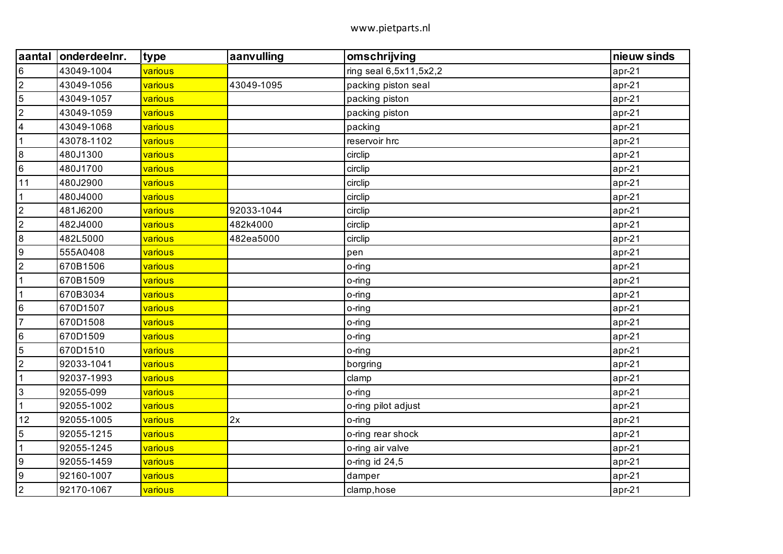| aantal                  | onderdeelnr. | type    | aanvulling | omschrijving           | nieuw sinds |
|-------------------------|--------------|---------|------------|------------------------|-------------|
| $6\overline{6}$         | 43049-1004   | various |            | ring seal 6,5x11,5x2,2 | $apr-21$    |
| $\overline{2}$          | 43049-1056   | various | 43049-1095 | packing piston seal    | $apr-21$    |
| $\sqrt{5}$              | 43049-1057   | various |            | packing piston         | $apr-21$    |
| $\overline{2}$          | 43049-1059   | various |            | packing piston         | $apr-21$    |
| $\overline{\mathbf{4}}$ | 43049-1068   | various |            | packing                | $apr-21$    |
| $\mathbf{1}$            | 43078-1102   | various |            | reservoir hrc          | $apr-21$    |
| 8                       | 480J1300     | various |            | circlip                | $apr-21$    |
| $6\overline{6}$         | 480J1700     | various |            | circlip                | apr-21      |
| 11                      | 480J2900     | various |            | circlip                | apr-21      |
| $\mathbf{1}$            | 480J4000     | various |            | circlip                | $apr-21$    |
| $\overline{2}$          | 481J6200     | various | 92033-1044 | circlip                | $apr-21$    |
| $\boldsymbol{2}$        | 482J4000     | various | 482k4000   | circlip                | $apr-21$    |
| 8                       | 482L5000     | various | 482ea5000  | circlip                | $apr-21$    |
| l9                      | 555A0408     | various |            | pen                    | $apr-21$    |
| $\sqrt{2}$              | 670B1506     | various |            | o-ring                 | $apr-21$    |
| $\mathbf{1}$            | 670B1509     | various |            | o-ring                 | $apr-21$    |
| $\mathbf{1}$            | 670B3034     | various |            | o-ring                 | $apr-21$    |
| $6\overline{6}$         | 670D1507     | various |            | o-ring                 | $apr-21$    |
| $\overline{7}$          | 670D1508     | various |            | o-ring                 | $apr-21$    |
| $6\overline{6}$         | 670D1509     | various |            | o-ring                 | $apr-21$    |
| $\sqrt{5}$              | 670D1510     | various |            | o-ring                 | $apr-21$    |
| $\boldsymbol{2}$        | 92033-1041   | various |            | borgring               | $apr-21$    |
| $\mathbf{1}$            | 92037-1993   | various |            | clamp                  | $apr-21$    |
| $\overline{3}$          | 92055-099    | various |            | o-ring                 | apr-21      |
| $\mathbf{1}$            | 92055-1002   | various |            | o-ring pilot adjust    | $apr-21$    |
| 12                      | 92055-1005   | various | 2x         | o-ring                 | $apr-21$    |
| $\overline{5}$          | 92055-1215   | various |            | o-ring rear shock      | $apr-21$    |
| $\mathbf{1}$            | 92055-1245   | various |            | o-ring air valve       | $apr-21$    |
| 9                       | 92055-1459   | various |            | o-ring id $24,5$       | $apr-21$    |
| $\overline{9}$          | 92160-1007   | various |            | damper                 | apr-21      |
| $\overline{2}$          | 92170-1067   | various |            | clamp, hose            | apr-21      |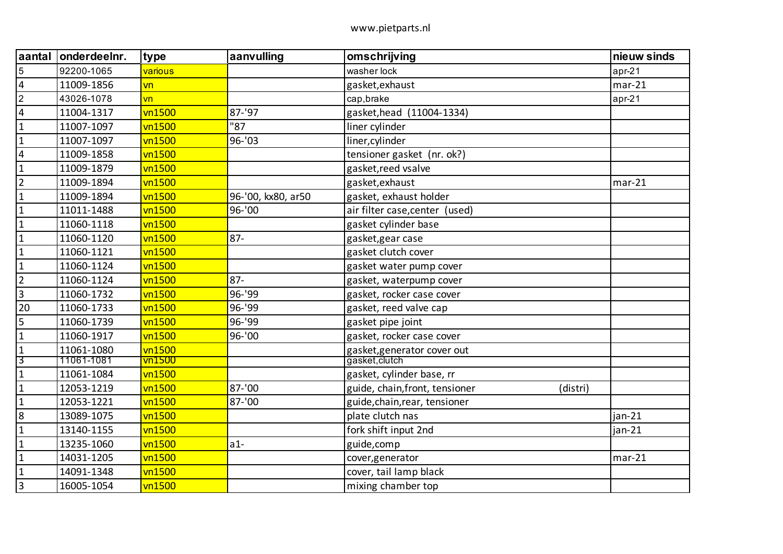| aantal                  | onderdeelnr. | type                     | aanvulling         | omschrijving                               | nieuw sinds |
|-------------------------|--------------|--------------------------|--------------------|--------------------------------------------|-------------|
| 5                       | 92200-1065   | various                  |                    | washer lock                                | $apr-21$    |
| $\overline{4}$          | 11009-1856   | $\overline{\mathsf{vn}}$ |                    | gasket, exhaust                            | $mar-21$    |
| $\overline{2}$          | 43026-1078   | vn                       |                    | cap, brake                                 | $apr-21$    |
| $\overline{\mathbf{4}}$ | 11004-1317   | vn1500                   | 87-'97             | gasket, head (11004-1334)                  |             |
| $\mathbf 1$             | 11007-1097   | vn1500                   | "87                | liner cylinder                             |             |
| $\mathbf{1}$            | 11007-1097   | vn1500                   | 96-'03             | liner, cylinder                            |             |
| $\overline{\mathbf{4}}$ | 11009-1858   | vn1500                   |                    | tensioner gasket (nr. ok?)                 |             |
| $\mathbf{1}$            | 11009-1879   | vn1500                   |                    | gasket, reed vsalve                        |             |
| $\overline{2}$          | 11009-1894   | vn1500                   |                    | gasket, exhaust                            | $mar-21$    |
| $\mathbf{1}$            | 11009-1894   | vn1500                   | 96-'00, kx80, ar50 | gasket, exhaust holder                     |             |
| $\mathbf{1}$            | 11011-1488   | vn1500                   | 96-'00             | air filter case, center (used)             |             |
| $\mathbf{1}$            | 11060-1118   | vn1500                   |                    | gasket cylinder base                       |             |
| $\mathbf{1}$            | 11060-1120   | vn1500                   | $87 -$             | gasket, gear case                          |             |
| $\mathbf{1}$            | 11060-1121   | vn1500                   |                    | gasket clutch cover                        |             |
| $\mathbf{1}$            | 11060-1124   | vn1500                   |                    | gasket water pump cover                    |             |
| $\overline{2}$          | 11060-1124   | vn1500                   | $87 -$             | gasket, waterpump cover                    |             |
| $\overline{3}$          | 11060-1732   | vn1500                   | 96-'99             | gasket, rocker case cover                  |             |
| 20                      | 11060-1733   | vn1500                   | 96-'99             | gasket, reed valve cap                     |             |
| 5                       | 11060-1739   | vn1500                   | 96-'99             | gasket pipe joint                          |             |
| $\mathbf{1}$            | 11060-1917   | vn1500                   | 96-'00             | gasket, rocker case cover                  |             |
| $\mathbf{1}$            | 11061-1080   | vn1500                   |                    | gasket, generator cover out                |             |
| 3                       | 11061-1081   | vn1500                   |                    | gasket, clutch                             |             |
| $\mathbf{1}$            | 11061-1084   | vn1500                   |                    | gasket, cylinder base, rr                  |             |
| $\mathbf 1$             | 12053-1219   | vn1500                   | 87-'00             | guide, chain, front, tensioner<br>(distri) |             |
| $\mathbf{1}$            | 12053-1221   | vn1500                   | 87-'00             | guide, chain, rear, tensioner              |             |
| $\bf 8$                 | 13089-1075   | vn1500                   |                    | plate clutch nas                           | jan-21      |
| $\mathbf{1}$            | 13140-1155   | vn1500                   |                    | fork shift input 2nd                       | jan-21      |
| $\mathbf{1}$            | 13235-1060   | vn1500                   | $a1-$              | guide, comp                                |             |
| $\mathbf{1}$            | 14031-1205   | vn1500                   |                    | cover, generator                           | $mar-21$    |
| $\mathbf{1}$            | 14091-1348   | vn1500                   |                    | cover, tail lamp black                     |             |
| $\overline{3}$          | 16005-1054   | vn1500                   |                    | mixing chamber top                         |             |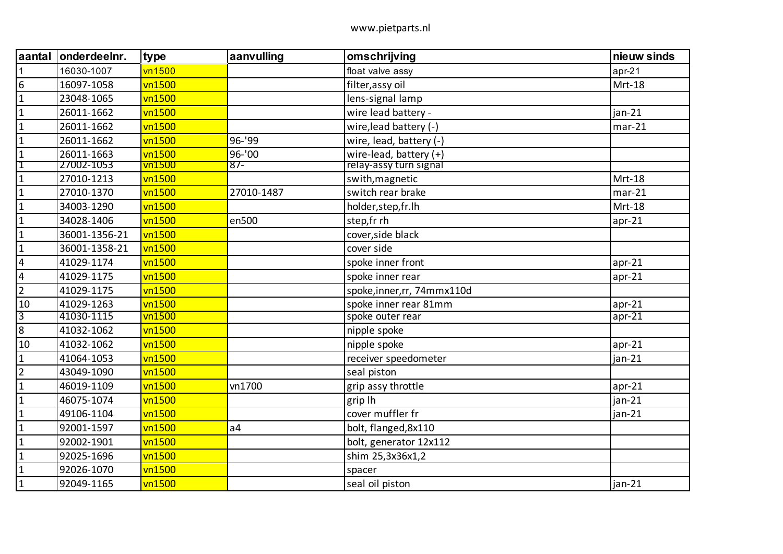| aantal                  | onderdeelnr.  | type                         | aanvulling     | omschrijving                | nieuw sinds |
|-------------------------|---------------|------------------------------|----------------|-----------------------------|-------------|
| $\mathbf{1}$            | 16030-1007    | vn1500                       |                | float valve assy            | $apr-21$    |
| $\boldsymbol{6}$        | 16097-1058    | vn1500                       |                | filter, assy oil            | Mrt-18      |
| $\mathbf{1}$            | 23048-1065    | vn1500                       |                | lens-signal lamp            |             |
| $\mathbf 1$             | 26011-1662    | vn1500                       |                | wire lead battery -         | $jan-21$    |
| $\mathbf{1}$            | 26011-1662    | vn1500                       |                | wire, lead battery (-)      | $mar-21$    |
| $\mathbf{1}$            | 26011-1662    | vn1500                       | 96-'99         | wire, lead, battery (-)     |             |
| $\mathbf{1}$            | 26011-1663    | vn1500                       | 96-'00         | wire-lead, battery $(+)$    |             |
| $\mathbf 1$             | 27002-1053    | $\overline{\textsf{vn1500}}$ | $87 -$         | relay-assy turn signal      |             |
| $\mathbf{1}$            | 27010-1213    | vn1500                       |                | swith, magnetic             | Mrt-18      |
| $\mathbf{1}$            | 27010-1370    | vn1500                       | 27010-1487     | switch rear brake           | $mar-21$    |
| $\mathbf{1}$            | 34003-1290    | vn1500                       |                | holder, step, fr. lh        | Mrt-18      |
| $\mathbf{1}$            | 34028-1406    | vn1500                       | en500          | step,fr rh                  | $apr-21$    |
| $\mathbf{1}$            | 36001-1356-21 | vn1500                       |                | cover, side black           |             |
| $\mathbf{1}$            | 36001-1358-21 | vn1500                       |                | cover side                  |             |
| $\overline{\mathbf{4}}$ | 41029-1174    | vn1500                       |                | spoke inner front           | $apr-21$    |
| $\overline{\mathbf{4}}$ | 41029-1175    | vn1500                       |                | spoke inner rear            | $apr-21$    |
| $\overline{2}$          | 41029-1175    | vn1500                       |                | spoke, inner, rr, 74mmx110d |             |
| 10                      | 41029-1263    | vn1500                       |                | spoke inner rear 81mm       | $apr-21$    |
| $\overline{3}$          | 41030-1115    | vn1500                       |                | spoke outer rear            | $apr-21$    |
| $\bf 8$                 | 41032-1062    | vn1500                       |                | nipple spoke                |             |
| 10                      | 41032-1062    | vn1500                       |                | nipple spoke                | $apr-21$    |
| $\mathbf 1$             | 41064-1053    | vn1500                       |                | receiver speedometer        | jan-21      |
| $\overline{2}$          | 43049-1090    | vn1500                       |                | seal piston                 |             |
| $\mathbf{1}$            | 46019-1109    | vn1500                       | vn1700         | grip assy throttle          | $apr-21$    |
| $\mathbf{1}$            | 46075-1074    | vn1500                       |                | grip lh                     | $jan-21$    |
| $\mathbf 1$             | 49106-1104    | vn1500                       |                | cover muffler fr            | $jan-21$    |
| $\mathbf{1}$            | 92001-1597    | vn1500                       | a <sub>4</sub> | bolt, flanged, 8x110        |             |
| $\mathbf{1}$            | 92002-1901    | vn1500                       |                | bolt, generator 12x112      |             |
| $\mathbf{1}$            | 92025-1696    | vn1500                       |                | shim 25,3x36x1,2            |             |
| $\mathbf 1$             | 92026-1070    | vn1500                       |                | spacer                      |             |
| $\mathbf{1}$            | 92049-1165    | vn1500                       |                | seal oil piston             | $jan-21$    |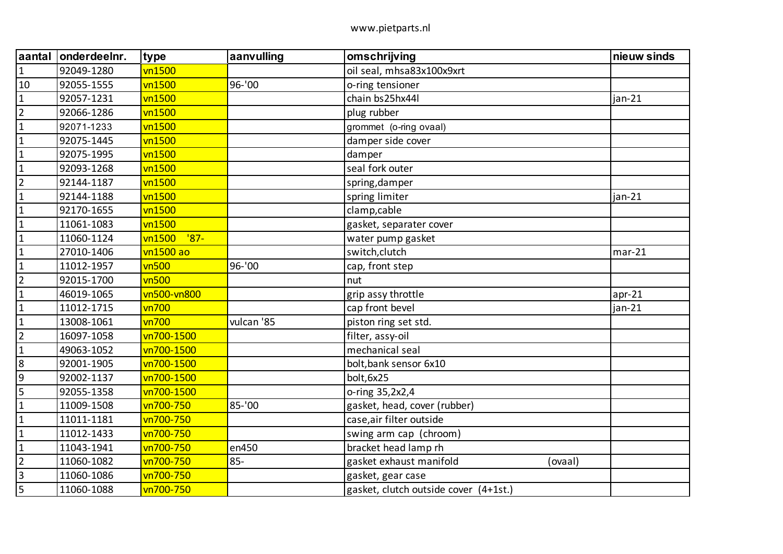| aantal         | onderdeelnr. | type             | aanvulling | omschrijving                          | nieuw sinds |
|----------------|--------------|------------------|------------|---------------------------------------|-------------|
| $\mathbf 1$    | 92049-1280   | vn1500           |            | oil seal, mhsa83x100x9xrt             |             |
| 10             | 92055-1555   | vn1500           | 96-'00     | o-ring tensioner                      |             |
| $\mathbf{1}$   | 92057-1231   | vn1500           |            | chain bs25hx44l                       | jan-21      |
| $\overline{2}$ | 92066-1286   | vn1500           |            | plug rubber                           |             |
| $\mathbf{1}$   | 92071-1233   | vn1500           |            | grommet (o-ring ovaal)                |             |
| $\mathbf 1$    | 92075-1445   | vn1500           |            | damper side cover                     |             |
| $\mathbf{1}$   | 92075-1995   | vn1500           |            | damper                                |             |
| $\mathbf{1}$   | 92093-1268   | vn1500           |            | seal fork outer                       |             |
| $\overline{2}$ | 92144-1187   | vn1500           |            | spring, damper                        |             |
| $\mathbf{1}$   | 92144-1188   | vn1500           |            | spring limiter                        | jan-21      |
| $\mathbf{1}$   | 92170-1655   | vn1500           |            | clamp, cable                          |             |
| $\mathbf 1$    | 11061-1083   | vn1500           |            | gasket, separater cover               |             |
| $\mathbf 1$    | 11060-1124   | vn1500<br>$'87-$ |            | water pump gasket                     |             |
| $\mathbf{1}$   | 27010-1406   | vn1500 ao        |            | switch, clutch                        | $mar-21$    |
| $\mathbf{1}$   | 11012-1957   | vn500            | 96-'00     | cap, front step                       |             |
| $\overline{2}$ | 92015-1700   | vn500            |            | nut                                   |             |
| $\mathbf{1}$   | 46019-1065   | vn500-vn800      |            | grip assy throttle                    | $apr-21$    |
| $\mathbf{1}$   | 11012-1715   | vn700            |            | cap front bevel                       | jan-21      |
| $\mathbf{1}$   | 13008-1061   | vn700            | vulcan '85 | piston ring set std.                  |             |
| $\overline{2}$ | 16097-1058   | vn700-1500       |            | filter, assy-oil                      |             |
| $\mathbf 1$    | 49063-1052   | vn700-1500       |            | mechanical seal                       |             |
| $\bf 8$        | 92001-1905   | vn700-1500       |            | bolt, bank sensor 6x10                |             |
| $\overline{9}$ | 92002-1137   | vn700-1500       |            | bolt, 6x25                            |             |
| 5              | 92055-1358   | vn700-1500       |            | o-ring 35,2x2,4                       |             |
| $\mathbf{1}$   | 11009-1508   | vn700-750        | 85-'00     | gasket, head, cover (rubber)          |             |
| $\mathbf{1}$   | 11011-1181   | vn700-750        |            | case, air filter outside              |             |
| $\mathbf 1$    | 11012-1433   | vn700-750        |            | swing arm cap (chroom)                |             |
| $\mathbf{1}$   | 11043-1941   | vn700-750        | en450      | bracket head lamp rh                  |             |
| $\overline{2}$ | 11060-1082   | vn700-750        | $85 -$     | gasket exhaust manifold<br>(ovaal)    |             |
| $\overline{3}$ | 11060-1086   | vn700-750        |            | gasket, gear case                     |             |
| 5              | 11060-1088   | vn700-750        |            | gasket, clutch outside cover (4+1st.) |             |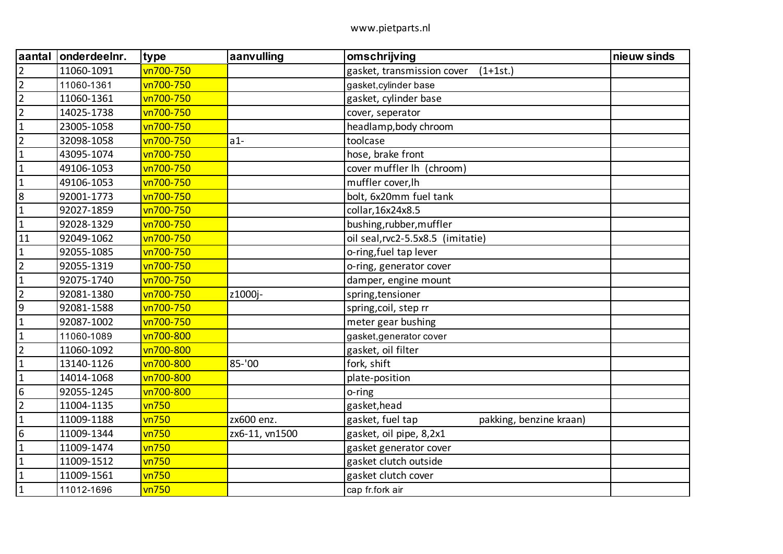| aantal           | onderdeelnr. | type         | aanvulling     | omschrijving                                | nieuw sinds |
|------------------|--------------|--------------|----------------|---------------------------------------------|-------------|
| $\overline{2}$   | 11060-1091   | vn700-750    |                | gasket, transmission cover<br>$(1+1st.)$    |             |
| $\overline{2}$   | 11060-1361   | vn700-750    |                | gasket, cylinder base                       |             |
| $\overline{2}$   | 11060-1361   | vn700-750    |                | gasket, cylinder base                       |             |
| $\overline{2}$   | 14025-1738   | vn700-750    |                | cover, seperator                            |             |
| $\mathbf 1$      | 23005-1058   | vn700-750    |                | headlamp, body chroom                       |             |
| $\overline{2}$   | 32098-1058   | vn700-750    | $a1-$          | toolcase                                    |             |
| $\mathbf{1}$     | 43095-1074   | vn700-750    |                | hose, brake front                           |             |
| $\mathbf 1$      | 49106-1053   | vn700-750    |                | cover muffler lh (chroom)                   |             |
| $\mathbf{1}$     | 49106-1053   | vn700-750    |                | muffler cover, lh                           |             |
| 8                | 92001-1773   | vn700-750    |                | bolt, 6x20mm fuel tank                      |             |
| $\mathbf 1$      | 92027-1859   | vn700-750    |                | collar, 16x24x8.5                           |             |
| $\mathbf{1}$     | 92028-1329   | vn700-750    |                | bushing, rubber, muffler                    |             |
| 11               | 92049-1062   | vn700-750    |                | oil seal, rvc2-5.5x8.5 (imitatie)           |             |
| $\mathbf{1}$     | 92055-1085   | vn700-750    |                | o-ring, fuel tap lever                      |             |
| $\overline{2}$   | 92055-1319   | vn700-750    |                | o-ring, generator cover                     |             |
| $\mathbf{1}$     | 92075-1740   | vn700-750    |                | damper, engine mount                        |             |
| $\overline{2}$   | 92081-1380   | vn700-750    | z1000j-        | spring, tensioner                           |             |
| $\boldsymbol{9}$ | 92081-1588   | vn700-750    |                | spring, coil, step rr                       |             |
| $\mathbf{1}$     | 92087-1002   | vn700-750    |                | meter gear bushing                          |             |
| $\mathbf{1}$     | 11060-1089   | vn700-800    |                | gasket, generator cover                     |             |
| $\overline{2}$   | 11060-1092   | vn700-800    |                | gasket, oil filter                          |             |
| $\mathbf{1}$     | 13140-1126   | vn700-800    | 85-'00         | fork, shift                                 |             |
| $\mathbf{1}$     | 14014-1068   | vn700-800    |                | plate-position                              |             |
| 6                | 92055-1245   | vn700-800    |                | o-ring                                      |             |
| $\overline{2}$   | 11004-1135   | <b>vn750</b> |                | gasket, head                                |             |
| $\mathbf{1}$     | 11009-1188   | <b>vn750</b> | zx600 enz.     | gasket, fuel tap<br>pakking, benzine kraan) |             |
| $\boldsymbol{6}$ | 11009-1344   | <b>vn750</b> | zx6-11, vn1500 | gasket, oil pipe, 8,2x1                     |             |
| $\mathbf{1}$     | 11009-1474   | <b>vn750</b> |                | gasket generator cover                      |             |
| $\mathbf 1$      | 11009-1512   | <b>vn750</b> |                | gasket clutch outside                       |             |
| $\mathbf{1}$     | 11009-1561   | vn750        |                | gasket clutch cover                         |             |
| $\mathbf 1$      | 11012-1696   | vn750        |                | cap fr.fork air                             |             |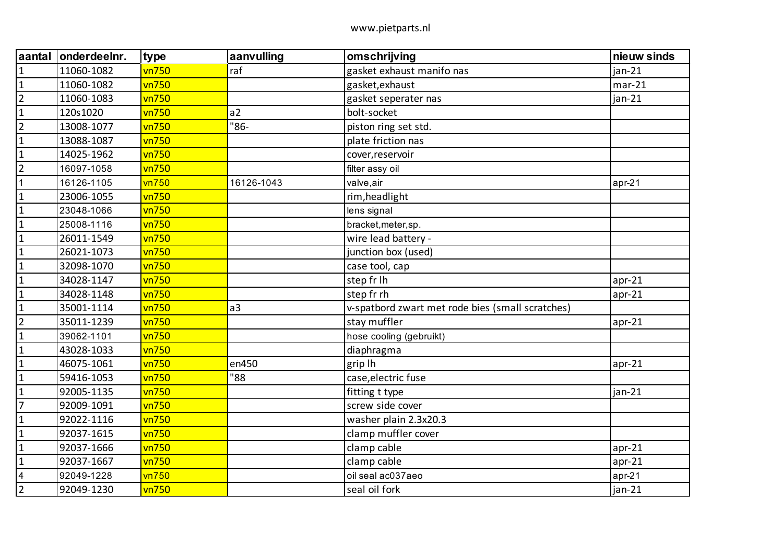| aantal                  | onderdeelnr. | type         | aanvulling     | omschrijving                                     | nieuw sinds |
|-------------------------|--------------|--------------|----------------|--------------------------------------------------|-------------|
| $\mathbf{1}$            | 11060-1082   | vn750        | raf            | gasket exhaust manifo nas                        | $jan-21$    |
| $\mathbf{1}$            | 11060-1082   | <b>vn750</b> |                | gasket, exhaust                                  | $mar-21$    |
| $\overline{2}$          | 11060-1083   | vn750        |                | gasket seperater nas                             | jan-21      |
| $\mathbf{1}$            | 120s1020     | vn750        | a2             | bolt-socket                                      |             |
| $\overline{2}$          | 13008-1077   | <b>vn750</b> | "86-           | piston ring set std.                             |             |
| $\mathbf{1}$            | 13088-1087   | vn750        |                | plate friction nas                               |             |
| $\mathbf{1}$            | 14025-1962   | vn750        |                | cover, reservoir                                 |             |
| $\overline{2}$          | 16097-1058   | vn750        |                | filter assy oil                                  |             |
| $\mathbf{1}$            | 16126-1105   | vn750        | 16126-1043     | valve,air                                        | $apr-21$    |
| $\mathbf{1}$            | 23006-1055   | vn750        |                | rim, headlight                                   |             |
| $\mathbf{1}$            | 23048-1066   | vn750        |                | lens signal                                      |             |
| $\mathbf{1}$            | 25008-1116   | vn750        |                | bracket, meter, sp.                              |             |
| $\mathbf{1}$            | 26011-1549   | vn750        |                | wire lead battery -                              |             |
| $\mathbf{1}$            | 26021-1073   | vn750        |                | junction box (used)                              |             |
| $\mathbf{1}$            | 32098-1070   | vn750        |                | case tool, cap                                   |             |
| $\mathbf{1}$            | 34028-1147   | vn750        |                | step fr lh                                       | $apr-21$    |
| $\mathbf{1}$            | 34028-1148   | <b>vn750</b> |                | step fr rh                                       | $apr-21$    |
| $\mathbf{1}$            | 35001-1114   | vn750        | a <sub>3</sub> | v-spatbord zwart met rode bies (small scratches) |             |
| $\overline{2}$          | 35011-1239   | vn750        |                | stay muffler                                     | $apr-21$    |
| $\mathbf{1}$            | 39062-1101   | vn750        |                | hose cooling (gebruikt)                          |             |
| $\mathbf{1}$            | 43028-1033   | vn750        |                | diaphragma                                       |             |
| $\mathbf{1}$            | 46075-1061   | vn750        | en450          | grip lh                                          | $apr-21$    |
| $\mathbf{1}$            | 59416-1053   | <b>vn750</b> | "88            | case, electric fuse                              |             |
| $\mathbf{1}$            | 92005-1135   | vn750        |                | fitting t type                                   | jan-21      |
| $\overline{7}$          | 92009-1091   | vn750        |                | screw side cover                                 |             |
| $\mathbf{1}$            | 92022-1116   | vn750        |                | washer plain 2.3x20.3                            |             |
| $\mathbf{1}$            | 92037-1615   | vn750        |                | clamp muffler cover                              |             |
| $\mathbf{1}$            | 92037-1666   | vn750        |                | clamp cable                                      | $apr-21$    |
| $\mathbf{1}$            | 92037-1667   | vn750        |                | clamp cable                                      | $apr-21$    |
| $\overline{\mathbf{4}}$ | 92049-1228   | vn750        |                | oil seal ac037aeo                                | $apr-21$    |
| $\overline{2}$          | 92049-1230   | vn750        |                | seal oil fork                                    | $jan-21$    |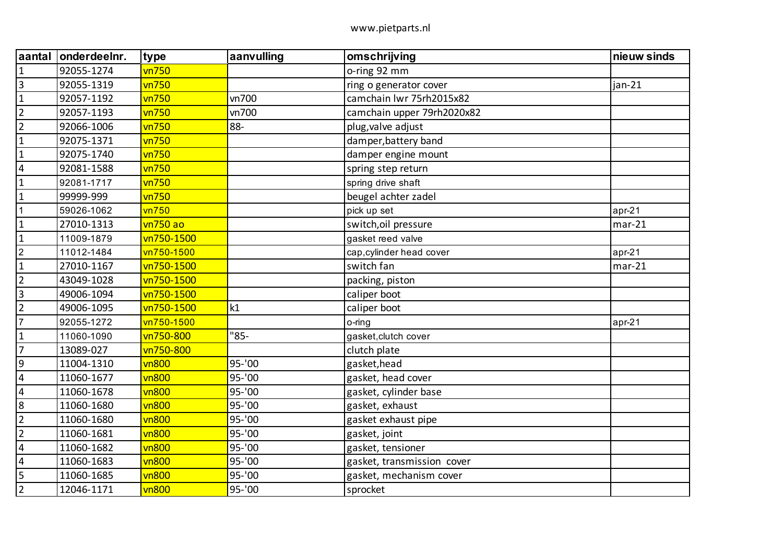| aantal                  | onderdeelnr. | type         | aanvulling | omschrijving               | nieuw sinds |
|-------------------------|--------------|--------------|------------|----------------------------|-------------|
| $\mathbf{1}$            | 92055-1274   | vn750        |            | o-ring 92 mm               |             |
| $\overline{3}$          | 92055-1319   | vn750        |            | ring o generator cover     | jan-21      |
| $\mathbf 1$             | 92057-1192   | vn750        | vn700      | camchain lwr 75rh2015x82   |             |
| $\overline{2}$          | 92057-1193   | vn750        | vn700      | camchain upper 79rh2020x82 |             |
| $\overline{2}$          | 92066-1006   | vn750        | 88-        | plug, valve adjust         |             |
| $\mathbf{1}$            | 92075-1371   | vn750        |            | damper, battery band       |             |
| $\mathbf{1}$            | 92075-1740   | vn750        |            | damper engine mount        |             |
| $\overline{4}$          | 92081-1588   | vn750        |            | spring step return         |             |
| $\mathbf{1}$            | 92081-1717   | vn750        |            | spring drive shaft         |             |
| $\mathbf{1}$            | 99999-999    | vn750        |            | beugel achter zadel        |             |
| $\mathbf{1}$            | 59026-1062   | vn750        |            | pick up set                | apr-21      |
| $\mathbf{1}$            | 27010-1313   | vn750 ao     |            | switch, oil pressure       | $mar-21$    |
| $\mathbf{1}$            | 11009-1879   | vn750-1500   |            | gasket reed valve          |             |
| $\overline{2}$          | 11012-1484   | vn750-1500   |            | cap, cylinder head cover   | apr-21      |
| $\mathbf{1}$            | 27010-1167   | vn750-1500   |            | switch fan                 | $mar-21$    |
| $\overline{2}$          | 43049-1028   | vn750-1500   |            | packing, piston            |             |
| $\overline{3}$          | 49006-1094   | vn750-1500   |            | caliper boot               |             |
| $\overline{2}$          | 49006-1095   | vn750-1500   | k1         | caliper boot               |             |
| $\overline{7}$          | 92055-1272   | vn750-1500   |            | o-ring                     | apr-21      |
| $\mathbf{1}$            | 11060-1090   | vn750-800    | "85-       | gasket, clutch cover       |             |
| $\overline{7}$          | 13089-027    | vn750-800    |            | clutch plate               |             |
| $9\,$                   | 11004-1310   | <b>vn800</b> | 95-'00     | gasket, head               |             |
| $\overline{4}$          | 11060-1677   | <b>vn800</b> | 95-'00     | gasket, head cover         |             |
| $\overline{\mathbf{4}}$ | 11060-1678   | vn800        | 95-'00     | gasket, cylinder base      |             |
| 8                       | 11060-1680   | vn800        | 95-'00     | gasket, exhaust            |             |
| $\overline{2}$          | 11060-1680   | <b>vn800</b> | 95-'00     | gasket exhaust pipe        |             |
| $\overline{2}$          | 11060-1681   | vn800        | 95-'00     | gasket, joint              |             |
| $\overline{\mathbf{4}}$ | 11060-1682   | <b>vn800</b> | 95-'00     | gasket, tensioner          |             |
| $\overline{\mathbf{4}}$ | 11060-1683   | <b>vn800</b> | 95-'00     | gasket, transmission cover |             |
| 5                       | 11060-1685   | vn800        | 95-'00     | gasket, mechanism cover    |             |
| $\overline{2}$          | 12046-1171   | <b>vn800</b> | 95-'00     | sprocket                   |             |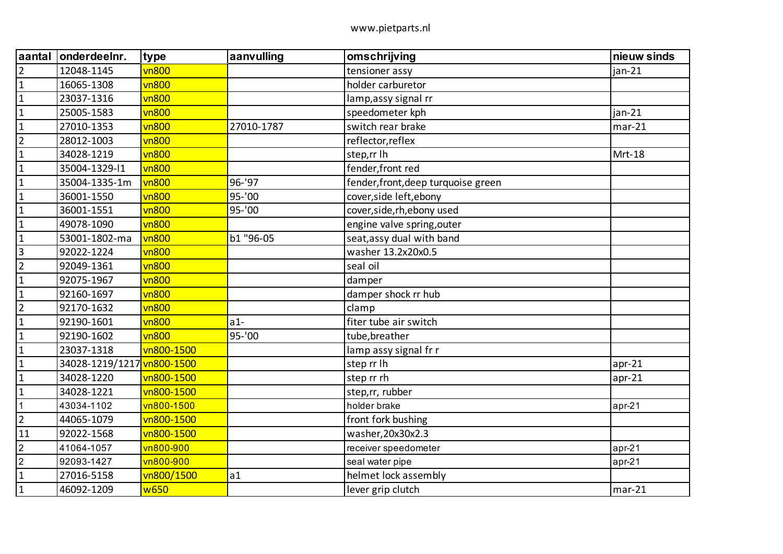| aantal         | onderdeelnr.               | type         | aanvulling | omschrijving                        | nieuw sinds |
|----------------|----------------------------|--------------|------------|-------------------------------------|-------------|
| $\overline{2}$ | 12048-1145                 | <b>vn800</b> |            | tensioner assy                      | $jan-21$    |
| $\mathbf 1$    | 16065-1308                 | vn800        |            | holder carburetor                   |             |
| $\mathbf{1}$   | 23037-1316                 | vn800        |            | lamp,assy signal rr                 |             |
| $\mathbf{1}$   | 25005-1583                 | <b>vn800</b> |            | speedometer kph                     | $jan-21$    |
| $\mathbf{1}$   | 27010-1353                 | <b>vn800</b> | 27010-1787 | switch rear brake                   | $mar-21$    |
| $\overline{2}$ | 28012-1003                 | vn800        |            | reflector, reflex                   |             |
| $\mathbf{1}$   | 34028-1219                 | <b>vn800</b> |            | step,rr lh                          | Mrt-18      |
| $\mathbf{1}$   | 35004-1329-11              | <b>vn800</b> |            | fender, front red                   |             |
| $\mathbf{1}$   | 35004-1335-1m              | <b>vn800</b> | 96-'97     | fender, front, deep turquoise green |             |
| $\mathbf{1}$   | 36001-1550                 | <b>vn800</b> | 95-'00     | cover, side left, ebony             |             |
| $\mathbf{1}$   | 36001-1551                 | <b>vn800</b> | $95 - '00$ | cover, side, rh, ebony used         |             |
| $\mathbf{1}$   | 49078-1090                 | <b>vn800</b> |            | engine valve spring, outer          |             |
| $\mathbf{1}$   | 53001-1802-ma              | <b>vn800</b> | b1 "96-05  | seat, assy dual with band           |             |
| $\overline{3}$ | 92022-1224                 | <b>vn800</b> |            | washer 13.2x20x0.5                  |             |
| $\overline{2}$ | 92049-1361                 | vn800        |            | seal oil                            |             |
| $\mathbf{1}$   | 92075-1967                 | <b>vn800</b> |            | damper                              |             |
| $\mathbf{1}$   | 92160-1697                 | <b>vn800</b> |            | damper shock rr hub                 |             |
| $\overline{2}$ | 92170-1632                 | vn800        |            | clamp                               |             |
| $\mathbf{1}$   | 92190-1601                 | vn800        | $a1-$      | fiter tube air switch               |             |
| $\mathbf{1}$   | 92190-1602                 | <b>vn800</b> | 95-'00     | tube, breather                      |             |
| $\mathbf 1$    | 23037-1318                 | vn800-1500   |            | lamp assy signal fr r               |             |
| $\mathbf{1}$   | 34028-1219/1217 vn800-1500 |              |            | step rr lh                          | $apr-21$    |
| $\mathbf{1}$   | 34028-1220                 | vn800-1500   |            | step rr rh                          | $apr-21$    |
| $\mathbf{1}$   | 34028-1221                 | vn800-1500   |            | step,rr, rubber                     |             |
| $\mathbf{1}$   | 43034-1102                 | vn800-1500   |            | holder brake                        | $apr-21$    |
| $\overline{2}$ | 44065-1079                 | vn800-1500   |            | front fork bushing                  |             |
| 11             | 92022-1568                 | vn800-1500   |            | washer, 20x30x2.3                   |             |
| $\overline{2}$ | 41064-1057                 | vn800-900    |            | receiver speedometer                | $apr-21$    |
| $\overline{2}$ | 92093-1427                 | vn800-900    |            | seal water pipe                     | $apr-21$    |
| $\mathbf 1$    | 27016-5158                 | vn800/1500   | a1         | helmet lock assembly                |             |
| $\mathbf{1}$   | 46092-1209                 | w650         |            | lever grip clutch                   | $mar-21$    |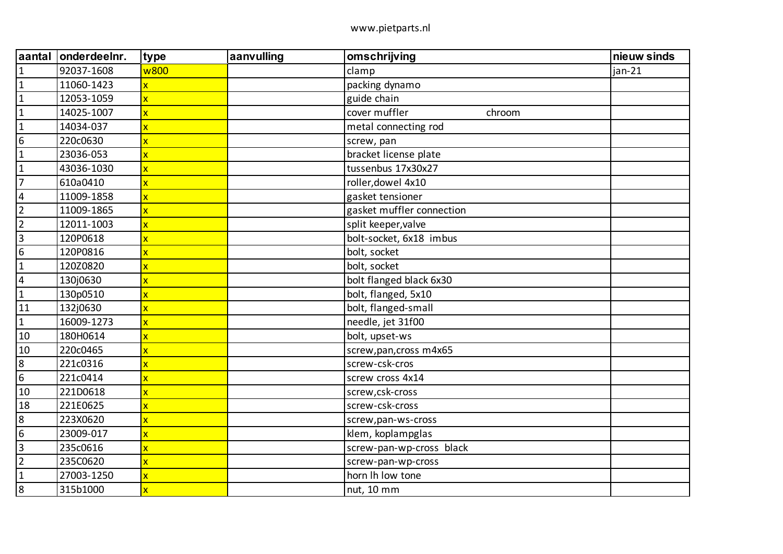| aantal                  | onderdeelnr. | type                    | aanvulling | omschrijving              | nieuw sinds |
|-------------------------|--------------|-------------------------|------------|---------------------------|-------------|
| $\mathbf{1}$            | 92037-1608   | w800                    |            | clamp                     | jan-21      |
| $\mathbf 1$             | 11060-1423   | x                       |            | packing dynamo            |             |
| $\mathbf{1}$            | 12053-1059   | $\overline{\mathsf{x}}$ |            | guide chain               |             |
| $\mathbf{1}$            | 14025-1007   | $\overline{\mathsf{x}}$ |            | cover muffler<br>chroom   |             |
| $\mathbf{1}$            | 14034-037    | x                       |            | metal connecting rod      |             |
| $\boldsymbol{6}$        | 220c0630     | X                       |            | screw, pan                |             |
| $\mathbf{1}$            | 23036-053    | $\overline{\mathsf{x}}$ |            | bracket license plate     |             |
| $\mathbf{1}$            | 43036-1030   | $\overline{\mathsf{x}}$ |            | tussenbus 17x30x27        |             |
| $\overline{7}$          | 610a0410     | $\overline{\mathsf{x}}$ |            | roller, dowel 4x10        |             |
| $\overline{\mathbf{4}}$ | 11009-1858   | $\overline{\mathsf{x}}$ |            | gasket tensioner          |             |
| $\overline{2}$          | 11009-1865   | $\overline{\mathsf{x}}$ |            | gasket muffler connection |             |
| $\overline{2}$          | 12011-1003   | $\overline{\mathsf{x}}$ |            | split keeper, valve       |             |
| $\overline{3}$          | 120P0618     | $\overline{\mathsf{x}}$ |            | bolt-socket, 6x18 imbus   |             |
| $6\phantom{a}$          | 120P0816     | $\overline{\mathsf{x}}$ |            | bolt, socket              |             |
| $\mathbf{1}$            | 120Z0820     | X                       |            | bolt, socket              |             |
| $\overline{\mathbf{4}}$ | 130j0630     | $\overline{\mathsf{x}}$ |            | bolt flanged black 6x30   |             |
| $\mathbf 1$             | 130p0510     | $\overline{\mathsf{x}}$ |            | bolt, flanged, 5x10       |             |
| 11                      | 132j0630     | $\overline{\mathsf{x}}$ |            | bolt, flanged-small       |             |
| $\mathbf{1}$            | 16009-1273   | X                       |            | needle, jet 31f00         |             |
| 10                      | 180H0614     | $\overline{\mathsf{x}}$ |            | bolt, upset-ws            |             |
| 10                      | 220c0465     | x                       |            | screw, pan, cross m4x65   |             |
| $\bf 8$                 | 221c0316     | $\overline{\mathsf{x}}$ |            | screw-csk-cros            |             |
| $\overline{6}$          | 221c0414     | $\overline{\mathsf{x}}$ |            | screw cross 4x14          |             |
| 10                      | 221D0618     | X                       |            | screw,csk-cross           |             |
| 18                      | 221E0625     | X                       |            | screw-csk-cross           |             |
| $\bf 8$                 | 223X0620     | x                       |            | screw, pan-ws-cross       |             |
| $\overline{6}$          | 23009-017    | $\overline{\mathsf{x}}$ |            | klem, koplampglas         |             |
| 3                       | 235c0616     | x                       |            | screw-pan-wp-cross black  |             |
| $\overline{2}$          | 235C0620     | $\overline{\mathsf{x}}$ |            | screw-pan-wp-cross        |             |
| $\mathbf{1}$            | 27003-1250   | x                       |            | horn Ih low tone          |             |
| $\boldsymbol{8}$        | 315b1000     | x                       |            | nut, 10 mm                |             |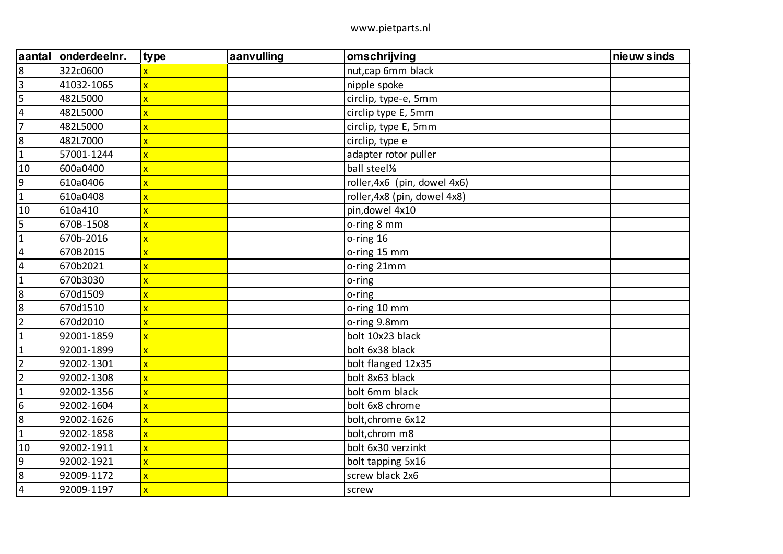| aantal                  | onderdeelnr. | type                    | aanvulling | omschrijving                 | nieuw sinds |
|-------------------------|--------------|-------------------------|------------|------------------------------|-------------|
| $\boldsymbol{8}$        | 322c0600     |                         |            | nut, cap 6mm black           |             |
| $\overline{\mathbf{3}}$ | 41032-1065   | $\overline{\mathsf{x}}$ |            | nipple spoke                 |             |
| 5                       | 482L5000     | $\overline{\mathsf{x}}$ |            | circlip, type-e, 5mm         |             |
| 4                       | 482L5000     | $\overline{\mathsf{x}}$ |            | circlip type E, 5mm          |             |
| $\overline{7}$          | 482L5000     | $\overline{\mathsf{x}}$ |            | circlip, type E, 5mm         |             |
| $\bf 8$                 | 482L7000     | $\overline{\mathsf{x}}$ |            | circlip, type e              |             |
| $\mathbf{1}$            | 57001-1244   | $\overline{\mathsf{x}}$ |            | adapter rotor puller         |             |
| 10                      | 600a0400     | $\overline{\mathsf{x}}$ |            | ball steel%                  |             |
| 9                       | 610a0406     | $\overline{\mathsf{x}}$ |            | roller, 4x6 (pin, dowel 4x6) |             |
| $\mathbf{1}$            | 610a0408     | x                       |            | roller, 4x8 (pin, dowel 4x8) |             |
| 10                      | 610a410      | $\overline{\mathsf{x}}$ |            | pin, dowel 4x10              |             |
| 5                       | 670B-1508    | $\overline{\mathsf{x}}$ |            | o-ring 8 mm                  |             |
| $\mathbf{1}$            | 670b-2016    | $\overline{\mathsf{x}}$ |            | o-ring 16                    |             |
| $\overline{\mathbf{4}}$ | 670B2015     | $\overline{\mathsf{x}}$ |            | o-ring 15 mm                 |             |
| $\overline{\mathbf{4}}$ | 670b2021     | $\mathsf{x}$            |            | o-ring 21mm                  |             |
| $\mathbf{1}$            | 670b3030     | X                       |            | o-ring                       |             |
| $\boldsymbol{8}$        | 670d1509     | $\overline{\mathbf{x}}$ |            | o-ring                       |             |
| 8                       | 670d1510     | $\overline{\mathsf{x}}$ |            | o-ring 10 mm                 |             |
| $\overline{2}$          | 670d2010     | $\overline{\mathsf{x}}$ |            | o-ring 9.8mm                 |             |
| $\mathbf{1}$            | 92001-1859   | $\overline{\mathsf{x}}$ |            | bolt 10x23 black             |             |
| $\mathbf{1}$            | 92001-1899   | $\mathbf{x}$            |            | bolt 6x38 black              |             |
| $\overline{2}$          | 92002-1301   | $\overline{\mathsf{x}}$ |            | bolt flanged 12x35           |             |
| $\overline{2}$          | 92002-1308   | $\overline{\mathsf{x}}$ |            | bolt 8x63 black              |             |
| $\mathbf{1}$            | 92002-1356   | $\mathbf x$             |            | bolt 6mm black               |             |
| $6\phantom{1}6$         | 92002-1604   | $\overline{\mathsf{x}}$ |            | bolt 6x8 chrome              |             |
| $\bf 8$                 | 92002-1626   | $\mathbf x$             |            | bolt, chrome 6x12            |             |
| $\mathbf{1}$            | 92002-1858   | $\overline{\mathsf{x}}$ |            | bolt, chrom m8               |             |
| 10                      | 92002-1911   | $\overline{\mathsf{x}}$ |            | bolt 6x30 verzinkt           |             |
| $\overline{9}$          | 92002-1921   | $\mathbf x$             |            | bolt tapping 5x16            |             |
| $\bf 8$                 | 92009-1172   | $\overline{\mathsf{x}}$ |            | screw black 2x6              |             |
| $\sqrt{4}$              | 92009-1197   | $\overline{\mathsf{x}}$ |            | screw                        |             |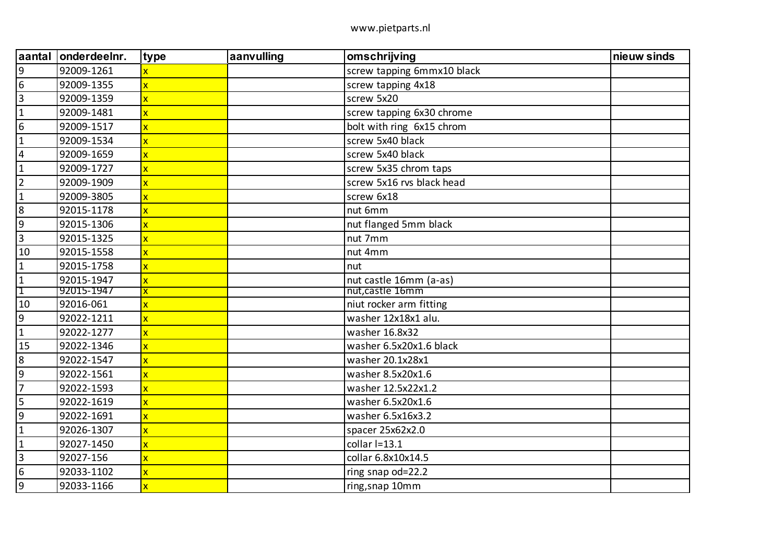| aantal           | onderdeelnr. | type                    | aanvulling | omschrijving               | nieuw sinds |
|------------------|--------------|-------------------------|------------|----------------------------|-------------|
| $\overline{9}$   | 92009-1261   |                         |            | screw tapping 6mmx10 black |             |
| $6\,$            | 92009-1355   | $\overline{\mathsf{x}}$ |            | screw tapping 4x18         |             |
| $\mathbf{3}$     | 92009-1359   | $\overline{\mathsf{x}}$ |            | screw 5x20                 |             |
| $\mathbf{1}$     | 92009-1481   | $\overline{\mathsf{x}}$ |            | screw tapping 6x30 chrome  |             |
| $\boldsymbol{6}$ | 92009-1517   | $\overline{\mathsf{x}}$ |            | bolt with ring 6x15 chrom  |             |
| $\mathbf{1}$     | 92009-1534   | $\overline{\mathsf{x}}$ |            | screw 5x40 black           |             |
| $\overline{4}$   | 92009-1659   | $\overline{\mathsf{x}}$ |            | screw 5x40 black           |             |
| $\mathbf{1}$     | 92009-1727   | $\overline{\mathsf{x}}$ |            | screw 5x35 chrom taps      |             |
| $\overline{2}$   | 92009-1909   | $\overline{\mathsf{x}}$ |            | screw 5x16 rvs black head  |             |
| $\overline{1}$   | 92009-3805   | $\overline{\mathsf{x}}$ |            | screw 6x18                 |             |
| $\boldsymbol{8}$ | 92015-1178   | $\overline{\mathsf{x}}$ |            | nut 6mm                    |             |
| 9                | 92015-1306   | $\overline{\mathsf{x}}$ |            | nut flanged 5mm black      |             |
| $\overline{3}$   | 92015-1325   | $\overline{\mathsf{x}}$ |            | nut 7mm                    |             |
| 10               | 92015-1558   | $\overline{\mathsf{x}}$ |            | nut 4mm                    |             |
| $\mathbf{1}$     | 92015-1758   | $\overline{\mathsf{x}}$ |            | nut                        |             |
| $\mathbf{1}$     | 92015-1947   | $\overline{\mathsf{x}}$ |            | nut castle 16mm (a-as)     |             |
| $\mathbf 1$      | 92015-1947   | $\overline{\mathsf{x}}$ |            | nut, castle 16mm           |             |
| 10               | 92016-061    | x                       |            | niut rocker arm fitting    |             |
| $9\,$            | 92022-1211   | $\overline{\mathsf{x}}$ |            | washer 12x18x1 alu.        |             |
| $\mathbf{1}$     | 92022-1277   | $\overline{\mathsf{x}}$ |            | washer 16.8x32             |             |
| 15               | 92022-1346   | X                       |            | washer 6.5x20x1.6 black    |             |
| $\bf 8$          | 92022-1547   | $\overline{\mathsf{x}}$ |            | washer 20.1x28x1           |             |
| $\boldsymbol{9}$ | 92022-1561   | $\overline{\mathsf{x}}$ |            | washer 8.5x20x1.6          |             |
| $\overline{7}$   | 92022-1593   | $\overline{\mathsf{x}}$ |            | washer 12.5x22x1.2         |             |
| 5                | 92022-1619   | $\overline{\mathsf{x}}$ |            | washer 6.5x20x1.6          |             |
| $9\,$            | 92022-1691   | $\overline{\mathsf{x}}$ |            | washer 6.5x16x3.2          |             |
| $\mathbf{1}$     | 92026-1307   | $\overline{\mathsf{x}}$ |            | spacer 25x62x2.0           |             |
| $\mathbf{1}$     | 92027-1450   | $\overline{\mathsf{x}}$ |            | collar $I=13.1$            |             |
| $\overline{3}$   | 92027-156    | $\overline{\mathsf{x}}$ |            | collar 6.8x10x14.5         |             |
| $\boldsymbol{6}$ | 92033-1102   | $\overline{\mathsf{x}}$ |            | ring snap od=22.2          |             |
| 9                | 92033-1166   | $\overline{\mathsf{x}}$ |            | ring, snap 10mm            |             |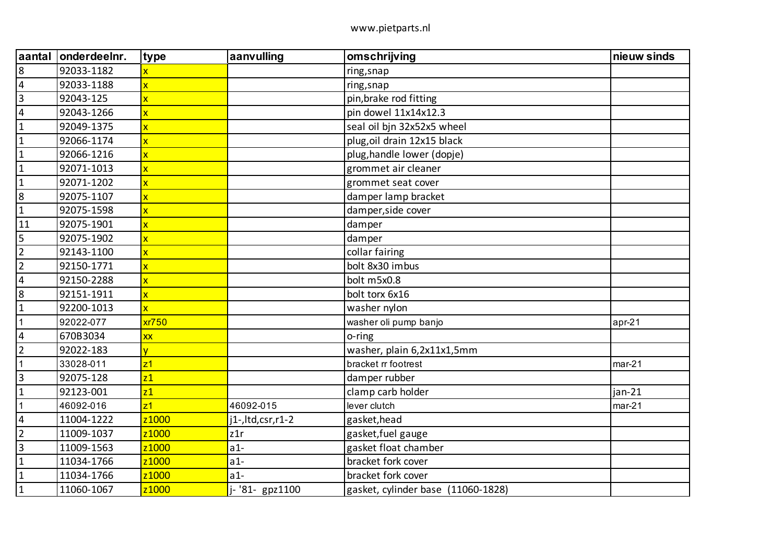| aantal                  | onderdeelnr. | type                    | aanvulling             | omschrijving                       | nieuw sinds |
|-------------------------|--------------|-------------------------|------------------------|------------------------------------|-------------|
| $\bf 8$                 | 92033-1182   |                         |                        | ring, snap                         |             |
| $\overline{4}$          | 92033-1188   | $\overline{\mathsf{x}}$ |                        | ring, snap                         |             |
| $\overline{3}$          | 92043-125    | $\overline{\mathsf{x}}$ |                        | pin, brake rod fitting             |             |
| $\overline{\mathbf{4}}$ | 92043-1266   | $\overline{\mathsf{x}}$ |                        | pin dowel 11x14x12.3               |             |
| $\mathbf{1}$            | 92049-1375   | $\overline{\mathbf{x}}$ |                        | seal oil bjn 32x52x5 wheel         |             |
| $\mathbf{1}$            | 92066-1174   | $\overline{\mathsf{x}}$ |                        | plug, oil drain 12x15 black        |             |
| $\mathbf{1}$            | 92066-1216   | $\overline{\mathbf{x}}$ |                        | plug, handle lower (dopje)         |             |
| $\mathbf{1}$            | 92071-1013   | $\overline{\mathsf{x}}$ |                        | grommet air cleaner                |             |
| $\mathbf{1}$            | 92071-1202   | $\overline{\mathbf{x}}$ |                        | grommet seat cover                 |             |
| 8                       | 92075-1107   | $\overline{\mathbf{x}}$ |                        | damper lamp bracket                |             |
| $\mathbf{1}$            | 92075-1598   | $\overline{\mathbf{x}}$ |                        | damper, side cover                 |             |
| 11                      | 92075-1901   | $\overline{\mathbf{x}}$ |                        | damper                             |             |
| 5                       | 92075-1902   | $\overline{\mathsf{x}}$ |                        | damper                             |             |
| $\overline{2}$          | 92143-1100   | $\overline{\mathsf{x}}$ |                        | collar fairing                     |             |
| $\overline{2}$          | 92150-1771   | $\overline{\mathbf{x}}$ |                        | bolt 8x30 imbus                    |             |
| $\overline{\mathbf{4}}$ | 92150-2288   | $\overline{\mathsf{x}}$ |                        | bolt m5x0.8                        |             |
| 8                       | 92151-1911   | $\overline{\mathbf{x}}$ |                        | bolt torx 6x16                     |             |
| $\mathbf{1}$            | 92200-1013   | $\overline{\mathsf{x}}$ |                        | washer nylon                       |             |
| $\mathbf{1}$            | 92022-077    | xr750                   |                        | washer oli pump banjo              | apr-21      |
| $\overline{4}$          | 670B3034     | <b>XX</b>               |                        | o-ring                             |             |
| $\overline{2}$          | 92022-183    | V                       |                        | washer, plain 6,2x11x1,5mm         |             |
| $\mathbf 1$             | 33028-011    | z <sub>1</sub>          |                        | bracket rr footrest                | $mar-21$    |
| $\overline{3}$          | 92075-128    | z1                      |                        | damper rubber                      |             |
| $\mathbf{1}$            | 92123-001    | z1                      |                        | clamp carb holder                  | jan-21      |
| $\mathbf 1$             | 46092-016    | z <sub>1</sub>          | 46092-015              | lever clutch                       | $mar-21$    |
| $\overline{4}$          | 11004-1222   | z <sub>1000</sub>       | $i1$ -, ltd, csr, r1-2 | gasket, head                       |             |
| $\overline{2}$          | 11009-1037   | z1000                   | z1r                    | gasket, fuel gauge                 |             |
| $\overline{3}$          | 11009-1563   | z <sub>1000</sub>       | $a1-$                  | gasket float chamber               |             |
| $\mathbf{1}$            | 11034-1766   | z <sub>1000</sub>       | $a1-$                  | bracket fork cover                 |             |
| $\mathbf{1}$            | 11034-1766   | z1000                   | $a1-$                  | bracket fork cover                 |             |
| $\mathbf{1}$            | 11060-1067   | z <sub>1000</sub>       | j-'81- gpz1100         | gasket, cylinder base (11060-1828) |             |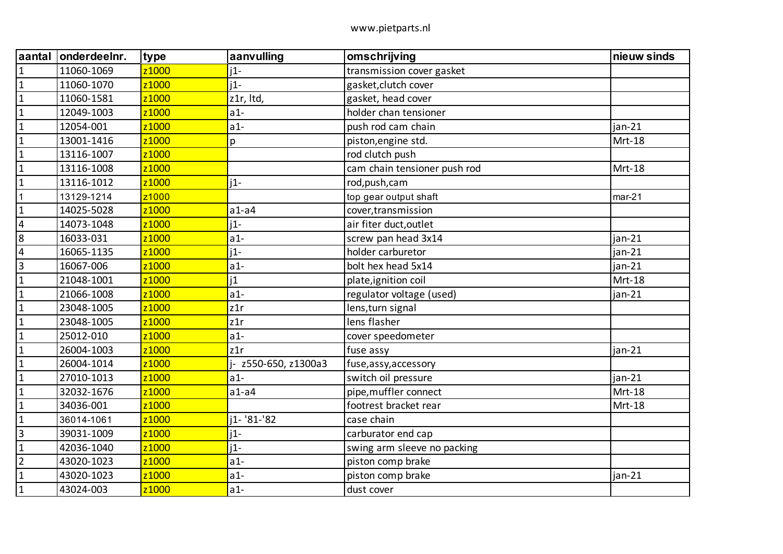| aantal                  | onderdeelnr. | type              | aanvulling           | omschrijving                 | nieuw sinds |
|-------------------------|--------------|-------------------|----------------------|------------------------------|-------------|
| $\mathbf{1}$            | 11060-1069   | z1000             | $i1-$                | transmission cover gasket    |             |
| $\mathbf{1}$            | 11060-1070   | z1000             | $i1-$                | gasket, clutch cover         |             |
| $\mathbf{1}$            | 11060-1581   | z1000             | z1r, Itd,            | gasket, head cover           |             |
| $\mathbf{1}$            | 12049-1003   | z1000             | $a1-$                | holder chan tensioner        |             |
| $\mathbf{1}$            | 12054-001    | z1000             | $a1-$                | push rod cam chain           | $jan-21$    |
| $\mathbf{1}$            | 13001-1416   | z1000             | p                    | piston, engine std.          | Mrt-18      |
| $\mathbf 1$             | 13116-1007   | z1000             |                      | rod clutch push              |             |
| $\mathbf{1}$            | 13116-1008   | z1000             |                      | cam chain tensioner push rod | Mrt-18      |
| $\mathbf 1$             | 13116-1012   | z1000             | $1 -$                | rod, push, cam               |             |
| $\mathbf 1$             | 13129-1214   | z1000             |                      | top gear output shaft        | $mar-21$    |
| $\mathbf{1}$            | 14025-5028   | z1000             | $a1-a4$              | cover, transmission          |             |
| $\sqrt{4}$              | 14073-1048   | z1000             | $1 -$                | air fiter duct, outlet       |             |
| 8                       | 16033-031    | z1000             | $a1-$                | screw pan head 3x14          | jan-21      |
| $\overline{4}$          | 16065-1135   | z1000             | $i1-$                | holder carburetor            | $jan-21$    |
| $\overline{\mathbf{3}}$ | 16067-006    | z1000             | $a1-$                | bolt hex head 5x14           | jan-21      |
| $\mathbf{1}$            | 21048-1001   | z1000             | 1                    | plate, ignition coil         | Mrt-18      |
| $\mathbf{1}$            | 21066-1008   | z <sub>1000</sub> | $a1-$                | regulator voltage (used)     | $jan-21$    |
| $\mathbf{1}$            | 23048-1005   | z1000             | z1r                  | lens, turn signal            |             |
| $\mathbf{1}$            | 23048-1005   | z1000             | z1r                  | lens flasher                 |             |
| $\mathbf{1}$            | 25012-010    | z1000             | $a1-$                | cover speedometer            |             |
| $\mathbf{1}$            | 26004-1003   | z1000             | z1r                  | fuse assy                    | jan-21      |
| $\mathbf{1}$            | 26004-1014   | z1000             | j- z550-650, z1300a3 | fuse, assy, accessory        |             |
| $\mathbf{1}$            | 27010-1013   | z1000             | $a1-$                | switch oil pressure          | $jan-21$    |
| $\mathbf{1}$            | 32032-1676   | z1000             | $a1-a4$              | pipe, muffler connect        | Mrt-18      |
| $\mathbf 1$             | 34036-001    | z1000             |                      | footrest bracket rear        | Mrt-18      |
| $\mathbf{1}$            | 36014-1061   | z1000             | i1- '81-'82          | case chain                   |             |
| $\overline{3}$          | 39031-1009   | z1000             | $j1-$                | carburator end cap           |             |
| $\mathbf{1}$            | 42036-1040   | z1000             | $i1-$                | swing arm sleeve no packing  |             |
| $\overline{2}$          | 43020-1023   | z1000             | $a1-$                | piston comp brake            |             |
| $\mathbf{1}$            | 43020-1023   | z1000             | $a1-$                | piston comp brake            | jan-21      |
| $\mathbf 1$             | 43024-003    | z1000             | $a1-$                | dust cover                   |             |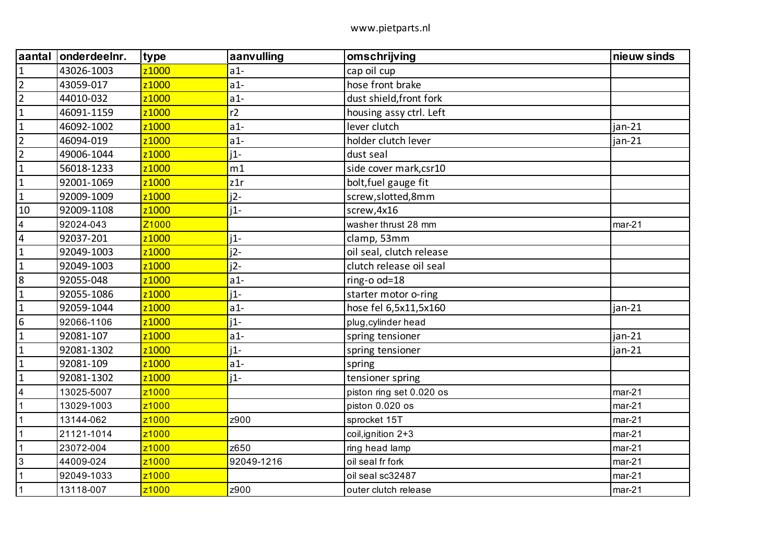| aantal                  | onderdeelnr. | type              | aanvulling | omschrijving             | nieuw sinds |
|-------------------------|--------------|-------------------|------------|--------------------------|-------------|
| $\mathbf{1}$            | 43026-1003   | z <sub>1000</sub> | $a1-$      | cap oil cup              |             |
| $\overline{2}$          | 43059-017    | z1000             | $a1-$      | hose front brake         |             |
| $\overline{2}$          | 44010-032    | z <sub>1000</sub> | $a1-$      | dust shield, front fork  |             |
| $\vert$ 1               | 46091-1159   | z <sub>1000</sub> | r2         | housing assy ctrl. Left  |             |
| $\vert$ 1               | 46092-1002   | z <sub>1000</sub> | $a1-$      | lever clutch             | jan-21      |
| $\overline{2}$          | 46094-019    | z1000             | $a1-$      | holder clutch lever      | jan-21      |
| $\overline{2}$          | 49006-1044   | z <sub>1000</sub> | $i1-$      | dust seal                |             |
| $\vert$ 1               | 56018-1233   | z1000             | m1         | side cover mark, csr10   |             |
| $\mathbf{1}$            | 92001-1069   | z <sub>1000</sub> | z1r        | bolt, fuel gauge fit     |             |
| $\vert$ 1               | 92009-1009   | z <sub>1000</sub> | $i2-$      | screw,slotted,8mm        |             |
| 10                      | 92009-1108   | z1000             | $i1-$      | screw, 4x16              |             |
| $\overline{\mathbf{4}}$ | 92024-043    | Z <sub>1000</sub> |            | washer thrust 28 mm      | $mar-21$    |
| $\overline{\mathbf{4}}$ | 92037-201    | z <sub>1000</sub> | $i1$ -     | clamp, 53mm              |             |
| $\vert$ 1               | 92049-1003   | z1000             | $j2-$      | oil seal, clutch release |             |
| $\vert$ 1               | 92049-1003   | z <sub>1000</sub> | $i2-$      | clutch release oil seal  |             |
| 8                       | 92055-048    | z <sub>1000</sub> | $a1-$      | ring-o od=18             |             |
| $\vert$ 1               | 92055-1086   | z1000             | $i1-$      | starter motor o-ring     |             |
| $\mathbf{1}$            | 92059-1044   | z1000             | $a1-$      | hose fel 6,5x11,5x160    | $jan-21$    |
| 6                       | 92066-1106   | z <sub>1000</sub> | $i1-$      | plug, cylinder head      |             |
| $\overline{1}$          | 92081-107    | z1000             | $a1-$      | spring tensioner         | jan-21      |
| $\mathbf{1}$            | 92081-1302   | z1000             | $i1-$      | spring tensioner         | jan-21      |
| $\vert$ 1               | 92081-109    | z <sub>1000</sub> | $a1-$      | spring                   |             |
| $\overline{1}$          | 92081-1302   | z <sub>1000</sub> | $i1-$      | tensioner spring         |             |
| $\overline{4}$          | 13025-5007   | z1000             |            | piston ring set 0.020 os | $mar-21$    |
| $\overline{1}$          | 13029-1003   | z <sub>1000</sub> |            | piston 0.020 os          | $mar-21$    |
| $\mathbf{1}$            | 13144-062    | z <sub>1000</sub> | z900       | sprocket 15T             | $mar-21$    |
| $\overline{1}$          | 21121-1014   | z1000             |            | coil, ignition 2+3       | $mar-21$    |
| $\overline{1}$          | 23072-004    | z <sub>1000</sub> | z650       | ring head lamp           | $mar-21$    |
| $ 3\rangle$             | 44009-024    | z <sub>1000</sub> | 92049-1216 | oil seal fr fork         | $mar-21$    |
| $\overline{\mathbf{1}}$ | 92049-1033   | z1000             |            | oil seal sc32487         | $mar-21$    |
| $\mathbf{1}$            | 13118-007    | z <sub>1000</sub> | z900       | outer clutch release     | $mar-21$    |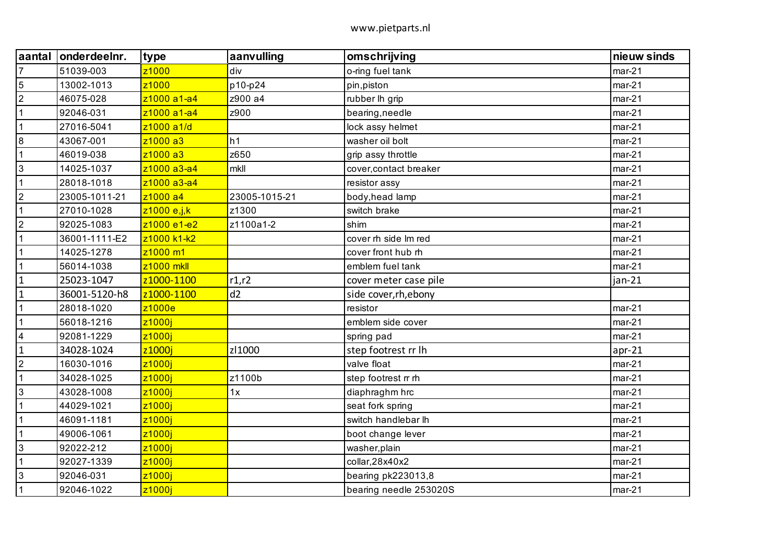| <b>aantal</b>  | onderdeelnr.  | type              | aanvulling    | omschrijving           | nieuw sinds |
|----------------|---------------|-------------------|---------------|------------------------|-------------|
| $\overline{7}$ | 51039-003     | z <sub>1000</sub> | div           | o-ring fuel tank       | $mar-21$    |
| $\overline{5}$ | 13002-1013    | z <sub>1000</sub> | p10-p24       | pin, piston            | $mar-21$    |
| $\overline{2}$ | 46075-028     | z1000 a1-a4       | z900 a4       | rubber lh grip         | $mar-21$    |
| $\overline{1}$ | 92046-031     | z1000 a1-a4       | z900          | bearing, needle        | $mar-21$    |
| $\overline{1}$ | 27016-5041    | z1000 a1/d        |               | lock assy helmet       | $mar-21$    |
| $\overline{8}$ | 43067-001     | z1000 a3          | h1            | washer oil bolt        | $mar-21$    |
| $\overline{1}$ | 46019-038     | z1000 a3          | z650          | grip assy throttle     | $mar-21$    |
| 3              | 14025-1037    | z1000 a3-a4       | mkll          | cover, contact breaker | $mar-21$    |
| $\overline{1}$ | 28018-1018    | z1000 a3-a4       |               | resistor assy          | $mar-21$    |
| $\overline{2}$ | 23005-1011-21 | z1000 a4          | 23005-1015-21 | body, head lamp        | $mar-21$    |
| $\overline{1}$ | 27010-1028    | z1000 e,j,k       | z1300         | switch brake           | $mar-21$    |
| $\overline{2}$ | 92025-1083    | z1000 e1-e2       | z1100a1-2     | shim                   | $mar-21$    |
| $\overline{1}$ | 36001-1111-E2 | z1000 k1-k2       |               | cover rh side Im red   | $mar-21$    |
| $\overline{1}$ | 14025-1278    | z1000 m1          |               | cover front hub rh     | $mar-21$    |
| $\overline{1}$ | 56014-1038    | z1000 mkll        |               | emblem fuel tank       | $mar-21$    |
| $\overline{1}$ | 25023-1047    | z1000-1100        | r1,r2         | cover meter case pile  | $jan-21$    |
| $\mathbf{1}$   | 36001-5120-h8 | z1000-1100        | d2            | side cover, rh, ebony  |             |
| $\overline{1}$ | 28018-1020    | z1000e            |               | resistor               | $mar-21$    |
| $\overline{1}$ | 56018-1216    | z1000j            |               | emblem side cover      | $mar-21$    |
| $\overline{4}$ | 92081-1229    | z1000j            |               | spring pad             | $mar-21$    |
| $\overline{1}$ | 34028-1024    | z1000j            | zl1000        | step footrest rr lh    | $apr-21$    |
| $\overline{2}$ | 16030-1016    | z1000i            |               | valve float            | $mar-21$    |
| $\overline{1}$ | 34028-1025    | z1000j            | z1100b        | step footrest rr rh    | $mar-21$    |
| $\overline{3}$ | 43028-1008    | z1000j            | 1x            | diaphraghm hrc         | $mar-21$    |
| $\overline{1}$ | 44029-1021    | z1000i            |               | seat fork spring       | $mar-21$    |
| $\overline{1}$ | 46091-1181    | z1000j            |               | switch handlebar lh    | $mar-21$    |
| $\overline{1}$ | 49006-1061    | z1000j            |               | boot change lever      | $mar-21$    |
| $\overline{3}$ | 92022-212     | z1000j            |               | washer, plain          | $mar-21$    |
| $\overline{1}$ | 92027-1339    | z1000j            |               | collar, 28x40x2        | $mar-21$    |
| $\overline{3}$ | 92046-031     | z1000j            |               | bearing pk223013,8     | $mar-21$    |
| $\overline{1}$ | 92046-1022    | z1000j            |               | bearing needle 253020S | $mar-21$    |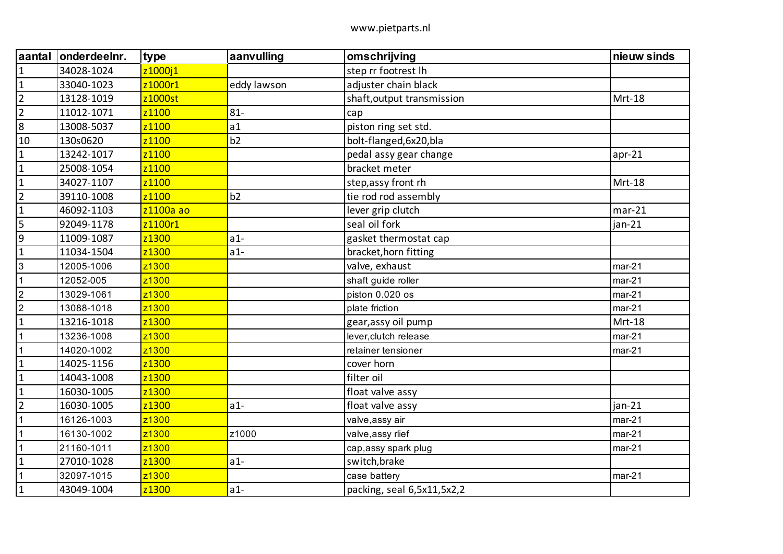| aantal         | onderdeelnr. | type      | aanvulling  | omschrijving               | nieuw sinds |
|----------------|--------------|-----------|-------------|----------------------------|-------------|
| $\mathbf{1}$   | 34028-1024   | z1000j1   |             | step rr footrest lh        |             |
| $\mathbf{1}$   | 33040-1023   | z1000r1   | eddy lawson | adjuster chain black       |             |
| $\overline{2}$ | 13128-1019   | z1000st   |             | shaft, output transmission | Mrt-18      |
| $\overline{2}$ | 11012-1071   | z1100     | $81 -$      | cap                        |             |
| $\bf 8$        | 13008-5037   | z1100     | a1          | piston ring set std.       |             |
| 10             | 130s0620     | z1100     | b2          | bolt-flanged, 6x20, bla    |             |
| $\mathbf 1$    | 13242-1017   | z1100     |             | pedal assy gear change     | $apr-21$    |
| $\mathbf 1$    | 25008-1054   | z1100     |             | bracket meter              |             |
| $\mathbf 1$    | 34027-1107   | z1100     |             | step, assy front rh        | Mrt-18      |
| $\overline{2}$ | 39110-1008   | z1100     | b2          | tie rod rod assembly       |             |
| $\mathbf{1}$   | 46092-1103   | z1100a ao |             | lever grip clutch          | $mar-21$    |
|                | 92049-1178   | z1100r1   |             | seal oil fork              | jan-21      |
| $\overline{9}$ | 11009-1087   | z1300     | $a1-$       | gasket thermostat cap      |             |
| $\mathbf{1}$   | 11034-1504   | z1300     | $a1-$       | bracket, horn fitting      |             |
| $\mathfrak{S}$ | 12005-1006   | z1300     |             | valve, exhaust             | $mar-21$    |
| $\mathbf{1}$   | 12052-005    | z1300     |             | shaft guide roller         | $mar-21$    |
| $\overline{2}$ | 13029-1061   | z1300     |             | piston 0.020 os            | $mar-21$    |
| $\overline{2}$ | 13088-1018   | z1300     |             | plate friction             | $mar-21$    |
| $\mathbf{1}$   | 13216-1018   | z1300     |             | gear, assy oil pump        | Mrt-18      |
| $\mathbf{1}$   | 13236-1008   | z1300     |             | lever, clutch release      | $mar-21$    |
| $\mathbf{1}$   | 14020-1002   | z1300     |             | retainer tensioner         | $mar-21$    |
| $\mathbf{1}$   | 14025-1156   | z1300     |             | cover horn                 |             |
| $\mathbf{1}$   | 14043-1008   | z1300     |             | filter oil                 |             |
| $\mathbf{1}$   | 16030-1005   | z1300     |             | float valve assy           |             |
| $\overline{2}$ | 16030-1005   | z1300     | $a1-$       | float valve assy           | $jan-21$    |
| $\mathbf 1$    | 16126-1003   | z1300     |             | valve, assy air            | $mar-21$    |
| $\mathbf{1}$   | 16130-1002   | z1300     | z1000       | valve, assy rlief          | $mar-21$    |
| $\mathbf{1}$   | 21160-1011   | z1300     |             | cap, assy spark plug       | $mar-21$    |
| $\mathbf{1}$   | 27010-1028   | z1300     | $a1-$       | switch, brake              |             |
| 1              | 32097-1015   | z1300     |             | case battery               | $mar-21$    |
| $\mathbf 1$    | 43049-1004   | z1300     | $a1-$       | packing, seal 6,5x11,5x2,2 |             |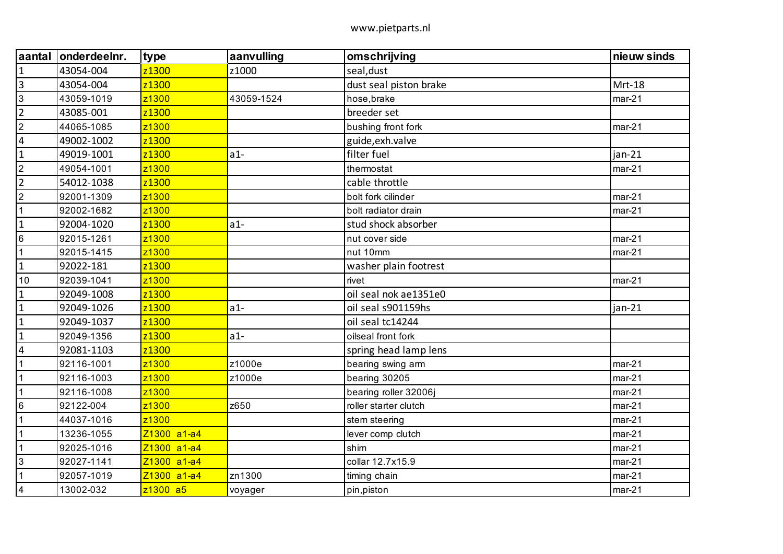| aantal                  | onderdeelnr. | type              | aanvulling | omschrijving           | nieuw sinds |
|-------------------------|--------------|-------------------|------------|------------------------|-------------|
| $\mathbf{1}$            | 43054-004    | z1300             | z1000      | seal, dust             |             |
| $\overline{\mathbf{3}}$ | 43054-004    | z1300             |            | dust seal piston brake | Mrt-18      |
| $\mathbf{3}$            | 43059-1019   | z1300             | 43059-1524 | hose, brake            | $mar-21$    |
| $\overline{2}$          | 43085-001    | z1300             |            | breeder set            |             |
| $\overline{2}$          | 44065-1085   | z1300             |            | bushing front fork     | $mar-21$    |
| $\overline{\mathbf{4}}$ | 49002-1002   | z1300             |            | guide, exh. valve      |             |
| $\mathbf{1}$            | 49019-1001   | z1300             | $a1-$      | filter fuel            | jan-21      |
| $\overline{2}$          | 49054-1001   | z1300             |            | thermostat             | $mar-21$    |
| $\overline{2}$          | 54012-1038   | z <sub>1300</sub> |            | cable throttle         |             |
| $\overline{2}$          | 92001-1309   | z1300             |            | bolt fork cilinder     | $mar-21$    |
| $\overline{1}$          | 92002-1682   | z1300             |            | bolt radiator drain    | $mar-21$    |
| $\mathbf{1}$            | 92004-1020   | z1300             | $a1-$      | stud shock absorber    |             |
| $6\phantom{.}6$         | 92015-1261   | z1300             |            | nut cover side         | $mar-21$    |
| $\mathbf{1}$            | 92015-1415   | z1300             |            | nut 10mm               | $mar-21$    |
| $\mathbf{1}$            | 92022-181    | z1300             |            | washer plain footrest  |             |
| 10                      | 92039-1041   | z1300             |            | rivet                  | $mar-21$    |
| $\mathbf{1}$            | 92049-1008   | z1300             |            | oil seal nok ae1351e0  |             |
| $\mathbf{1}$            | 92049-1026   | z1300             | $a1-$      | oil seal s901159hs     | jan-21      |
| $\mathbf{1}$            | 92049-1037   | z1300             |            | oil seal tc14244       |             |
| $\mathbf{1}$            | 92049-1356   | z1300             | $a1-$      | oilseal front fork     |             |
| $\overline{4}$          | 92081-1103   | z1300             |            | spring head lamp lens  |             |
| $\mathbf{1}$            | 92116-1001   | z1300             | z1000e     | bearing swing arm      | $mar-21$    |
| $\mathbf{1}$            | 92116-1003   | z1300             | z1000e     | bearing 30205          | $mar-21$    |
| $\mathbf{1}$            | 92116-1008   | z1300             |            | bearing roller 32006j  | $mar-21$    |
| $\,6\,$                 | 92122-004    | z1300             | z650       | roller starter clutch  | $mar-21$    |
| $\overline{1}$          | 44037-1016   | z1300             |            | stem steering          | $mar-21$    |
| $\mathbf{1}$            | 13236-1055   | Z1300 a1-a4       |            | lever comp clutch      | $mar-21$    |
| $\mathbf{1}$            | 92025-1016   | Z1300 a1-a4       |            | shim                   | $mar-21$    |
| $\mathbf{3}$            | 92027-1141   | Z1300 a1-a4       |            | collar 12.7x15.9       | $mar-21$    |
| $\mathbf{1}$            | 92057-1019   | Z1300 a1-a4       | zn1300     | timing chain           | $mar-21$    |
| $\overline{\mathbf{4}}$ | 13002-032    | z1300 a5          | voyager    | pin, piston            | $mar-21$    |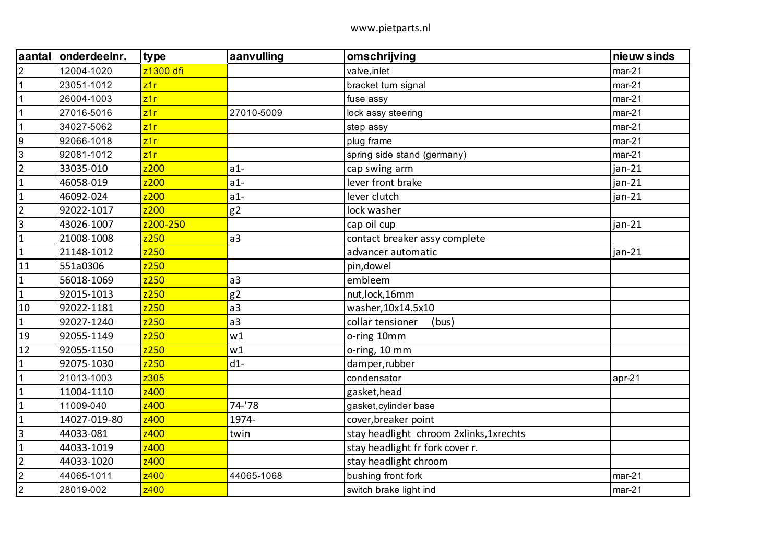| aantal           | onderdeelnr. | type      | aanvulling     | omschrijving                            | nieuw sinds |
|------------------|--------------|-----------|----------------|-----------------------------------------|-------------|
| $\overline{2}$   | 12004-1020   | z1300 dfi |                | valve, inlet                            | $mar-21$    |
| $\mathbf{1}$     | 23051-1012   | z1r       |                | bracket turn signal                     | $mar-21$    |
| $\mathbf{1}$     | 26004-1003   | z1r       |                | fuse assy                               | $mar-21$    |
| $\mathbf{1}$     | 27016-5016   | z1r       | 27010-5009     | lock assy steering                      | $mar-21$    |
| $\mathbf{1}$     | 34027-5062   | z1r       |                | step assy                               | $mar-21$    |
| $\boldsymbol{9}$ | 92066-1018   | z1r       |                | plug frame                              | $mar-21$    |
| $\mathbf{3}$     | 92081-1012   | z1r       |                | spring side stand (germany)             | $mar-21$    |
| $\overline{2}$   | 33035-010    | z200      | $a1-$          | cap swing arm                           | $jan-21$    |
| $\mathbf{1}$     | 46058-019    | z200      | $a1-$          | lever front brake                       | $jan-21$    |
| $\mathbf{1}$     | 46092-024    | z200      | $a1-$          | lever clutch                            | $jan-21$    |
| $\overline{2}$   | 92022-1017   | z200      | g <sub>2</sub> | lock washer                             |             |
| $\mathbf{3}$     | 43026-1007   | z200-250  |                | cap oil cup                             | $jan-21$    |
| $\mathbf{1}$     | 21008-1008   | z250      | a3             | contact breaker assy complete           |             |
| $\mathbf{1}$     | 21148-1012   | z250      |                | advancer automatic                      | $jan-21$    |
| 11               | 551a0306     | z250      |                | pin, dowel                              |             |
| $\mathbf 1$      | 56018-1069   | z250      | a3             | embleem                                 |             |
| $\mathbf{1}$     | 92015-1013   | z250      | g2             | nut, lock, 16mm                         |             |
| 10               | 92022-1181   | z250      | a <sub>3</sub> | washer, 10x14.5x10                      |             |
| $\mathbf{1}$     | 92027-1240   | z250      | a <sub>3</sub> | collar tensioner<br>(bus)               |             |
| 19               | 92055-1149   | z250      | w1             | o-ring 10mm                             |             |
| 12               | 92055-1150   | z250      | w1             | o-ring, 10 mm                           |             |
| $\mathbf{1}$     | 92075-1030   | z250      | $d1-$          | damper, rubber                          |             |
| $\mathbf{1}$     | 21013-1003   | z305      |                | condensator                             | $apr-21$    |
| $\mathbf{1}$     | 11004-1110   | z400      |                | gasket, head                            |             |
| $\mathbf{1}$     | 11009-040    | z400      | 74-'78         | gasket, cylinder base                   |             |
| $\mathbf 1$      | 14027-019-80 | z400      | 1974-          | cover, breaker point                    |             |
| $\overline{3}$   | 44033-081    | z400      | twin           | stay headlight chroom 2xlinks, 1xrechts |             |
| $\mathbf{1}$     | 44033-1019   | z400      |                | stay headlight fr fork cover r.         |             |
| $\overline{2}$   | 44033-1020   | z400      |                | stay headlight chroom                   |             |
| $\overline{2}$   | 44065-1011   | z400      | 44065-1068     | bushing front fork                      | $mar-21$    |
| $\sqrt{2}$       | 28019-002    | z400      |                | switch brake light ind                  | $mar-21$    |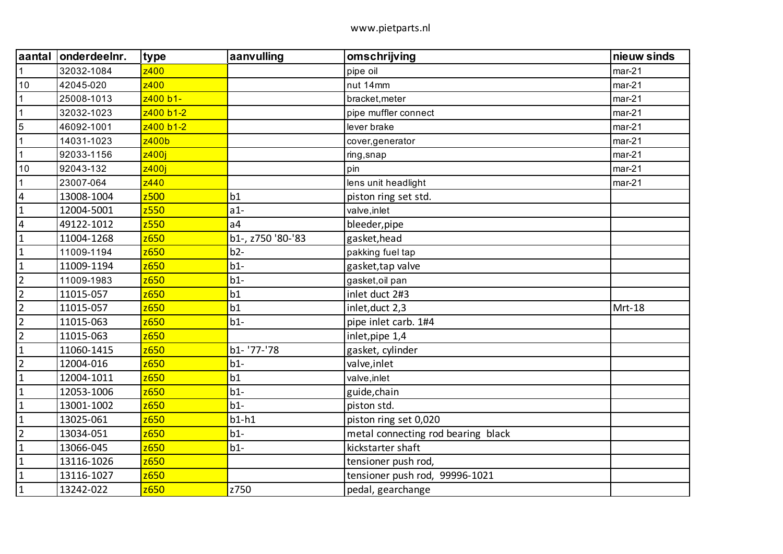| aantal                  | onderdeelnr. | type      | aanvulling        | omschrijving                       | nieuw sinds |
|-------------------------|--------------|-----------|-------------------|------------------------------------|-------------|
| $\mathbf{1}$            | 32032-1084   | z400      |                   | pipe oil                           | $mar-21$    |
| 10                      | 42045-020    | z400      |                   | nut 14mm                           | $mar-21$    |
| $\mathbf{1}$            | 25008-1013   | z400 b1-  |                   | bracket, meter                     | $mar-21$    |
| $\mathbf{1}$            | 32032-1023   | z400 b1-2 |                   | pipe muffler connect               | $mar-21$    |
| $\overline{5}$          | 46092-1001   | z400 b1-2 |                   | lever brake                        | $mar-21$    |
| $\mathbf{1}$            | 14031-1023   | z400b     |                   | cover, generator                   | $mar-21$    |
| $\mathbf{1}$            | 92033-1156   | z400i     |                   | ring, snap                         | $mar-21$    |
| 10                      | 92043-132    | z400j     |                   | pin                                | $mar-21$    |
| $\mathbf{1}$            | 23007-064    | z440      |                   | lens unit headlight                | $mar-21$    |
| $\overline{\mathbf{4}}$ | 13008-1004   | z500      | b1                | piston ring set std.               |             |
| $\mathbf{1}$            | 12004-5001   | z550      | $a1-$             | valve, inlet                       |             |
| $\overline{\mathbf{4}}$ | 49122-1012   | z550      | a <sub>4</sub>    | bleeder, pipe                      |             |
| $\mathbf{1}$            | 11004-1268   | z650      | b1-, z750 '80-'83 | gasket, head                       |             |
| $\mathbf{1}$            | 11009-1194   | z650      | $b2-$             | pakking fuel tap                   |             |
| $\mathbf{1}$            | 11009-1194   | z650      | $b1-$             | gasket, tap valve                  |             |
| $\overline{2}$          | 11009-1983   | z650      | $b1-$             | gasket, oil pan                    |             |
| $\overline{2}$          | 11015-057    | z650      | b1                | inlet duct 2#3                     |             |
| $\overline{2}$          | 11015-057    | z650      | b1                | inlet, duct 2,3                    | Mrt-18      |
| $\overline{2}$          | 11015-063    | z650      | $b1-$             | pipe inlet carb. 1#4               |             |
| $\overline{2}$          | 11015-063    | z650      |                   | inlet, pipe 1,4                    |             |
| $\mathbf{1}$            | 11060-1415   | z650      | b1- '77-'78       | gasket, cylinder                   |             |
| $\overline{2}$          | 12004-016    | z650      | $b1-$             | valve, inlet                       |             |
| $\mathbf{1}$            | 12004-1011   | z650      | b1                | valve, inlet                       |             |
| $\mathbf{1}$            | 12053-1006   | z650      | $b1-$             | guide, chain                       |             |
| $\mathbf{1}$            | 13001-1002   | z650      | $b1-$             | piston std.                        |             |
| $\mathbf{1}$            | 13025-061    | z650      | $b1-h1$           | piston ring set 0,020              |             |
| $\overline{2}$          | 13034-051    | z650      | $b1-$             | metal connecting rod bearing black |             |
| $\mathbf{1}$            | 13066-045    | z650      | $b1-$             | kickstarter shaft                  |             |
| $\mathbf{1}$            | 13116-1026   | z650      |                   | tensioner push rod,                |             |
| $\mathbf{1}$            | 13116-1027   | z650      |                   | tensioner push rod, 99996-1021     |             |
| $\mathbf{1}$            | 13242-022    | z650      | z750              | pedal, gearchange                  |             |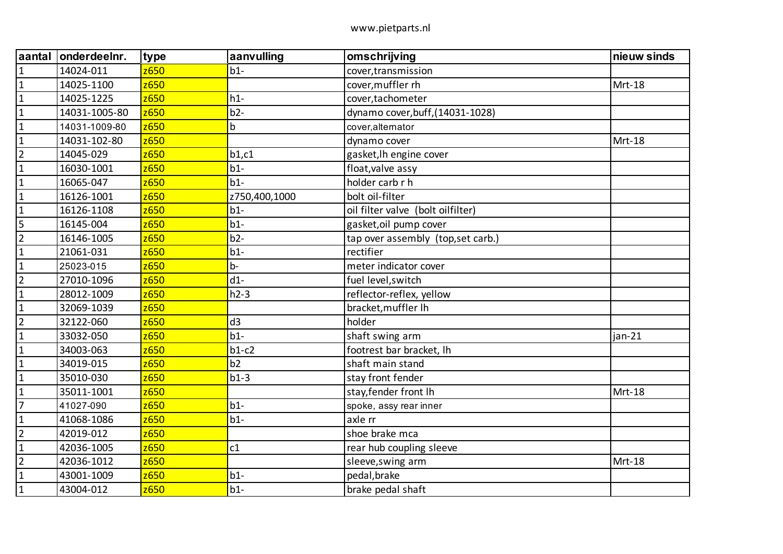| aantal         | onderdeelnr.  | type | aanvulling    | omschrijving                       | nieuw sinds |
|----------------|---------------|------|---------------|------------------------------------|-------------|
| $\mathbf{1}$   | 14024-011     | z650 | $b1-$         | cover, transmission                |             |
| $\mathbf{1}$   | 14025-1100    | z650 |               | cover, muffler rh                  | Mrt-18      |
| $\mathbf 1$    | 14025-1225    | z650 | $h1-$         | cover, tachometer                  |             |
| $\mathbf{1}$   | 14031-1005-80 | z650 | $b2-$         | dynamo cover, buff, (14031-1028)   |             |
| $\mathbf{1}$   | 14031-1009-80 | z650 | b             | cover, alternator                  |             |
| $\mathbf{1}$   | 14031-102-80  | z650 |               | dynamo cover                       | Mrt-18      |
| $\overline{2}$ | 14045-029     | z650 | b1,c1         | gasket, Ih engine cover            |             |
| $\mathbf{1}$   | 16030-1001    | z650 | $b1-$         | float, valve assy                  |             |
| $\mathbf{1}$   | 16065-047     | z650 | $b1-$         | holder carb r h                    |             |
| $\mathbf{1}$   | 16126-1001    | z650 | z750,400,1000 | bolt oil-filter                    |             |
| $\mathbf{1}$   | 16126-1108    | z650 | $b1-$         | oil filter valve (bolt oilfilter)  |             |
| 5              | 16145-004     | z650 | $b1-$         | gasket, oil pump cover             |             |
| $\overline{2}$ | 16146-1005    | z650 | $b2-$         | tap over assembly (top, set carb.) |             |
| $\mathbf{1}$   | 21061-031     | z650 | $b1-$         | rectifier                          |             |
| $\mathbf{1}$   | 25023-015     | z650 | $b -$         | meter indicator cover              |             |
| $\overline{2}$ | 27010-1096    | z650 | $d1-$         | fuel level, switch                 |             |
| $\mathbf{1}$   | 28012-1009    | z650 | $h2-3$        | reflector-reflex, yellow           |             |
| $\mathbf 1$    | 32069-1039    | z650 |               | bracket, muffler Ih                |             |
| $\overline{2}$ | 32122-060     | z650 | d3            | holder                             |             |
| $\mathbf{1}$   | 33032-050     | z650 | $b1-$         | shaft swing arm                    | jan-21      |
| $\mathbf 1$    | 34003-063     | z650 | $b1-c2$       | footrest bar bracket, lh           |             |
| $\mathbf{1}$   | 34019-015     | z650 | b2            | shaft main stand                   |             |
| $\mathbf{1}$   | 35010-030     | z650 | $b1-3$        | stay front fender                  |             |
| $\mathbf{1}$   | 35011-1001    | z650 |               | stay, fender front Ih              | Mrt-18      |
| $\overline{7}$ | 41027-090     | z650 | $b1-$         | spoke, assy rear inner             |             |
| $\mathbf{1}$   | 41068-1086    | z650 | $b1-$         | axle rr                            |             |
| $\overline{2}$ | 42019-012     | z650 |               | shoe brake mca                     |             |
| $\mathbf{1}$   | 42036-1005    | z650 | c1            | rear hub coupling sleeve           |             |
| $\overline{2}$ | 42036-1012    | z650 |               | sleeve, swing arm                  | Mrt-18      |
| $\mathbf{1}$   | 43001-1009    | z650 | $b1-$         | pedal, brake                       |             |
| $\mathbf{1}$   | 43004-012     | z650 | $b1-$         | brake pedal shaft                  |             |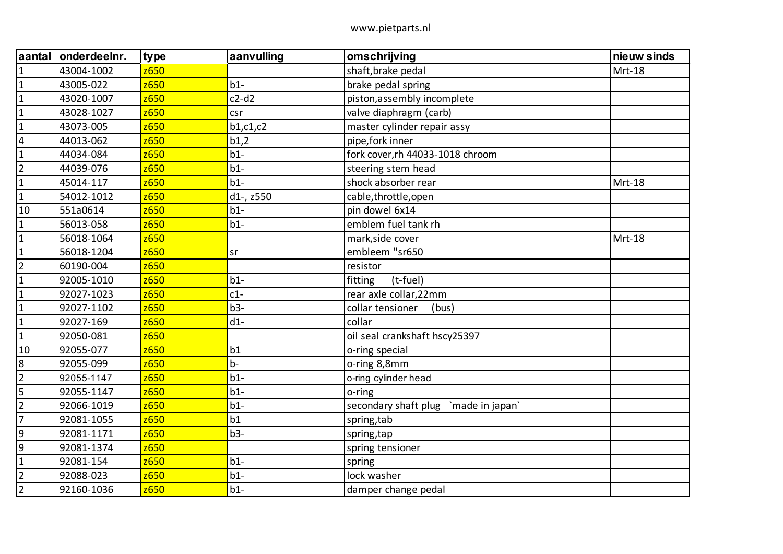| aantal         | onderdeelnr. | type | aanvulling | omschrijving                         | nieuw sinds |
|----------------|--------------|------|------------|--------------------------------------|-------------|
| $\mathbf{1}$   | 43004-1002   | z650 |            | shaft, brake pedal                   | Mrt-18      |
| $\mathbf{1}$   | 43005-022    | z650 | $b1-$      | brake pedal spring                   |             |
| $\mathbf{1}$   | 43020-1007   | z650 | $c2-d2$    | piston, assembly incomplete          |             |
| $\mathbf{1}$   | 43028-1027   | z650 | csr        | valve diaphragm (carb)               |             |
| $\mathbf{1}$   | 43073-005    | z650 | b1, c1, c2 | master cylinder repair assy          |             |
| $\overline{4}$ | 44013-062    | z650 | b1,2       | pipe, fork inner                     |             |
| $\mathbf{1}$   | 44034-084    | z650 | $b1-$      | fork cover, rh 44033-1018 chroom     |             |
| $\overline{2}$ | 44039-076    | z650 | $b1-$      | steering stem head                   |             |
| $\mathbf{1}$   | 45014-117    | z650 | $b1-$      | shock absorber rear                  | Mrt-18      |
| $\mathbf{1}$   | 54012-1012   | z650 | d1-, z550  | cable,throttle,open                  |             |
| 10             | 551a0614     | z650 | $b1-$      | pin dowel 6x14                       |             |
| $\mathbf{1}$   | 56013-058    | z650 | $b1-$      | emblem fuel tank rh                  |             |
| $\mathbf{1}$   | 56018-1064   | z650 |            | mark, side cover                     | Mrt-18      |
| $\mathbf{1}$   | 56018-1204   | z650 | <b>sr</b>  | embleem "sr650                       |             |
| $\overline{2}$ | 60190-004    | z650 |            | resistor                             |             |
| $\mathbf{1}$   | 92005-1010   | z650 | $b1-$      | fitting<br>(t-fuel)                  |             |
| $\mathbf{1}$   | 92027-1023   | z650 | $c1-$      | rear axle collar, 22mm               |             |
| $\mathbf{1}$   | 92027-1102   | z650 | $b3-$      | collar tensioner<br>(bus)            |             |
| $\mathbf{1}$   | 92027-169    | z650 | $d1-$      | collar                               |             |
| $\mathbf{1}$   | 92050-081    | z650 |            | oil seal crankshaft hscy25397        |             |
| 10             | 92055-077    | z650 | b1         | o-ring special                       |             |
| $\bf 8$        | 92055-099    | z650 | $b -$      | o-ring 8,8mm                         |             |
| $\overline{2}$ | 92055-1147   | z650 | $b1-$      | o-ring cylinder head                 |             |
| 5              | 92055-1147   | z650 | $b1-$      | o-ring                               |             |
| $\overline{2}$ | 92066-1019   | z650 | $b1-$      | secondary shaft plug `made in japan` |             |
| $\overline{7}$ | 92081-1055   | z650 | b1         | spring, tab                          |             |
| 9              | 92081-1171   | z650 | $b3-$      | spring, tap                          |             |
| 9              | 92081-1374   | z650 |            | spring tensioner                     |             |
| $\mathbf{1}$   | 92081-154    | z650 | $b1-$      | spring                               |             |
| $\overline{2}$ | 92088-023    | 2650 | $b1-$      | lock washer                          |             |
| $\overline{2}$ | 92160-1036   | z650 | $b1-$      | damper change pedal                  |             |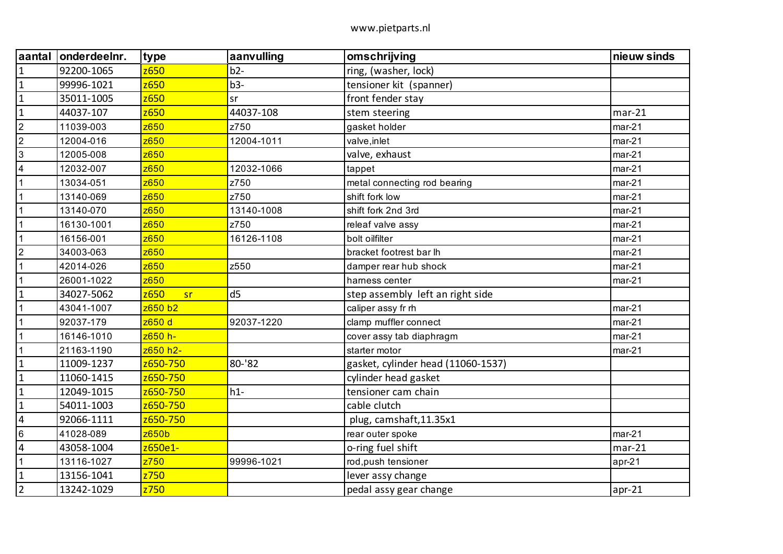| aantal         | onderdeelnr. | type       | aanvulling     | omschrijving                       | nieuw sinds |
|----------------|--------------|------------|----------------|------------------------------------|-------------|
| $\mathbf{1}$   | 92200-1065   | z650       | $b2-$          | ring, (washer, lock)               |             |
| $\overline{1}$ | 99996-1021   | z650       | $b3-$          | tensioner kit (spanner)            |             |
| $\mathbf{1}$   | 35011-1005   | z650       | sr             | front fender stay                  |             |
| $\mathbf{1}$   | 44037-107    | z650       | 44037-108      | stem steering                      | $mar-21$    |
| $\overline{2}$ | 11039-003    | z650       | z750           | gasket holder                      | $mar-21$    |
| $\overline{2}$ | 12004-016    | z650       | 12004-1011     | valve, inlet                       | $mar-21$    |
| $\mathbf{3}$   | 12005-008    | z650       |                | valve, exhaust                     | $mar-21$    |
| $\overline{4}$ | 12032-007    | z650       | 12032-1066     | tappet                             | $mar-21$    |
| $\mathbf 1$    | 13034-051    | z650       | z750           | metal connecting rod bearing       | $mar-21$    |
|                | 13140-069    | z650       | z750           | shift fork low                     | $mar-21$    |
| $\mathbf{1}$   | 13140-070    | z650       | 13140-1008     | shift fork 2nd 3rd                 | $mar-21$    |
| $\mathbf{1}$   | 16130-1001   | z650       | z750           | releaf valve assy                  | $mar-21$    |
|                | 16156-001    | z650       | 16126-1108     | bolt oilfilter                     | $mar-21$    |
| $\overline{2}$ | 34003-063    | z650       |                | bracket footrest bar lh            | $mar-21$    |
| 1              | 42014-026    | z650       | z550           | damper rear hub shock              | $mar-21$    |
|                | 26001-1022   | z650       |                | hamess center                      | $mar-21$    |
| $\mathbf{1}$   | 34027-5062   | z650<br>sr | d <sub>5</sub> | step assembly left an right side   |             |
| 1              | 43041-1007   | z650 b2    |                | caliper assy fr rh                 | $mar-21$    |
|                | 92037-179    | z650d      | 92037-1220     | clamp muffler connect              | $mar-21$    |
| $\mathbf{1}$   | 16146-1010   | z650 h-    |                | cover assy tab diaphragm           | $mar-21$    |
| $\mathbf 1$    | 21163-1190   | z650 h2-   |                | starter motor                      | $mar-21$    |
| $\mathbf 1$    | 11009-1237   | z650-750   | 80-'82         | gasket, cylinder head (11060-1537) |             |
| $\mathbf{1}$   | 11060-1415   | z650-750   |                | cylinder head gasket               |             |
| $\mathbf{1}$   | 12049-1015   | z650-750   | $h1-$          | tensioner cam chain                |             |
| $\mathbf{1}$   | 54011-1003   | z650-750   |                | cable clutch                       |             |
| $\overline{4}$ | 92066-1111   | z650-750   |                | plug, camshaft, 11.35x1            |             |
| $\,6\,$        | 41028-089    | z650b      |                | rear outer spoke                   | $mar-21$    |
| 4              | 43058-1004   | z650e1-    |                | o-ring fuel shift                  | $mar-21$    |
| $\mathbf{1}$   | 13116-1027   | z750       | 99996-1021     | rod, push tensioner                | $apr-21$    |
| $\mathbf{1}$   | 13156-1041   | z750       |                | lever assy change                  |             |
| $\overline{2}$ | 13242-1029   | z750       |                | pedal assy gear change             | $apr-21$    |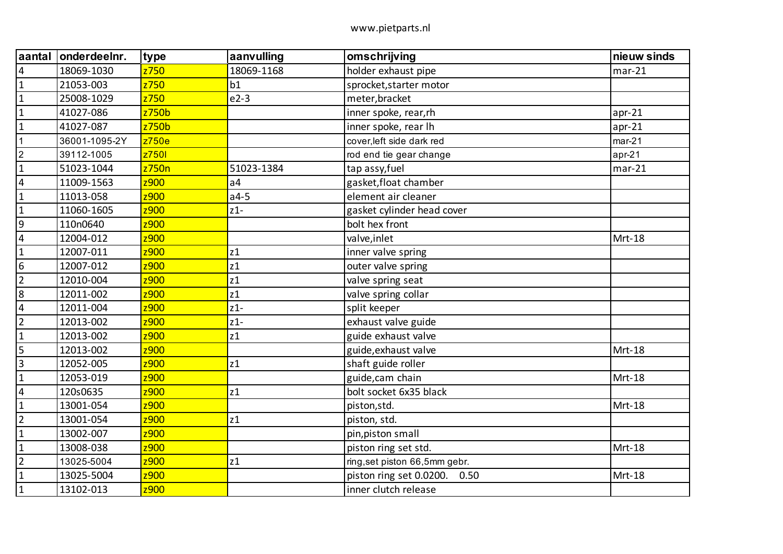| aantal                  | onderdeelnr.  | type  | aanvulling     | omschrijving                    | nieuw sinds |
|-------------------------|---------------|-------|----------------|---------------------------------|-------------|
| 4                       | 18069-1030    | z750  | 18069-1168     | holder exhaust pipe             | $mar-21$    |
| $\mathbf{1}$            | 21053-003     | z750  | b1             | sprocket, starter motor         |             |
| $\mathbf{1}$            | 25008-1029    | z750  | $e2-3$         | meter, bracket                  |             |
| $\mathbf{1}$            | 41027-086     | z750b |                | inner spoke, rear,rh            | $apr-21$    |
| $\mathbf{1}$            | 41027-087     | z750b |                | inner spoke, rear lh            | $apr-21$    |
| $\mathbf{1}$            | 36001-1095-2Y | z750e |                | cover, left side dark red       | $mar-21$    |
| $\overline{2}$          | 39112-1005    | z7501 |                | rod end tie gear change         | $apr-21$    |
| $\mathbf{1}$            | 51023-1044    | z750n | 51023-1384     | tap assy, fuel                  | $mar-21$    |
| $\overline{\mathbf{4}}$ | 11009-1563    | z900  | a <sub>4</sub> | gasket, float chamber           |             |
| $\mathbf{1}$            | 11013-058     | z900  | $a4-5$         | element air cleaner             |             |
| $\mathbf{1}$            | 11060-1605    | z900  | $z1-$          | gasket cylinder head cover      |             |
| $\boldsymbol{9}$        | 110n0640      | z900  |                | bolt hex front                  |             |
| $\overline{\mathbf{4}}$ | 12004-012     | z900  |                | valve, inlet                    | Mrt-18      |
| $\mathbf{1}$            | 12007-011     | z900  | z1             | inner valve spring              |             |
| $\boldsymbol{6}$        | 12007-012     | z900  | z1             | outer valve spring              |             |
| $\overline{2}$          | 12010-004     | z900  | z1             | valve spring seat               |             |
| 8                       | 12011-002     | z900  | z1             | valve spring collar             |             |
| $\overline{\mathbf{4}}$ | 12011-004     | z900  | $z1-$          | split keeper                    |             |
| $\overline{2}$          | 12013-002     | z900  | $z1-$          | exhaust valve guide             |             |
| $\mathbf{1}$            | 12013-002     | z900  | z1             | guide exhaust valve             |             |
| 5                       | 12013-002     | z900  |                | guide, exhaust valve            | Mrt-18      |
| $\overline{3}$          | 12052-005     | z900  | z1             | shaft guide roller              |             |
| $\mathbf{1}$            | 12053-019     | z900  |                | guide, cam chain                | Mrt-18      |
| $\overline{\mathbf{4}}$ | 120s0635      | z900  | z1             | bolt socket 6x35 black          |             |
| $\mathbf{1}$            | 13001-054     | z900  |                | piston, std.                    | Mrt-18      |
| $\overline{2}$          | 13001-054     | z900  | z1             | piston, std.                    |             |
| $\mathbf{1}$            | 13002-007     | z900  |                | pin, piston small               |             |
| $\mathbf{1}$            | 13008-038     | z900  |                | piston ring set std.            | Mrt-18      |
| $\overline{2}$          | 13025-5004    | z900  | z1             | ring, set piston 66,5mm gebr.   |             |
| $\mathbf{1}$            | 13025-5004    | z900  |                | piston ring set 0.0200.<br>0.50 | Mrt-18      |
| $\mathbf{1}$            | 13102-013     | z900  |                | inner clutch release            |             |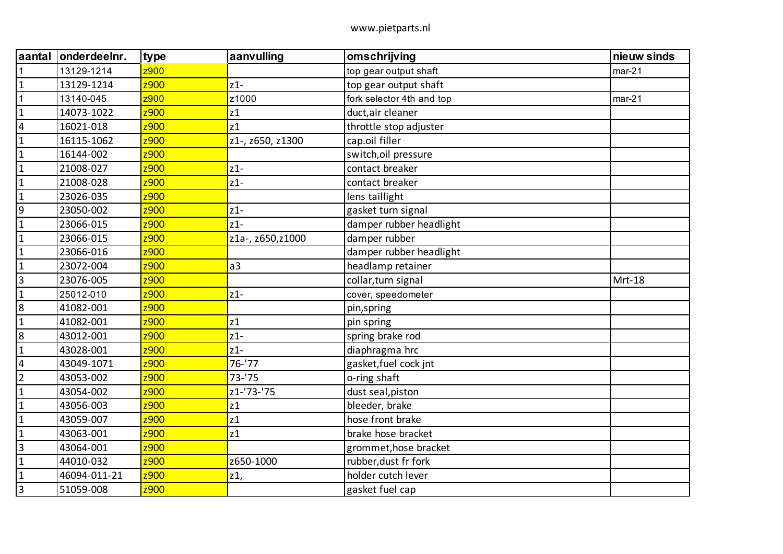| aantal                  | onderdeelnr. | type | aanvulling       | omschrijving              | nieuw sinds |
|-------------------------|--------------|------|------------------|---------------------------|-------------|
|                         | 13129-1214   | z900 |                  | top gear output shaft     | $mar-21$    |
| $\mathbf{1}$            | 13129-1214   | z900 | $z1-$            | top gear output shaft     |             |
| $\mathbf 1$             | 13140-045    | z900 | z1000            | fork selector 4th and top | $mar-21$    |
| $\mathbf{1}$            | 14073-1022   | z900 | z1               | duct, air cleaner         |             |
| $\overline{4}$          | 16021-018    | z900 | z1               | throttle stop adjuster    |             |
| $\mathbf{1}$            | 16115-1062   | z900 | z1-, z650, z1300 | cap.oil filler            |             |
| $\mathbf{1}$            | 16144-002    | z900 |                  | switch, oil pressure      |             |
| $\mathbf{1}$            | 21008-027    | z900 | $z1-$            | contact breaker           |             |
| $\mathbf{1}$            | 21008-028    | z900 | $z1-$            | contact breaker           |             |
| $\mathbf{1}$            | 23026-035    | z900 |                  | lens taillight            |             |
| 9                       | 23050-002    | z900 | $z1-$            | gasket turn signal        |             |
| $\mathbf{1}$            | 23066-015    | z900 | $z1-$            | damper rubber headlight   |             |
| $\mathbf{1}$            | 23066-015    | z900 | z1a-, z650,z1000 | damper rubber             |             |
| $\mathbf{1}$            | 23066-016    | z900 |                  | damper rubber headlight   |             |
| $\mathbf{1}$            | 23072-004    | z900 | a3               | headlamp retainer         |             |
| $\overline{3}$          | 23076-005    | z900 |                  | collar, turn signal       | Mrt-18      |
| $\mathbf{1}$            | 25012-010    | z900 | $z1-$            | cover, speedometer        |             |
| 8                       | 41082-001    | z900 |                  | pin,spring                |             |
| $\mathbf 1$             | 41082-001    | z900 | z1               | pin spring                |             |
| 8                       | 43012-001    | z900 | $z1-$            | spring brake rod          |             |
| $\mathbf{1}$            | 43028-001    | z900 | $z1-$            | diaphragma hrc            |             |
| $\overline{\mathbf{4}}$ | 43049-1071   | z900 | $76 - 77$        | gasket, fuel cock jnt     |             |
| $\overline{2}$          | 43053-002    | z900 | $73 - 75$        | o-ring shaft              |             |
| $\mathbf{1}$            | 43054-002    | z900 | z1-'73-'75       | dust seal, piston         |             |
| $\mathbf 1$             | 43056-003    | z900 | z1               | bleeder, brake            |             |
| $\mathbf{1}$            | 43059-007    | z900 | z1               | hose front brake          |             |
| $\mathbf{1}$            | 43063-001    | z900 | z1               | brake hose bracket        |             |
| $\overline{3}$          | 43064-001    | z900 |                  | grommet, hose bracket     |             |
| $\mathbf{1}$            | 44010-032    | z900 | z650-1000        | rubber, dust fr fork      |             |
| $\mathbf 1$             | 46094-011-21 | z900 | z1,              | holder cutch lever        |             |
| $\overline{3}$          | 51059-008    | z900 |                  | gasket fuel cap           |             |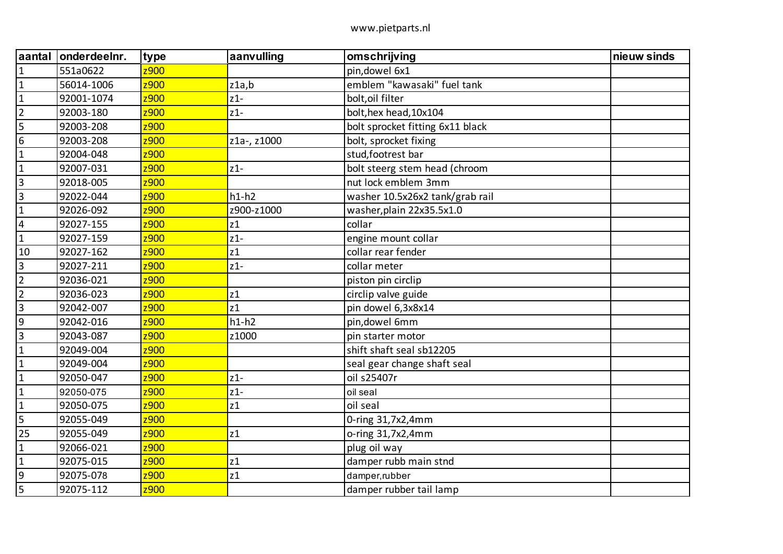| aantal         | onderdeelnr. | type | aanvulling  | omschrijving                     | nieuw sinds |
|----------------|--------------|------|-------------|----------------------------------|-------------|
| $\mathbf{1}$   | 551a0622     | z900 |             | pin, dowel 6x1                   |             |
| $\mathbf{1}$   | 56014-1006   | z900 | z1a,b       | emblem "kawasaki" fuel tank      |             |
| $\mathbf{1}$   | 92001-1074   | z900 | $z1-$       | bolt, oil filter                 |             |
| $\overline{2}$ | 92003-180    | z900 | $z1-$       | bolt, hex head, 10x104           |             |
| 5              | 92003-208    | z900 |             | bolt sprocket fitting 6x11 black |             |
| 6              | 92003-208    | z900 | z1a-, z1000 | bolt, sprocket fixing            |             |
| $\mathbf{1}$   | 92004-048    | z900 |             | stud, footrest bar               |             |
| $\mathbf{1}$   | 92007-031    | z900 | $z1-$       | bolt steerg stem head (chroom    |             |
| $\overline{3}$ | 92018-005    | z900 |             | nut lock emblem 3mm              |             |
| $\mathsf 3$    | 92022-044    | z900 | $h1-h2$     | washer 10.5x26x2 tank/grab rail  |             |
| $\mathbf{1}$   | 92026-092    | z900 | z900-z1000  | washer, plain 22x35.5x1.0        |             |
| $\overline{4}$ | 92027-155    | z900 | z1          | collar                           |             |
| $\mathbf{1}$   | 92027-159    | z900 | $z1-$       | engine mount collar              |             |
| 10             | 92027-162    | z900 | z1          | collar rear fender               |             |
| $\overline{3}$ | 92027-211    | z900 | $z1-$       | collar meter                     |             |
| $\overline{2}$ | 92036-021    | z900 |             | piston pin circlip               |             |
| $\overline{2}$ | 92036-023    | z900 | z1          | circlip valve guide              |             |
| $\overline{3}$ | 92042-007    | z900 | z1          | pin dowel 6,3x8x14               |             |
| 9              | 92042-016    | z900 | $h1-h2$     | pin, dowel 6mm                   |             |
| $\overline{3}$ | 92043-087    | z900 | z1000       | pin starter motor                |             |
| $\mathbf{1}$   | 92049-004    | z900 |             | shift shaft seal sb12205         |             |
| $\mathbf{1}$   | 92049-004    | z900 |             | seal gear change shaft seal      |             |
| $\mathbf{1}$   | 92050-047    | z900 | $z1-$       | oil s25407r                      |             |
| $\mathbf{1}$   | 92050-075    | z900 | $z1-$       | oil seal                         |             |
| $\mathbf{1}$   | 92050-075    | z900 | z1          | oil seal                         |             |
| 5              | 92055-049    | z900 |             | 0-ring 31,7x2,4mm                |             |
| 25             | 92055-049    | z900 | z1          | o-ring 31,7x2,4mm                |             |
| $\mathbf{1}$   | 92066-021    | z900 |             | plug oil way                     |             |
| $\mathbf 1$    | 92075-015    | z900 | z1          | damper rubb main stnd            |             |
| $9\,$          | 92075-078    | z900 | z1          | damper,rubber                    |             |
| 5              | 92075-112    | z900 |             | damper rubber tail lamp          |             |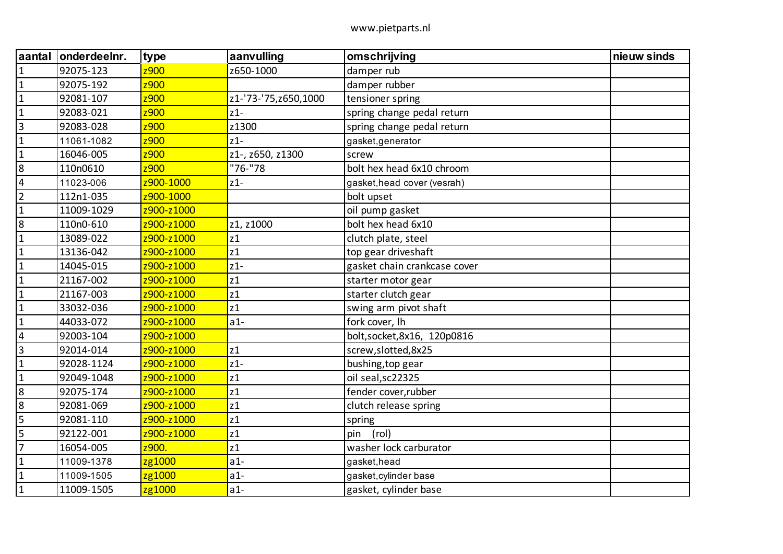| aantal           | onderdeelnr. | type       | aanvulling             | omschrijving                 | nieuw sinds |
|------------------|--------------|------------|------------------------|------------------------------|-------------|
| $\mathbf{1}$     | 92075-123    | z900       | z650-1000              | damper rub                   |             |
| $\mathbf{1}$     | 92075-192    | z900       |                        | damper rubber                |             |
| $\mathbf{1}$     | 92081-107    | z900       | z1-'73-'75, z650, 1000 | tensioner spring             |             |
| $\mathbf{1}$     | 92083-021    | z900       | $z1-$                  | spring change pedal return   |             |
| $\overline{3}$   | 92083-028    | z900       | z1300                  | spring change pedal return   |             |
| $\mathbf{1}$     | 11061-1082   | z900       | $z1-$                  | gasket, generator            |             |
| $\mathbf{1}$     | 16046-005    | z900       | z1-, z650, z1300       | screw                        |             |
| $\boldsymbol{8}$ | 110n0610     | z900       | "76-"78                | bolt hex head 6x10 chroom    |             |
| $\overline{4}$   | 11023-006    | z900-1000  | $z1-$                  | gasket, head cover (vesrah)  |             |
| $\overline{2}$   | 112n1-035    | z900-1000  |                        | bolt upset                   |             |
| $\mathbf{1}$     | 11009-1029   | z900-z1000 |                        | oil pump gasket              |             |
| 8                | 110n0-610    | z900-z1000 | z1, z1000              | bolt hex head 6x10           |             |
| $\mathbf 1$      | 13089-022    | z900-z1000 | z1                     | clutch plate, steel          |             |
| $\mathbf{1}$     | 13136-042    | z900-z1000 | z1                     | top gear driveshaft          |             |
| $\mathbf{1}$     | 14045-015    | z900-z1000 | $z1-$                  | gasket chain crankcase cover |             |
| $\mathbf{1}$     | 21167-002    | z900-z1000 | z1                     | starter motor gear           |             |
| $\mathbf{1}$     | 21167-003    | z900-z1000 | z1                     | starter clutch gear          |             |
| $\mathbf{1}$     | 33032-036    | z900-z1000 | z1                     | swing arm pivot shaft        |             |
| $\mathbf 1$      | 44033-072    | z900-z1000 | $a1-$                  | fork cover, Ih               |             |
| $\overline{4}$   | 92003-104    | z900-z1000 |                        | bolt, socket, 8x16, 120p0816 |             |
| $\overline{3}$   | 92014-014    | z900-z1000 | z1                     | screw, slotted, 8x25         |             |
| $\mathbf{1}$     | 92028-1124   | z900-z1000 | $z1-$                  | bushing, top gear            |             |
| $\mathbf{1}$     | 92049-1048   | z900-z1000 | z1                     | oil seal, sc22325            |             |
| 8                | 92075-174    | z900-z1000 | z1                     | fender cover, rubber         |             |
| 8                | 92081-069    | z900-z1000 | z1                     | clutch release spring        |             |
| 5                | 92081-110    | z900-z1000 | z1                     | spring                       |             |
| 5                | 92122-001    | z900-z1000 | z1                     | (rol)<br>pin                 |             |
| $\overline{7}$   | 16054-005    | z900.      | z1                     | washer lock carburator       |             |
| $\mathbf{1}$     | 11009-1378   | zg1000     | $a1-$                  | gasket, head                 |             |
| $\mathbf{1}$     | 11009-1505   | zg1000     | $a1-$                  | gasket, cylinder base        |             |
| $\mathbf{1}$     | 11009-1505   | zg1000     | $a1-$                  | gasket, cylinder base        |             |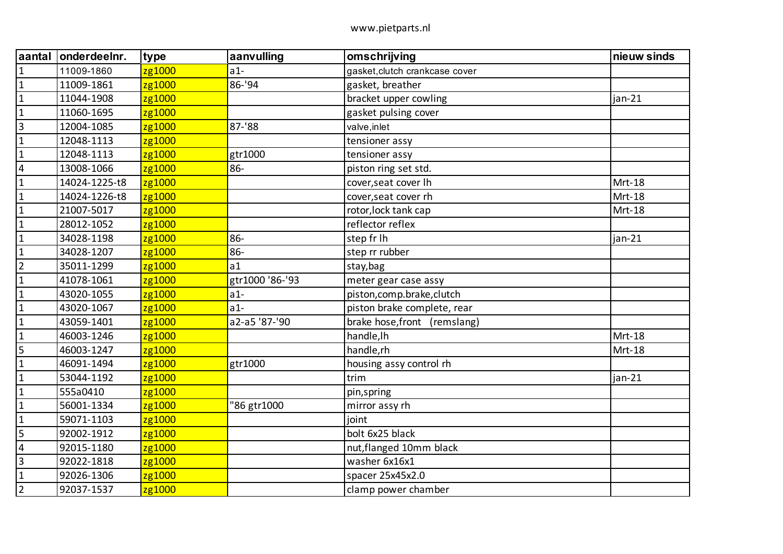| aantal                  | onderdeelnr.  | type   | aanvulling      | omschrijving                   | nieuw sinds |
|-------------------------|---------------|--------|-----------------|--------------------------------|-------------|
| $\mathbf{1}$            | 11009-1860    | zg1000 | $a1-$           | gasket, clutch crankcase cover |             |
| $\mathbf{1}$            | 11009-1861    | zg1000 | 86-'94          | gasket, breather               |             |
| $\mathbf 1$             | 11044-1908    | zg1000 |                 | bracket upper cowling          | jan-21      |
| $\mathbf{1}$            | 11060-1695    | zg1000 |                 | gasket pulsing cover           |             |
| $\overline{3}$          | 12004-1085    | zg1000 | $87 - 88$       | valve, inlet                   |             |
| $\mathbf{1}$            | 12048-1113    | zg1000 |                 | tensioner assy                 |             |
| $\mathbf{1}$            | 12048-1113    | zg1000 | gtr1000         | tensioner assy                 |             |
| $\overline{\mathbf{4}}$ | 13008-1066    | zg1000 | 86-             | piston ring set std.           |             |
| $\mathbf 1$             | 14024-1225-t8 | zg1000 |                 | cover, seat cover Ih           | Mrt-18      |
| $\mathbf{1}$            | 14024-1226-t8 | zg1000 |                 | cover, seat cover rh           | Mrt-18      |
| $\mathbf{1}$            | 21007-5017    | zg1000 |                 | rotor, lock tank cap           | Mrt-18      |
| $\mathbf{1}$            | 28012-1052    | zg1000 |                 | reflector reflex               |             |
| $\mathbf{1}$            | 34028-1198    | zg1000 | 86-             | step fr Ih                     | jan-21      |
| $\mathbf{1}$            | 34028-1207    | zg1000 | 86-             | step rr rubber                 |             |
| $\overline{2}$          | 35011-1299    | zg1000 | a1              | stay, bag                      |             |
| $\mathbf{1}$            | 41078-1061    | zg1000 | gtr1000 '86-'93 | meter gear case assy           |             |
| $\mathbf{1}$            | 43020-1055    | zg1000 | $a1-$           | piston, comp.brake, clutch     |             |
| $\mathbf{1}$            | 43020-1067    | zg1000 | $a1-$           | piston brake complete, rear    |             |
| $\mathbf{1}$            | 43059-1401    | zg1000 | a2-a5 '87-'90   | brake hose, front (remslang)   |             |
| $\mathbf{1}$            | 46003-1246    | zg1000 |                 | handle, Ih                     | Mrt-18      |
| $\overline{5}$          | 46003-1247    | zg1000 |                 | handle,rh                      | Mrt-18      |
| $\mathbf{1}$            | 46091-1494    | zg1000 | gtr1000         | housing assy control rh        |             |
| $\mathbf{1}$            | 53044-1192    | zg1000 |                 | trim                           | jan-21      |
| $\mathbf{1}$            | 555a0410      | zg1000 |                 | pin,spring                     |             |
| $\mathbf{1}$            | 56001-1334    | zg1000 | "86 gtr1000     | mirror assy rh                 |             |
| $\mathbf{1}$            | 59071-1103    | zg1000 |                 | joint                          |             |
| 5                       | 92002-1912    | zg1000 |                 | bolt 6x25 black                |             |
| $\overline{4}$          | 92015-1180    | zg1000 |                 | nut, flanged 10mm black        |             |
| 3                       | 92022-1818    | zg1000 |                 | washer 6x16x1                  |             |
| $\mathbf 1$             | 92026-1306    | zg1000 |                 | spacer 25x45x2.0               |             |
| $\overline{2}$          | 92037-1537    | zg1000 |                 | clamp power chamber            |             |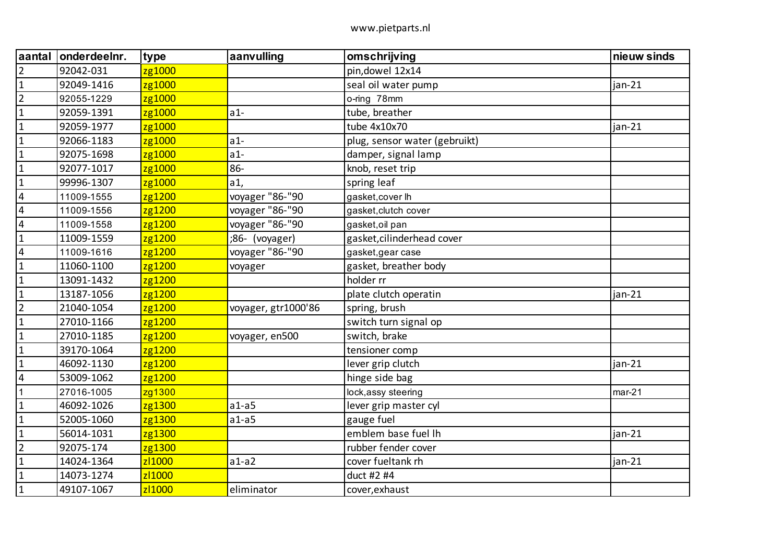| aantal                  | onderdeelnr. | type   | aanvulling          | omschrijving                  | nieuw sinds |
|-------------------------|--------------|--------|---------------------|-------------------------------|-------------|
| $\overline{2}$          | 92042-031    | zg1000 |                     | pin, dowel 12x14              |             |
| $\mathbf{1}$            | 92049-1416   | zg1000 |                     | seal oil water pump           | $jan-21$    |
| $\overline{2}$          | 92055-1229   | zg1000 |                     | o-ring 78mm                   |             |
| $\mathbf{1}$            | 92059-1391   | zg1000 | $a1-$               | tube, breather                |             |
| $\mathbf{1}$            | 92059-1977   | zg1000 |                     | tube 4x10x70                  | $jan-21$    |
| $\mathbf{1}$            | 92066-1183   | zg1000 | $a1-$               | plug, sensor water (gebruikt) |             |
| $\mathbf{1}$            | 92075-1698   | zg1000 | $a1-$               | damper, signal lamp           |             |
| $\mathbf{1}$            | 92077-1017   | zg1000 | 86-                 | knob, reset trip              |             |
| $\mathbf 1$             | 99996-1307   | zg1000 | a1,                 | spring leaf                   |             |
| $\overline{\mathbf{4}}$ | 11009-1555   | zg1200 | voyager "86-"90     | gasket, cover lh              |             |
| $\overline{4}$          | 11009-1556   | zg1200 | voyager "86-"90     | gasket, clutch cover          |             |
| $\overline{\mathbf{4}}$ | 11009-1558   | zg1200 | voyager "86-"90     | gasket, oil pan               |             |
| $\mathbf{1}$            | 11009-1559   | zg1200 | ;86- (voyager)      | gasket, cilinderhead cover    |             |
| $\sqrt{4}$              | 11009-1616   | zg1200 | voyager "86-"90     | gasket, gear case             |             |
| $\mathbf{1}$            | 11060-1100   | zg1200 | voyager             | gasket, breather body         |             |
| $\mathbf{1}$            | 13091-1432   | zg1200 |                     | holder rr                     |             |
| $\mathbf{1}$            | 13187-1056   | zg1200 |                     | plate clutch operatin         | $jan-21$    |
| $\overline{2}$          | 21040-1054   | zg1200 | voyager, gtr1000'86 | spring, brush                 |             |
| $\mathbf{1}$            | 27010-1166   | zg1200 |                     | switch turn signal op         |             |
| $\mathbf{1}$            | 27010-1185   | zg1200 | voyager, en500      | switch, brake                 |             |
| $\mathbf{1}$            | 39170-1064   | zg1200 |                     | tensioner comp                |             |
| $\mathbf{1}$            | 46092-1130   | zg1200 |                     | lever grip clutch             | $jan-21$    |
| $\sqrt{4}$              | 53009-1062   | zg1200 |                     | hinge side bag                |             |
| $\mathbf{1}$            | 27016-1005   | zg1300 |                     | lock, assy steering           | $mar-21$    |
| $\mathbf{1}$            | 46092-1026   | zg1300 | $a1-a5$             | lever grip master cyl         |             |
| $\mathbf{1}$            | 52005-1060   | zg1300 | $a1-a5$             | gauge fuel                    |             |
| $\mathbf 1$             | 56014-1031   | zg1300 |                     | emblem base fuel Ih           | jan-21      |
| $\overline{2}$          | 92075-174    | zg1300 |                     | rubber fender cover           |             |
| $\mathbf{1}$            | 14024-1364   | zl1000 | $a1-a2$             | cover fueltank rh             | jan-21      |
| $\mathbf{1}$            | 14073-1274   | zl1000 |                     | duct #2 #4                    |             |
| $\mathbf 1$             | 49107-1067   | zl1000 | eliminator          | cover, exhaust                |             |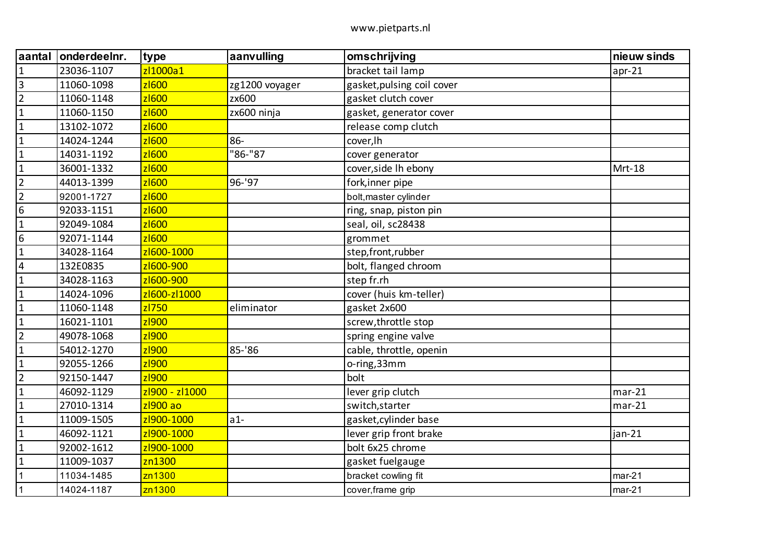| aantal           | onderdeelnr. | type           | aanvulling     | omschrijving               | nieuw sinds |
|------------------|--------------|----------------|----------------|----------------------------|-------------|
| $\mathbf 1$      | 23036-1107   | zl1000a1       |                | bracket tail lamp          | $apr-21$    |
| $\overline{3}$   | 11060-1098   | zl600          | zg1200 voyager | gasket, pulsing coil cover |             |
| $\overline{2}$   | 11060-1148   | zl600          | zx600          | gasket clutch cover        |             |
| $\mathbf{1}$     | 11060-1150   | z 600          | zx600 ninja    | gasket, generator cover    |             |
| $\mathbf{1}$     | 13102-1072   | zl600          |                | release comp clutch        |             |
| $\mathbf{1}$     | 14024-1244   | z1600          | 86-            | cover, lh                  |             |
| $\mathbf{1}$     | 14031-1192   | zl600          | "86-"87        | cover generator            |             |
| $\mathbf{1}$     | 36001-1332   | z1600          |                | cover, side Ih ebony       | Mrt-18      |
| $\overline{2}$   | 44013-1399   | zl600          | 96-'97         | fork, inner pipe           |             |
| $\overline{2}$   | 92001-1727   | zl600          |                | bolt, master cylinder      |             |
| $6\phantom{1}6$  | 92033-1151   | z1600          |                | ring, snap, piston pin     |             |
| $\mathbf{1}$     | 92049-1084   | zl600          |                | seal, oil, sc28438         |             |
| $\boldsymbol{6}$ | 92071-1144   | zl600          |                | grommet                    |             |
| $\mathbf{1}$     | 34028-1164   | z1600-1000     |                | step, front, rubber        |             |
| $\overline{4}$   | 132E0835     | z1600-900      |                | bolt, flanged chroom       |             |
| $\mathbf{1}$     | 34028-1163   | z1600-900      |                | step fr.rh                 |             |
| $\mathbf{1}$     | 14024-1096   | z1600-z11000   |                | cover (huis km-teller)     |             |
| $\mathbf{1}$     | 11060-1148   | zl750          | eliminator     | gasket 2x600               |             |
| $\mathbf 1$      | 16021-1101   | zl900          |                | screw, throttle stop       |             |
| $\overline{2}$   | 49078-1068   | zl900          |                | spring engine valve        |             |
| $\mathbf{1}$     | 54012-1270   | zl900          | 85-'86         | cable, throttle, openin    |             |
| $\mathbf{1}$     | 92055-1266   | zl900          |                | o-ring, 33mm               |             |
| $\overline{2}$   | 92150-1447   | zl900          |                | bolt                       |             |
| $\mathbf{1}$     | 46092-1129   | zl900 - zl1000 |                | lever grip clutch          | $mar-21$    |
| $\mathbf 1$      | 27010-1314   | $z$ 1900 ao    |                | switch, starter            | $mar-21$    |
| $\mathbf{1}$     | 11009-1505   | zl900-1000     | $a1-$          | gasket, cylinder base      |             |
| $\mathbf{1}$     | 46092-1121   | zl900-1000     |                | lever grip front brake     | jan-21      |
| $\mathbf{1}$     | 92002-1612   | zl900-1000     |                | bolt 6x25 chrome           |             |
| $\mathbf{1}$     | 11009-1037   | zn1300         |                | gasket fuelgauge           |             |
| $\mathbf{1}$     | 11034-1485   | zn1300         |                | bracket cowling fit        | $mar-21$    |
| $\mathbf{1}$     | 14024-1187   | zn1300         |                | cover, frame grip          | $mar-21$    |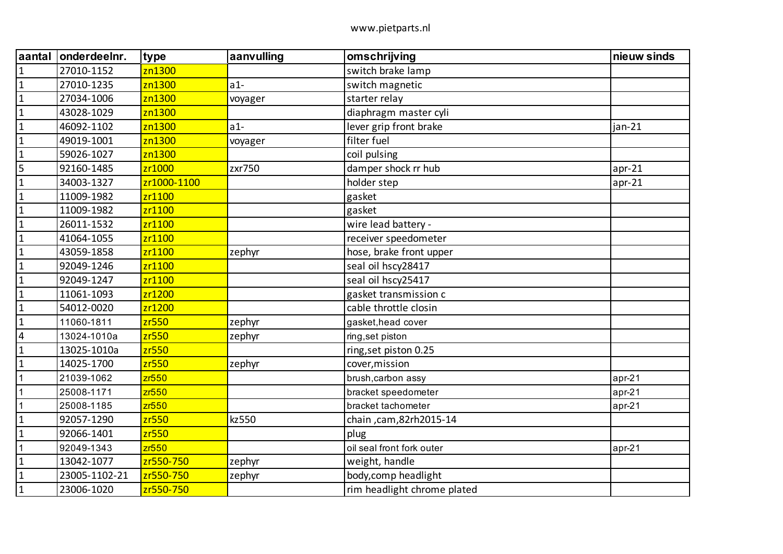| aantal         | onderdeelnr.  | type        | aanvulling | omschrijving                | nieuw sinds |
|----------------|---------------|-------------|------------|-----------------------------|-------------|
| $\mathbf{1}$   | 27010-1152    | zn1300      |            | switch brake lamp           |             |
| $\mathbf{1}$   | 27010-1235    | zn1300      | $a1-$      | switch magnetic             |             |
| $\mathbf{1}$   | 27034-1006    | zn1300      | voyager    | starter relay               |             |
| $\mathbf{1}$   | 43028-1029    | zn1300      |            | diaphragm master cyli       |             |
| $\mathbf{1}$   | 46092-1102    | zn1300      | $a1-$      | lever grip front brake      | jan-21      |
| $\mathbf{1}$   | 49019-1001    | zn1300      | voyager    | filter fuel                 |             |
| $\mathbf{1}$   | 59026-1027    | zn1300      |            | coil pulsing                |             |
| 5              | 92160-1485    | zr1000      | zxr750     | damper shock rr hub         | $apr-21$    |
| $\mathbf{1}$   | 34003-1327    | zr1000-1100 |            | holder step                 | $apr-21$    |
| $\mathbf{1}$   | 11009-1982    | zr1100      |            | gasket                      |             |
| $\mathbf{1}$   | 11009-1982    | zr1100      |            | gasket                      |             |
| $\mathbf{1}$   | 26011-1532    | zr1100      |            | wire lead battery -         |             |
| $\mathbf{1}$   | 41064-1055    | zr1100      |            | receiver speedometer        |             |
| $\mathbf{1}$   | 43059-1858    | zr1100      | zephyr     | hose, brake front upper     |             |
| $\mathbf{1}$   | 92049-1246    | zr1100      |            | seal oil hscy28417          |             |
| $\mathbf{1}$   | 92049-1247    | zr1100      |            | seal oil hscy25417          |             |
| $\mathbf{1}$   | 11061-1093    | zr1200      |            | gasket transmission c       |             |
| $\mathbf{1}$   | 54012-0020    | zr1200      |            | cable throttle closin       |             |
| $\mathbf{1}$   | 11060-1811    | zr550       | zephyr     | gasket, head cover          |             |
| $\overline{4}$ | 13024-1010a   | zr550       | zephyr     | ring, set piston            |             |
| $\mathbf{1}$   | 13025-1010a   | zr550       |            | ring, set piston 0.25       |             |
| $\mathbf{1}$   | 14025-1700    | zr550       | zephyr     | cover, mission              |             |
| $\mathbf{1}$   | 21039-1062    | zr550       |            | brush, carbon assy          | $apr-21$    |
| $\mathbf{1}$   | 25008-1171    | zr550       |            | bracket speedometer         | $apr-21$    |
| 1              | 25008-1185    | zr550       |            | bracket tachometer          | $apr-21$    |
| $\mathbf{1}$   | 92057-1290    | zr550       | kz550      | chain , cam, 82rh 2015-14   |             |
| $\mathbf{1}$   | 92066-1401    | zr550       |            | plug                        |             |
| $\mathbf 1$    | 92049-1343    | zr550       |            | oil seal front fork outer   | $apr-21$    |
| $\mathbf{1}$   | 13042-1077    | zr550-750   | zephyr     | weight, handle              |             |
| $\mathbf{1}$   | 23005-1102-21 | zr550-750   | zephyr     | body, comp headlight        |             |
| $\mathbf 1$    | 23006-1020    | zr550-750   |            | rim headlight chrome plated |             |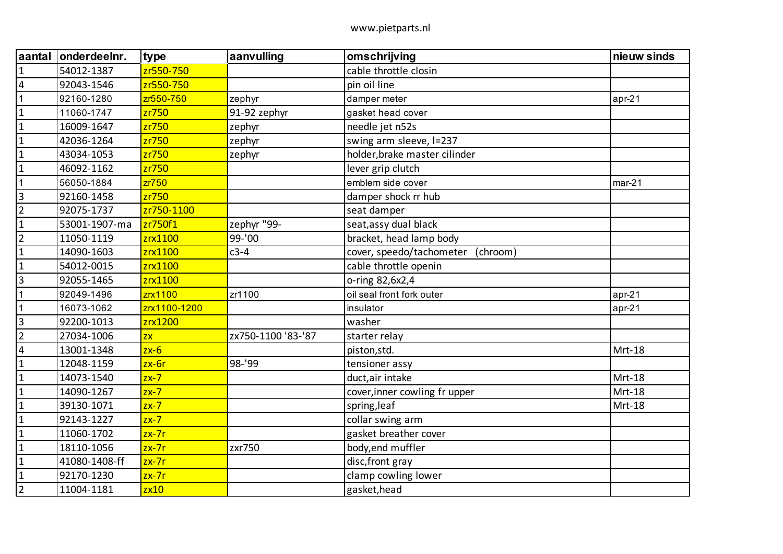| aantal                  | onderdeelnr.  | type            | aanvulling         | omschrijving                         | nieuw sinds |
|-------------------------|---------------|-----------------|--------------------|--------------------------------------|-------------|
| $\mathbf{1}$            | 54012-1387    | zr550-750       |                    | cable throttle closin                |             |
| $\overline{4}$          | 92043-1546    | zr550-750       |                    | pin oil line                         |             |
| 1                       | 92160-1280    | zr550-750       | zephyr             | damper meter                         | $apr-21$    |
| $\mathbf{1}$            | 11060-1747    | zr750           | 91-92 zephyr       | gasket head cover                    |             |
| $\mathbf{1}$            | 16009-1647    | zr750           | zephyr             | needle jet n52s                      |             |
| $\mathbf{1}$            | 42036-1264    | zr750           | zephyr             | swing arm sleeve, I=237              |             |
| $\mathbf{1}$            | 43034-1053    | zr750           | zephyr             | holder, brake master cilinder        |             |
| $\mathbf{1}$            | 46092-1162    | zr750           |                    | lever grip clutch                    |             |
| $\mathbf{1}$            | 56050-1884    | zr750           |                    | emblem side cover                    | $mar-21$    |
| 3                       | 92160-1458    | zr750           |                    | damper shock rr hub                  |             |
| $\overline{2}$          | 92075-1737    | zr750-1100      |                    | seat damper                          |             |
| $\mathbf{1}$            | 53001-1907-ma | zr750f1         | zephyr "99-        | seat, assy dual black                |             |
| $\overline{2}$          | 11050-1119    | zrx1100         | 99-'00             | bracket, head lamp body              |             |
| $\mathbf{1}$            | 14090-1603    | zrx1100         | $c3-4$             | cover, speedo/tachometer<br>(chroom) |             |
| $\mathbf{1}$            | 54012-0015    | zrx1100         |                    | cable throttle openin                |             |
| 3                       | 92055-1465    | zrx1100         |                    | o-ring 82,6x2,4                      |             |
| 1                       | 92049-1496    | zrx1100         | zr1100             | oil seal front fork outer            | $apr-21$    |
| $\mathbf{1}$            | 16073-1062    | zrx1100-1200    |                    | insulator                            | $apr-21$    |
| 3                       | 92200-1013    | zrx1200         |                    | washer                               |             |
| $\overline{2}$          | 27034-1006    | $\overline{ZX}$ | zx750-1100 '83-'87 | starter relay                        |             |
| $\overline{\mathbf{4}}$ | 13001-1348    | $zx-6$          |                    | piston, std.                         | Mrt-18      |
| $\mathbf{1}$            | 12048-1159    | $zx-6r$         | 98-'99             | tensioner assy                       |             |
| $\mathbf{1}$            | 14073-1540    | $zx-7$          |                    | duct, air intake                     | Mrt-18      |
| $\mathbf{1}$            | 14090-1267    | $zx-7$          |                    | cover, inner cowling fr upper        | Mrt-18      |
| $\mathbf 1$             | 39130-1071    | $zx-7$          |                    | spring, leaf                         | Mrt-18      |
| $\mathbf{1}$            | 92143-1227    | $zx-7$          |                    | collar swing arm                     |             |
| $\mathbf 1$             | 11060-1702    | $zx-7r$         |                    | gasket breather cover                |             |
| $\mathbf{1}$            | 18110-1056    | $zx-7r$         | zxr750             | body, end muffler                    |             |
| $\mathbf 1$             | 41080-1408-ff | $zx-7r$         |                    | disc, front gray                     |             |
| $\mathbf 1$             | 92170-1230    | $zx-7r$         |                    | clamp cowling lower                  |             |
| $\overline{2}$          | 11004-1181    | zx10            |                    | gasket, head                         |             |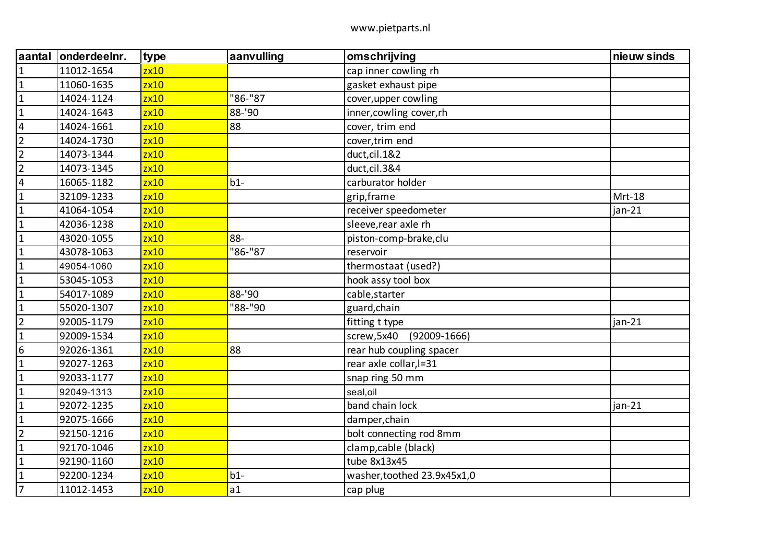| aantal                  | onderdeelnr. | type | aanvulling | omschrijving                   | nieuw sinds |
|-------------------------|--------------|------|------------|--------------------------------|-------------|
| $\mathbf{1}$            | 11012-1654   | zx10 |            | cap inner cowling rh           |             |
| $\mathbf{1}$            | 11060-1635   | zx10 |            | gasket exhaust pipe            |             |
| $\mathbf{1}$            | 14024-1124   | zx10 | "86-"87    | cover, upper cowling           |             |
| $\mathbf{1}$            | 14024-1643   | zx10 | 88-'90     | inner, cowling cover, rh       |             |
| $\overline{4}$          | 14024-1661   | zx10 | 88         | cover, trim end                |             |
| $\overline{2}$          | 14024-1730   | zx10 |            | cover, trim end                |             |
| $\overline{2}$          | 14073-1344   | zx10 |            | duct, cil. 1&2                 |             |
| $\overline{2}$          | 14073-1345   | zx10 |            | duct, cil.3&4                  |             |
| $\overline{\mathbf{4}}$ | 16065-1182   | zx10 | $b1-$      | carburator holder              |             |
| $\mathbf{1}$            | 32109-1233   | zx10 |            | grip, frame                    | Mrt-18      |
| $\mathbf{1}$            | 41064-1054   | zx10 |            | receiver speedometer           | jan-21      |
| $\mathbf{1}$            | 42036-1238   | zx10 |            | sleeve, rear axle rh           |             |
| $\mathbf{1}$            | 43020-1055   | zx10 | 88-        | piston-comp-brake,clu          |             |
| $\mathbf{1}$            | 43078-1063   | zx10 | "86-"87    | reservoir                      |             |
| $\mathbf{1}$            | 49054-1060   | zx10 |            | thermostaat (used?)            |             |
| $\mathbf{1}$            | 53045-1053   | zx10 |            | hook assy tool box             |             |
| $\mathbf{1}$            | 54017-1089   | zx10 | 88-'90     | cable, starter                 |             |
| $\mathbf{1}$            | 55020-1307   | zx10 | "88-"90    | guard, chain                   |             |
| $\overline{2}$          | 92005-1179   | zx10 |            | fitting t type                 | $jan-21$    |
| $\mathbf{1}$            | 92009-1534   | zx10 |            | $(92009 - 1666)$<br>screw,5x40 |             |
| $\boldsymbol{6}$        | 92026-1361   | zx10 | 88         | rear hub coupling spacer       |             |
| $\mathbf{1}$            | 92027-1263   | zx10 |            | rear axle collar, l=31         |             |
| $\mathbf{1}$            | 92033-1177   | zx10 |            | snap ring 50 mm                |             |
| $\mathbf{1}$            | 92049-1313   | zx10 |            | seal, oil                      |             |
| $\mathbf{1}$            | 92072-1235   | zx10 |            | band chain lock                | $jan-21$    |
| $\mathbf{1}$            | 92075-1666   | zx10 |            | damper, chain                  |             |
| $\overline{2}$          | 92150-1216   | zx10 |            | bolt connecting rod 8mm        |             |
| $\mathbf{1}$            | 92170-1046   | zx10 |            | clamp, cable (black)           |             |
| $\mathbf{1}$            | 92190-1160   | zx10 |            | tube 8x13x45                   |             |
| $\mathbf 1$             | 92200-1234   | zx10 | $b1-$      | washer, toothed 23.9x45x1,0    |             |
| $\overline{7}$          | 11012-1453   | zx10 | a1         | cap plug                       |             |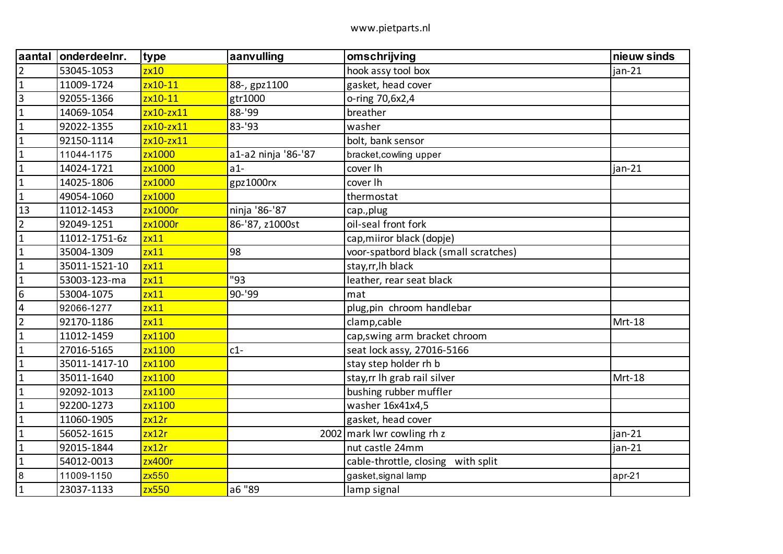| laantal         | onderdeelnr.  | type        | aanvulling          | omschrijving                          | nieuw sinds |
|-----------------|---------------|-------------|---------------------|---------------------------------------|-------------|
| $\overline{2}$  | 53045-1053    | zx10        |                     | hook assy tool box                    | $jan-21$    |
| $\overline{1}$  | 11009-1724    | zx10-11     | 88-, gpz1100        | gasket, head cover                    |             |
| $\overline{3}$  | 92055-1366    | zx10-11     | gtr1000             | o-ring 70,6x2,4                       |             |
| $\mathbf{1}$    | 14069-1054    | $zx10-zx11$ | 88-'99              | breather                              |             |
| $\overline{1}$  | 92022-1355    | $zx10-zx11$ | 83-'93              | washer                                |             |
| $\overline{1}$  | 92150-1114    | zx10-zx11   |                     | bolt, bank sensor                     |             |
| $\overline{1}$  | 11044-1175    | zx1000      | a1-a2 ninja '86-'87 | bracket, cowling upper                |             |
| $\mathbf 1$     | 14024-1721    | zx1000      | $a1-$               | cover lh                              | jan-21      |
| $\overline{1}$  | 14025-1806    | zx1000      | gpz1000rx           | cover lh                              |             |
| $\overline{1}$  | 49054-1060    | zx1000      |                     | thermostat                            |             |
| 13              | 11012-1453    | zx1000r     | ninja '86-'87       | cap., plug                            |             |
| $\overline{2}$  | 92049-1251    | zx1000r     | 86-'87, z1000st     | oil-seal front fork                   |             |
| $\mathbf{1}$    | 11012-1751-6z | zx11        |                     | cap, miiror black (dopje)             |             |
| $\mathbf{1}$    | 35004-1309    | zx11        | 98                  | voor-spatbord black (small scratches) |             |
| $\overline{1}$  | 35011-1521-10 | zx11        |                     | stay, rr, lh black                    |             |
| $\overline{1}$  | 53003-123-ma  | zx11        | "93                 | leather, rear seat black              |             |
| $6\overline{6}$ | 53004-1075    | zx11        | 90-'99              | mat                                   |             |
| $\overline{4}$  | 92066-1277    | zx11        |                     | plug, pin chroom handlebar            |             |
| $\overline{2}$  | 92170-1186    | zx11        |                     | clamp, cable                          | Mrt-18      |
| $\overline{1}$  | 11012-1459    | zx1100      |                     | cap, swing arm bracket chroom         |             |
| $\overline{1}$  | 27016-5165    | zx1100      | $c1-$               | seat lock assy, 27016-5166            |             |
| $\mathbf{1}$    | 35011-1417-10 | zx1100      |                     | stay step holder rh b                 |             |
| $\overline{1}$  | 35011-1640    | zx1100      |                     | stay, rr Ih grab rail silver          | Mrt-18      |
| $\overline{1}$  | 92092-1013    | zx1100      |                     | bushing rubber muffler                |             |
| $\mathbf{1}$    | 92200-1273    | zx1100      |                     | washer 16x41x4,5                      |             |
| $\overline{1}$  | 11060-1905    | zx12r       |                     | gasket, head cover                    |             |
| $\overline{1}$  | 56052-1615    | zx12r       |                     | 2002 mark lwr cowling rh z            | $jan-21$    |
| $\mathbf{1}$    | 92015-1844    | zx12r       |                     | nut castle 24mm                       | $jan-21$    |
| $\overline{1}$  | 54012-0013    | zx400r      |                     | cable-throttle, closing with split    |             |
| $\overline{8}$  | 11009-1150    | zx550       |                     | gasket, signal lamp                   | $apr-21$    |
| $\overline{1}$  | 23037-1133    | zx550       | a6 "89              | lamp signal                           |             |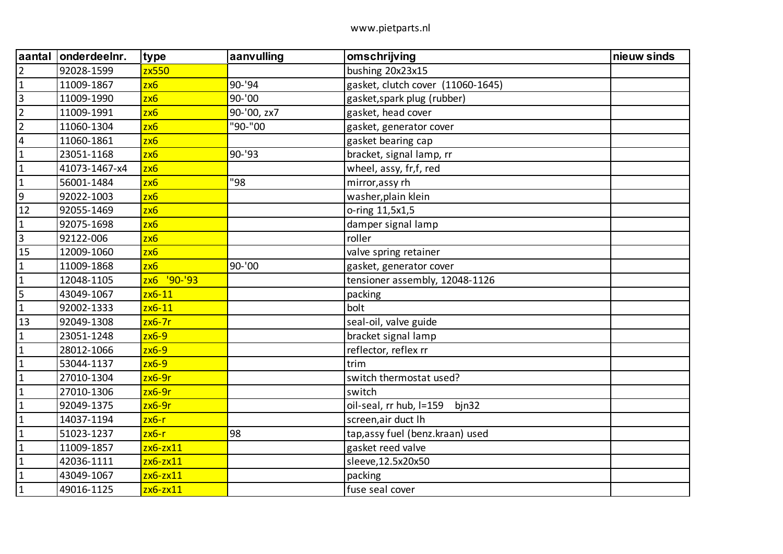| aantal                  | onderdeelnr.  | type             | aanvulling  | omschrijving                      | nieuw sinds |
|-------------------------|---------------|------------------|-------------|-----------------------------------|-------------|
| $\overline{2}$          | 92028-1599    | zx550            |             | bushing 20x23x15                  |             |
| $\mathbf{1}$            | 11009-1867    | 2x6              | 90-'94      | gasket, clutch cover (11060-1645) |             |
| $\overline{3}$          | 11009-1990    | zx6              | 90-'00      | gasket, spark plug (rubber)       |             |
| $\overline{2}$          | 11009-1991    | 2x6              | 90-'00, zx7 | gasket, head cover                |             |
| $\overline{2}$          | 11060-1304    | zx6              | "90-"00     | gasket, generator cover           |             |
| $\overline{\mathbf{4}}$ | 11060-1861    | zx6              |             | gasket bearing cap                |             |
| $\mathbf{1}$            | 23051-1168    | 2x6              | 90-'93      | bracket, signal lamp, rr          |             |
| $\mathbf{1}$            | 41073-1467-x4 | zx6              |             | wheel, assy, fr,f, red            |             |
| $\mathbf 1$             | 56001-1484    | 2x6              | "98         | mirror, assy rh                   |             |
| $\boldsymbol{9}$        | 92022-1003    | 2x6              |             | washer, plain klein               |             |
| 12                      | 92055-1469    | zx6              |             | o-ring 11,5x1,5                   |             |
| $\mathbf{1}$            | 92075-1698    | zx6              |             | damper signal lamp                |             |
| $\overline{3}$          | 92122-006     | 2x6              |             | roller                            |             |
| 15                      | 12009-1060    | zx6              |             | valve spring retainer             |             |
| $\mathbf{1}$            | 11009-1868    | 2x6              | 90-'00      | gasket, generator cover           |             |
| $\mathbf{1}$            | 12048-1105    | $'90-'93$<br>2x6 |             | tensioner assembly, 12048-1126    |             |
| 5                       | 43049-1067    | $zx6-11$         |             | packing                           |             |
| $\mathbf 1$             | 92002-1333    | $2x6-11$         |             | bolt                              |             |
| 13                      | 92049-1308    | $zx6-7r$         |             | seal-oil, valve guide             |             |
| $\mathbf{1}$            | 23051-1248    | $zx6-9$          |             | bracket signal lamp               |             |
| $\mathbf 1$             | 28012-1066    | $2x6-9$          |             | reflector, reflex rr              |             |
| $\mathbf{1}$            | 53044-1137    | $zx6-9$          |             | trim                              |             |
| $\mathbf{1}$            | 27010-1304    | $zx6-9r$         |             | switch thermostat used?           |             |
| $\mathbf{1}$            | 27010-1306    | zx6-9r           |             | switch                            |             |
| $\mathbf{1}$            | 92049-1375    | $zx6-9r$         |             | oil-seal, rr hub, I=159<br>bjn32  |             |
| $\mathbf 1$             | 14037-1194    | $zx6-r$          |             | screen, air duct lh               |             |
| $\mathbf{1}$            | 51023-1237    | zx6-r            | 98          | tap, assy fuel (benz. kraan) used |             |
| $\mathbf{1}$            | 11009-1857    | $zx6-zx11$       |             | gasket reed valve                 |             |
| $\mathbf{1}$            | 42036-1111    | $zx6-zx11$       |             | sleeve, 12.5x20x50                |             |
| $\mathbf{1}$            | 43049-1067    | $zx6-zx11$       |             | packing                           |             |
| $\mathbf{1}$            | 49016-1125    | $zx6-zx11$       |             | fuse seal cover                   |             |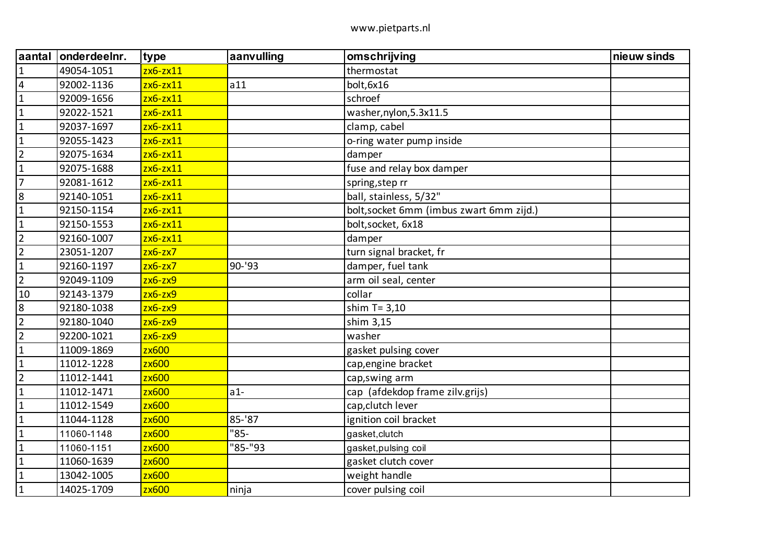| aantal         | onderdeelnr. | type         | aanvulling | omschrijving                             | nieuw sinds |
|----------------|--------------|--------------|------------|------------------------------------------|-------------|
| $\mathbf 1$    | 49054-1051   | $zx6-zx11$   |            | thermostat                               |             |
| $\sqrt{4}$     | 92002-1136   | $zx6-zx11$   | a11        | bolt, 6x16                               |             |
| $\mathbf{1}$   | 92009-1656   | $zx6-zx11$   |            | schroef                                  |             |
| $\mathbf{1}$   | 92022-1521   | $zx6-zx11$   |            | washer, nylon, 5.3x11.5                  |             |
| $\mathbf{1}$   | 92037-1697   | $zx6-zx11$   |            | clamp, cabel                             |             |
| $\mathbf{1}$   | 92055-1423   | $zx6-zx11$   |            | o-ring water pump inside                 |             |
| $\overline{2}$ | 92075-1634   | $zx6-zx11$   |            | damper                                   |             |
| $\mathbf{1}$   | 92075-1688   | $zx6-zx11$   |            | fuse and relay box damper                |             |
| $\overline{7}$ | 92081-1612   | $zx6-zx11$   |            | spring, step rr                          |             |
| $\bf 8$        | 92140-1051   | $zx6-zx11$   |            | ball, stainless, 5/32"                   |             |
| $\mathbf{1}$   | 92150-1154   | $zx6-zx11$   |            | bolt, socket 6mm (imbus zwart 6mm zijd.) |             |
| $\mathbf{1}$   | 92150-1553   | $zx6-zx11$   |            | bolt, socket, 6x18                       |             |
| $\overline{2}$ | 92160-1007   | $zx6-zx11$   |            | damper                                   |             |
| $\overline{2}$ | 23051-1207   | $zx6-zx7$    |            | turn signal bracket, fr                  |             |
| $\mathbf{1}$   | 92160-1197   | $zx6-zx7$    | 90-'93     | damper, fuel tank                        |             |
| $\overline{2}$ | 92049-1109   | $zx6-zx9$    |            | arm oil seal, center                     |             |
| 10             | 92143-1379   | $zx6-zx9$    |            | collar                                   |             |
| 8              | 92180-1038   | $zx6-zx9$    |            | shim $T = 3,10$                          |             |
| $\overline{2}$ | 92180-1040   | $zx6-zx9$    |            | shim 3,15                                |             |
| $\overline{2}$ | 92200-1021   | $2x6 - 2x9$  |            | washer                                   |             |
| $\mathbf{1}$   | 11009-1869   | zx600        |            | gasket pulsing cover                     |             |
| $\mathbf{1}$   | 11012-1228   | zx600        |            | cap, engine bracket                      |             |
| $\overline{2}$ | 11012-1441   | zx600        |            | cap, swing arm                           |             |
| $\mathbf{1}$   | 11012-1471   | zx600        | $a1-$      | cap (afdekdop frame zilv.grijs)          |             |
| $\mathbf{1}$   | 11012-1549   | <b>zx600</b> |            | cap, clutch lever                        |             |
| $\mathbf{1}$   | 11044-1128   | zx600        | $85 - 87$  | ignition coil bracket                    |             |
| $\mathbf{1}$   | 11060-1148   | zx600        | "85-       | gasket, clutch                           |             |
| $\mathbf{1}$   | 11060-1151   | <b>zx600</b> | "85-"93    | gasket, pulsing coil                     |             |
| $\mathbf{1}$   | 11060-1639   | zx600        |            | gasket clutch cover                      |             |
| $\mathbf{1}$   | 13042-1005   | zx600        |            | weight handle                            |             |
| $\mathbf{1}$   | 14025-1709   | <b>zx600</b> | ninja      | cover pulsing coil                       |             |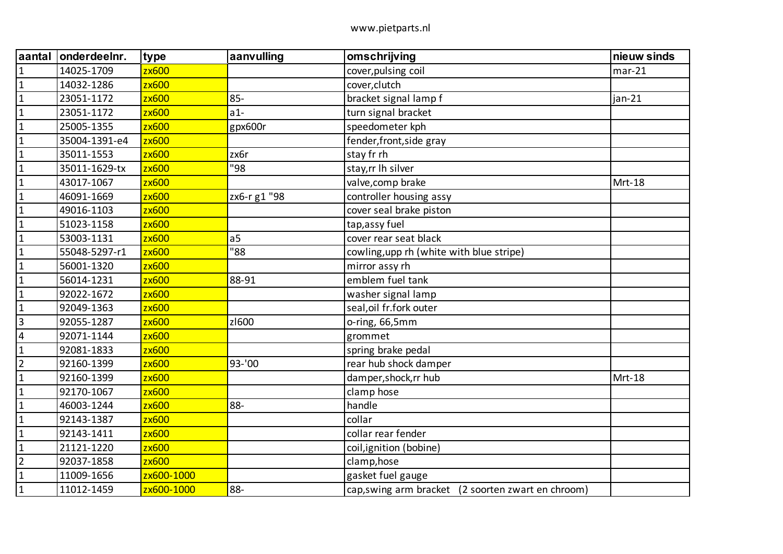| aantal         | onderdeelnr.  | type         | aanvulling     | omschrijving                                       | nieuw sinds |
|----------------|---------------|--------------|----------------|----------------------------------------------------|-------------|
| $\mathbf{1}$   | 14025-1709    | zx600        |                | cover, pulsing coil                                | $mar-21$    |
| $\mathbf{1}$   | 14032-1286    | zx600        |                | cover, clutch                                      |             |
| $\mathbf{1}$   | 23051-1172    | zx600        | $85 -$         | bracket signal lamp f                              | $jan-21$    |
| $\mathbf{1}$   | 23051-1172    | zx600        | $a1-$          | turn signal bracket                                |             |
| $\mathbf{1}$   | 25005-1355    | zx600        | gpx600r        | speedometer kph                                    |             |
| $\mathbf{1}$   | 35004-1391-e4 | zx600        |                | fender, front, side gray                           |             |
| $\mathbf{1}$   | 35011-1553    | zx600        | zx6r           | stay fr rh                                         |             |
| $\mathbf{1}$   | 35011-1629-tx | zx600        | "98            | stay, rr Ih silver                                 |             |
| $\mathbf{1}$   | 43017-1067    | zx600        |                | valve, comp brake                                  | Mrt-18      |
| $\mathbf 1$    | 46091-1669    | zx600        | zx6-r g1 "98   | controller housing assy                            |             |
| $\mathbf{1}$   | 49016-1103    | zx600        |                | cover seal brake piston                            |             |
| $\mathbf 1$    | 51023-1158    | zx600        |                | tap, assy fuel                                     |             |
| $\mathbf 1$    | 53003-1131    | zx600        | a <sub>5</sub> | cover rear seat black                              |             |
| $\mathbf{1}$   | 55048-5297-r1 | zx600        | "88            | cowling, upp rh (white with blue stripe)           |             |
| $\mathbf{1}$   | 56001-1320    | zx600        |                | mirror assy rh                                     |             |
| $\mathbf 1$    | 56014-1231    | zx600        | 88-91          | emblem fuel tank                                   |             |
| $\mathbf{1}$   | 92022-1672    | zx600        |                | washer signal lamp                                 |             |
| $\mathbf{1}$   | 92049-1363    | zx600        |                | seal, oil fr.fork outer                            |             |
| $\overline{3}$ | 92055-1287    | zx600        | z1600          | o-ring, 66,5mm                                     |             |
| $\sqrt{4}$     | 92071-1144    | zx600        |                | grommet                                            |             |
| $\mathbf{1}$   | 92081-1833    | zx600        |                | spring brake pedal                                 |             |
| $\overline{2}$ | 92160-1399    | zx600        | 93-'00         | rear hub shock damper                              |             |
| $\mathbf{1}$   | 92160-1399    | zx600        |                | damper, shock, rr hub                              | Mrt-18      |
| $\mathbf{1}$   | 92170-1067    | zx600        |                | clamp hose                                         |             |
| $\mathbf{1}$   | 46003-1244    | zx600        | 88-            | handle                                             |             |
| $\mathbf{1}$   | 92143-1387    | zx600        |                | collar                                             |             |
| $\mathbf{1}$   | 92143-1411    | zx600        |                | collar rear fender                                 |             |
| $\mathbf{1}$   | 21121-1220    | zx600        |                | coil, ignition (bobine)                            |             |
| $\overline{2}$ | 92037-1858    | <b>zx600</b> |                | clamp, hose                                        |             |
| $\mathbf{1}$   | 11009-1656    | zx600-1000   |                | gasket fuel gauge                                  |             |
| $\mathbf{1}$   | 11012-1459    | zx600-1000   | 88-            | cap, swing arm bracket (2 soorten zwart en chroom) |             |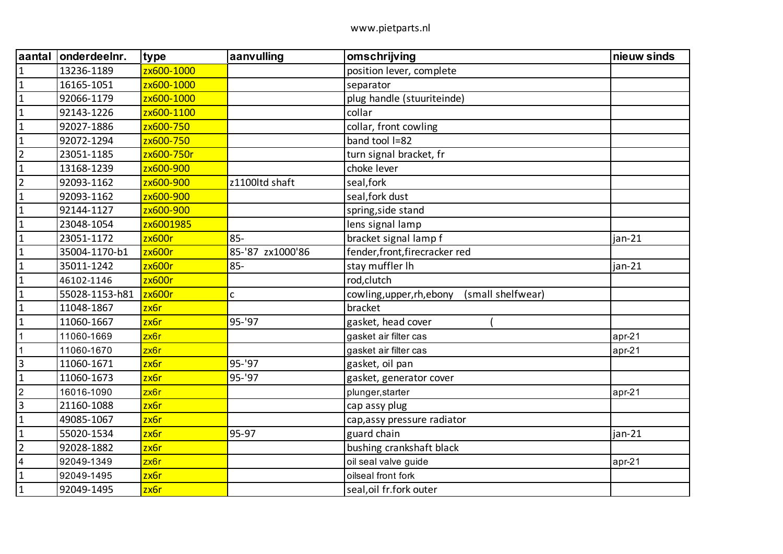| aantal                  | onderdeelnr.   | type             | aanvulling       | omschrijving                                   | nieuw sinds |
|-------------------------|----------------|------------------|------------------|------------------------------------------------|-------------|
| $\mathbf{1}$            | 13236-1189     | zx600-1000       |                  | position lever, complete                       |             |
| $\overline{1}$          | 16165-1051     | zx600-1000       |                  | separator                                      |             |
| $\overline{1}$          | 92066-1179     | zx600-1000       |                  | plug handle (stuuriteinde)                     |             |
| $\mathbf{1}$            | 92143-1226     | zx600-1100       |                  | collar                                         |             |
| $\overline{1}$          | 92027-1886     | zx600-750        |                  | collar, front cowling                          |             |
| $\overline{1}$          | 92072-1294     | zx600-750        |                  | band tool I=82                                 |             |
| $\overline{2}$          | 23051-1185     | zx600-750r       |                  | turn signal bracket, fr                        |             |
| $\mathbf{1}$            | 13168-1239     | zx600-900        |                  | choke lever                                    |             |
| $\overline{2}$          | 92093-1162     | zx600-900        | z1100ltd shaft   | seal, fork                                     |             |
| $\mathbf{1}$            | 92093-1162     | zx600-900        |                  | seal, fork dust                                |             |
| $\mathbf{1}$            | 92144-1127     | zx600-900        |                  | spring, side stand                             |             |
| $\overline{\mathbf{1}}$ | 23048-1054     | zx6001985        |                  | lens signal lamp                               |             |
| $\mathbf{1}$            | 23051-1172     | zx600r           | $85 -$           | bracket signal lamp f                          | $jan-21$    |
| $\mathbf{1}$            | 35004-1170-b1  | zx600r           | 85-'87 zx1000'86 | fender, front, firecracker red                 |             |
| $\mathbf 1$             | 35011-1242     | zx600r           | $85 -$           | stay muffler lh                                | $jan-21$    |
| $\mathbf{1}$            | 46102-1146     | zx600r           |                  | rod, clutch                                    |             |
| $\mathbf{1}$            | 55028-1153-h81 | zx600r           | c                | cowling, upper, rh, ebony<br>(small shelfwear) |             |
| $\overline{1}$          | 11048-1867     | zx6r             |                  | bracket                                        |             |
| $\mathbf{1}$            | 11060-1667     | zx6r             | 95-'97           | gasket, head cover                             |             |
| $\mathbf{1}$            | 11060-1669     | zx6r             |                  | gasket air filter cas                          | $apr-21$    |
| $\overline{1}$          | 11060-1670     | zx6r             |                  | gasket air filter cas                          | $apr-21$    |
| $\overline{3}$          | 11060-1671     | zx6r             | 95-'97           | gasket, oil pan                                |             |
| $\overline{1}$          | 11060-1673     | zx6r             | 95-'97           | gasket, generator cover                        |             |
| $\overline{2}$          | 16016-1090     | zx6r             |                  | plunger, starter                               | apr-21      |
| $\overline{3}$          | 21160-1088     | zx6r             |                  | cap assy plug                                  |             |
| $\vert$ 1               | 49085-1067     | zx6r             |                  | cap, assy pressure radiator                    |             |
| $\mathbf{1}$            | 55020-1534     | zx <sub>6r</sub> | 95-97            | guard chain                                    | jan-21      |
| $\overline{2}$          | 92028-1882     | zx6r             |                  | bushing crankshaft black                       |             |
| $\overline{4}$          | 92049-1349     | zx6r             |                  | oil seal valve guide                           | $apr-21$    |
| $\mathbf{1}$            | 92049-1495     | zx6r             |                  | oilseal front fork                             |             |
| $\mathbf{1}$            | 92049-1495     | zx6r             |                  | seal, oil fr.fork outer                        |             |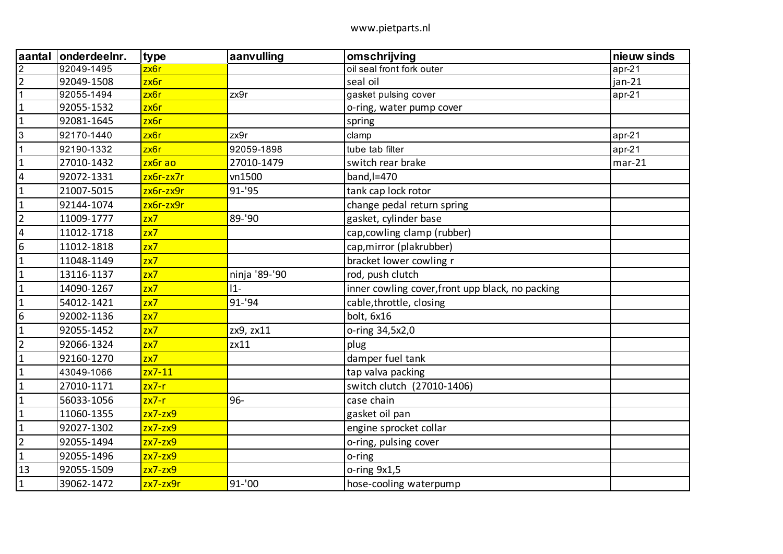| laantal                 | onderdeelnr. | type             | aanvulling    | omschrijving                                     | nieuw sinds |
|-------------------------|--------------|------------------|---------------|--------------------------------------------------|-------------|
| $\overline{2}$          | 92049-1495   | zx6r             |               | oil seal front fork outer                        | $apr-21$    |
| $\overline{2}$          | 92049-1508   | zx <sub>6r</sub> |               | seal oil                                         | $jan-21$    |
| $\mathbf{1}$            | 92055-1494   | zx6r             | zx9r          | gasket pulsing cover                             | $apr-21$    |
| $\mathbf 1$             | 92055-1532   | zx6r             |               | o-ring, water pump cover                         |             |
| $\mathbf 1$             | 92081-1645   | zx <sub>6r</sub> |               | spring                                           |             |
| 3                       | 92170-1440   | zx6r             | zx9r          | clamp                                            | $apr-21$    |
| $\mathbf{1}$            | 92190-1332   | zx6r             | 92059-1898    | tube tab filter                                  | $apr-21$    |
| $\mathbf{1}$            | 27010-1432   | zx6r ao          | 27010-1479    | switch rear brake                                | $mar-21$    |
| $\overline{4}$          | 92072-1331   | $zx6r-zx7r$      | vn1500        | $band,l=470$                                     |             |
| $\mathbf{1}$            | 21007-5015   | zx6r-zx9r        | 91-'95        | tank cap lock rotor                              |             |
| $\mathbf{1}$            | 92144-1074   | zx6r-zx9r        |               | change pedal return spring                       |             |
| $\overline{2}$          | 11009-1777   | zx7              | 89-'90        | gasket, cylinder base                            |             |
| $\overline{\mathbf{4}}$ | 11012-1718   | zx7              |               | cap, cowling clamp (rubber)                      |             |
| $6\phantom{1}6$         | 11012-1818   | zx7              |               | cap, mirror (plakrubber)                         |             |
| $\mathbf{1}$            | 11048-1149   | zx7              |               | bracket lower cowling r                          |             |
| $\mathbf 1$             | 13116-1137   | zx7              | ninja '89-'90 | rod, push clutch                                 |             |
| $\mathbf{1}$            | 14090-1267   | zx7              | $11 -$        | inner cowling cover, front upp black, no packing |             |
| $\mathbf{1}$            | 54012-1421   | zx7              | 91-'94        | cable, throttle, closing                         |             |
| $\boldsymbol{6}$        | 92002-1136   | zx7              |               | bolt, 6x16                                       |             |
| $\mathbf{1}$            | 92055-1452   | zx7              | zx9, zx11     | o-ring 34,5x2,0                                  |             |
| $\overline{2}$          | 92066-1324   | zx7              | zx11          | plug                                             |             |
| $\mathbf{1}$            | 92160-1270   | zx7              |               | damper fuel tank                                 |             |
| $\mathbf{1}$            | 43049-1066   | $zx7-11$         |               | tap valva packing                                |             |
| $\mathbf 1$             | 27010-1171   | $zx7-r$          |               | switch clutch (27010-1406)                       |             |
| $\mathbf{1}$            | 56033-1056   | $zx7-r$          | 96-           | case chain                                       |             |
| $\mathbf{1}$            | 11060-1355   | $zx7-zx9$        |               | gasket oil pan                                   |             |
| $\mathbf 1$             | 92027-1302   | $zx7-zx9$        |               | engine sprocket collar                           |             |
| $\overline{2}$          | 92055-1494   | $zx7-zx9$        |               | o-ring, pulsing cover                            |             |
| $\mathbf{1}$            | 92055-1496   | $zx7-zx9$        |               | o-ring                                           |             |
| 13                      | 92055-1509   | $zx7-zx9$        |               | o-ring 9x1,5                                     |             |
| $\mathbf 1$             | 39062-1472   | $zx7-zx9r$       | $91 - 00$     | hose-cooling waterpump                           |             |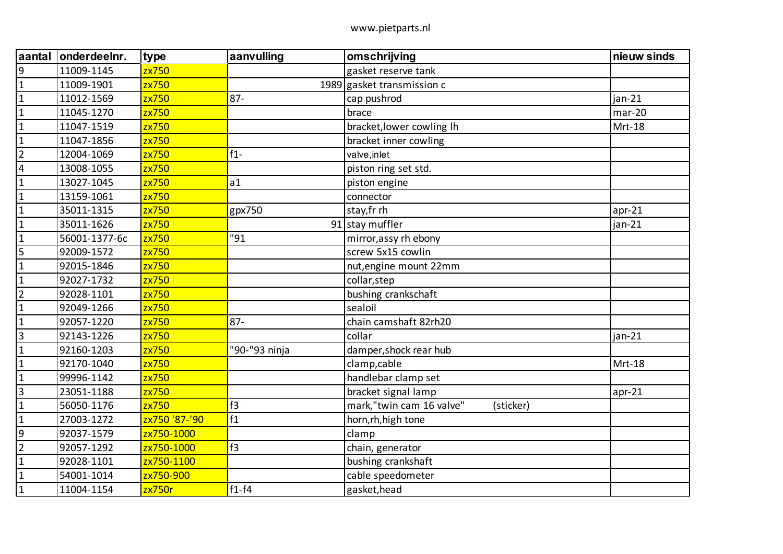| aantal                  | onderdeelnr.  | type          | aanvulling    | omschrijving                          | nieuw sinds |
|-------------------------|---------------|---------------|---------------|---------------------------------------|-------------|
| 9                       | 11009-1145    | zx750         |               | gasket reserve tank                   |             |
| $\mathbf{1}$            | 11009-1901    | zx750         |               | 1989 gasket transmission $c$          |             |
| $\mathbf{1}$            | 11012-1569    | zx750         | $87 -$        | cap pushrod                           | $jan-21$    |
| $\mathbf{1}$            | 11045-1270    | zx750         |               | brace                                 | $mar-20$    |
| $\mathbf{1}$            | 11047-1519    | zx750         |               | bracket, lower cowling Ih             | Mrt-18      |
| $\mathbf{1}$            | 11047-1856    | zx750         |               | bracket inner cowling                 |             |
| $\overline{2}$          | 12004-1069    | zx750         | $f1 -$        | valve, inlet                          |             |
| $\overline{\mathbf{4}}$ | 13008-1055    | zx750         |               | piston ring set std.                  |             |
| $\mathbf{1}$            | 13027-1045    | zx750         | a1            | piston engine                         |             |
| $\mathbf{1}$            | 13159-1061    | zx750         |               | connector                             |             |
| $\mathbf{1}$            | 35011-1315    | zx750         | gpx750        | stay, fr rh                           | $apr-21$    |
| $\mathbf{1}$            | 35011-1626    | zx750         |               | 91 stay muffler                       | jan-21      |
| $\mathbf{1}$            | 56001-1377-6c | zx750         | "91           | mirror, assy rh ebony                 |             |
| 5                       | 92009-1572    | zx750         |               | screw 5x15 cowlin                     |             |
| $\mathbf{1}$            | 92015-1846    | zx750         |               | nut, engine mount 22mm                |             |
| $\mathbf{1}$            | 92027-1732    | zx750         |               | collar, step                          |             |
| $\overline{2}$          | 92028-1101    | zx750         |               | bushing crankschaft                   |             |
| $\mathbf{1}$            | 92049-1266    | zx750         |               | sealoil                               |             |
| $\mathbf{1}$            | 92057-1220    | zx750         | $87 -$        | chain camshaft 82rh20                 |             |
| $\overline{3}$          | 92143-1226    | zx750         |               | collar                                | jan-21      |
| $\mathbf{1}$            | 92160-1203    | zx750         | "90-"93 ninja | damper, shock rear hub                |             |
| $\mathbf{1}$            | 92170-1040    | zx750         |               | clamp, cable                          | Mrt-18      |
| $\mathbf{1}$            | 99996-1142    | zx750         |               | handlebar clamp set                   |             |
| $\overline{3}$          | 23051-1188    | zx750         |               | bracket signal lamp                   | $apr-21$    |
| $\mathbf{1}$            | 56050-1176    | zx750         | f3            | mark,"twin cam 16 valve"<br>(sticker) |             |
| $\mathbf{1}$            | 27003-1272    | zx750 '87-'90 | f1            | horn, rh, high tone                   |             |
| $9\,$                   | 92037-1579    | zx750-1000    |               | clamp                                 |             |
| $\overline{2}$          | 92057-1292    | zx750-1000    | f3            | chain, generator                      |             |
| $\mathbf{1}$            | 92028-1101    | zx750-1100    |               | bushing crankshaft                    |             |
| $\mathbf{1}$            | 54001-1014    | zx750-900     |               | cable speedometer                     |             |
| $\mathbf{1}$            | 11004-1154    | zx750r        | $f1-f4$       | gasket, head                          |             |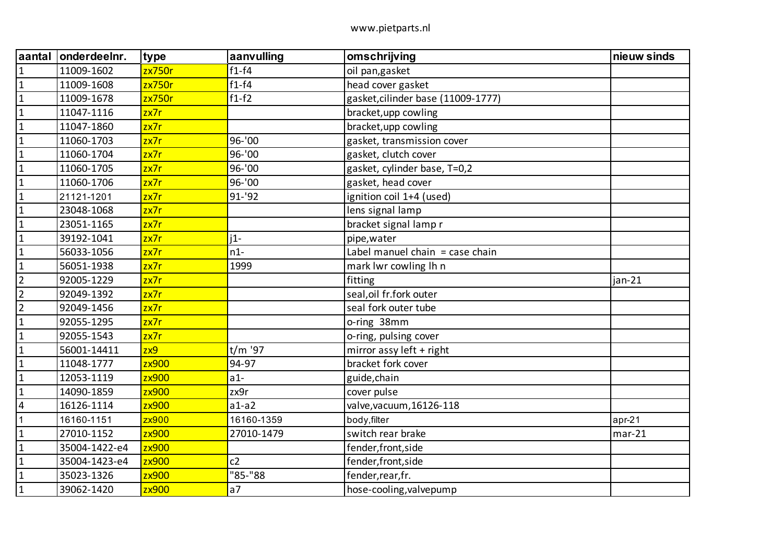| aantal         | onderdeelnr.  | type             | aanvulling     | omschrijving                       | nieuw sinds |
|----------------|---------------|------------------|----------------|------------------------------------|-------------|
| $\mathbf 1$    | 11009-1602    | zx750r           | $f1-f4$        | oil pan, gasket                    |             |
| $\mathbf{1}$   | 11009-1608    | zx750r           | $f1-f4$        | head cover gasket                  |             |
| $\mathbf{1}$   | 11009-1678    | zx750r           | $f1-f2$        | gasket, cilinder base (11009-1777) |             |
| $\mathbf{1}$   | 11047-1116    | z <sub>x7r</sub> |                | bracket, upp cowling               |             |
| $\mathbf{1}$   | 11047-1860    | z <sub>x7r</sub> |                | bracket, upp cowling               |             |
| $\mathbf{1}$   | 11060-1703    | zx7r             | 96-'00         | gasket, transmission cover         |             |
| $\mathbf{1}$   | 11060-1704    | z <sub>x7r</sub> | 96-'00         | gasket, clutch cover               |             |
| $\mathbf 1$    | 11060-1705    | z <sub>x7r</sub> | 96-'00         | gasket, cylinder base, T=0,2       |             |
| $\mathbf{1}$   | 11060-1706    | zx7r             | 96-'00         | gasket, head cover                 |             |
| $\mathbf{1}$   | 21121-1201    | z <sub>x7r</sub> | 91-'92         | ignition coil 1+4 (used)           |             |
| $\mathbf{1}$   | 23048-1068    | z <sub>x7r</sub> |                | lens signal lamp                   |             |
| $\mathbf{1}$   | 23051-1165    | z <sub>x7r</sub> |                | bracket signal lamp r              |             |
| $\mathbf 1$    | 39192-1041    | z <sub>x7r</sub> | $i1-$          | pipe, water                        |             |
| $\mathbf{1}$   | 56033-1056    | zx7r             | $n1-$          | Label manuel chain = case chain    |             |
| $\mathbf{1}$   | 56051-1938    | z <sub>x7r</sub> | 1999           | mark lwr cowling lh n              |             |
| $\overline{2}$ | 92005-1229    | z <sub>x7r</sub> |                | fitting                            | $jan-21$    |
| $\overline{2}$ | 92049-1392    | z <sub>x7r</sub> |                | seal, oil fr.fork outer            |             |
| $\overline{2}$ | 92049-1456    | z <sub>x7r</sub> |                | seal fork outer tube               |             |
| $\mathbf{1}$   | 92055-1295    | z <sub>x7r</sub> |                | o-ring 38mm                        |             |
| $\mathbf{1}$   | 92055-1543    | z <sub>x7r</sub> |                | o-ring, pulsing cover              |             |
| $\mathbf{1}$   | 56001-14411   | zx9              | t/m '97        | mirror assy left + right           |             |
| $\mathbf 1$    | 11048-1777    | zx900            | 94-97          | bracket fork cover                 |             |
| $\mathbf{1}$   | 12053-1119    | zx900            | $a1-$          | guide, chain                       |             |
| $\mathbf{1}$   | 14090-1859    | zx900            | zx9r           | cover pulse                        |             |
| $\overline{4}$ | 16126-1114    | zx900            | $a1-a2$        | valve, vacuum, 16126-118           |             |
| $\mathbf{1}$   | 16160-1151    | zx900            | 16160-1359     | body, filter                       | apr-21      |
| $\mathbf 1$    | 27010-1152    | zx900            | 27010-1479     | switch rear brake                  | $mar-21$    |
| $\mathbf 1$    | 35004-1422-e4 | zx900            |                | fender, front, side                |             |
| $\mathbf{1}$   | 35004-1423-e4 | zx900            | c2             | fender, front, side                |             |
| $\mathbf{1}$   | 35023-1326    | zx900            | "85-"88        | fender, rear, fr.                  |             |
| $\mathbf{1}$   | 39062-1420    | zx900            | a <sub>7</sub> | hose-cooling, valvepump            |             |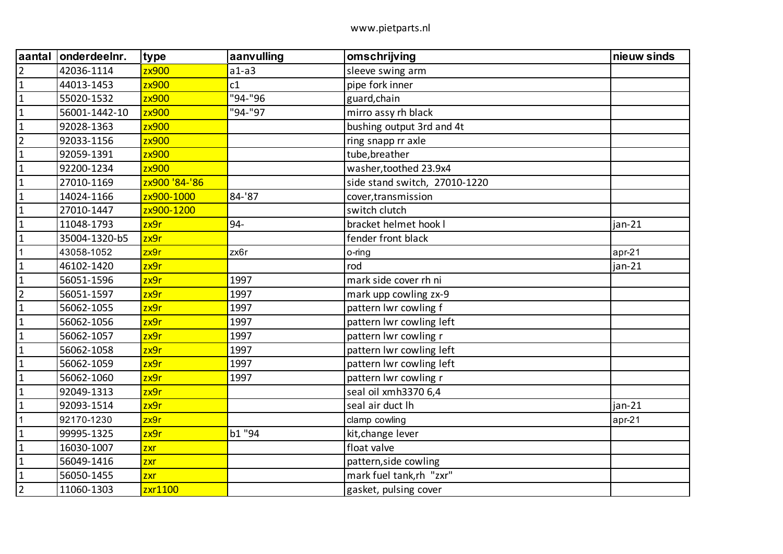| aantal         | onderdeelnr.  | type          | aanvulling | omschrijving                  | nieuw sinds |
|----------------|---------------|---------------|------------|-------------------------------|-------------|
| $\overline{2}$ | 42036-1114    | zx900         | $a1-a3$    | sleeve swing arm              |             |
| $\mathbf{1}$   | 44013-1453    | zx900         | c1         | pipe fork inner               |             |
| $\mathbf{1}$   | 55020-1532    | zx900         | "94-"96    | guard, chain                  |             |
| $\mathbf{1}$   | 56001-1442-10 | zx900         | "94-"97    | mirro assy rh black           |             |
| $\mathbf{1}$   | 92028-1363    | zx900         |            | bushing output 3rd and 4t     |             |
| $\overline{2}$ | 92033-1156    | zx900         |            | ring snapp rr axle            |             |
| $\mathbf{1}$   | 92059-1391    | zx900         |            | tube, breather                |             |
| $\mathbf{1}$   | 92200-1234    | zx900         |            | washer, toothed 23.9x4        |             |
| $\mathbf{1}$   | 27010-1169    | zx900 '84-'86 |            | side stand switch, 27010-1220 |             |
| $\mathbf{1}$   | 14024-1166    | zx900-1000    | 84-'87     | cover, transmission           |             |
| $\mathbf{1}$   | 27010-1447    | zx900-1200    |            | switch clutch                 |             |
| $\mathbf{1}$   | 11048-1793    | zx9r          | 94-        | bracket helmet hook I         | $jan-21$    |
| $\mathbf 1$    | 35004-1320-b5 | zx9r          |            | fender front black            |             |
| 1              | 43058-1052    | zx9r          | zx6r       | o-ring                        | apr-21      |
| $\mathbf{1}$   | 46102-1420    | zx9r          |            | rod                           | $jan-21$    |
| $\mathbf{1}$   | 56051-1596    | zx9r          | 1997       | mark side cover rh ni         |             |
| $\overline{2}$ | 56051-1597    | zx9r          | 1997       | mark upp cowling zx-9         |             |
| $\mathbf{1}$   | 56062-1055    | zx9r          | 1997       | pattern lwr cowling f         |             |
| $\mathbf 1$    | 56062-1056    | zx9r          | 1997       | pattern Iwr cowling left      |             |
| $\mathbf{1}$   | 56062-1057    | zx9r          | 1997       | pattern lwr cowling r         |             |
| $\mathbf{1}$   | 56062-1058    | zx9r          | 1997       | pattern lwr cowling left      |             |
| $\mathbf{1}$   | 56062-1059    | zx9r          | 1997       | pattern Iwr cowling left      |             |
| $\mathbf{1}$   | 56062-1060    | zx9r          | 1997       | pattern lwr cowling r         |             |
| $\mathbf{1}$   | 92049-1313    | zx9r          |            | seal oil xmh3370 6,4          |             |
| $\mathbf 1$    | 92093-1514    | zx9r          |            | seal air duct lh              | $jan-21$    |
| 1              | 92170-1230    | zx9r          |            | clamp cowling                 | apr-21      |
| $\mathbf{1}$   | 99995-1325    | zx9r          | b1 "94     | kit, change lever             |             |
| $\mathbf{1}$   | 16030-1007    | zxr           |            | float valve                   |             |
| $\mathbf{1}$   | 56049-1416    | zxr           |            | pattern, side cowling         |             |
| $\mathbf{1}$   | 56050-1455    | zxr           |            | mark fuel tank,rh "zxr"       |             |
| $\overline{2}$ | 11060-1303    | zxr1100       |            | gasket, pulsing cover         |             |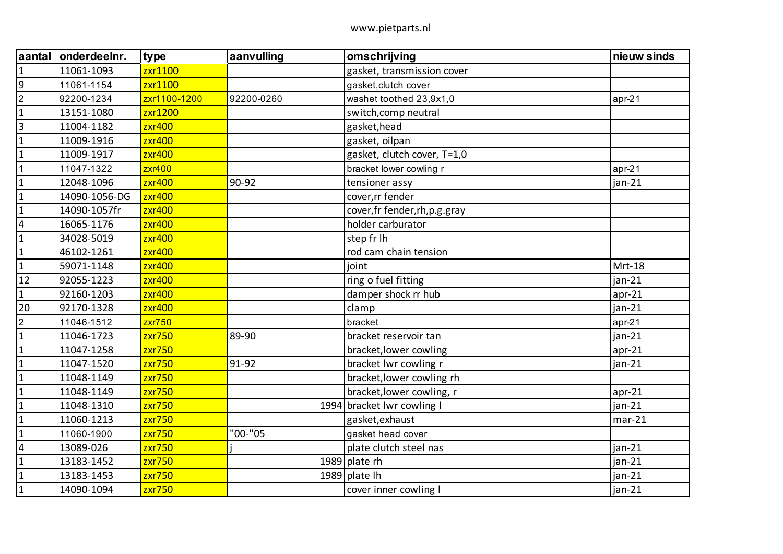| aantal                  | onderdeelnr.  | type          | aanvulling | omschrijving                    | nieuw sinds |
|-------------------------|---------------|---------------|------------|---------------------------------|-------------|
| $\mathbf{1}$            | 11061-1093    | zxr1100       |            | gasket, transmission cover      |             |
| 9                       | 11061-1154    | zxr1100       |            | gasket, clutch cover            |             |
| $\boldsymbol{2}$        | 92200-1234    | zxr1100-1200  | 92200-0260 | washet toothed 23,9x1,0         | $apr-21$    |
| $\mathbf{1}$            | 13151-1080    | zxr1200       |            | switch, comp neutral            |             |
| $\overline{\mathbf{3}}$ | 11004-1182    | zxr400        |            | gasket, head                    |             |
| $\mathbf 1$             | 11009-1916    | zxr400        |            | gasket, oilpan                  |             |
| $\mathbf{1}$            | 11009-1917    | zxr400        |            | gasket, clutch cover, T=1,0     |             |
| $\mathbf{1}$            | 11047-1322    | zxr400        |            | bracket lower cowling r         | $apr-21$    |
| $\mathbf{1}$            | 12048-1096    | zxr400        | 90-92      | tensioner assy                  | jan-21      |
| $\mathbf{1}$            | 14090-1056-DG | <b>zxr400</b> |            | cover, rr fender                |             |
| $\mathbf{1}$            | 14090-1057fr  | zxr400        |            | cover, fr fender, rh, p.g. gray |             |
| $\overline{\mathbf{4}}$ | 16065-1176    | zxr400        |            | holder carburator               |             |
| $\mathbf 1$             | 34028-5019    | zxr400        |            | step fr lh                      |             |
| $\mathbf{1}$            | 46102-1261    | zxr400        |            | rod cam chain tension           |             |
| $\mathbf{1}$            | 59071-1148    | zxr400        |            | joint                           | Mrt-18      |
| 12                      | 92055-1223    | zxr400        |            | ring o fuel fitting             | jan-21      |
| $\mathbf{1}$            | 92160-1203    | zxr400        |            | damper shock rr hub             | $apr-21$    |
| 20                      | 92170-1328    | zxr400        |            | clamp                           | jan-21      |
| $\overline{2}$          | 11046-1512    | $z$ xr $750$  |            | bracket                         | $apr-21$    |
| $\mathbf{1}$            | 11046-1723    | zxr750        | 89-90      | bracket reservoir tan           | jan-21      |
| $\mathbf 1$             | 11047-1258    | zxr750        |            | bracket, lower cowling          | $apr-21$    |
| $\mathbf 1$             | 11047-1520    | zxr750        | 91-92      | bracket Iwr cowling r           | jan-21      |
| $\mathbf{1}$            | 11048-1149    | <b>zxr750</b> |            | bracket, lower cowling rh       |             |
| $\mathbf{1}$            | 11048-1149    | zxr750        |            | bracket, lower cowling, r       | $apr-21$    |
| $\mathbf{1}$            | 11048-1310    | zxr750        |            | 1994 bracket Iwr cowling I      | $jan-21$    |
| $\mathbf{1}$            | 11060-1213    | zxr750        |            | gasket, exhaust                 | $mar-21$    |
| $\mathbf 1$             | 11060-1900    | zxr750        | "00-"05    | gasket head cover               |             |
| $\overline{4}$          | 13089-026     | zxr750        |            | plate clutch steel nas          | jan-21      |
| $\mathbf{1}$            | 13183-1452    | zxr750        |            | 1989 plate $rh$                 | $jan-21$    |
| $\mathbf{1}$            | 13183-1453    | zxr750        |            | 1989 plate $lh$                 | jan-21      |
| $\mathbf 1$             | 14090-1094    | zxr750        |            | cover inner cowling I           | jan-21      |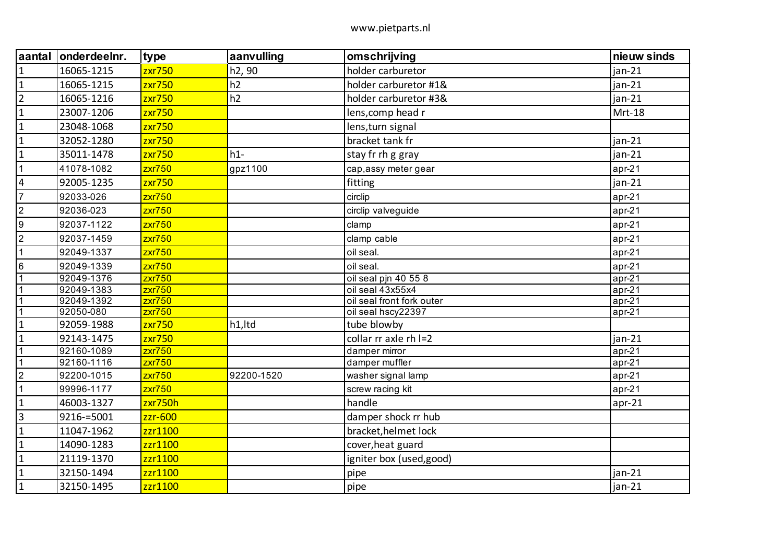| aantal         | onderdeelnr. | type                | aanvulling | omschrijving              | nieuw sinds |
|----------------|--------------|---------------------|------------|---------------------------|-------------|
| $\vert$ 1      | 16065-1215   | zxr750              | h2, 90     | holder carburetor         | $jan-21$    |
| $\mathbf{1}$   | 16065-1215   | zxr750              | h2         | holder carburetor #1&     | $jan-21$    |
| $\overline{2}$ | 16065-1216   | zxr750              | h2         | holder carburetor #3&     | $jan-21$    |
| $\overline{1}$ | 23007-1206   | zxr750              |            | lens, comp head r         | Mrt-18      |
| $\overline{1}$ | 23048-1068   | zxr750              |            | lens, turn signal         |             |
| $\overline{1}$ | 32052-1280   | zxr750              |            | bracket tank fr           | $jan-21$    |
| $\overline{1}$ | 35011-1478   | $z$ xr750           | $h1-$      | stay fr rh g gray         | $jan-21$    |
| $\overline{1}$ | 41078-1082   | z <sub>XT</sub> 750 | gpz1100    | cap, assy meter gear      | $apr-21$    |
| $\overline{4}$ | 92005-1235   | zxr750              |            | fitting                   | $jan-21$    |
| $\overline{7}$ | 92033-026    | $z$ xr $750$        |            | circlip                   | $apr-21$    |
| $\overline{2}$ | 92036-023    | z <sub>XT</sub> 750 |            | circlip valveguide        | $apr-21$    |
| $\overline{9}$ | 92037-1122   | z <sub>XT</sub> 750 |            | clamp                     | $apr-21$    |
| $\overline{2}$ | 92037-1459   | <b>zxr750</b>       |            | clamp cable               | $apr-21$    |
| $\overline{1}$ | 92049-1337   | z <sub>XT</sub> 750 |            | oil seal.                 | $apr-21$    |
| 6              | 92049-1339   | $z$ xr $750$        |            | oil seal.                 | $apr-21$    |
| $\overline{1}$ | 92049-1376   | z <sub>XT</sub> 750 |            | oil seal pjn 40 55 8      | $apr-21$    |
| $\overline{1}$ | 92049-1383   | $z$ xr $750$        |            | oil seal 43x55x4          | $apr-21$    |
| $\overline{1}$ | 92049-1392   | z <sub>XT</sub> 750 |            | oil seal front fork outer | $apr-21$    |
| $\overline{1}$ | 92050-080    | $z$ xr $750$        |            | oil seal hscy22397        | $apr-21$    |
| $\mathbf{1}$   | 92059-1988   | zxr750              | h1,Itd     | tube blowby               |             |
| $\overline{1}$ | 92143-1475   | zxr750              |            | collar rr axle rh I=2     | $jan-21$    |
| $\overline{1}$ | 92160-1089   | $z$ xr $750$        |            | damper mirror             | $apr-21$    |
| $\overline{1}$ | 92160-1116   | $z$ xr $750$        |            | damper muffler            | $apr-21$    |
| $\overline{2}$ | 92200-1015   | $z$ xr $750$        | 92200-1520 | washer signal lamp        | $apr-21$    |
| $\overline{1}$ | 99996-1177   | z <sub>XT</sub> 750 |            | screw racing kit          | $apr-21$    |
| $\overline{1}$ | 46003-1327   | zxr750h             |            | handle                    | $apr-21$    |
| $\overline{3}$ | 9216-=5001   | zzr-600             |            | damper shock rr hub       |             |
| $\overline{1}$ | 11047-1962   | zzr1100             |            | bracket, helmet lock      |             |
| $\mathbf{1}$   | 14090-1283   | zzr1100             |            | cover, heat guard         |             |
| $\overline{1}$ | 21119-1370   | zzr1100             |            | igniter box (used, good)  |             |
| $\overline{1}$ | 32150-1494   | zzr1100             |            | pipe                      | $jan-21$    |
| $\overline{1}$ | 32150-1495   | zzr1100             |            | pipe                      | $jan-21$    |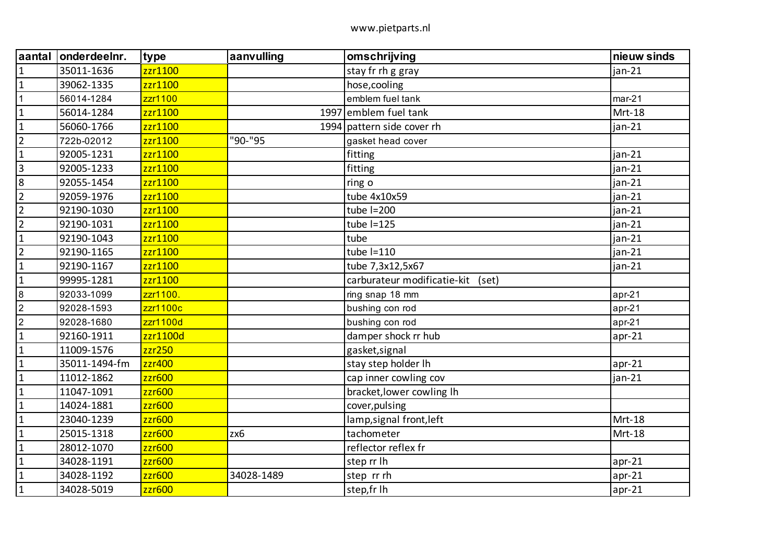| laantal        | onderdeelnr.  | type     | aanvulling | omschrijving                      | nieuw sinds |
|----------------|---------------|----------|------------|-----------------------------------|-------------|
| $\mathbf 1$    | 35011-1636    | zzr1100  |            | stay fr rh g gray                 | jan-21      |
| $\mathbf{1}$   | 39062-1335    | zzr1100  |            | hose, cooling                     |             |
| $\mathbf{1}$   | 56014-1284    | zzr1100  |            | emblem fuel tank                  | $mar-21$    |
| $\mathbf 1$    | 56014-1284    | zzr1100  |            | 1997 emblem fuel tank             | Mrt-18      |
| $\mathbf{1}$   | 56060-1766    | zzr1100  |            | 1994 pattern side cover rh        | $jan-21$    |
| $\overline{2}$ | 722b-02012    | zzr1100  | "90-"95    | gasket head cover                 |             |
| $\mathbf{1}$   | 92005-1231    | zzr1100  |            | fitting                           | jan-21      |
| $\mathbf{3}$   | 92005-1233    | zzr1100  |            | fitting                           | $jan-21$    |
| $\bf 8$        | 92055-1454    | zzr1100  |            | ring o                            | jan-21      |
| $\overline{2}$ | 92059-1976    | zzr1100  |            | tube 4x10x59                      | jan-21      |
| $\overline{2}$ | 92190-1030    | zzr1100  |            | tube $I=200$                      | $jan-21$    |
| $\overline{2}$ | 92190-1031    | zzr1100  |            | tube $I=125$                      | jan-21      |
| $\mathbf{1}$   | 92190-1043    | zzr1100  |            | tube                              | jan-21      |
| $\overline{2}$ | 92190-1165    | zzr1100  |            | tube I=110                        | $jan-21$    |
| $\mathbf{1}$   | 92190-1167    | zzr1100  |            | tube 7,3x12,5x67                  | jan-21      |
| $\mathbf{1}$   | 99995-1281    | zzr1100  |            | carburateur modificatie-kit (set) |             |
| 8              | 92033-1099    | zzr1100. |            | ring snap 18 mm                   | $apr-21$    |
| $\overline{2}$ | 92028-1593    | zzr1100c |            | bushing con rod                   | $apr-21$    |
| $\sqrt{2}$     | 92028-1680    | zzr1100d |            | bushing con rod                   | $apr-21$    |
| $\mathbf{1}$   | 92160-1911    | zzr1100d |            | damper shock rr hub               | $apr-21$    |
| $\mathbf 1$    | 11009-1576    | zzr250   |            | gasket, signal                    |             |
| $\mathbf{1}$   | 35011-1494-fm | zzr400   |            | stay step holder lh               | $apr-21$    |
| $\mathbf 1$    | 11012-1862    | zzr600   |            | cap inner cowling cov             | $jan-21$    |
| $\mathbf{1}$   | 11047-1091    | zzr600   |            | bracket, lower cowling Ih         |             |
| $\mathbf{1}$   | 14024-1881    | zzr600   |            | cover, pulsing                    |             |
| $\mathbf{1}$   | 23040-1239    | zzr600   |            | lamp, signal front, left          | Mrt-18      |
| $\mathbf{1}$   | 25015-1318    | zzr600   | zx6        | tachometer                        | Mrt-18      |
| $\mathbf{1}$   | 28012-1070    | zzr600   |            | reflector reflex fr               |             |
| $\mathbf 1$    | 34028-1191    | zzr600   |            | step rr lh                        | $apr-21$    |
| $\mathbf 1$    | 34028-1192    | zzr600   | 34028-1489 | step rr rh                        | $apr-21$    |
| $\mathbf 1$    | 34028-5019    | zzr600   |            | step,fr lh                        | apr-21      |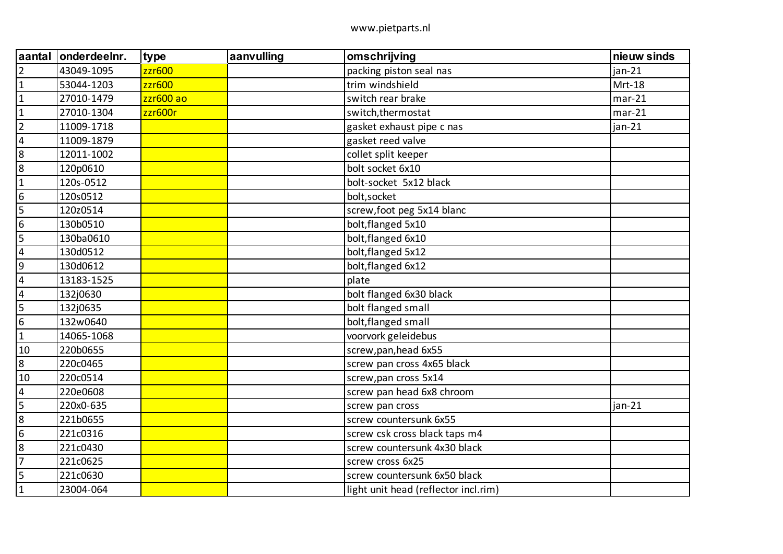| laantal                 | onderdeelnr. | type      | aanvulling | omschrijving                         | nieuw sinds |
|-------------------------|--------------|-----------|------------|--------------------------------------|-------------|
| $\overline{2}$          | 43049-1095   | zzr600    |            | packing piston seal nas              | jan-21      |
| $\overline{1}$          | 53044-1203   | zzr600    |            | trim windshield                      | Mrt-18      |
| $\overline{1}$          | 27010-1479   | zzr600 ao |            | switch rear brake                    | $mar-21$    |
| $\mathbf{1}$            | 27010-1304   | zzr600r   |            | switch, thermostat                   | $mar-21$    |
| $\overline{2}$          | 11009-1718   |           |            | gasket exhaust pipe c nas            | $jan-21$    |
| $\overline{4}$          | 11009-1879   |           |            | gasket reed valve                    |             |
| 8                       | 12011-1002   |           |            | collet split keeper                  |             |
| 8                       | 120p0610     |           |            | bolt socket 6x10                     |             |
| $\overline{1}$          | 120s-0512    |           |            | bolt-socket 5x12 black               |             |
| $6\phantom{1}6$         | 120s0512     |           |            | bolt, socket                         |             |
| 5                       | 120z0514     |           |            | screw, foot peg 5x14 blanc           |             |
| $\overline{6}$          | 130b0510     |           |            | bolt, flanged 5x10                   |             |
| 5                       | 130ba0610    |           |            | bolt, flanged 6x10                   |             |
| $\overline{4}$          | 130d0512     |           |            | bolt, flanged 5x12                   |             |
| $\overline{9}$          | 130d0612     |           |            | bolt, flanged 6x12                   |             |
| $\overline{4}$          | 13183-1525   |           |            | plate                                |             |
| $\overline{4}$          | 132j0630     |           |            | bolt flanged 6x30 black              |             |
| $\overline{\mathbf{5}}$ | 132j0635     |           |            | bolt flanged small                   |             |
| $6\phantom{1}6$         | 132w0640     |           |            | bolt, flanged small                  |             |
| $\mathbf{1}$            | 14065-1068   |           |            | voorvork geleidebus                  |             |
| 10                      | 220b0655     |           |            | screw, pan, head 6x55                |             |
| 8                       | 220c0465     |           |            | screw pan cross 4x65 black           |             |
| 10                      | 220c0514     |           |            | screw, pan cross 5x14                |             |
| $\overline{\mathbf{4}}$ | 220e0608     |           |            | screw pan head 6x8 chroom            |             |
| 5                       | 220x0-635    |           |            | screw pan cross                      | $jan-21$    |
| 8                       | 221b0655     |           |            | screw countersunk 6x55               |             |
| $\overline{6}$          | 221c0316     |           |            | screw csk cross black taps m4        |             |
| 8                       | 221c0430     |           |            | screw countersunk 4x30 black         |             |
| 7                       | 221c0625     |           |            | screw cross 6x25                     |             |
| $\overline{5}$          | 221c0630     |           |            | screw countersunk 6x50 black         |             |
| $\overline{1}$          | 23004-064    |           |            | light unit head (reflector incl.rim) |             |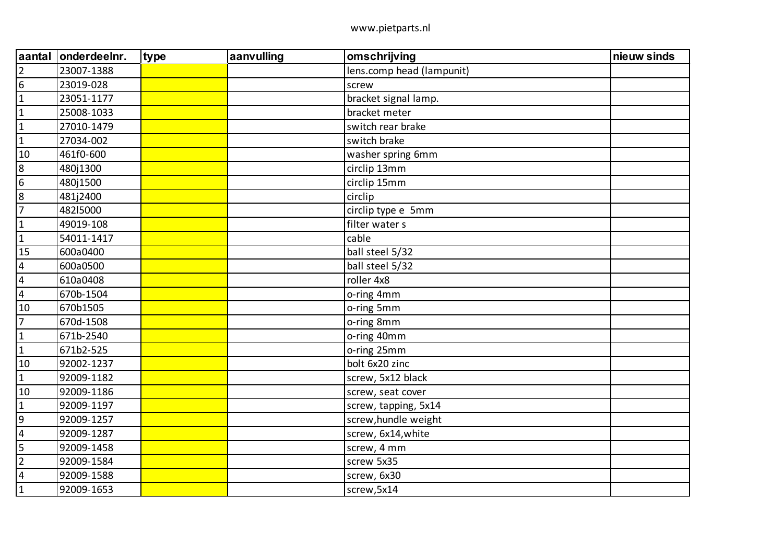| aantal           | onderdeelnr. | type | aanvulling | omschrijving              | nieuw sinds |
|------------------|--------------|------|------------|---------------------------|-------------|
| $\overline{2}$   | 23007-1388   |      |            | lens.comp head (lampunit) |             |
| 6                | 23019-028    |      |            | screw                     |             |
| $\vert$ 1        | 23051-1177   |      |            | bracket signal lamp.      |             |
| $\mathbf 1$      | 25008-1033   |      |            | bracket meter             |             |
| $\overline{1}$   | 27010-1479   |      |            | switch rear brake         |             |
| $\overline{1}$   | 27034-002    |      |            | switch brake              |             |
| 10               | 461f0-600    |      |            | washer spring 6mm         |             |
| $\boldsymbol{8}$ | 480j1300     |      |            | circlip 13mm              |             |
| 6                | 480j1500     |      |            | circlip 15mm              |             |
| $\frac{8}{7}$    | 481j2400     |      |            | circlip                   |             |
|                  | 48215000     |      |            | circlip type e 5mm        |             |
| $\overline{1}$   | 49019-108    |      |            | filter water s            |             |
| $\overline{1}$   | 54011-1417   |      |            | cable                     |             |
| 15               | 600a0400     |      |            | ball steel 5/32           |             |
| $\overline{4}$   | 600a0500     |      |            | ball steel 5/32           |             |
| $\overline{4}$   | 610a0408     |      |            | roller 4x8                |             |
| $\overline{4}$   | 670b-1504    |      |            | o-ring 4mm                |             |
| 10               | 670b1505     |      |            | o-ring 5mm                |             |
| $\overline{7}$   | 670d-1508    |      |            | o-ring 8mm                |             |
| $\vert$ 1        | 671b-2540    |      |            | o-ring 40mm               |             |
| $\overline{1}$   | 671b2-525    |      |            | o-ring 25mm               |             |
| 10               | 92002-1237   |      |            | bolt 6x20 zinc            |             |
| $\vert$ 1        | 92009-1182   |      |            | screw, 5x12 black         |             |
| 10               | 92009-1186   |      |            | screw, seat cover         |             |
| $\mathbf{1}$     | 92009-1197   |      |            | screw, tapping, 5x14      |             |
| $\overline{9}$   | 92009-1257   |      |            | screw, hundle weight      |             |
| $\overline{4}$   | 92009-1287   |      |            | screw, 6x14, white        |             |
| $\overline{5}$   | 92009-1458   |      |            | screw, 4 mm               |             |
| $\overline{2}$   | 92009-1584   |      |            | screw 5x35                |             |
| $\overline{4}$   | 92009-1588   |      |            | screw, 6x30               |             |
| $\overline{1}$   | 92009-1653   |      |            | screw, 5x14               |             |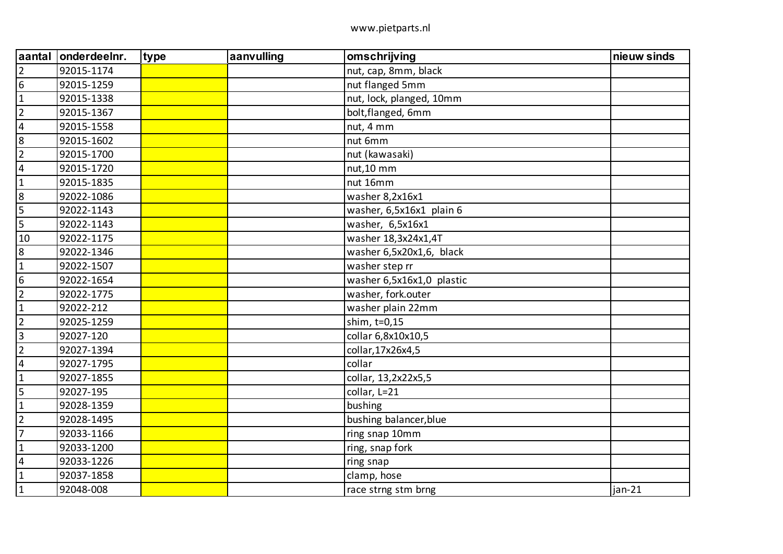| <b>aantal</b>           | onderdeelnr. | type | aanvulling | omschrijving              | nieuw sinds |
|-------------------------|--------------|------|------------|---------------------------|-------------|
| $\overline{2}$          | 92015-1174   |      |            | nut, cap, 8mm, black      |             |
| $6\overline{6}$         | 92015-1259   |      |            | nut flanged 5mm           |             |
| $\mathbf 1$             | 92015-1338   |      |            | nut, lock, planged, 10mm  |             |
| $\overline{2}$          | 92015-1367   |      |            | bolt, flanged, 6mm        |             |
| $\overline{4}$          | 92015-1558   |      |            | nut, 4 mm                 |             |
| $\boldsymbol{8}$        | 92015-1602   |      |            | nut 6mm                   |             |
| $\overline{2}$          | 92015-1700   |      |            | nut (kawasaki)            |             |
| $\overline{4}$          | 92015-1720   |      |            | nut,10 mm                 |             |
| $1\,$                   | 92015-1835   |      |            | nut 16mm                  |             |
| 8                       | 92022-1086   |      |            | washer 8,2x16x1           |             |
| 5                       | 92022-1143   |      |            | washer, 6,5x16x1 plain 6  |             |
| 5                       | 92022-1143   |      |            | washer, 6,5x16x1          |             |
| 10                      | 92022-1175   |      |            | washer 18,3x24x1,4T       |             |
| $\overline{8}$          | 92022-1346   |      |            | washer 6,5x20x1,6, black  |             |
| $\mathbf 1$             | 92022-1507   |      |            | washer step rr            |             |
| $6\overline{6}$         | 92022-1654   |      |            | washer 6,5x16x1,0 plastic |             |
| $\overline{2}$          | 92022-1775   |      |            | washer, fork.outer        |             |
| $\mathbf{1}$            | 92022-212    |      |            | washer plain 22mm         |             |
| $\overline{2}$          | 92025-1259   |      |            | shim, t=0,15              |             |
| $\vert$ 3               | 92027-120    |      |            | collar 6,8x10x10,5        |             |
| $\overline{2}$          | 92027-1394   |      |            | collar, 17x26x4, 5        |             |
| $\overline{\mathbf{4}}$ | 92027-1795   |      |            | collar                    |             |
| $1\,$                   | 92027-1855   |      |            | collar, 13,2x22x5,5       |             |
| $\overline{5}$          | 92027-195    |      |            | collar, L=21              |             |
| $\mathbf{1}$            | 92028-1359   |      |            | bushing                   |             |
| $\overline{2}$          | 92028-1495   |      |            | bushing balancer, blue    |             |
| $\overline{7}$          | 92033-1166   |      |            | ring snap 10mm            |             |
| $\mathbf 1$             | 92033-1200   |      |            | ring, snap fork           |             |
| $\overline{4}$          | 92033-1226   |      |            | ring snap                 |             |
| $\mathbf{1}$            | 92037-1858   |      |            | clamp, hose               |             |
| $\overline{1}$          | 92048-008    |      |            | race strng stm brng       | jan-21      |